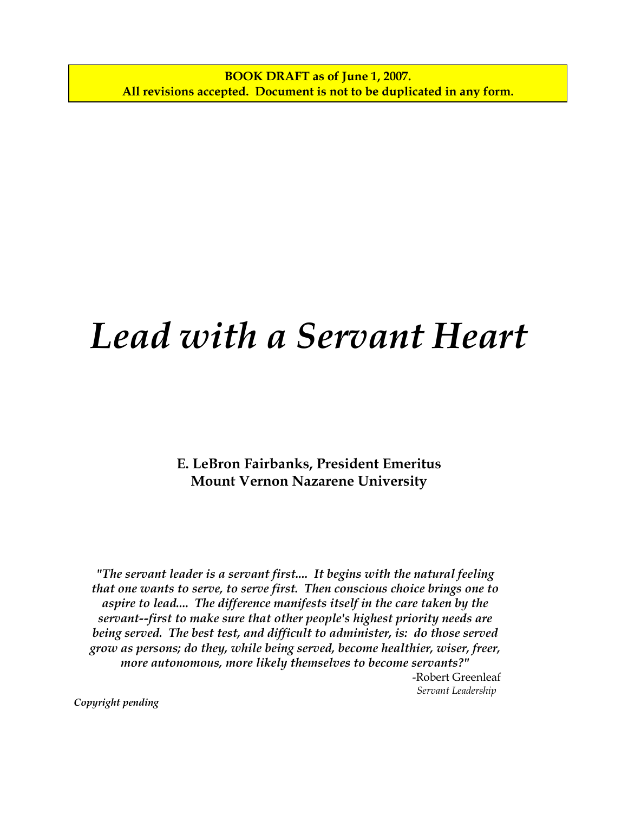# *Lead with a Servant Heart*

**E. LeBron Fairbanks, President Emeritus Mount Vernon Nazarene University**

*"The servant leader is a servant first.... It begins with the natural feeling that one wants to serve, to serve first. Then conscious choice brings one to aspire to lead.... The difference manifests itself in the care taken by the servant--first to make sure that other people's highest priority needs are being served. The best test, and difficult to administer, is: do those served grow as persons; do they, while being served, become healthier, wiser, freer, more autonomous, more likely themselves to become servants?"*  -Robert Greenleaf *Servant Leadership* 

*Copyright pending*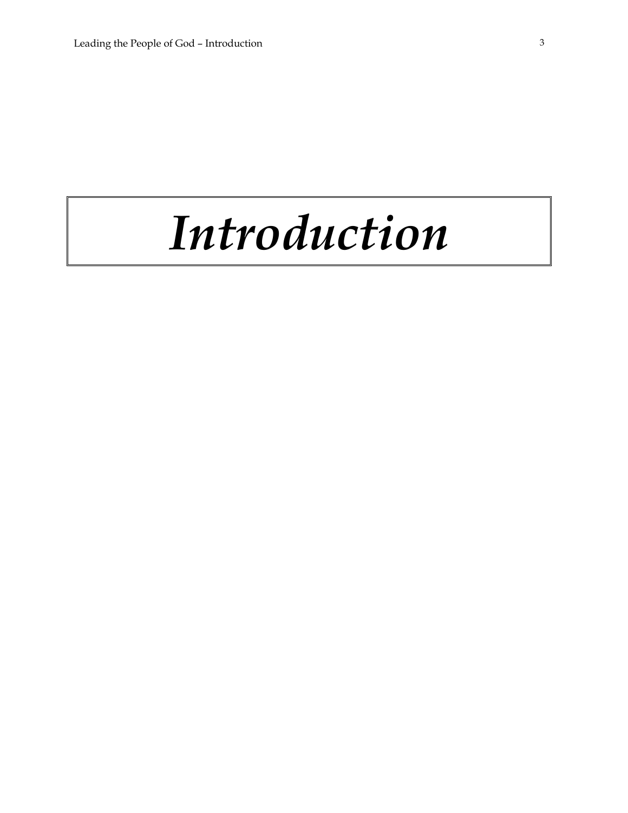# *Introduction*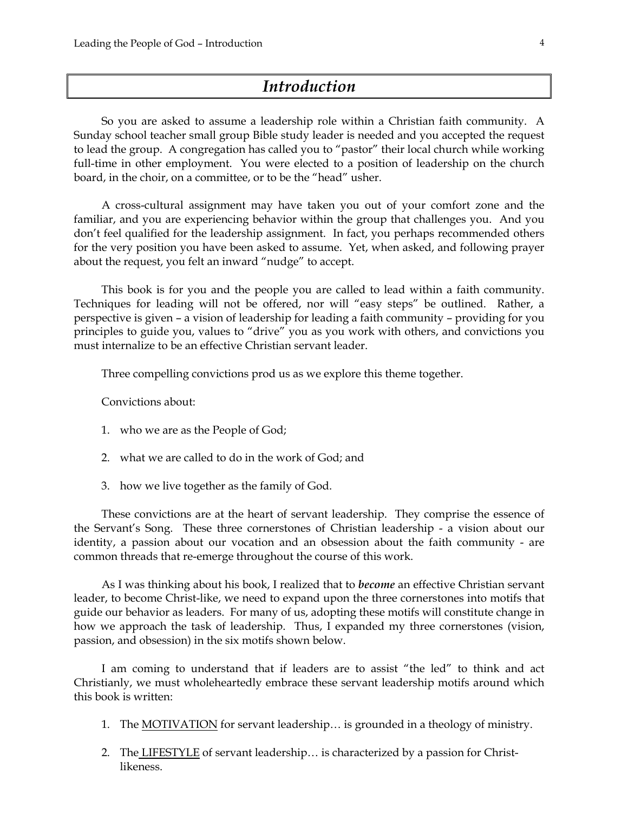# *Introduction*

So you are asked to assume a leadership role within a Christian faith community. A Sunday school teacher small group Bible study leader is needed and you accepted the request to lead the group. A congregation has called you to "pastor" their local church while working full-time in other employment. You were elected to a position of leadership on the church board, in the choir, on a committee, or to be the "head" usher.

A cross-cultural assignment may have taken you out of your comfort zone and the familiar, and you are experiencing behavior within the group that challenges you. And you don't feel qualified for the leadership assignment. In fact, you perhaps recommended others for the very position you have been asked to assume. Yet, when asked, and following prayer about the request, you felt an inward "nudge" to accept.

This book is for you and the people you are called to lead within a faith community. Techniques for leading will not be offered, nor will "easy steps" be outlined. Rather, a perspective is given – a vision of leadership for leading a faith community – providing for you principles to guide you, values to "drive" you as you work with others, and convictions you must internalize to be an effective Christian servant leader.

Three compelling convictions prod us as we explore this theme together.

Convictions about:

- 1. who we are as the People of God;
- 2. what we are called to do in the work of God; and
- 3. how we live together as the family of God.

These convictions are at the heart of servant leadership. They comprise the essence of the Servant's Song. These three cornerstones of Christian leadership - a vision about our identity, a passion about our vocation and an obsession about the faith community - are common threads that re-emerge throughout the course of this work.

As I was thinking about his book, I realized that to *become* an effective Christian servant leader, to become Christ-like, we need to expand upon the three cornerstones into motifs that guide our behavior as leaders. For many of us, adopting these motifs will constitute change in how we approach the task of leadership. Thus, I expanded my three cornerstones (vision, passion, and obsession) in the six motifs shown below.

I am coming to understand that if leaders are to assist "the led" to think and act Christianly, we must wholeheartedly embrace these servant leadership motifs around which this book is written:

- 1. The MOTIVATION for servant leadership… is grounded in a theology of ministry.
- 2. The LIFESTYLE of servant leadership… is characterized by a passion for Christlikeness.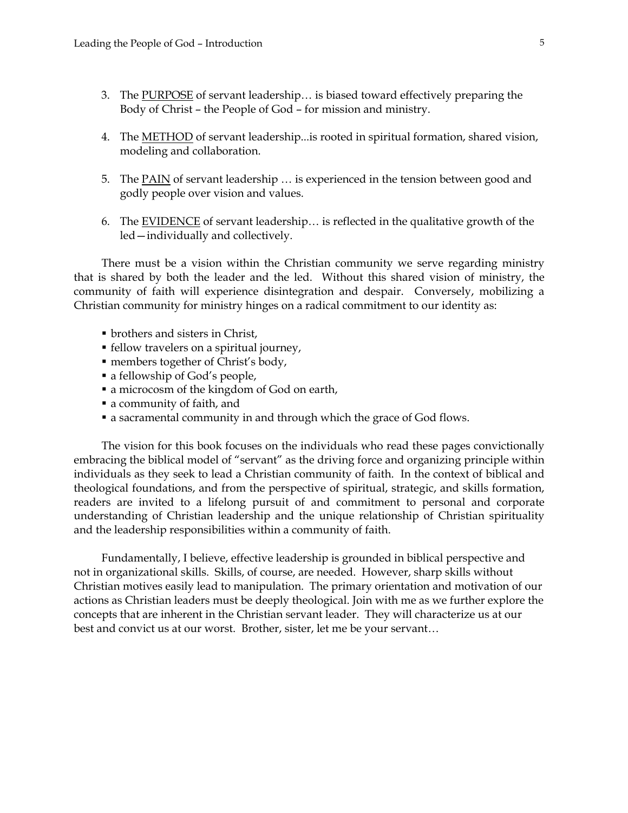- 3. The PURPOSE of servant leadership… is biased toward effectively preparing the Body of Christ – the People of God – for mission and ministry.
- 4. The METHOD of servant leadership...is rooted in spiritual formation, shared vision, modeling and collaboration.
- 5. The PAIN of servant leadership … is experienced in the tension between good and godly people over vision and values.
- 6. The EVIDENCE of servant leadership… is reflected in the qualitative growth of the led—individually and collectively.

There must be a vision within the Christian community we serve regarding ministry that is shared by both the leader and the led. Without this shared vision of ministry, the community of faith will experience disintegration and despair. Conversely, mobilizing a Christian community for ministry hinges on a radical commitment to our identity as:

- brothers and sisters in Christ,
- **fellow travelers on a spiritual journey,**
- members together of Christ's body,
- a fellowship of God's people,
- a microcosm of the kingdom of God on earth,
- a community of faith, and
- a sacramental community in and through which the grace of God flows.

The vision for this book focuses on the individuals who read these pages convictionally embracing the biblical model of "servant" as the driving force and organizing principle within individuals as they seek to lead a Christian community of faith. In the context of biblical and theological foundations, and from the perspective of spiritual, strategic, and skills formation, readers are invited to a lifelong pursuit of and commitment to personal and corporate understanding of Christian leadership and the unique relationship of Christian spirituality and the leadership responsibilities within a community of faith.

Fundamentally, I believe, effective leadership is grounded in biblical perspective and not in organizational skills. Skills, of course, are needed. However, sharp skills without Christian motives easily lead to manipulation. The primary orientation and motivation of our actions as Christian leaders must be deeply theological. Join with me as we further explore the concepts that are inherent in the Christian servant leader. They will characterize us at our best and convict us at our worst. Brother, sister, let me be your servant…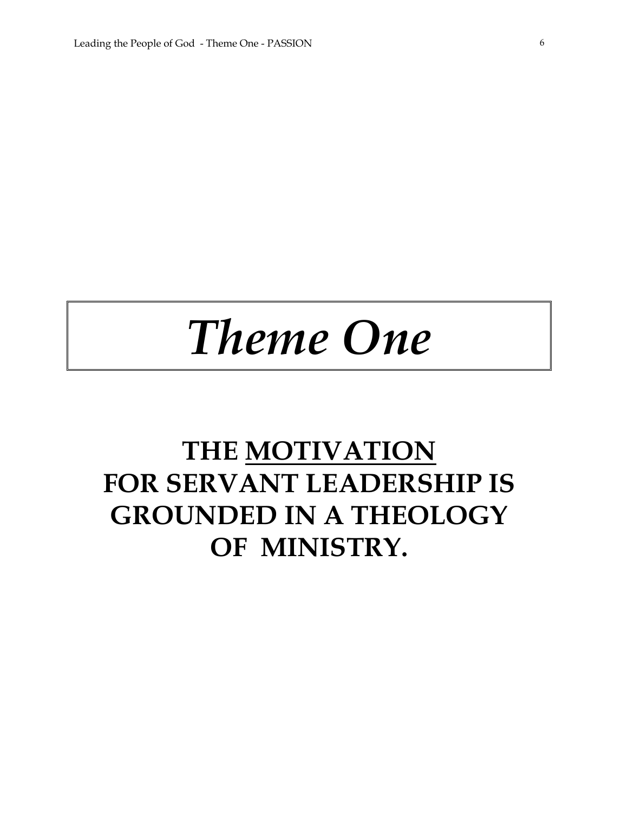# *Theme One*

# **THE MOTIVATION FOR SERVANT LEADERSHIP IS GROUNDED IN A THEOLOGY OF MINISTRY.**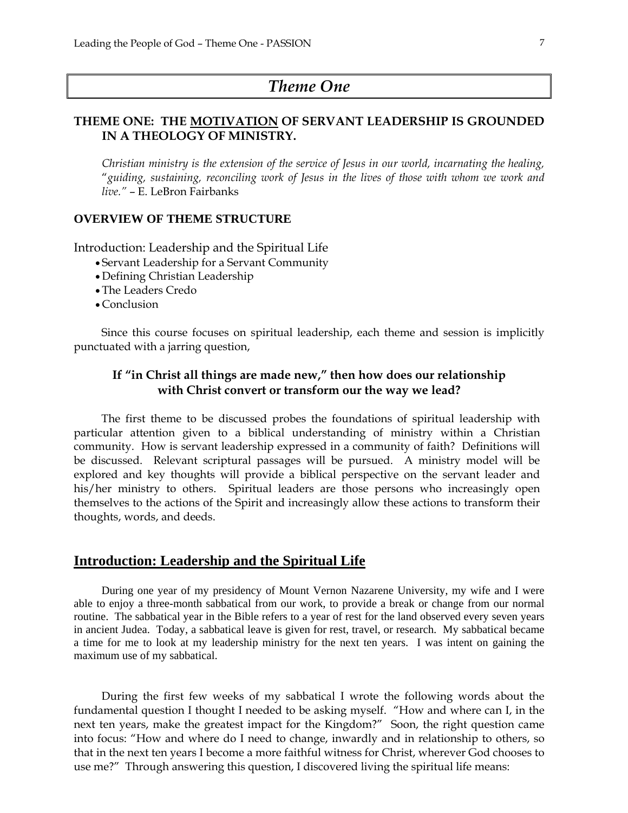# *Theme One*

# **THEME ONE: THE MOTIVATION OF SERVANT LEADERSHIP IS GROUNDED IN A THEOLOGY OF MINISTRY.**

*Christian ministry is the extension of the service of Jesus in our world, incarnating the healing,*  "*guiding, sustaining, reconciling work of Jesus in the lives of those with whom we work and live."* – E. LeBron Fairbanks

#### **OVERVIEW OF THEME STRUCTURE**

Introduction: Leadership and the Spiritual Life

- Servant Leadership for a Servant Community
- Defining Christian Leadership
- The Leaders Credo
- Conclusion

Since this course focuses on spiritual leadership, each theme and session is implicitly punctuated with a jarring question,

# **If "in Christ all things are made new," then how does our relationship with Christ convert or transform our the way we lead?**

The first theme to be discussed probes the foundations of spiritual leadership with particular attention given to a biblical understanding of ministry within a Christian community. How is servant leadership expressed in a community of faith? Definitions will be discussed. Relevant scriptural passages will be pursued. A ministry model will be explored and key thoughts will provide a biblical perspective on the servant leader and his/her ministry to others. Spiritual leaders are those persons who increasingly open themselves to the actions of the Spirit and increasingly allow these actions to transform their thoughts, words, and deeds.

## **Introduction: Leadership and the Spiritual Life**

During one year of my presidency of Mount Vernon Nazarene University, my wife and I were able to enjoy a three-month sabbatical from our work, to provide a break or change from our normal routine. The sabbatical year in the Bible refers to a year of rest for the land observed every seven years in ancient Judea. Today, a sabbatical leave is given for rest, travel, or research. My sabbatical became a time for me to look at my leadership ministry for the next ten years. I was intent on gaining the maximum use of my sabbatical.

During the first few weeks of my sabbatical I wrote the following words about the fundamental question I thought I needed to be asking myself. "How and where can I, in the next ten years, make the greatest impact for the Kingdom?" Soon, the right question came into focus: "How and where do I need to change, inwardly and in relationship to others, so that in the next ten years I become a more faithful witness for Christ, wherever God chooses to use me?" Through answering this question, I discovered living the spiritual life means: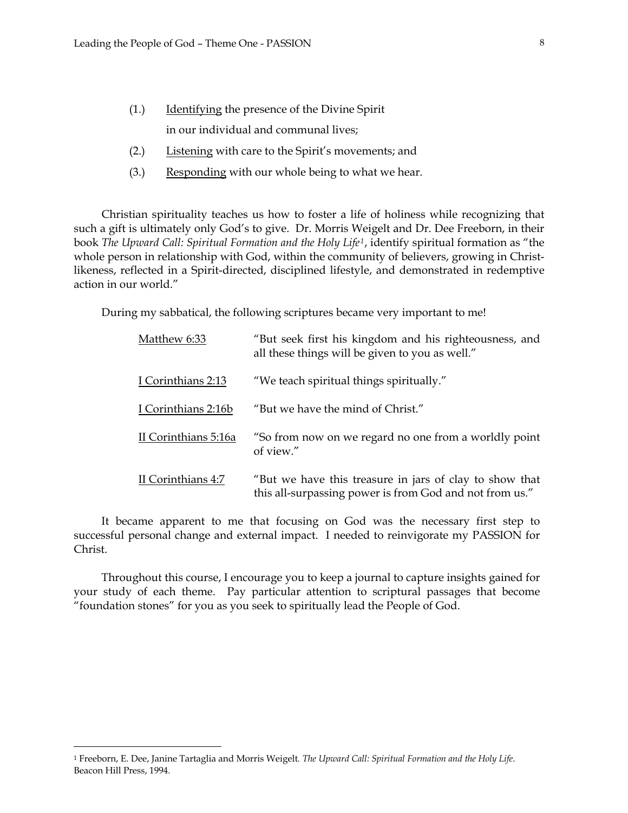- (1.) Identifying the presence of the Divine Spirit in our individual and communal lives;
- (2.) Listening with care to the Spirit's movements; and
- (3.) Responding with our whole being to what we hear.

Christian spirituality teaches us how to foster a life of holiness while recognizing that such a gift is ultimately only God's to give. Dr. Morris Weigelt and Dr. Dee Freeborn, in their book *The Upward Call: Spiritual Formation and the Holy Life[1](#page-7-0)*, identify spiritual formation as "the whole person in relationship with God, within the community of believers, growing in Christlikeness, reflected in a Spirit-directed, disciplined lifestyle, and demonstrated in redemptive action in our world."

During my sabbatical, the following scriptures became very important to me!

| Matthew 6:33         | "But seek first his kingdom and his righteousness, and<br>all these things will be given to you as well."          |
|----------------------|--------------------------------------------------------------------------------------------------------------------|
| I Corinthians 2:13   | "We teach spiritual things spiritually."                                                                           |
| I Corinthians 2:16b  | "But we have the mind of Christ."                                                                                  |
| II Corinthians 5:16a | "So from now on we regard no one from a worldly point<br>of view."                                                 |
| II Corinthians 4:7   | "But we have this treasure in jars of clay to show that<br>this all-surpassing power is from God and not from us." |

It became apparent to me that focusing on God was the necessary first step to successful personal change and external impact. I needed to reinvigorate my PASSION for Christ.

Throughout this course, I encourage you to keep a journal to capture insights gained for your study of each theme. Pay particular attention to scriptural passages that become "foundation stones" for you as you seek to spiritually lead the People of God.

 $\overline{a}$ 

<span id="page-7-0"></span><sup>1</sup> Freeborn, E. Dee, Janine Tartaglia and Morris Weigelt*. The Upward Call: Spiritual Formation and the Holy Life*. Beacon Hill Press, 1994.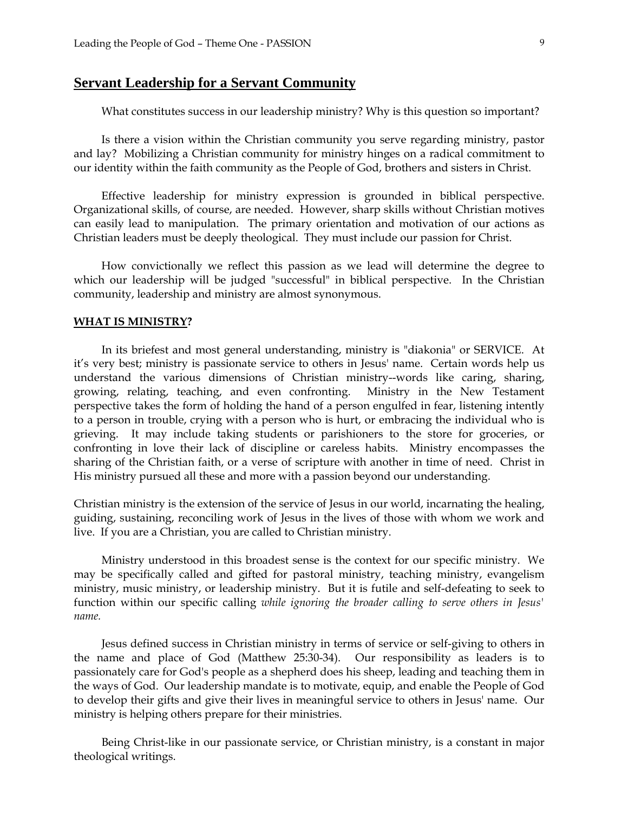## **Servant Leadership for a Servant Community**

What constitutes success in our leadership ministry? Why is this question so important?

Is there a vision within the Christian community you serve regarding ministry, pastor and lay? Mobilizing a Christian community for ministry hinges on a radical commitment to our identity within the faith community as the People of God, brothers and sisters in Christ.

Effective leadership for ministry expression is grounded in biblical perspective. Organizational skills, of course, are needed. However, sharp skills without Christian motives can easily lead to manipulation. The primary orientation and motivation of our actions as Christian leaders must be deeply theological. They must include our passion for Christ.

How convictionally we reflect this passion as we lead will determine the degree to which our leadership will be judged "successful" in biblical perspective. In the Christian community, leadership and ministry are almost synonymous.

#### **WHAT IS MINISTRY?**

In its briefest and most general understanding, ministry is "diakonia" or SERVICE. At it's very best; ministry is passionate service to others in Jesus' name. Certain words help us understand the various dimensions of Christian ministry--words like caring, sharing, growing, relating, teaching, and even confronting. Ministry in the New Testament perspective takes the form of holding the hand of a person engulfed in fear, listening intently to a person in trouble, crying with a person who is hurt, or embracing the individual who is grieving. It may include taking students or parishioners to the store for groceries, or confronting in love their lack of discipline or careless habits. Ministry encompasses the sharing of the Christian faith, or a verse of scripture with another in time of need. Christ in His ministry pursued all these and more with a passion beyond our understanding.

Christian ministry is the extension of the service of Jesus in our world, incarnating the healing, guiding, sustaining, reconciling work of Jesus in the lives of those with whom we work and live. If you are a Christian, you are called to Christian ministry.

Ministry understood in this broadest sense is the context for our specific ministry. We may be specifically called and gifted for pastoral ministry, teaching ministry, evangelism ministry, music ministry, or leadership ministry. But it is futile and self-defeating to seek to function within our specific calling *while ignoring the broader calling to serve others in Jesus' name.*

Jesus defined success in Christian ministry in terms of service or self-giving to others in the name and place of God (Matthew 25:30-34). Our responsibility as leaders is to passionately care for God's people as a shepherd does his sheep, leading and teaching them in the ways of God. Our leadership mandate is to motivate, equip, and enable the People of God to develop their gifts and give their lives in meaningful service to others in Jesus' name. Our ministry is helping others prepare for their ministries.

Being Christ-like in our passionate service, or Christian ministry, is a constant in major theological writings.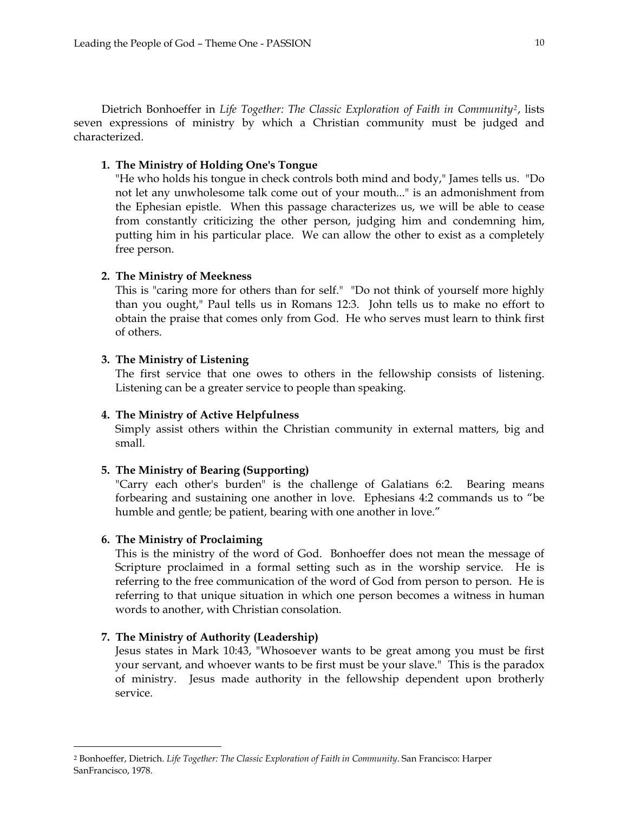Dietrich Bonhoeffer in *Life Together: The Classic Exploration of Faith in Community[2](#page-9-0)*, lists seven expressions of ministry by which a Christian community must be judged and characterized.

#### **1. The Ministry of Holding One's Tongue**

"He who holds his tongue in check controls both mind and body," James tells us. "Do not let any unwholesome talk come out of your mouth..." is an admonishment from the Ephesian epistle. When this passage characterizes us, we will be able to cease from constantly criticizing the other person, judging him and condemning him, putting him in his particular place. We can allow the other to exist as a completely free person.

#### **2. The Ministry of Meekness**

 This is "caring more for others than for self." "Do not think of yourself more highly than you ought," Paul tells us in Romans 12:3. John tells us to make no effort to obtain the praise that comes only from God. He who serves must learn to think first of others.

#### **3. The Ministry of Listening**

 The first service that one owes to others in the fellowship consists of listening. Listening can be a greater service to people than speaking.

#### **4. The Ministry of Active Helpfulness**

 Simply assist others within the Christian community in external matters, big and small.

#### **5. The Ministry of Bearing (Supporting)**

 "Carry each other's burden" is the challenge of Galatians 6:2. Bearing means forbearing and sustaining one another in love. Ephesians 4:2 commands us to "be humble and gentle; be patient, bearing with one another in love."

#### **6. The Ministry of Proclaiming**

 $\overline{a}$ 

 This is the ministry of the word of God. Bonhoeffer does not mean the message of Scripture proclaimed in a formal setting such as in the worship service. He is referring to the free communication of the word of God from person to person. He is referring to that unique situation in which one person becomes a witness in human words to another, with Christian consolation.

#### **7. The Ministry of Authority (Leadership)**

 Jesus states in Mark 10:43, "Whosoever wants to be great among you must be first your servant, and whoever wants to be first must be your slave." This is the paradox of ministry. Jesus made authority in the fellowship dependent upon brotherly service.

<span id="page-9-0"></span><sup>2</sup> Bonhoeffer, Dietrich. *Life Together: The Classic Exploration of Faith in Community*. San Francisco: Harper SanFrancisco, 1978.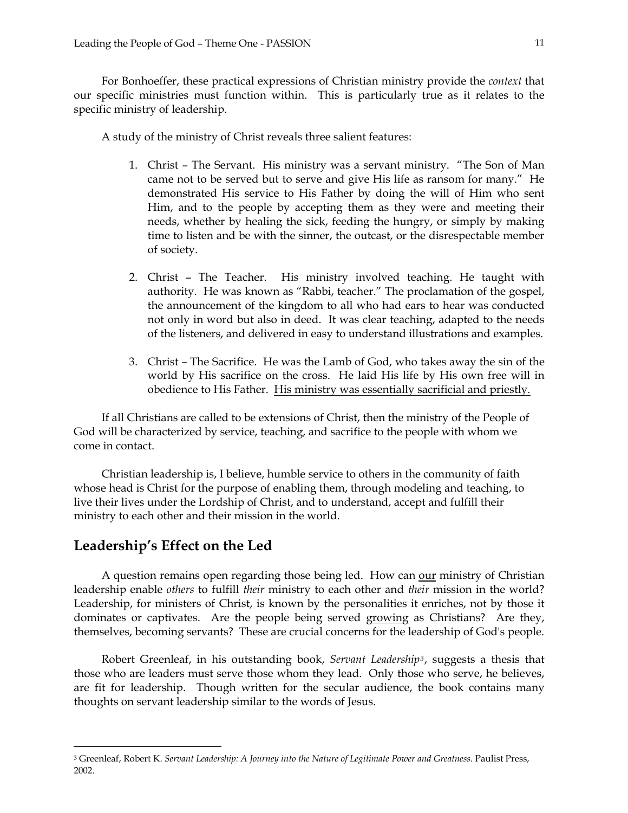For Bonhoeffer, these practical expressions of Christian ministry provide the *context* that our specific ministries must function within. This is particularly true as it relates to the specific ministry of leadership.

A study of the ministry of Christ reveals three salient features:

- 1. Christ The Servant. His ministry was a servant ministry. "The Son of Man came not to be served but to serve and give His life as ransom for many." He demonstrated His service to His Father by doing the will of Him who sent Him, and to the people by accepting them as they were and meeting their needs, whether by healing the sick, feeding the hungry, or simply by making time to listen and be with the sinner, the outcast, or the disrespectable member of society.
- 2. Christ The Teacher. His ministry involved teaching. He taught with authority. He was known as "Rabbi, teacher." The proclamation of the gospel, the announcement of the kingdom to all who had ears to hear was conducted not only in word but also in deed. It was clear teaching, adapted to the needs of the listeners, and delivered in easy to understand illustrations and examples.
- 3. Christ The Sacrifice. He was the Lamb of God, who takes away the sin of the world by His sacrifice on the cross. He laid His life by His own free will in obedience to His Father. His ministry was essentially sacrificial and priestly.

If all Christians are called to be extensions of Christ, then the ministry of the People of God will be characterized by service, teaching, and sacrifice to the people with whom we come in contact.

Christian leadership is, I believe, humble service to others in the community of faith whose head is Christ for the purpose of enabling them, through modeling and teaching, to live their lives under the Lordship of Christ, and to understand, accept and fulfill their ministry to each other and their mission in the world.

## **Leadership's Effect on the Led**

 $\overline{a}$ 

A question remains open regarding those being led. How can our ministry of Christian leadership enable *others* to fulfill *their* ministry to each other and *their* mission in the world? Leadership, for ministers of Christ, is known by the personalities it enriches, not by those it dominates or captivates. Are the people being served growing as Christians? Are they, themselves, becoming servants? These are crucial concerns for the leadership of God's people.

Robert Greenleaf, in his outstanding book, *Servant Leadership[3](#page-10-0)*, suggests a thesis that those who are leaders must serve those whom they lead. Only those who serve, he believes, are fit for leadership. Though written for the secular audience, the book contains many thoughts on servant leadership similar to the words of Jesus.

<span id="page-10-0"></span><sup>3</sup> Greenleaf, Robert K. *Servant Leadership: A Journey into the Nature of Legitimate Power and Greatness.* Paulist Press, 2002.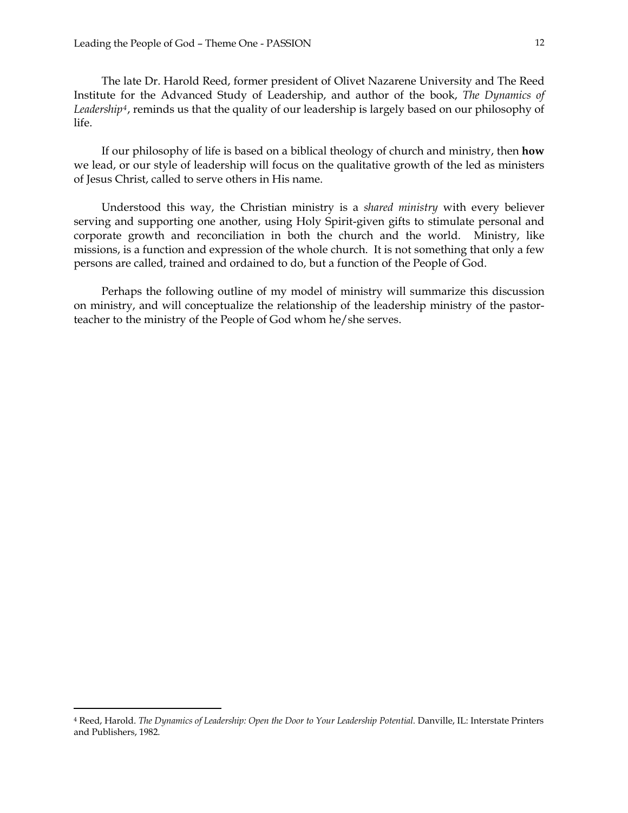The late Dr. Harold Reed, former president of Olivet Nazarene University and The Reed Institute for the Advanced Study of Leadership, and author of the book, *The Dynamics of Leadership[4](#page-11-0)*, reminds us that the quality of our leadership is largely based on our philosophy of life.

If our philosophy of life is based on a biblical theology of church and ministry, then **how** we lead, or our style of leadership will focus on the qualitative growth of the led as ministers of Jesus Christ, called to serve others in His name.

Understood this way, the Christian ministry is a *shared ministry* with every believer serving and supporting one another, using Holy Spirit-given gifts to stimulate personal and corporate growth and reconciliation in both the church and the world. Ministry, like missions, is a function and expression of the whole church. It is not something that only a few persons are called, trained and ordained to do, but a function of the People of God.

Perhaps the following outline of my model of ministry will summarize this discussion on ministry, and will conceptualize the relationship of the leadership ministry of the pastorteacher to the ministry of the People of God whom he/she serves.

 $\overline{a}$ 

<span id="page-11-0"></span><sup>4</sup> Reed, Harold. *The Dynamics of Leadership: Open the Door to Your Leadership Potential.* Danville, IL: Interstate Printers and Publishers, 1982.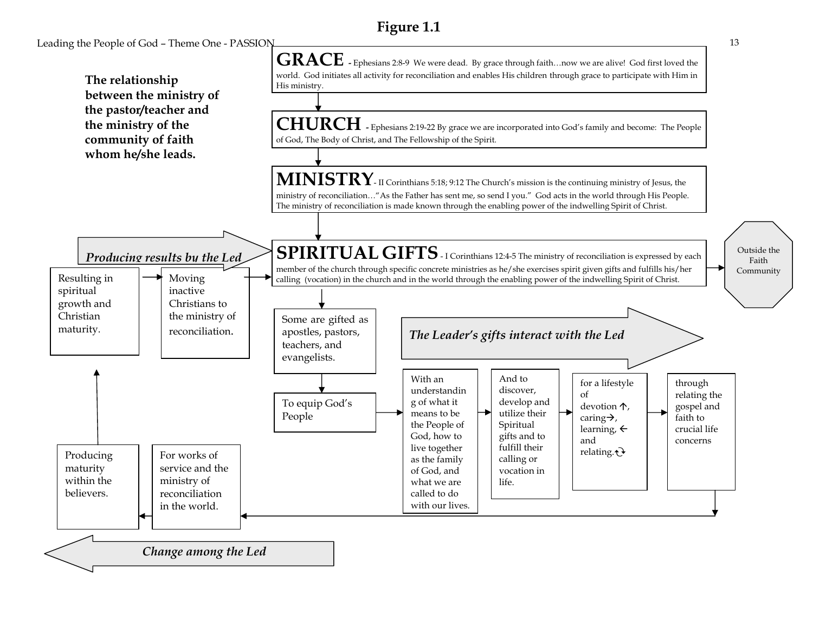# **Figure 1.1**

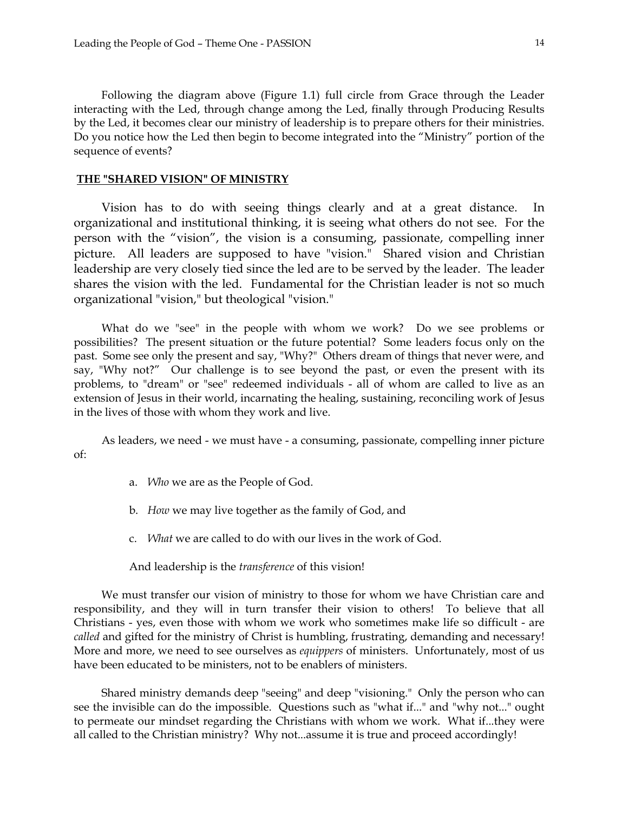Following the diagram above (Figure 1.1) full circle from Grace through the Leader interacting with the Led, through change among the Led, finally through Producing Results by the Led, it becomes clear our ministry of leadership is to prepare others for their ministries. Do you notice how the Led then begin to become integrated into the "Ministry" portion of the sequence of events?

#### **THE "SHARED VISION" OF MINISTRY**

Vision has to do with seeing things clearly and at a great distance. In organizational and institutional thinking, it is seeing what others do not see. For the person with the "vision", the vision is a consuming, passionate, compelling inner picture. All leaders are supposed to have "vision." Shared vision and Christian leadership are very closely tied since the led are to be served by the leader. The leader shares the vision with the led. Fundamental for the Christian leader is not so much organizational "vision," but theological "vision."

What do we "see" in the people with whom we work? Do we see problems or possibilities? The present situation or the future potential? Some leaders focus only on the past. Some see only the present and say, "Why?" Others dream of things that never were, and say, "Why not?" Our challenge is to see beyond the past, or even the present with its problems, to "dream" or "see" redeemed individuals - all of whom are called to live as an extension of Jesus in their world, incarnating the healing, sustaining, reconciling work of Jesus in the lives of those with whom they work and live.

As leaders, we need - we must have - a consuming, passionate, compelling inner picture of:

- a. *Who* we are as the People of God.
- b. *How* we may live together as the family of God, and
- c. *What* we are called to do with our lives in the work of God.

And leadership is the *transference* of this vision!

We must transfer our vision of ministry to those for whom we have Christian care and responsibility, and they will in turn transfer their vision to others! To believe that all Christians - yes, even those with whom we work who sometimes make life so difficult - are *called* and gifted for the ministry of Christ is humbling, frustrating, demanding and necessary! More and more, we need to see ourselves as *equippers* of ministers. Unfortunately, most of us have been educated to be ministers, not to be enablers of ministers.

Shared ministry demands deep "seeing" and deep "visioning." Only the person who can see the invisible can do the impossible. Questions such as "what if..." and "why not..." ought to permeate our mindset regarding the Christians with whom we work. What if...they were all called to the Christian ministry? Why not...assume it is true and proceed accordingly!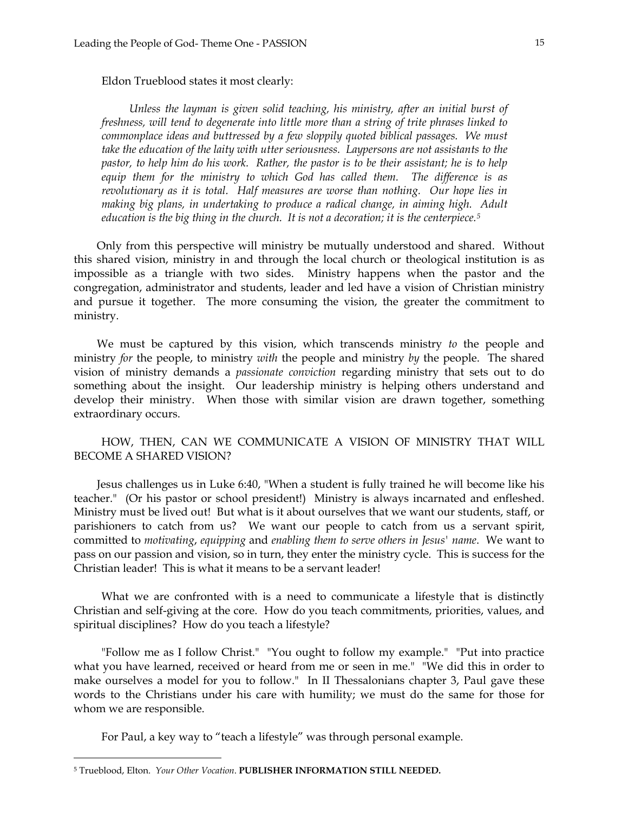Eldon Trueblood states it most clearly:

*Unless the layman is given solid teaching, his ministry, after an initial burst of freshness, will tend to degenerate into little more than a string of trite phrases linked to commonplace ideas and buttressed by a few sloppily quoted biblical passages. We must take the education of the laity with utter seriousness. Laypersons are not assistants to the pastor, to help him do his work. Rather, the pastor is to be their assistant; he is to help equip them for the ministry to which God has called them. The difference is as revolutionary as it is total. Half measures are worse than nothing. Our hope lies in making big plans, in undertaking to produce a radical change, in aiming high. Adult education is the big thing in the church. It is not a decoration; it is the centerpiece.[5](#page-14-0)*

Only from this perspective will ministry be mutually understood and shared. Without this shared vision, ministry in and through the local church or theological institution is as impossible as a triangle with two sides. Ministry happens when the pastor and the congregation, administrator and students, leader and led have a vision of Christian ministry and pursue it together. The more consuming the vision, the greater the commitment to ministry.

We must be captured by this vision, which transcends ministry *to* the people and ministry *for* the people, to ministry *with* the people and ministry *by* the people. The shared vision of ministry demands a *passionate conviction* regarding ministry that sets out to do something about the insight. Our leadership ministry is helping others understand and develop their ministry. When those with similar vision are drawn together, something extraordinary occurs.

 HOW, THEN, CAN WE COMMUNICATE A VISION OF MINISTRY THAT WILL BECOME A SHARED VISION?

Jesus challenges us in Luke 6:40, "When a student is fully trained he will become like his teacher." (Or his pastor or school president!) Ministry is always incarnated and enfleshed. Ministry must be lived out! But what is it about ourselves that we want our students, staff, or parishioners to catch from us? We want our people to catch from us a servant spirit, committed to *motivating*, *equipping* and *enabling them to serve others in Jesus' name*. We want to pass on our passion and vision, so in turn, they enter the ministry cycle. This is success for the Christian leader! This is what it means to be a servant leader!

What we are confronted with is a need to communicate a lifestyle that is distinctly Christian and self-giving at the core. How do you teach commitments, priorities, values, and spiritual disciplines? How do you teach a lifestyle?

"Follow me as I follow Christ." "You ought to follow my example." "Put into practice what you have learned, received or heard from me or seen in me." "We did this in order to make ourselves a model for you to follow." In II Thessalonians chapter 3, Paul gave these words to the Christians under his care with humility; we must do the same for those for whom we are responsible.

For Paul, a key way to "teach a lifestyle" was through personal example.

 $\overline{a}$ 

<span id="page-14-0"></span><sup>5</sup> Trueblood, Elton. *Your Other Vocation*. **PUBLISHER INFORMATION STILL NEEDED.**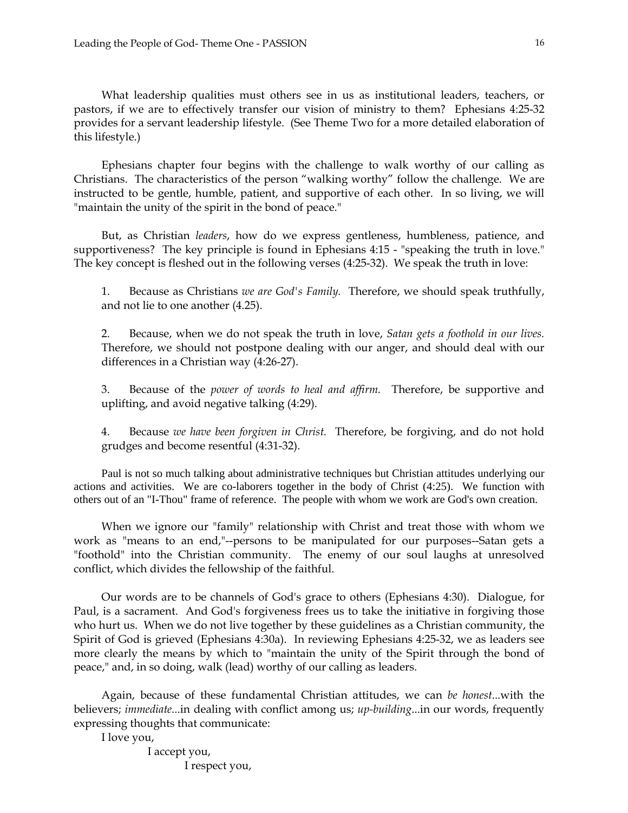What leadership qualities must others see in us as institutional leaders, teachers, or pastors, if we are to effectively transfer our vision of ministry to them? Ephesians 4:25-32 provides for a servant leadership lifestyle. (See Theme Two for a more detailed elaboration of this lifestyle.)

Ephesians chapter four begins with the challenge to walk worthy of our calling as Christians. The characteristics of the person "walking worthy" follow the challenge. We are instructed to be gentle, humble, patient, and supportive of each other. In so living, we will "maintain the unity of the spirit in the bond of peace."

But, as Christian *leaders*, how do we express gentleness, humbleness, patience, and supportiveness? The key principle is found in Ephesians 4:15 - "speaking the truth in love." The key concept is fleshed out in the following verses (4:25-32). We speak the truth in love:

1. Because as Christians *we are God's Family.* Therefore, we should speak truthfully, and not lie to one another (4.25).

2. Because, when we do not speak the truth in love, *Satan gets a foothold in our lives.* Therefore, we should not postpone dealing with our anger, and should deal with our differences in a Christian way (4:26-27).

3. Because of the *power of words to heal and affirm.* Therefore, be supportive and uplifting, and avoid negative talking (4:29).

4. Because *we have been forgiven in Christ.* Therefore, be forgiving, and do not hold grudges and become resentful (4:31-32).

Paul is not so much talking about administrative techniques but Christian attitudes underlying our actions and activities. We are co-laborers together in the body of Christ (4:25). We function with others out of an "I-Thou" frame of reference. The people with whom we work are God's own creation.

When we ignore our "family" relationship with Christ and treat those with whom we work as "means to an end,"--persons to be manipulated for our purposes--Satan gets a "foothold" into the Christian community. The enemy of our soul laughs at unresolved conflict, which divides the fellowship of the faithful.

Our words are to be channels of God's grace to others (Ephesians 4:30). Dialogue, for Paul, is a sacrament. And God's forgiveness frees us to take the initiative in forgiving those who hurt us. When we do not live together by these guidelines as a Christian community, the Spirit of God is grieved (Ephesians 4:30a). In reviewing Ephesians 4:25-32, we as leaders see more clearly the means by which to "maintain the unity of the Spirit through the bond of peace," and, in so doing, walk (lead) worthy of our calling as leaders.

Again, because of these fundamental Christian attitudes, we can *be honest*...with the believers; *immediate*...in dealing with conflict among us; *up-building*...in our words, frequently expressing thoughts that communicate:

I love you, I accept you, I respect you,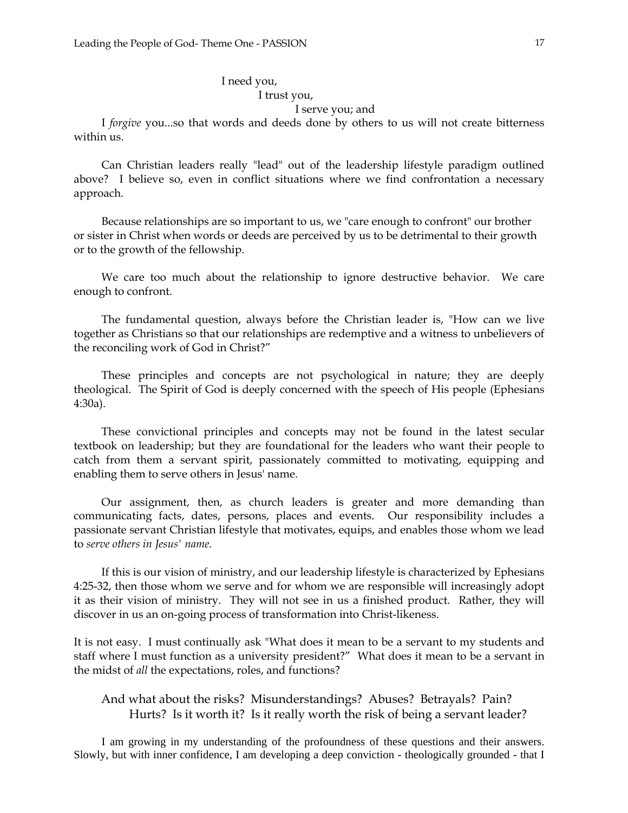I need you,

I trust you,

#### I serve you; and

I *forgive* you...so that words and deeds done by others to us will not create bitterness within us.

Can Christian leaders really "lead" out of the leadership lifestyle paradigm outlined above? I believe so, even in conflict situations where we find confrontation a necessary approach.

Because relationships are so important to us, we "care enough to confront" our brother or sister in Christ when words or deeds are perceived by us to be detrimental to their growth or to the growth of the fellowship.

We care too much about the relationship to ignore destructive behavior. We care enough to confront.

The fundamental question, always before the Christian leader is, "How can we live together as Christians so that our relationships are redemptive and a witness to unbelievers of the reconciling work of God in Christ?"

These principles and concepts are not psychological in nature; they are deeply theological. The Spirit of God is deeply concerned with the speech of His people (Ephesians 4:30a).

These convictional principles and concepts may not be found in the latest secular textbook on leadership; but they are foundational for the leaders who want their people to catch from them a servant spirit, passionately committed to motivating, equipping and enabling them to serve others in Jesus' name.

Our assignment, then, as church leaders is greater and more demanding than communicating facts, dates, persons, places and events. Our responsibility includes a passionate servant Christian lifestyle that motivates, equips, and enables those whom we lead to *serve others in Jesus' name.*

If this is our vision of ministry, and our leadership lifestyle is characterized by Ephesians 4:25-32, then those whom we serve and for whom we are responsible will increasingly adopt it as their vision of ministry. They will not see in us a finished product. Rather, they will discover in us an on-going process of transformation into Christ-likeness.

It is not easy. I must continually ask "What does it mean to be a servant to my students and staff where I must function as a university president?" What does it mean to be a servant in the midst of *all* the expectations, roles, and functions?

And what about the risks? Misunderstandings? Abuses? Betrayals? Pain? Hurts? Is it worth it? Is it really worth the risk of being a servant leader?

I am growing in my understanding of the profoundness of these questions and their answers. Slowly, but with inner confidence, I am developing a deep conviction - theologically grounded - that I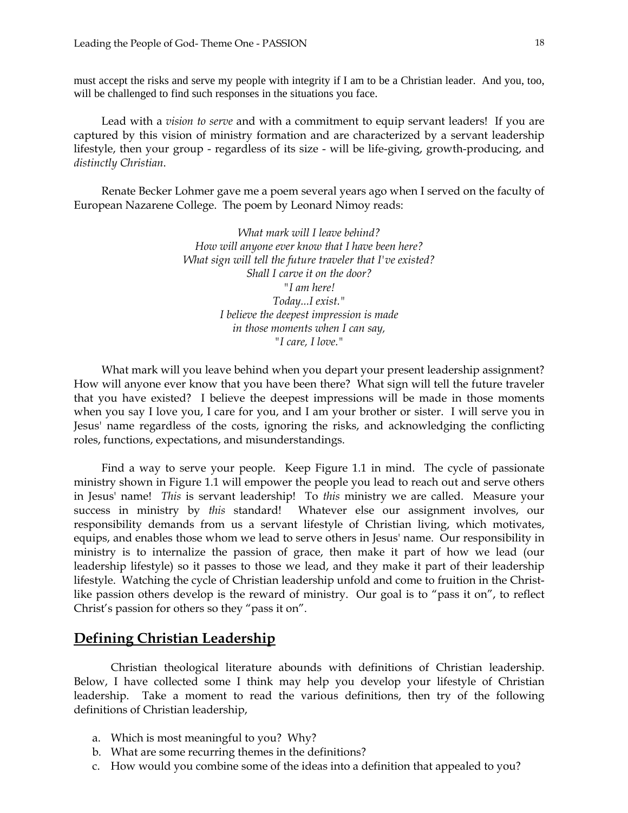must accept the risks and serve my people with integrity if I am to be a Christian leader. And you, too, will be challenged to find such responses in the situations you face.

Lead with a *vision to serve* and with a commitment to equip servant leaders! If you are captured by this vision of ministry formation and are characterized by a servant leadership lifestyle, then your group - regardless of its size - will be life-giving, growth-producing, and *distinctly Christian*.

Renate Becker Lohmer gave me a poem several years ago when I served on the faculty of European Nazarene College. The poem by Leonard Nimoy reads:

> *What mark will I leave behind? How will anyone ever know that I have been here? What sign will tell the future traveler that I've existed? Shall I carve it on the door? "I am here! Today...I exist." I believe the deepest impression is made in those moments when I can say, "I care, I love."*

What mark will you leave behind when you depart your present leadership assignment? How will anyone ever know that you have been there? What sign will tell the future traveler that you have existed? I believe the deepest impressions will be made in those moments when you say I love you, I care for you, and I am your brother or sister. I will serve you in Jesus' name regardless of the costs, ignoring the risks, and acknowledging the conflicting roles, functions, expectations, and misunderstandings.

Find a way to serve your people. Keep Figure 1.1 in mind. The cycle of passionate ministry shown in Figure 1.1 will empower the people you lead to reach out and serve others in Jesus' name! *This* is servant leadership! To *this* ministry we are called. Measure your success in ministry by *this* standard! Whatever else our assignment involves, our responsibility demands from us a servant lifestyle of Christian living, which motivates, equips, and enables those whom we lead to serve others in Jesus' name. Our responsibility in ministry is to internalize the passion of grace, then make it part of how we lead (our leadership lifestyle) so it passes to those we lead, and they make it part of their leadership lifestyle. Watching the cycle of Christian leadership unfold and come to fruition in the Christlike passion others develop is the reward of ministry. Our goal is to "pass it on", to reflect Christ's passion for others so they "pass it on".

# **Defining Christian Leadership**

Christian theological literature abounds with definitions of Christian leadership. Below, I have collected some I think may help you develop your lifestyle of Christian leadership. Take a moment to read the various definitions, then try of the following definitions of Christian leadership,

- a. Which is most meaningful to you? Why?
- b. What are some recurring themes in the definitions?
- c. How would you combine some of the ideas into a definition that appealed to you?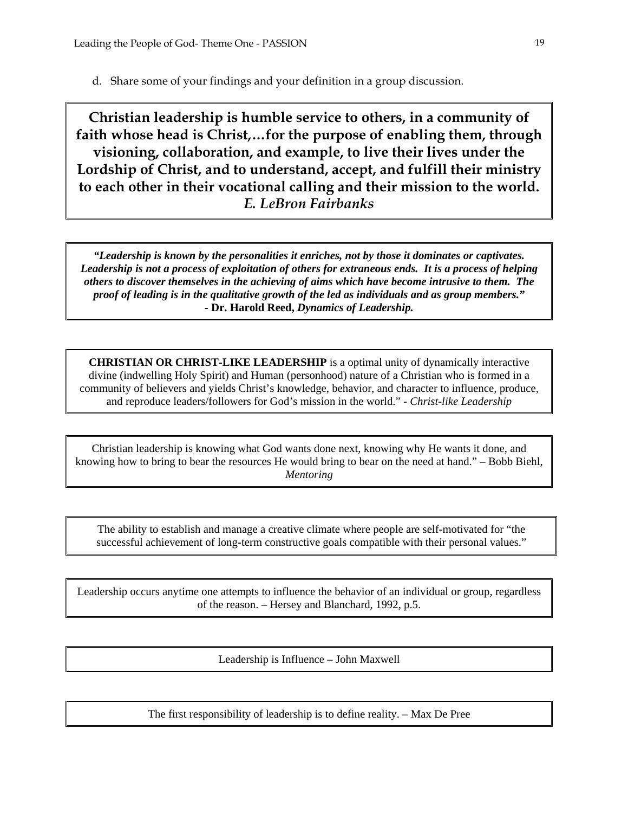d. Share some of your findings and your definition in a group discussion.

**Christian leadership is humble service to others, in a community of faith whose head is Christ,…for the purpose of enabling them, through visioning, collaboration, and example, to live their lives under the Lordship of Christ, and to understand, accept, and fulfill their ministry to each other in their vocational calling and their mission to the world.**  *E. LeBron Fairbanks* 

*"Leadership is known by the personalities it enriches, not by those it dominates or captivates. Leadership is not a process of exploitation of others for extraneous ends. It is a process of helping others to discover themselves in the achieving of aims which have become intrusive to them. The proof of leading is in the qualitative growth of the led as individuals and as group members." -* **Dr. Harold Reed,** *Dynamics of Leadership.* 

**CHRISTIAN OR CHRIST-LIKE LEADERSHIP** is a optimal unity of dynamically interactive divine (indwelling Holy Spirit) and Human (personhood) nature of a Christian who is formed in a community of believers and yields Christ's knowledge, behavior, and character to influence, produce, and reproduce leaders/followers for God's mission in the world." - *Christ-like Leadership*

Christian leadership is knowing what God wants done next, knowing why He wants it done, and knowing how to bring to bear the resources He would bring to bear on the need at hand." – Bobb Biehl, *Mentoring*

The ability to establish and manage a creative climate where people are self-motivated for "the successful achievement of long-term constructive goals compatible with their personal values."

Leadership occurs anytime one attempts to influence the behavior of an individual or group, regardless of the reason. – Hersey and Blanchard, 1992, p.5.

Leadership is Influence – John Maxwell

The first responsibility of leadership is to define reality. – Max De Pree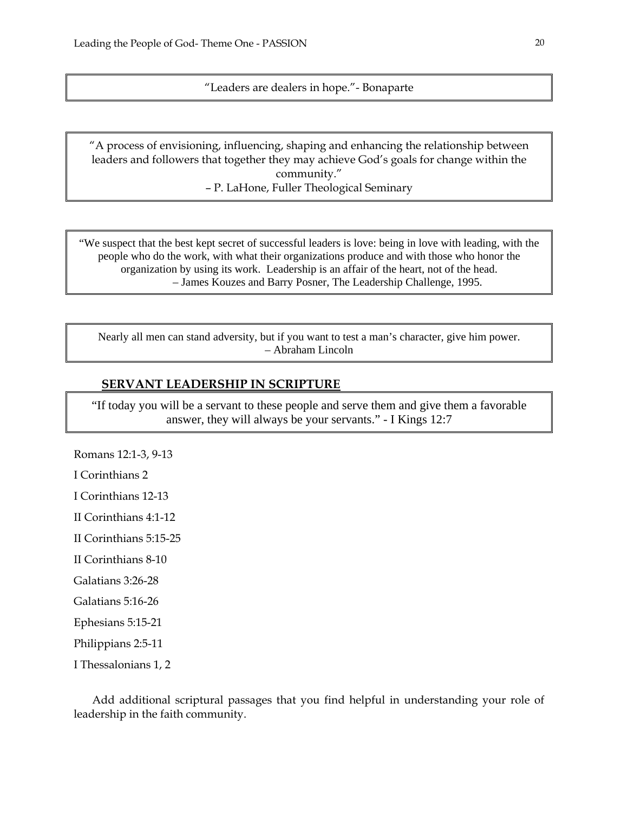"A process of envisioning, influencing, shaping and enhancing the relationship between leaders and followers that together they may achieve God's goals for change within the community." – P. LaHone, Fuller Theological Seminary

"We suspect that the best kept secret of successful leaders is love: being in love with leading, with the people who do the work, with what their organizations produce and with those who honor the organization by using its work. Leadership is an affair of the heart, not of the head. – James Kouzes and Barry Posner, The Leadership Challenge, 1995.

Nearly all men can stand adversity, but if you want to test a man's character, give him power. – Abraham Lincoln

### **SERVANT LEADERSHIP IN SCRIPTURE**

"If today you will be a servant to these people and serve them and give them a favorable answer, they will always be your servants." - I Kings 12:7

Romans 12:1-3, 9-13

I Corinthians 2

I Corinthians 12-13

II Corinthians 4:1-12

II Corinthians 5:15-25

- II Corinthians 8-10
- Galatians 3:26-28
- Galatians 5:16-26
- Ephesians 5:15-21
- Philippians 2:5-11

I Thessalonians 1, 2

Add additional scriptural passages that you find helpful in understanding your role of leadership in the faith community.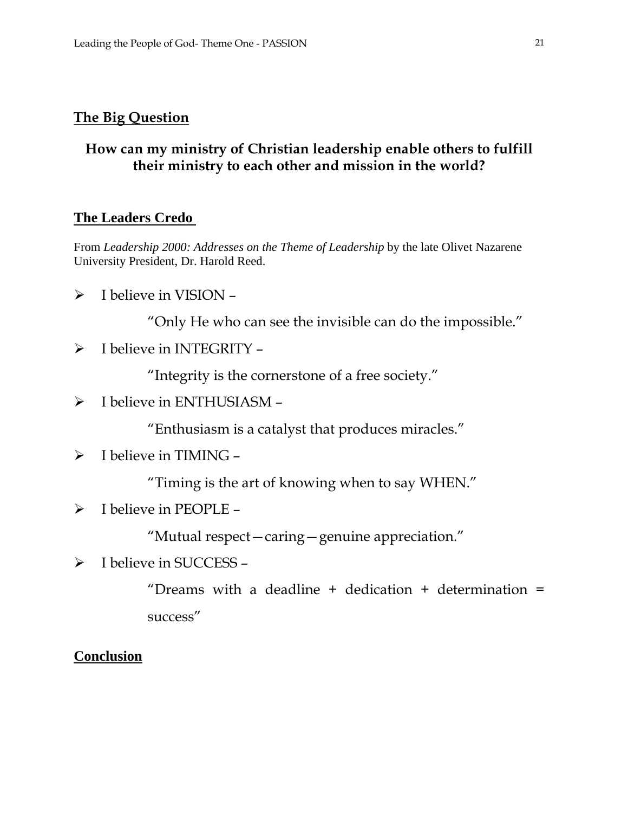# **The Big Question**

# **How can my ministry of Christian leadership enable others to fulfill their ministry to each other and mission in the world?**

# **The Leaders Credo**

From *Leadership 2000: Addresses on the Theme of Leadership* by the late Olivet Nazarene University President, Dr. Harold Reed.

 $\triangleright$  I believe in VISION –

"Only He who can see the invisible can do the impossible."

 $\triangleright$  I believe in INTEGRITY –

"Integrity is the cornerstone of a free society."

 $\triangleright$  I believe in ENTHUSIASM –

"Enthusiasm is a catalyst that produces miracles."

 $\triangleright$  I believe in TIMING -

"Timing is the art of knowing when to say WHEN."

 $\triangleright$  I believe in PEOPLE –

"Mutual respect—caring—genuine appreciation."

 $\triangleright$  I believe in SUCCESS –

"Dreams with a deadline  $+$  dedication  $+$  determination  $=$ success"

# **Conclusion**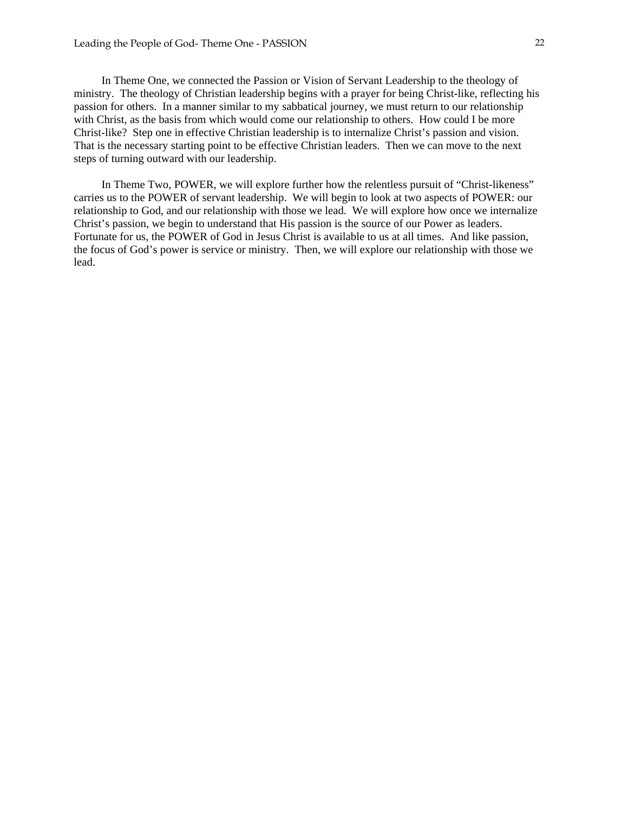In Theme One, we connected the Passion or Vision of Servant Leadership to the theology of ministry. The theology of Christian leadership begins with a prayer for being Christ-like, reflecting his passion for others. In a manner similar to my sabbatical journey, we must return to our relationship with Christ, as the basis from which would come our relationship to others. How could I be more Christ-like? Step one in effective Christian leadership is to internalize Christ's passion and vision. That is the necessary starting point to be effective Christian leaders. Then we can move to the next steps of turning outward with our leadership.

In Theme Two, POWER, we will explore further how the relentless pursuit of "Christ-likeness" carries us to the POWER of servant leadership. We will begin to look at two aspects of POWER: our relationship to God, and our relationship with those we lead. We will explore how once we internalize Christ's passion, we begin to understand that His passion is the source of our Power as leaders. Fortunate for us, the POWER of God in Jesus Christ is available to us at all times. And like passion, the focus of God's power is service or ministry. Then, we will explore our relationship with those we lead.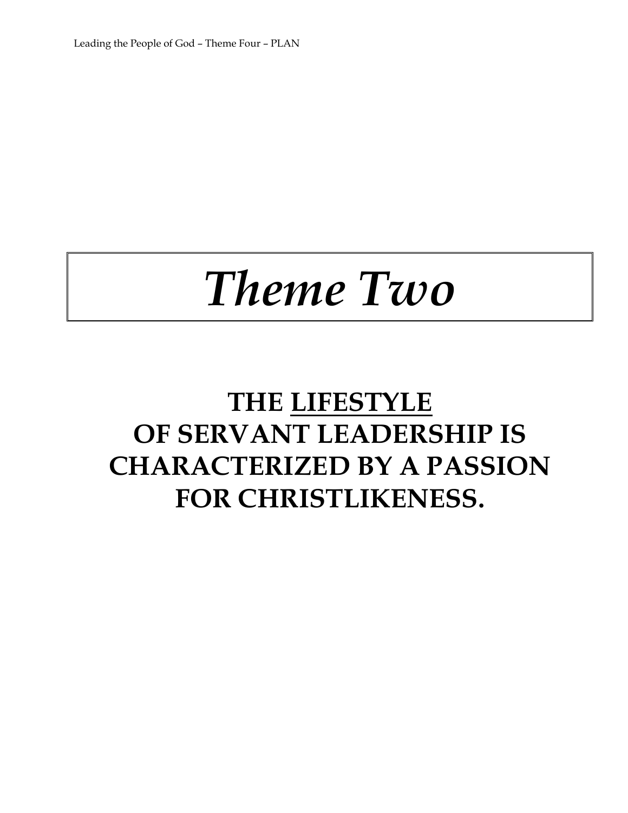Leading the People of God – Theme Four – PLAN

# *Theme Two*

# **THE LIFESTYLE OF SERVANT LEADERSHIP IS CHARACTERIZED BY A PASSION FOR CHRISTLIKENESS.**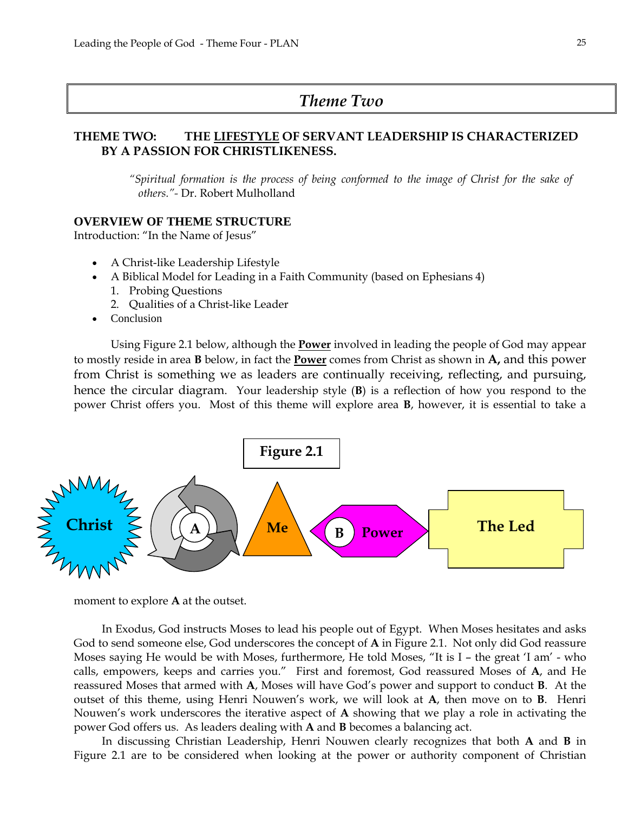# *Theme Two*

# **THEME TWO: THE LIFESTYLE OF SERVANT LEADERSHIP IS CHARACTERIZED BY A PASSION FOR CHRISTLIKENESS.**

*"Spiritual formation is the process of being conformed to the image of Christ for the sake of others."-* Dr. Robert Mulholland

### **OVERVIEW OF THEME STRUCTURE**

Introduction: "In the Name of Jesus"

- A Christ-like Leadership Lifestyle
- A Biblical Model for Leading in a Faith Community (based on Ephesians 4)
	- 1. Probing Questions
	- 2. Qualities of a Christ-like Leader
- Conclusion

 Using Figure 2.1 below, although the **Power** involved in leading the people of God may appear to mostly reside in area **B** below, in fact the **Power** comes from Christ as shown in **A,** and this power from Christ is something we as leaders are continually receiving, reflecting, and pursuing, hence the circular diagram. Your leadership style (**B**) is a reflection of how you respond to the power Christ offers you. Most of this theme will explore area **B**, however, it is essential to take a



moment to explore **A** at the outset.

In Exodus, God instructs Moses to lead his people out of Egypt. When Moses hesitates and asks God to send someone else, God underscores the concept of **A** in Figure 2.1. Not only did God reassure Moses saying He would be with Moses, furthermore, He told Moses, "It is I – the great 'I am' - who calls, empowers, keeps and carries you." First and foremost, God reassured Moses of **A**, and He reassured Moses that armed with **A**, Moses will have God's power and support to conduct **B**. At the outset of this theme, using Henri Nouwen's work, we will look at **A**, then move on to **B**. Henri Nouwen's work underscores the iterative aspect of **A** showing that we play a role in activating the power God offers us. As leaders dealing with **A** and **B** becomes a balancing act.

In discussing Christian Leadership, Henri Nouwen clearly recognizes that both **A** and **B** in Figure 2.1 are to be considered when looking at the power or authority component of Christian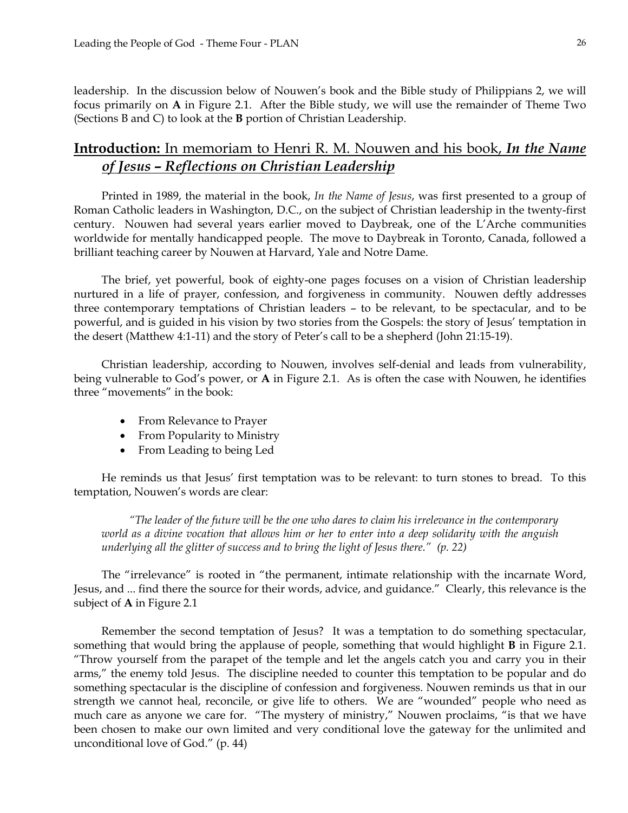leadership. In the discussion below of Nouwen's book and the Bible study of Philippians 2, we will focus primarily on **A** in Figure 2.1. After the Bible study, we will use the remainder of Theme Two (Sections B and C) to look at the **B** portion of Christian Leadership.

# **Introduction:** In memoriam to Henri R. M. Nouwen and his book, *In the Name of Jesus – Reflections on Christian Leadership*

Printed in 1989, the material in the book, *In the Name of Jesus*, was first presented to a group of Roman Catholic leaders in Washington, D.C., on the subject of Christian leadership in the twenty-first century. Nouwen had several years earlier moved to Daybreak, one of the L'Arche communities worldwide for mentally handicapped people. The move to Daybreak in Toronto, Canada, followed a brilliant teaching career by Nouwen at Harvard, Yale and Notre Dame.

The brief, yet powerful, book of eighty-one pages focuses on a vision of Christian leadership nurtured in a life of prayer, confession, and forgiveness in community. Nouwen deftly addresses three contemporary temptations of Christian leaders – to be relevant, to be spectacular, and to be powerful, and is guided in his vision by two stories from the Gospels: the story of Jesus' temptation in the desert (Matthew 4:1-11) and the story of Peter's call to be a shepherd (John 21:15-19).

Christian leadership, according to Nouwen, involves self-denial and leads from vulnerability, being vulnerable to God's power, or **A** in Figure 2.1. As is often the case with Nouwen, he identifies three "movements" in the book:

- From Relevance to Prayer
- From Popularity to Ministry
- From Leading to being Led

He reminds us that Jesus' first temptation was to be relevant: to turn stones to bread. To this temptation, Nouwen's words are clear:

*"The leader of the future will be the one who dares to claim his irrelevance in the contemporary world as a divine vocation that allows him or her to enter into a deep solidarity with the anguish underlying all the glitter of success and to bring the light of Jesus there." (p. 22)* 

The "irrelevance" is rooted in "the permanent, intimate relationship with the incarnate Word, Jesus, and ... find there the source for their words, advice, and guidance." Clearly, this relevance is the subject of **A** in Figure 2.1

Remember the second temptation of Jesus? It was a temptation to do something spectacular, something that would bring the applause of people, something that would highlight **B** in Figure 2.1. "Throw yourself from the parapet of the temple and let the angels catch you and carry you in their arms," the enemy told Jesus. The discipline needed to counter this temptation to be popular and do something spectacular is the discipline of confession and forgiveness. Nouwen reminds us that in our strength we cannot heal, reconcile, or give life to others. We are "wounded" people who need as much care as anyone we care for. "The mystery of ministry," Nouwen proclaims, "is that we have been chosen to make our own limited and very conditional love the gateway for the unlimited and unconditional love of God." (p. 44)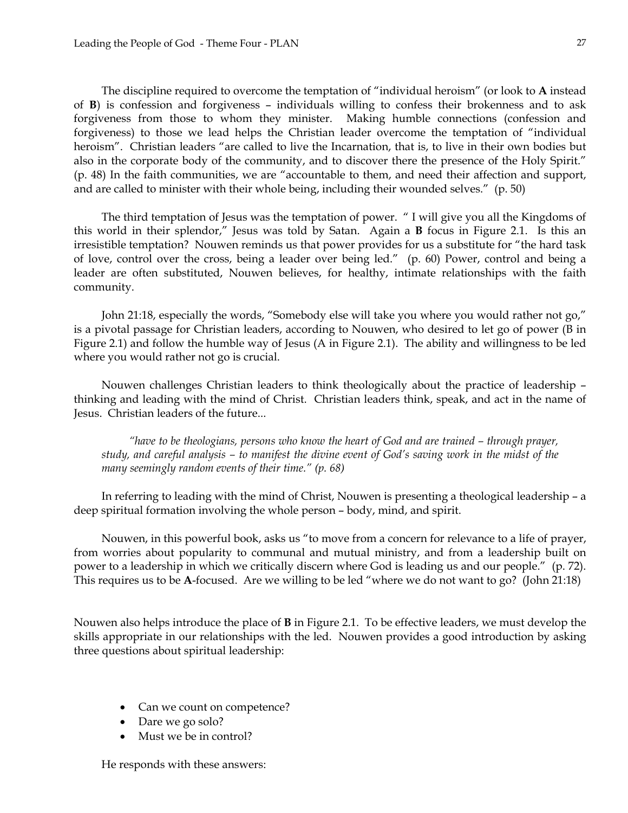The discipline required to overcome the temptation of "individual heroism" (or look to **A** instead of **B**) is confession and forgiveness – individuals willing to confess their brokenness and to ask forgiveness from those to whom they minister. Making humble connections (confession and forgiveness) to those we lead helps the Christian leader overcome the temptation of "individual heroism". Christian leaders "are called to live the Incarnation, that is, to live in their own bodies but also in the corporate body of the community, and to discover there the presence of the Holy Spirit." (p. 48) In the faith communities, we are "accountable to them, and need their affection and support, and are called to minister with their whole being, including their wounded selves." (p. 50)

The third temptation of Jesus was the temptation of power. " I will give you all the Kingdoms of this world in their splendor," Jesus was told by Satan. Again a **B** focus in Figure 2.1. Is this an irresistible temptation? Nouwen reminds us that power provides for us a substitute for "the hard task of love, control over the cross, being a leader over being led." (p. 60) Power, control and being a leader are often substituted, Nouwen believes, for healthy, intimate relationships with the faith community.

John 21:18, especially the words, "Somebody else will take you where you would rather not go," is a pivotal passage for Christian leaders, according to Nouwen, who desired to let go of power (B in Figure 2.1) and follow the humble way of Jesus (A in Figure 2.1). The ability and willingness to be led where you would rather not go is crucial.

Nouwen challenges Christian leaders to think theologically about the practice of leadership – thinking and leading with the mind of Christ. Christian leaders think, speak, and act in the name of Jesus. Christian leaders of the future...

*"have to be theologians, persons who know the heart of God and are trained – through prayer, study, and careful analysis – to manifest the divine event of God's saving work in the midst of the many seemingly random events of their time." (p. 68)* 

In referring to leading with the mind of Christ, Nouwen is presenting a theological leadership – a deep spiritual formation involving the whole person – body, mind, and spirit.

Nouwen, in this powerful book, asks us "to move from a concern for relevance to a life of prayer, from worries about popularity to communal and mutual ministry, and from a leadership built on power to a leadership in which we critically discern where God is leading us and our people." (p. 72). This requires us to be **A**-focused. Are we willing to be led "where we do not want to go? (John 21:18)

Nouwen also helps introduce the place of **B** in Figure 2.1. To be effective leaders, we must develop the skills appropriate in our relationships with the led. Nouwen provides a good introduction by asking three questions about spiritual leadership:

- Can we count on competence?
- Dare we go solo?
- Must we be in control?

He responds with these answers: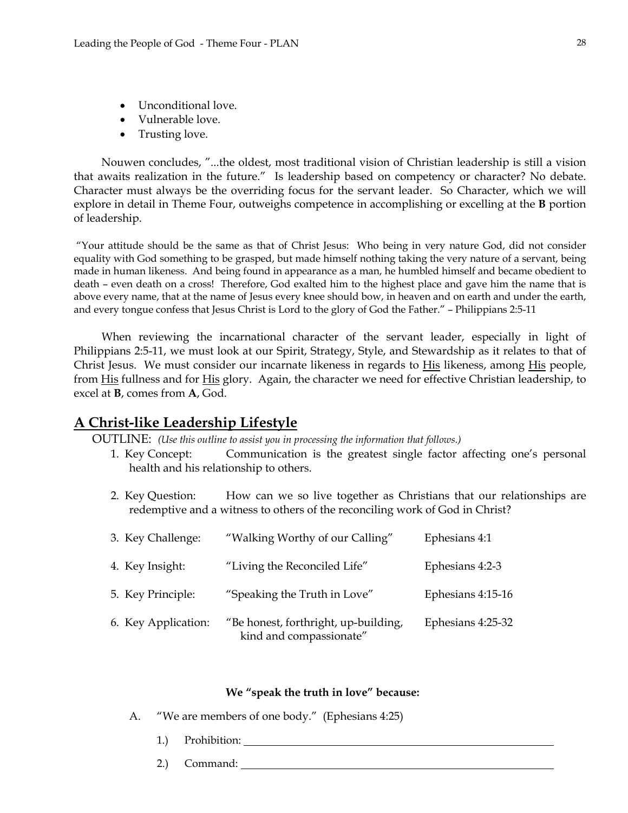- Unconditional love.
- Vulnerable love.
- Trusting love.

Nouwen concludes, "...the oldest, most traditional vision of Christian leadership is still a vision that awaits realization in the future." Is leadership based on competency or character? No debate. Character must always be the overriding focus for the servant leader. So Character, which we will explore in detail in Theme Four, outweighs competence in accomplishing or excelling at the **B** portion of leadership.

 "Your attitude should be the same as that of Christ Jesus: Who being in very nature God, did not consider equality with God something to be grasped, but made himself nothing taking the very nature of a servant, being made in human likeness. And being found in appearance as a man, he humbled himself and became obedient to death – even death on a cross! Therefore, God exalted him to the highest place and gave him the name that is above every name, that at the name of Jesus every knee should bow, in heaven and on earth and under the earth, and every tongue confess that Jesus Christ is Lord to the glory of God the Father." – Philippians 2:5-11

When reviewing the incarnational character of the servant leader, especially in light of Philippians 2:5-11, we must look at our Spirit, Strategy, Style, and Stewardship as it relates to that of Christ Jesus. We must consider our incarnate likeness in regards to His likeness, among His people, from His fullness and for His glory. Again, the character we need for effective Christian leadership, to excel at **B**, comes from **A**, God.

# **A Christ-like Leadership Lifestyle**

OUTLINE: *(Use this outline to assist you in processing the information that follows.)*

- 1. Key Concept: Communication is the greatest single factor affecting one's personal health and his relationship to others.
- 2. Key Question: How can we so live together as Christians that our relationships are redemptive and a witness to others of the reconciling work of God in Christ?

| 3. Key Challenge:   | "Walking Worthy of our Calling"                                 | Ephesians 4:1     |
|---------------------|-----------------------------------------------------------------|-------------------|
| 4. Key Insight:     | "Living the Reconciled Life"                                    | Ephesians 4:2-3   |
| 5. Key Principle:   | "Speaking the Truth in Love"                                    | Ephesians 4:15-16 |
| 6. Key Application: | "Be honest, forthright, up-building,<br>kind and compassionate" | Ephesians 4:25-32 |

#### **We "speak the truth in love" because:**

- A. "We are members of one body." (Ephesians 4:25)
	- 1.) Prohibition:
	- 2.) Command: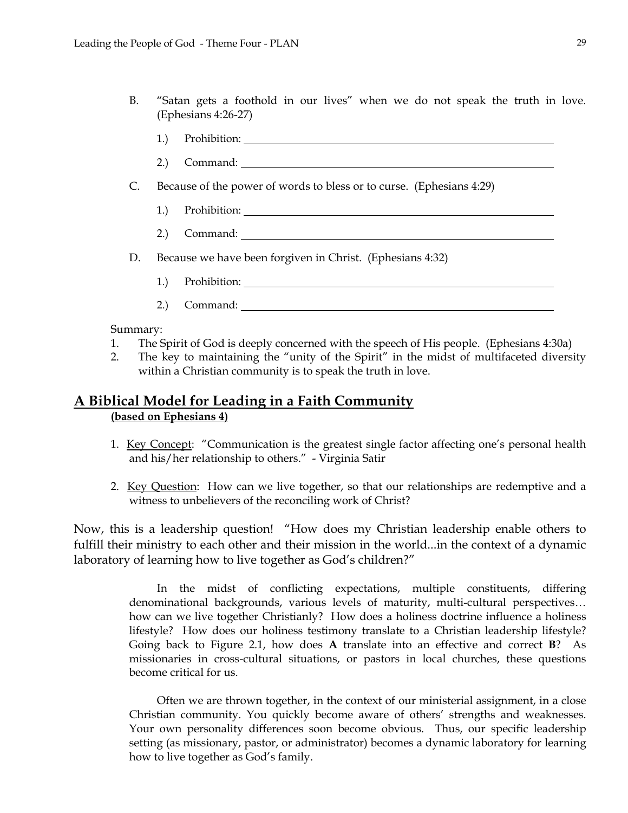- B. "Satan gets a foothold in our lives" when we do not speak the truth in love. (Ephesians 4:26-27)
	- 1.) Prohibition:
	- 2.) Command:
- C. Because of the power of words to bless or to curse. (Ephesians 4:29)
	- 1.) Prohibition:
	- 2.) Command:
- D. Because we have been forgiven in Christ. (Ephesians 4:32)
	- 1.) Prohibition:
	- 2.) Command:

#### Summary:

- 1. The Spirit of God is deeply concerned with the speech of His people. (Ephesians 4:30a)
- 2. The key to maintaining the "unity of the Spirit" in the midst of multifaceted diversity within a Christian community is to speak the truth in love.

# **A Biblical Model for Leading in a Faith Community (based on Ephesians 4)**

- 1. Key Concept: "Communication is the greatest single factor affecting one's personal health and his/her relationship to others." - Virginia Satir
- 2. Key Question: How can we live together, so that our relationships are redemptive and a witness to unbelievers of the reconciling work of Christ?

Now, this is a leadership question! "How does my Christian leadership enable others to fulfill their ministry to each other and their mission in the world...in the context of a dynamic laboratory of learning how to live together as God's children?"

> In the midst of conflicting expectations, multiple constituents, differing denominational backgrounds, various levels of maturity, multi-cultural perspectives… how can we live together Christianly? How does a holiness doctrine influence a holiness lifestyle? How does our holiness testimony translate to a Christian leadership lifestyle? Going back to Figure 2.1, how does **A** translate into an effective and correct **B**? As missionaries in cross-cultural situations, or pastors in local churches, these questions become critical for us.

> Often we are thrown together, in the context of our ministerial assignment, in a close Christian community. You quickly become aware of others' strengths and weaknesses. Your own personality differences soon become obvious. Thus, our specific leadership setting (as missionary, pastor, or administrator) becomes a dynamic laboratory for learning how to live together as God's family.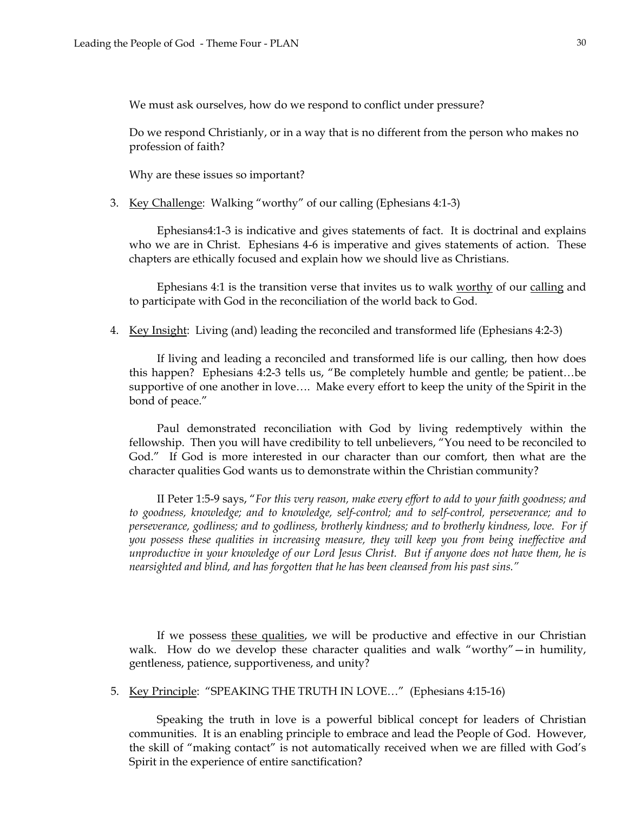We must ask ourselves, how do we respond to conflict under pressure?

Do we respond Christianly, or in a way that is no different from the person who makes no profession of faith?

Why are these issues so important?

3. Key Challenge: Walking "worthy" of our calling (Ephesians 4:1-3)

Ephesians4:1-3 is indicative and gives statements of fact. It is doctrinal and explains who we are in Christ. Ephesians 4-6 is imperative and gives statements of action. These chapters are ethically focused and explain how we should live as Christians.

Ephesians 4:1 is the transition verse that invites us to walk worthy of our calling and to participate with God in the reconciliation of the world back to God.

4. Key Insight: Living (and) leading the reconciled and transformed life (Ephesians 4:2-3)

If living and leading a reconciled and transformed life is our calling, then how does this happen? Ephesians 4:2-3 tells us, "Be completely humble and gentle; be patient…be supportive of one another in love…. Make every effort to keep the unity of the Spirit in the bond of peace."

Paul demonstrated reconciliation with God by living redemptively within the fellowship. Then you will have credibility to tell unbelievers, "You need to be reconciled to God." If God is more interested in our character than our comfort, then what are the character qualities God wants us to demonstrate within the Christian community?

II Peter 1:5-9 says, "*For this very reason, make every effort to add to your faith goodness; and to goodness, knowledge; and to knowledge, self-control; and to self-control, perseverance; and to perseverance, godliness; and to godliness, brotherly kindness; and to brotherly kindness, love. For if you possess these qualities in increasing measure, they will keep you from being ineffective and unproductive in your knowledge of our Lord Jesus Christ. But if anyone does not have them, he is nearsighted and blind, and has forgotten that he has been cleansed from his past sins."* 

If we possess these qualities, we will be productive and effective in our Christian walk. How do we develop these character qualities and walk "worthy"—in humility, gentleness, patience, supportiveness, and unity?

5. Key Principle: "SPEAKING THE TRUTH IN LOVE…" (Ephesians 4:15-16)

Speaking the truth in love is a powerful biblical concept for leaders of Christian communities. It is an enabling principle to embrace and lead the People of God. However, the skill of "making contact" is not automatically received when we are filled with God's Spirit in the experience of entire sanctification?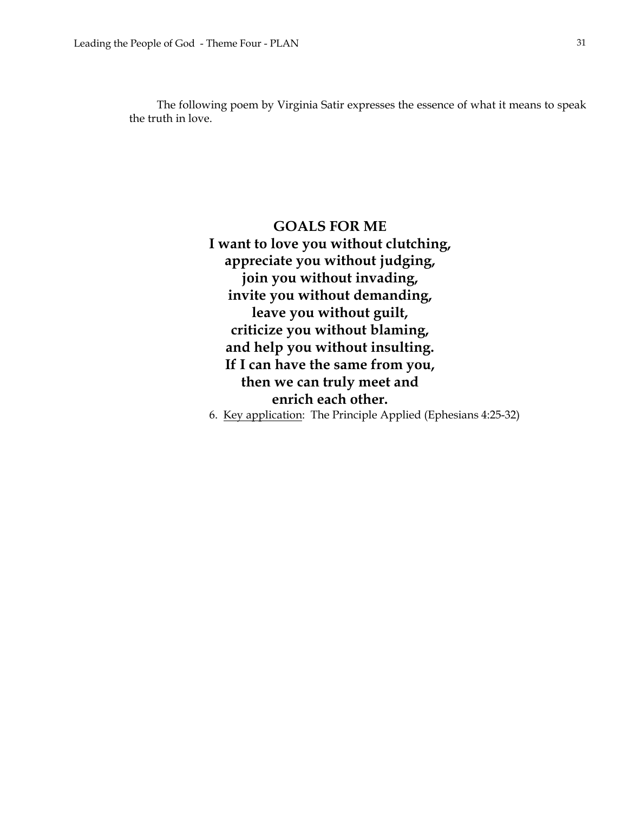The following poem by Virginia Satir expresses the essence of what it means to speak the truth in love.

# **GOALS FOR ME I want to love you without clutching, appreciate you without judging, join you without invading, invite you without demanding, leave you without guilt, criticize you without blaming, and help you without insulting. If I can have the same from you, then we can truly meet and enrich each other.**  6. Key application: The Principle Applied (Ephesians 4:25-32)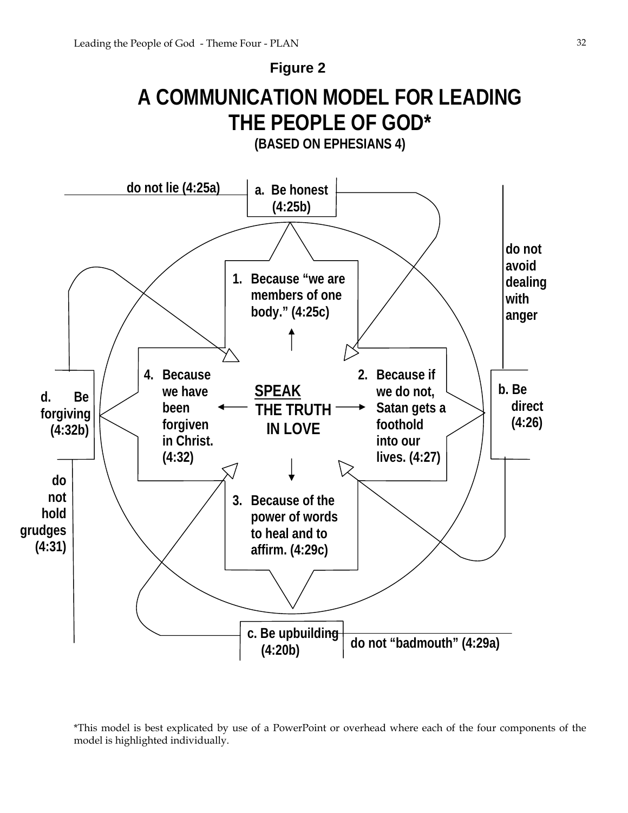

\*This model is best explicated by use of a PowerPoint or overhead where each of the four components of the model is highlighted individually.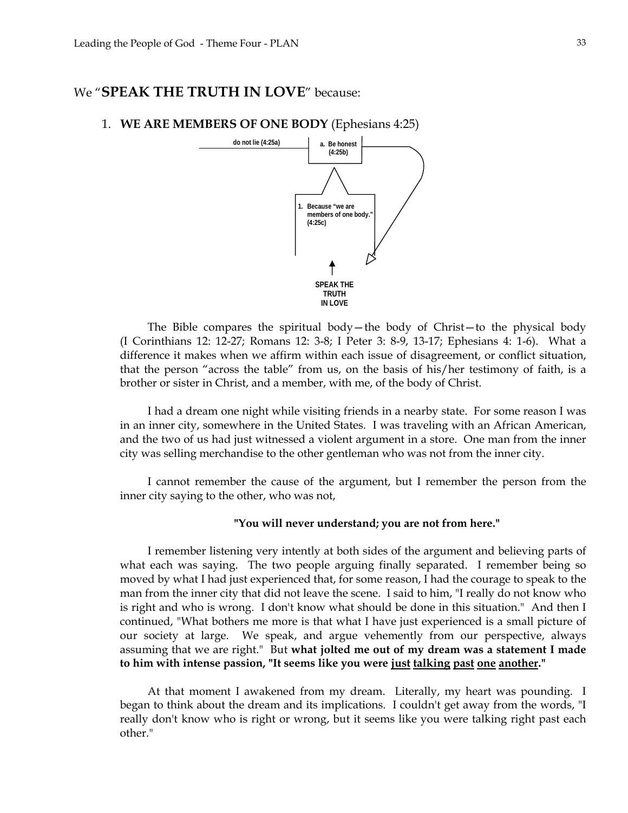# We "**SPEAK THE TRUTH IN LOVE**" because:

#### 1. **WE ARE MEMBERS OF ONE BODY** (Ephesians 4:25)



The Bible compares the spiritual body—the body of  $Christ -to$  the physical body (I Corinthians 12: 12-27; Romans 12: 3-8; I Peter 3: 8-9, 13-17; Ephesians 4: 1-6). What a difference it makes when we affirm within each issue of disagreement, or conflict situation, that the person "across the table" from us, on the basis of his/her testimony of faith, is a brother or sister in Christ, and a member, with me, of the body of Christ.

I had a dream one night while visiting friends in a nearby state. For some reason I was in an inner city, somewhere in the United States. I was traveling with an African American, and the two of us had just witnessed a violent argument in a store. One man from the inner city was selling merchandise to the other gentleman who was not from the inner city.

I cannot remember the cause of the argument, but I remember the person from the inner city saying to the other, who was not,

#### **"You will never understand; you are not from here."**

I remember listening very intently at both sides of the argument and believing parts of what each was saying. The two people arguing finally separated. I remember being so moved by what I had just experienced that, for some reason, I had the courage to speak to the man from the inner city that did not leave the scene. I said to him, "I really do not know who is right and who is wrong. I don't know what should be done in this situation." And then I continued, "What bothers me more is that what I have just experienced is a small picture of our society at large. We speak, and argue vehemently from our perspective, always assuming that we are right." But **what jolted me out of my dream was a statement I made to him with intense passion, "It seems like you were just talking past one another."** 

At that moment I awakened from my dream. Literally, my heart was pounding. I began to think about the dream and its implications. I couldn't get away from the words, "I really don't know who is right or wrong, but it seems like you were talking right past each other."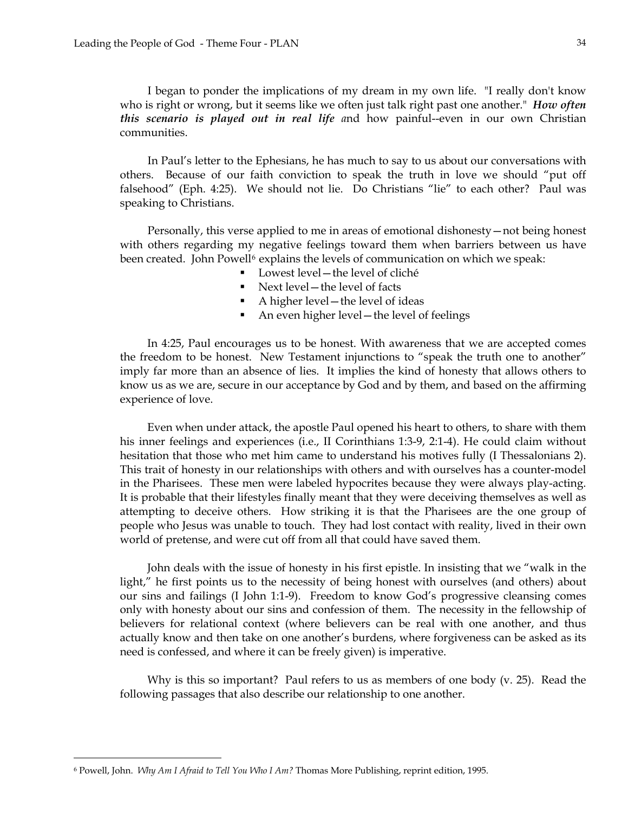I began to ponder the implications of my dream in my own life. "I really don't know who is right or wrong, but it seems like we often just talk right past one another." *How often this scenario is played out in real life and how painful-even in our own Christian* communities.

In Paul's letter to the Ephesians, he has much to say to us about our conversations with others. Because of our faith conviction to speak the truth in love we should "put off falsehood" (Eph. 4:25). We should not lie. Do Christians "lie" to each other? Paul was speaking to Christians.

Personally, this verse applied to me in areas of emotional dishonesty—not being honest with others regarding my negative feelings toward them when barriers between us have been created. John Powell<sup>[6](#page-33-0)</sup> explains the levels of communication on which we speak:

- Lowest level the level of cliché
- Next level the level of facts
- A higher level the level of ideas
- An even higher level the level of feelings

In 4:25, Paul encourages us to be honest. With awareness that we are accepted comes the freedom to be honest. New Testament injunctions to "speak the truth one to another" imply far more than an absence of lies. It implies the kind of honesty that allows others to know us as we are, secure in our acceptance by God and by them, and based on the affirming experience of love.

Even when under attack, the apostle Paul opened his heart to others, to share with them his inner feelings and experiences (i.e., II Corinthians 1:3-9, 2:1-4). He could claim without hesitation that those who met him came to understand his motives fully (I Thessalonians 2). This trait of honesty in our relationships with others and with ourselves has a counter-model in the Pharisees. These men were labeled hypocrites because they were always play-acting. It is probable that their lifestyles finally meant that they were deceiving themselves as well as attempting to deceive others. How striking it is that the Pharisees are the one group of people who Jesus was unable to touch. They had lost contact with reality, lived in their own world of pretense, and were cut off from all that could have saved them.

John deals with the issue of honesty in his first epistle. In insisting that we "walk in the light," he first points us to the necessity of being honest with ourselves (and others) about our sins and failings (I John 1:1-9). Freedom to know God's progressive cleansing comes only with honesty about our sins and confession of them. The necessity in the fellowship of believers for relational context (where believers can be real with one another, and thus actually know and then take on one another's burdens, where forgiveness can be asked as its need is confessed, and where it can be freely given) is imperative.

Why is this so important? Paul refers to us as members of one body (v. 25). Read the following passages that also describe our relationship to one another.

 $\overline{a}$ 

<span id="page-33-0"></span><sup>6</sup> Powell, John. *Why Am I Afraid to Tell You Who I Am?* Thomas More Publishing, reprint edition, 1995.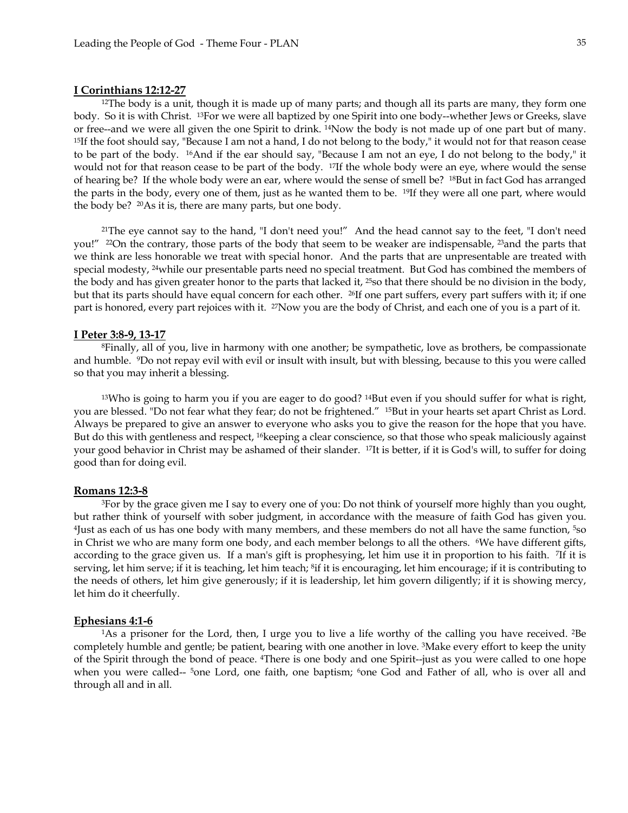#### **I Corinthians 12:12-27**

 $12$ The body is a unit, though it is made up of many parts; and though all its parts are many, they form one body. So it is with Christ. 13For we were all baptized by one Spirit into one body--whether Jews or Greeks, slave or free--and we were all given the one Spirit to drink. 14Now the body is not made up of one part but of many. 15If the foot should say, "Because I am not a hand, I do not belong to the body," it would not for that reason cease to be part of the body. 16And if the ear should say, "Because I am not an eye, I do not belong to the body," it would not for that reason cease to be part of the body. <sup>17</sup>If the whole body were an eye, where would the sense of hearing be? If the whole body were an ear, where would the sense of smell be? 18But in fact God has arranged the parts in the body, every one of them, just as he wanted them to be. 19If they were all one part, where would the body be? 20As it is, there are many parts, but one body.

21The eye cannot say to the hand, "I don't need you!" And the head cannot say to the feet, "I don't need you!" 22On the contrary, those parts of the body that seem to be weaker are indispensable, 23and the parts that we think are less honorable we treat with special honor. And the parts that are unpresentable are treated with special modesty, 24while our presentable parts need no special treatment. But God has combined the members of the body and has given greater honor to the parts that lacked it, <sup>25</sup>so that there should be no division in the body, but that its parts should have equal concern for each other. <sup>26</sup>If one part suffers, every part suffers with it; if one part is honored, every part rejoices with it. <sup>27</sup>Now you are the body of Christ, and each one of you is a part of it.

#### **I Peter 3:8-9, 13-17**

8Finally, all of you, live in harmony with one another; be sympathetic, love as brothers, be compassionate and humble. 9Do not repay evil with evil or insult with insult, but with blessing, because to this you were called so that you may inherit a blessing.

13Who is going to harm you if you are eager to do good? 14But even if you should suffer for what is right, you are blessed. "Do not fear what they fear; do not be frightened." <sup>15</sup>But in your hearts set apart Christ as Lord. Always be prepared to give an answer to everyone who asks you to give the reason for the hope that you have. But do this with gentleness and respect, <sup>16</sup>keeping a clear conscience, so that those who speak maliciously against your good behavior in Christ may be ashamed of their slander. <sup>17</sup>It is better, if it is God's will, to suffer for doing good than for doing evil.

#### **Romans 12:3-8**

3For by the grace given me I say to every one of you: Do not think of yourself more highly than you ought, but rather think of yourself with sober judgment, in accordance with the measure of faith God has given you. 4Just as each of us has one body with many members, and these members do not all have the same function, 5so in Christ we who are many form one body, and each member belongs to all the others. <sup>6</sup>We have different gifts, according to the grace given us. If a man's gift is prophesying, let him use it in proportion to his faith. 7If it is serving, let him serve; if it is teaching, let him teach; <sup>8</sup>if it is encouraging, let him encourage; if it is contributing to the needs of others, let him give generously; if it is leadership, let him govern diligently; if it is showing mercy, let him do it cheerfully.

#### **Ephesians 4:1-6**

1As a prisoner for the Lord, then, I urge you to live a life worthy of the calling you have received. 2Be completely humble and gentle; be patient, bearing with one another in love. 3Make every effort to keep the unity of the Spirit through the bond of peace. 4There is one body and one Spirit--just as you were called to one hope when you were called-- <sup>5</sup>one Lord, one faith, one baptism; <sup>6</sup>one God and Father of all, who is over all and through all and in all.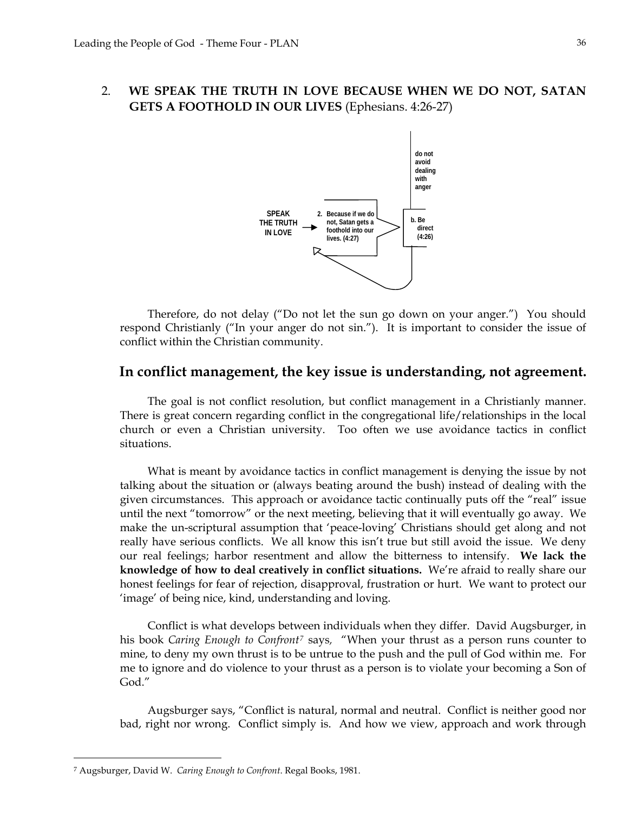# 2. **WE SPEAK THE TRUTH IN LOVE BECAUSE WHEN WE DO NOT, SATAN GETS A FOOTHOLD IN OUR LIVES** (Ephesians. 4:26-27)



Therefore, do not delay ("Do not let the sun go down on your anger.") You should respond Christianly ("In your anger do not sin."). It is important to consider the issue of conflict within the Christian community.

# **In conflict management, the key issue is understanding, not agreement.**

The goal is not conflict resolution, but conflict management in a Christianly manner. There is great concern regarding conflict in the congregational life/relationships in the local church or even a Christian university. Too often we use avoidance tactics in conflict situations.

What is meant by avoidance tactics in conflict management is denying the issue by not talking about the situation or (always beating around the bush) instead of dealing with the given circumstances. This approach or avoidance tactic continually puts off the "real" issue until the next "tomorrow" or the next meeting, believing that it will eventually go away. We make the un-scriptural assumption that 'peace-loving' Christians should get along and not really have serious conflicts. We all know this isn't true but still avoid the issue. We deny our real feelings; harbor resentment and allow the bitterness to intensify. **We lack the knowledge of how to deal creatively in conflict situations.** We're afraid to really share our honest feelings for fear of rejection, disapproval, frustration or hurt. We want to protect our 'image' of being nice, kind, understanding and loving.

Conflict is what develops between individuals when they differ. David Augsburger, in his book *Caring Enough to Confront[7](#page-35-0)* says*,* "When your thrust as a person runs counter to mine, to deny my own thrust is to be untrue to the push and the pull of God within me. For me to ignore and do violence to your thrust as a person is to violate your becoming a Son of God."

Augsburger says, "Conflict is natural, normal and neutral. Conflict is neither good nor bad, right nor wrong. Conflict simply is. And how we view, approach and work through

 $\overline{a}$ 

<span id="page-35-0"></span><sup>7</sup> Augsburger, David W. *Caring Enough to Confront*. Regal Books, 1981.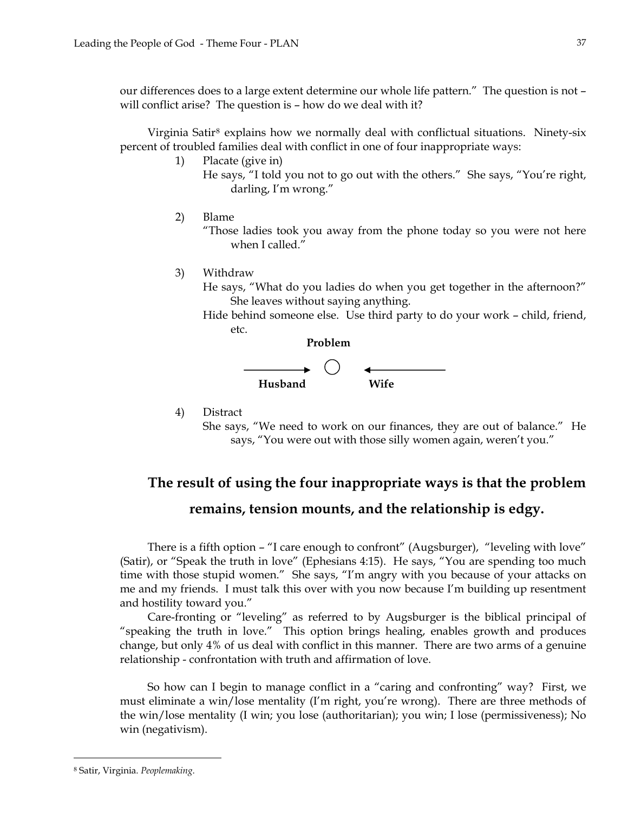our differences does to a large extent determine our whole life pattern." The question is not – will conflict arise? The question is – how do we deal with it?

Virginia Satir[8](#page-36-0) explains how we normally deal with conflictual situations. Ninety-six percent of troubled families deal with conflict in one of four inappropriate ways:

1) Placate (give in)

- He says, "I told you not to go out with the others." She says, "You're right, darling, I'm wrong."
- 2) Blame

"Those ladies took you away from the phone today so you were not here when I called."

- 3) Withdraw
	- He says, "What do you ladies do when you get together in the afternoon?" She leaves without saying anything.
	- Hide behind someone else. Use third party to do your work child, friend, etc.



4) Distract

She says, "We need to work on our finances, they are out of balance." He says, "You were out with those silly women again, weren't you."

### **The result of using the four inappropriate ways is that the problem remains, tension mounts, and the relationship is edgy.**

There is a fifth option – "I care enough to confront" (Augsburger), "leveling with love" (Satir), or "Speak the truth in love" (Ephesians 4:15). He says, "You are spending too much time with those stupid women." She says, "I'm angry with you because of your attacks on me and my friends. I must talk this over with you now because I'm building up resentment and hostility toward you."

Care-fronting or "leveling" as referred to by Augsburger is the biblical principal of "speaking the truth in love." This option brings healing, enables growth and produces change, but only 4% of us deal with conflict in this manner. There are two arms of a genuine relationship - confrontation with truth and affirmation of love.

So how can I begin to manage conflict in a "caring and confronting" way? First, we must eliminate a win/lose mentality (I'm right, you're wrong). There are three methods of the win/lose mentality (I win; you lose (authoritarian); you win; I lose (permissiveness); No win (negativism).

 $\overline{a}$ 

<span id="page-36-0"></span><sup>8</sup> Satir, Virginia. *Peoplemaking*.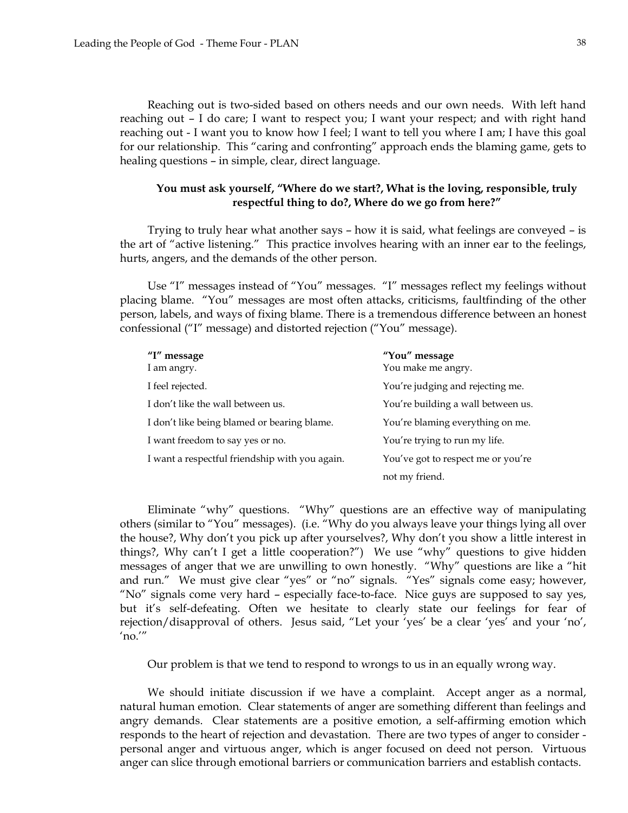Reaching out is two-sided based on others needs and our own needs. With left hand reaching out – I do care; I want to respect you; I want your respect; and with right hand reaching out - I want you to know how I feel; I want to tell you where I am; I have this goal for our relationship. This "caring and confronting" approach ends the blaming game, gets to healing questions – in simple, clear, direct language.

#### **You must ask yourself, "Where do we start?, What is the loving, responsible, truly respectful thing to do?, Where do we go from here?"**

Trying to truly hear what another says – how it is said, what feelings are conveyed – is the art of "active listening." This practice involves hearing with an inner ear to the feelings, hurts, angers, and the demands of the other person.

Use "I" messages instead of "You" messages. "I" messages reflect my feelings without placing blame. "You" messages are most often attacks, criticisms, faultfinding of the other person, labels, and ways of fixing blame. There is a tremendous difference between an honest confessional ("I" message) and distorted rejection ("You" message).

| "I" message                                    | "You" message                      |
|------------------------------------------------|------------------------------------|
| I am angry.                                    | You make me angry.                 |
| I feel rejected.                               | You're judging and rejecting me.   |
| I don't like the wall between us.              | You're building a wall between us. |
| I don't like being blamed or bearing blame.    | You're blaming everything on me.   |
| I want freedom to say yes or no.               | You're trying to run my life.      |
| I want a respectful friendship with you again. | You've got to respect me or you're |
|                                                | not my friend.                     |

Eliminate "why" questions. "Why" questions are an effective way of manipulating others (similar to "You" messages). (i.e. "Why do you always leave your things lying all over the house?, Why don't you pick up after yourselves?, Why don't you show a little interest in things?, Why can't I get a little cooperation?") We use "why" questions to give hidden messages of anger that we are unwilling to own honestly. "Why" questions are like a "hit and run." We must give clear "yes" or "no" signals. "Yes" signals come easy; however, "No" signals come very hard – especially face-to-face. Nice guys are supposed to say yes, but it's self-defeating. Often we hesitate to clearly state our feelings for fear of rejection/disapproval of others. Jesus said, "Let your 'yes' be a clear 'yes' and your 'no',  $'no.'''$ 

Our problem is that we tend to respond to wrongs to us in an equally wrong way.

We should initiate discussion if we have a complaint. Accept anger as a normal, natural human emotion. Clear statements of anger are something different than feelings and angry demands. Clear statements are a positive emotion, a self-affirming emotion which responds to the heart of rejection and devastation. There are two types of anger to consider personal anger and virtuous anger, which is anger focused on deed not person. Virtuous anger can slice through emotional barriers or communication barriers and establish contacts.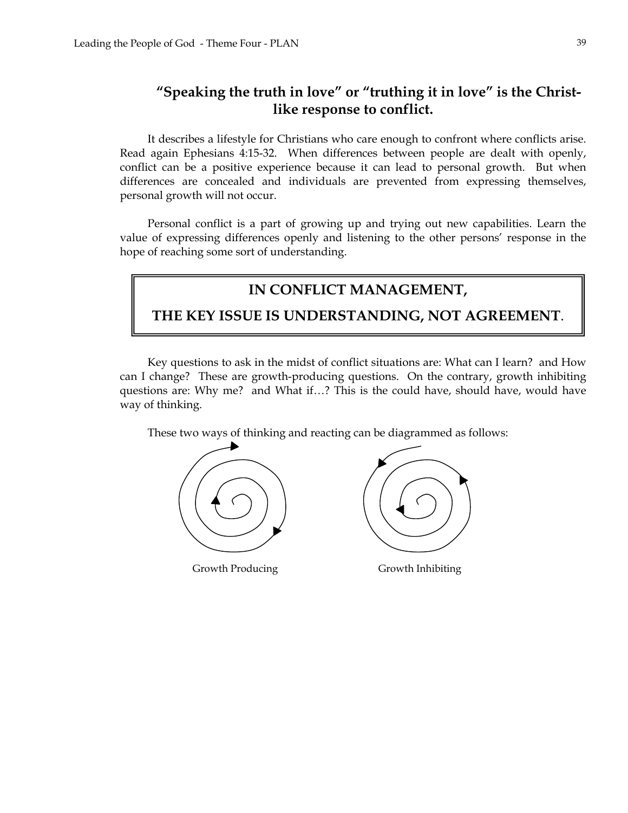#### **"Speaking the truth in love" or "truthing it in love" is the Christlike response to conflict.**

It describes a lifestyle for Christians who care enough to confront where conflicts arise. Read again Ephesians 4:15-32. When differences between people are dealt with openly, conflict can be a positive experience because it can lead to personal growth. But when differences are concealed and individuals are prevented from expressing themselves, personal growth will not occur.

Personal conflict is a part of growing up and trying out new capabilities. Learn the value of expressing differences openly and listening to the other persons' response in the hope of reaching some sort of understanding.

#### **IN CONFLICT MANAGEMENT,**

#### **THE KEY ISSUE IS UNDERSTANDING, NOT AGREEMENT**.

Key questions to ask in the midst of conflict situations are: What can I learn? and How can I change? These are growth-producing questions. On the contrary, growth inhibiting questions are: Why me? and What if…? This is the could have, should have, would have way of thinking.

These two ways of thinking and reacting can be diagrammed as follows:



Growth Producing Growth Inhibiting

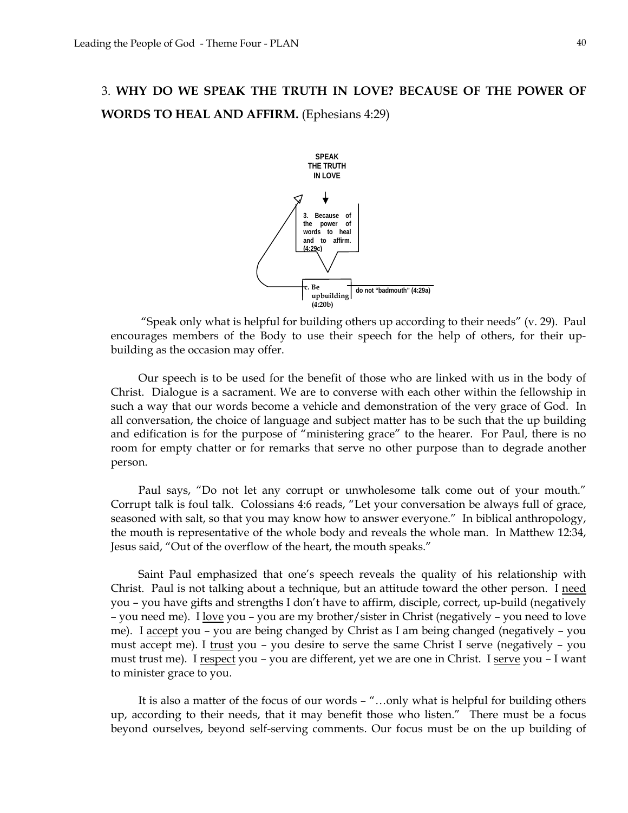#### 3. **WHY DO WE SPEAK THE TRUTH IN LOVE? BECAUSE OF THE POWER OF WORDS TO HEAL AND AFFIRM.** (Ephesians 4:29)



 "Speak only what is helpful for building others up according to their needs" (v. 29). Paul encourages members of the Body to use their speech for the help of others, for their upbuilding as the occasion may offer.

Our speech is to be used for the benefit of those who are linked with us in the body of Christ. Dialogue is a sacrament. We are to converse with each other within the fellowship in such a way that our words become a vehicle and demonstration of the very grace of God. In all conversation, the choice of language and subject matter has to be such that the up building and edification is for the purpose of "ministering grace" to the hearer. For Paul, there is no room for empty chatter or for remarks that serve no other purpose than to degrade another person.

Paul says, "Do not let any corrupt or unwholesome talk come out of your mouth." Corrupt talk is foul talk. Colossians 4:6 reads, "Let your conversation be always full of grace, seasoned with salt, so that you may know how to answer everyone." In biblical anthropology, the mouth is representative of the whole body and reveals the whole man. In Matthew 12:34, Jesus said, "Out of the overflow of the heart, the mouth speaks."

Saint Paul emphasized that one's speech reveals the quality of his relationship with Christ. Paul is not talking about a technique, but an attitude toward the other person. I need you – you have gifts and strengths I don't have to affirm, disciple, correct, up-build (negatively – you need me). I <u>love</u> you – you are my brother/sister in Christ (negatively – you need to love me). I accept you – you are being changed by Christ as I am being changed (negatively – you must accept me). I trust you – you desire to serve the same Christ I serve (negatively – you must trust me). I respect you – you are different, yet we are one in Christ. I serve you – I want to minister grace to you.

It is also a matter of the focus of our words – "…only what is helpful for building others up, according to their needs, that it may benefit those who listen." There must be a focus beyond ourselves, beyond self-serving comments. Our focus must be on the up building of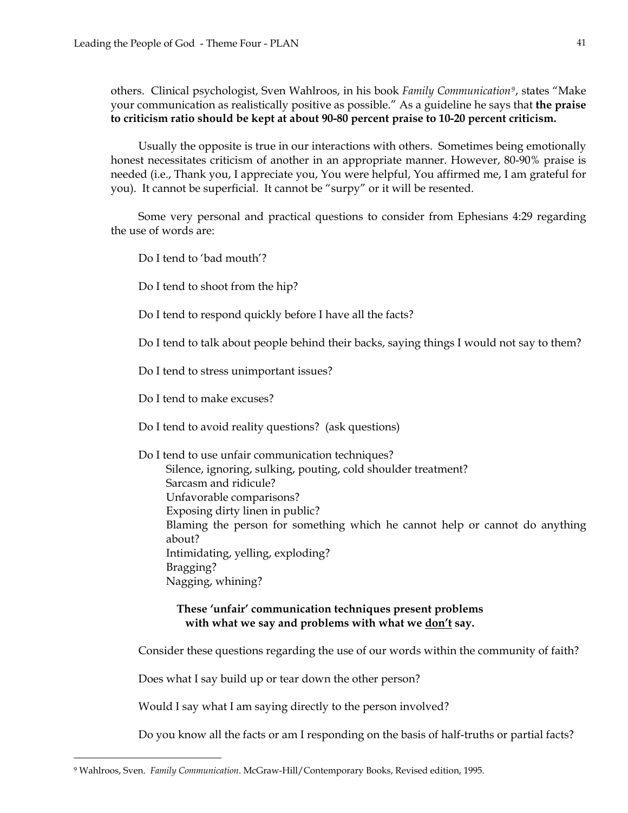others. Clinical psychologist, Sven Wahlroos, in his book *Family Communication[9](#page-40-0)*, states "Make your communication as realistically positive as possible." As a guideline he says that **the praise to criticism ratio should be kept at about 90-80 percent praise to 10-20 percent criticism.**

Usually the opposite is true in our interactions with others. Sometimes being emotionally honest necessitates criticism of another in an appropriate manner. However, 80-90% praise is needed (i.e., Thank you, I appreciate you, You were helpful, You affirmed me, I am grateful for you). It cannot be superficial. It cannot be "surpy" or it will be resented.

Some very personal and practical questions to consider from Ephesians 4:29 regarding the use of words are:

Do I tend to 'bad mouth'?

Do I tend to shoot from the hip?

Do I tend to respond quickly before I have all the facts?

Do I tend to talk about people behind their backs, saying things I would not say to them?

Do I tend to stress unimportant issues?

Do I tend to make excuses?

 $\overline{a}$ 

Do I tend to avoid reality questions? (ask questions)

Do I tend to use unfair communication techniques? Silence, ignoring, sulking, pouting, cold shoulder treatment? Sarcasm and ridicule? Unfavorable comparisons? Exposing dirty linen in public? Blaming the person for something which he cannot help or cannot do anything about? Intimidating, yelling, exploding? Bragging? Nagging, whining?

#### **These 'unfair' communication techniques present problems with what we say and problems with what we don't say.**

Consider these questions regarding the use of our words within the community of faith?

Does what I say build up or tear down the other person?

Would I say what I am saying directly to the person involved?

Do you know all the facts or am I responding on the basis of half-truths or partial facts?

<span id="page-40-0"></span><sup>9</sup> Wahlroos, Sven. *Family Communication*. McGraw-Hill/Contemporary Books, Revised edition, 1995.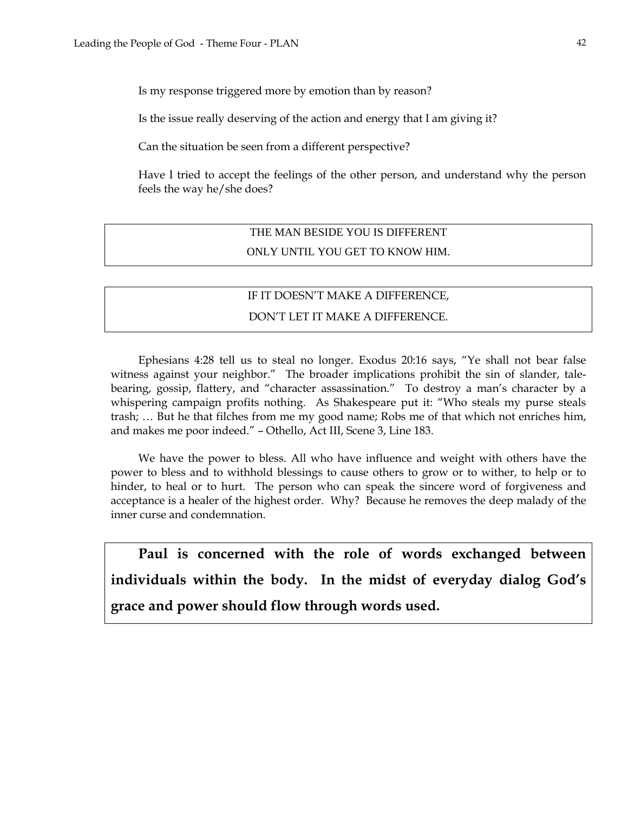Is my response triggered more by emotion than by reason?

Is the issue really deserving of the action and energy that I am giving it?

Can the situation be seen from a different perspective?

Have I tried to accept the feelings of the other person, and understand why the person feels the way he/she does?

#### THE MAN BESIDE YOU IS DIFFERENT ONLY UNTIL YOU GET TO KNOW HIM.

#### IF IT DOESN'T MAKE A DIFFERENCE,

#### DON'T LET IT MAKE A DIFFERENCE.

Ephesians 4:28 tell us to steal no longer. Exodus 20:16 says, "Ye shall not bear false witness against your neighbor." The broader implications prohibit the sin of slander, talebearing, gossip, flattery, and "character assassination." To destroy a man's character by a whispering campaign profits nothing. As Shakespeare put it: "Who steals my purse steals trash; … But he that filches from me my good name; Robs me of that which not enriches him, and makes me poor indeed." – Othello, Act III, Scene 3, Line 183.

We have the power to bless. All who have influence and weight with others have the power to bless and to withhold blessings to cause others to grow or to wither, to help or to hinder, to heal or to hurt. The person who can speak the sincere word of forgiveness and acceptance is a healer of the highest order. Why? Because he removes the deep malady of the inner curse and condemnation.

**Paul is concerned with the role of words exchanged between individuals within the body. In the midst of everyday dialog God's grace and power should flow through words used.**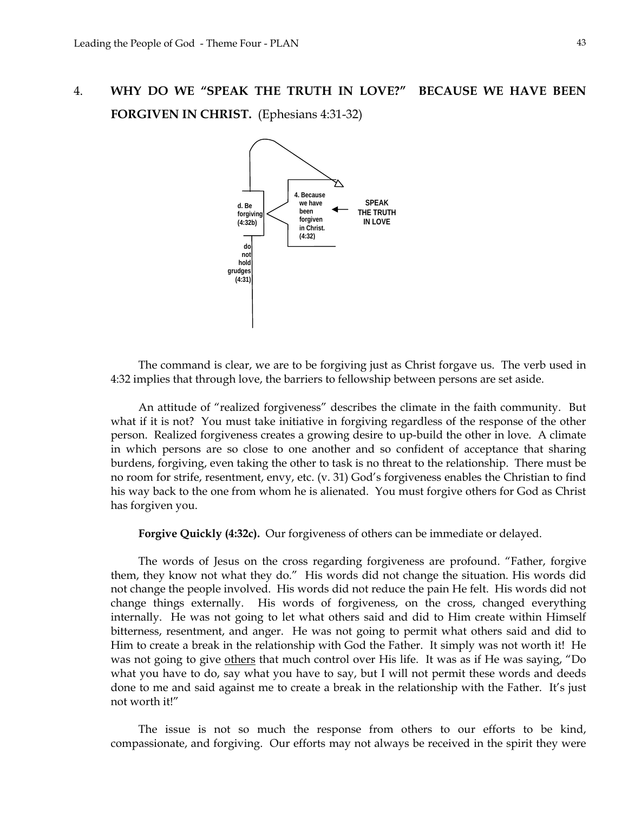#### 4. **WHY DO WE "SPEAK THE TRUTH IN LOVE?" BECAUSE WE HAVE BEEN FORGIVEN IN CHRIST.** (Ephesians 4:31-32)



The command is clear, we are to be forgiving just as Christ forgave us. The verb used in 4:32 implies that through love, the barriers to fellowship between persons are set aside.

An attitude of "realized forgiveness" describes the climate in the faith community. But what if it is not? You must take initiative in forgiving regardless of the response of the other person. Realized forgiveness creates a growing desire to up-build the other in love. A climate in which persons are so close to one another and so confident of acceptance that sharing burdens, forgiving, even taking the other to task is no threat to the relationship. There must be no room for strife, resentment, envy, etc. (v. 31) God's forgiveness enables the Christian to find his way back to the one from whom he is alienated. You must forgive others for God as Christ has forgiven you.

**Forgive Quickly (4:32c).** Our forgiveness of others can be immediate or delayed.

The words of Jesus on the cross regarding forgiveness are profound. "Father, forgive them, they know not what they do." His words did not change the situation. His words did not change the people involved. His words did not reduce the pain He felt. His words did not change things externally. His words of forgiveness, on the cross, changed everything internally. He was not going to let what others said and did to Him create within Himself bitterness, resentment, and anger. He was not going to permit what others said and did to Him to create a break in the relationship with God the Father. It simply was not worth it! He was not going to give others that much control over His life. It was as if He was saying, "Do what you have to do, say what you have to say, but I will not permit these words and deeds done to me and said against me to create a break in the relationship with the Father. It's just not worth it!"

The issue is not so much the response from others to our efforts to be kind, compassionate, and forgiving. Our efforts may not always be received in the spirit they were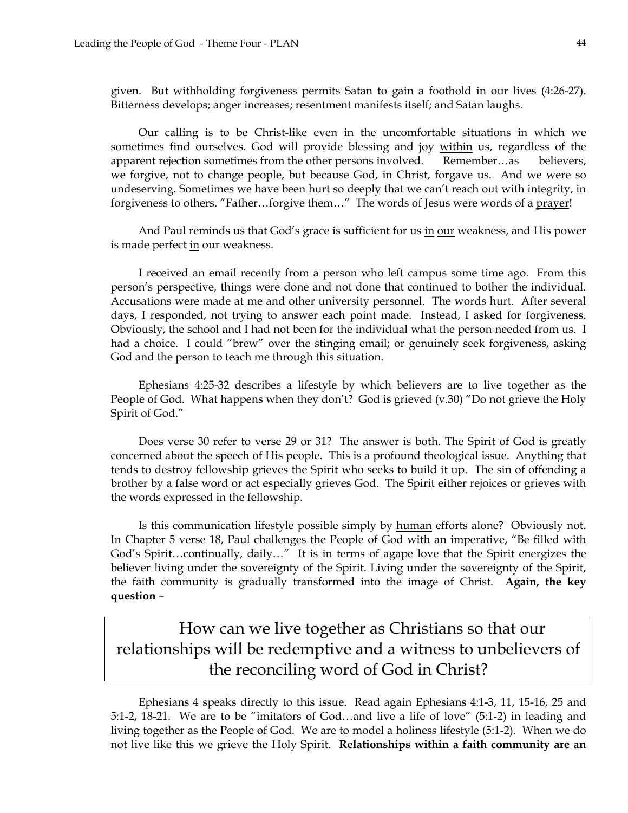given. But withholding forgiveness permits Satan to gain a foothold in our lives (4:26-27). Bitterness develops; anger increases; resentment manifests itself; and Satan laughs.

Our calling is to be Christ-like even in the uncomfortable situations in which we sometimes find ourselves. God will provide blessing and joy within us, regardless of the apparent rejection sometimes from the other persons involved. Remember…as believers, we forgive, not to change people, but because God, in Christ, forgave us. And we were so undeserving. Sometimes we have been hurt so deeply that we can't reach out with integrity, in forgiveness to others. "Father...forgive them..." The words of Jesus were words of a prayer!

And Paul reminds us that God's grace is sufficient for us in our weakness, and His power is made perfect in our weakness.

I received an email recently from a person who left campus some time ago. From this person's perspective, things were done and not done that continued to bother the individual. Accusations were made at me and other university personnel. The words hurt. After several days, I responded, not trying to answer each point made. Instead, I asked for forgiveness. Obviously, the school and I had not been for the individual what the person needed from us. I had a choice. I could "brew" over the stinging email; or genuinely seek forgiveness, asking God and the person to teach me through this situation.

Ephesians 4:25-32 describes a lifestyle by which believers are to live together as the People of God. What happens when they don't? God is grieved (v.30) "Do not grieve the Holy Spirit of God."

Does verse 30 refer to verse 29 or 31? The answer is both. The Spirit of God is greatly concerned about the speech of His people. This is a profound theological issue. Anything that tends to destroy fellowship grieves the Spirit who seeks to build it up. The sin of offending a brother by a false word or act especially grieves God. The Spirit either rejoices or grieves with the words expressed in the fellowship.

Is this communication lifestyle possible simply by human efforts alone? Obviously not. In Chapter 5 verse 18, Paul challenges the People of God with an imperative, "Be filled with God's Spirit…continually, daily…" It is in terms of agape love that the Spirit energizes the believer living under the sovereignty of the Spirit. Living under the sovereignty of the Spirit, the faith community is gradually transformed into the image of Christ. **Again, the key question** –

#### How can we live together as Christians so that our relationships will be redemptive and a witness to unbelievers of the reconciling word of God in Christ?

Ephesians 4 speaks directly to this issue. Read again Ephesians 4:1-3, 11, 15-16, 25 and 5:1-2, 18-21. We are to be "imitators of God…and live a life of love" (5:1-2) in leading and living together as the People of God. We are to model a holiness lifestyle (5:1-2). When we do not live like this we grieve the Holy Spirit. **Relationships within a faith community are an**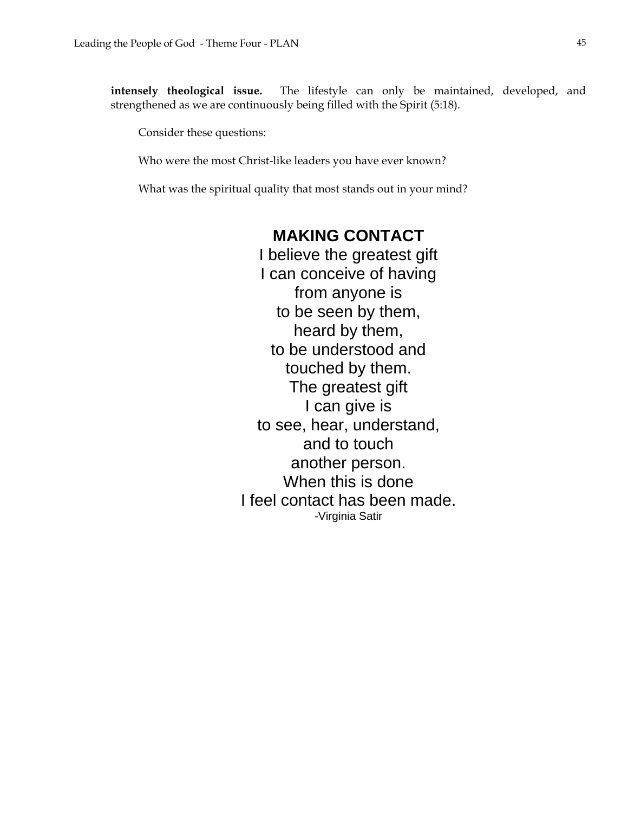**intensely theological issue.** The lifestyle can only be maintained, developed, and strengthened as we are continuously being filled with the Spirit (5:18).

Consider these questions:

Who were the most Christ-like leaders you have ever known?

What was the spiritual quality that most stands out in your mind?

#### **MAKING CONTACT**

I believe the greatest gift I can conceive of having from anyone is to be seen by them, heard by them, to be understood and touched by them. The greatest gift I can give is to see, hear, understand, and to touch another person. When this is done I feel contact has been made. -Virginia Satir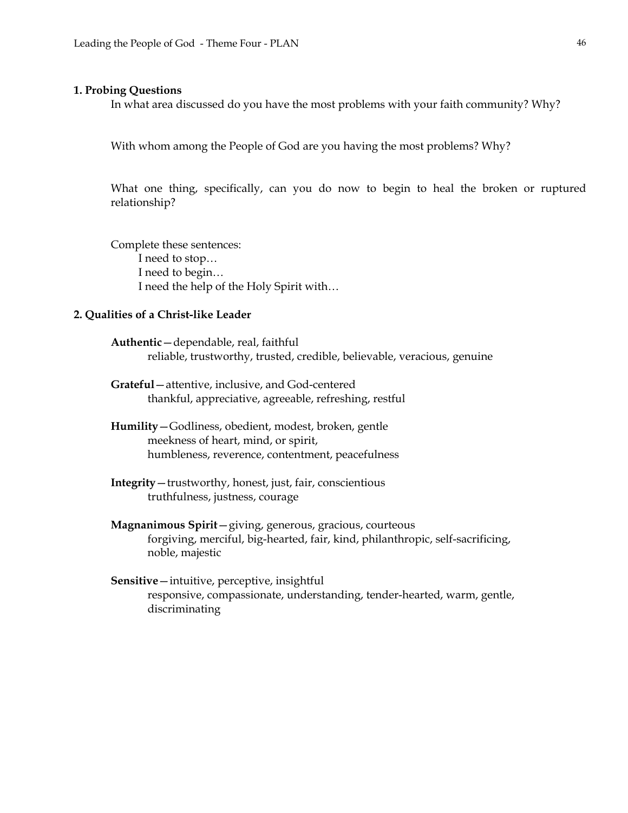#### **1. Probing Questions**

In what area discussed do you have the most problems with your faith community? Why?

With whom among the People of God are you having the most problems? Why?

What one thing, specifically, can you do now to begin to heal the broken or ruptured relationship?

Complete these sentences: I need to stop… I need to begin… I need the help of the Holy Spirit with…

#### **2. Qualities of a Christ-like Leader**

**Authentic**—dependable, real, faithful reliable, trustworthy, trusted, credible, believable, veracious, genuine

- **Grateful**—attentive, inclusive, and God-centered thankful, appreciative, agreeable, refreshing, restful
- **Humility**—Godliness, obedient, modest, broken, gentle meekness of heart, mind, or spirit, humbleness, reverence, contentment, peacefulness
- **Integrity**—trustworthy, honest, just, fair, conscientious truthfulness, justness, courage
- **Magnanimous Spirit**—giving, generous, gracious, courteous forgiving, merciful, big-hearted, fair, kind, philanthropic, self-sacrificing, noble, majestic
- **Sensitive**—intuitive, perceptive, insightful responsive, compassionate, understanding, tender-hearted, warm, gentle, discriminating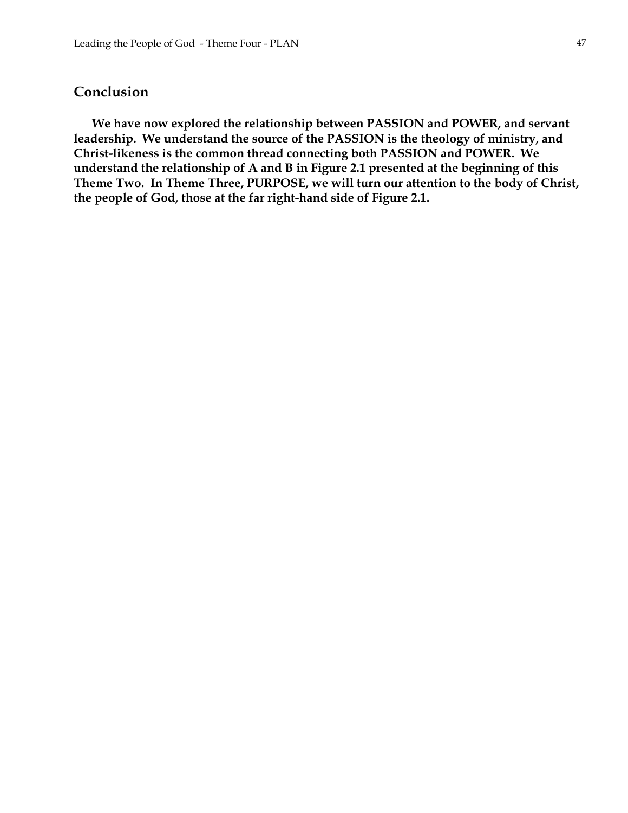#### **Conclusion**

**We have now explored the relationship between PASSION and POWER, and servant leadership. We understand the source of the PASSION is the theology of ministry, and Christ-likeness is the common thread connecting both PASSION and POWER. We understand the relationship of A and B in Figure 2.1 presented at the beginning of this Theme Two. In Theme Three, PURPOSE, we will turn our attention to the body of Christ, the people of God, those at the far right-hand side of Figure 2.1.**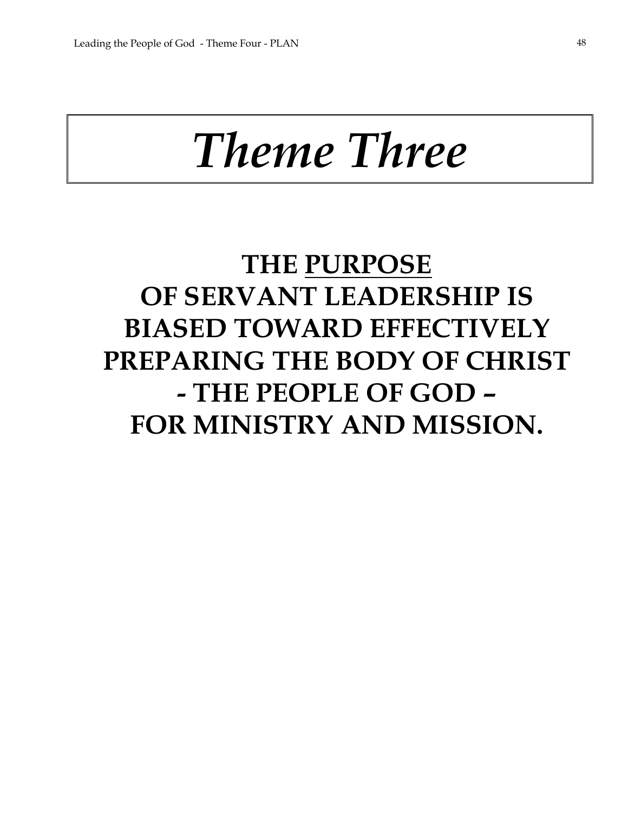# *Theme Three*

## **THE PURPOSE OF SERVANT LEADERSHIP IS BIASED TOWARD EFFECTIVELY PREPARING THE BODY OF CHRIST - THE PEOPLE OF GOD – FOR MINISTRY AND MISSION.**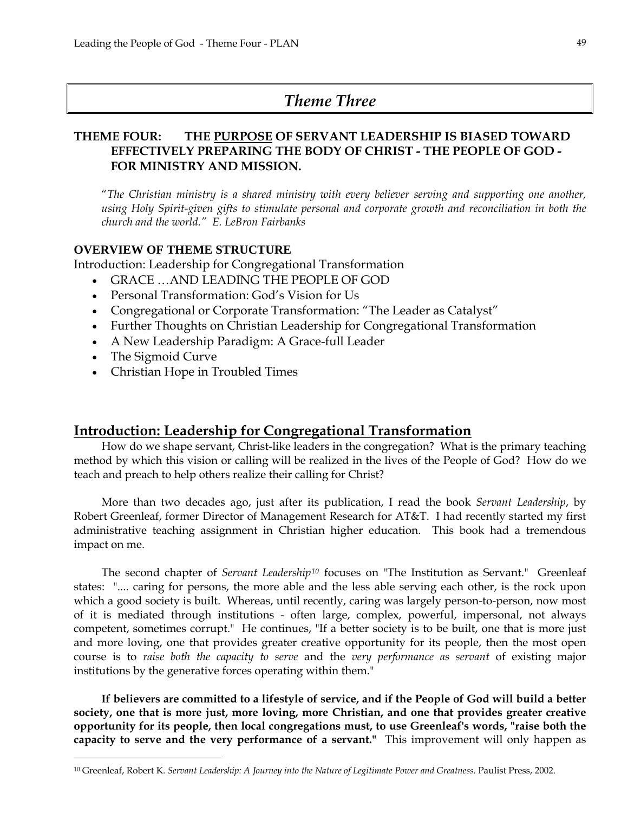#### *Theme Three*

#### **THEME FOUR: THE PURPOSE OF SERVANT LEADERSHIP IS BIASED TOWARD EFFECTIVELY PREPARING THE BODY OF CHRIST - THE PEOPLE OF GOD - FOR MINISTRY AND MISSION.**

"*The Christian ministry is a shared ministry with every believer serving and supporting one another, using Holy Spirit-given gifts to stimulate personal and corporate growth and reconciliation in both the church and the world." E. LeBron Fairbanks*

#### **OVERVIEW OF THEME STRUCTURE**

Introduction: Leadership for Congregational Transformation

- GRACE …AND LEADING THE PEOPLE OF GOD
- Personal Transformation: God's Vision for Us
- Congregational or Corporate Transformation: "The Leader as Catalyst"
- Further Thoughts on Christian Leadership for Congregational Transformation
- A New Leadership Paradigm: A Grace-full Leader
- The Sigmoid Curve

 $\overline{a}$ 

Christian Hope in Troubled Times

#### **Introduction: Leadership for Congregational Transformation**

How do we shape servant, Christ-like leaders in the congregation? What is the primary teaching method by which this vision or calling will be realized in the lives of the People of God? How do we teach and preach to help others realize their calling for Christ?

More than two decades ago, just after its publication, I read the book *Servant Leadership*, by Robert Greenleaf, former Director of Management Research for AT&T. I had recently started my first administrative teaching assignment in Christian higher education. This book had a tremendous impact on me.

The second chapter of *Servant Leadership[10](#page-48-0)* focuses on "The Institution as Servant." Greenleaf states: ".... caring for persons, the more able and the less able serving each other, is the rock upon which a good society is built. Whereas, until recently, caring was largely person-to-person, now most of it is mediated through institutions - often large, complex, powerful, impersonal, not always competent, sometimes corrupt." He continues, "If a better society is to be built, one that is more just and more loving, one that provides greater creative opportunity for its people, then the most open course is to *raise both the capacity to serve* and the *very performance as servant* of existing major institutions by the generative forces operating within them."

**If believers are committed to a lifestyle of service, and if the People of God will build a better society, one that is more just, more loving, more Christian, and one that provides greater creative opportunity for its people, then local congregations must, to use Greenleaf's words, "raise both the capacity to serve and the very performance of a servant."** This improvement will only happen as

<span id="page-48-0"></span><sup>10</sup> Greenleaf, Robert K. *Servant Leadership: A Journey into the Nature of Legitimate Power and Greatness.* Paulist Press, 2002.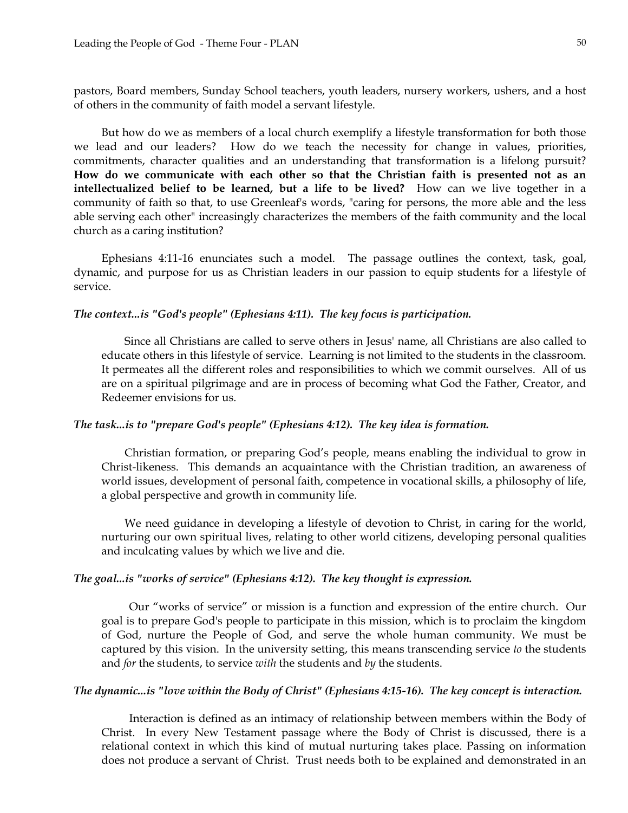pastors, Board members, Sunday School teachers, youth leaders, nursery workers, ushers, and a host of others in the community of faith model a servant lifestyle.

But how do we as members of a local church exemplify a lifestyle transformation for both those we lead and our leaders? How do we teach the necessity for change in values, priorities, commitments, character qualities and an understanding that transformation is a lifelong pursuit? **How do we communicate with each other so that the Christian faith is presented not as an intellectualized belief to be learned, but a life to be lived?** How can we live together in a community of faith so that, to use Greenleaf's words, "caring for persons, the more able and the less able serving each other" increasingly characterizes the members of the faith community and the local church as a caring institution?

Ephesians 4:11-16 enunciates such a model. The passage outlines the context, task, goal, dynamic, and purpose for us as Christian leaders in our passion to equip students for a lifestyle of service.

#### *The context...is "God's people" (Ephesians 4:11). The key focus is participation.*

Since all Christians are called to serve others in Jesus' name, all Christians are also called to educate others in this lifestyle of service. Learning is not limited to the students in the classroom. It permeates all the different roles and responsibilities to which we commit ourselves. All of us are on a spiritual pilgrimage and are in process of becoming what God the Father, Creator, and Redeemer envisions for us.

#### *The task...is to "prepare God's people" (Ephesians 4:12). The key idea is formation.*

Christian formation, or preparing God's people, means enabling the individual to grow in Christ-likeness. This demands an acquaintance with the Christian tradition, an awareness of world issues, development of personal faith, competence in vocational skills, a philosophy of life, a global perspective and growth in community life.

We need guidance in developing a lifestyle of devotion to Christ, in caring for the world, nurturing our own spiritual lives, relating to other world citizens, developing personal qualities and inculcating values by which we live and die.

#### *The goal...is "works of service" (Ephesians 4:12). The key thought is expression.*

Our "works of service" or mission is a function and expression of the entire church. Our goal is to prepare God's people to participate in this mission, which is to proclaim the kingdom of God, nurture the People of God, and serve the whole human community. We must be captured by this vision. In the university setting, this means transcending service *to* the students and *for* the students, to service *with* the students and *by* the students.

#### *The dynamic...is "love within the Body of Christ" (Ephesians 4:15-16). The key concept is interaction.*

Interaction is defined as an intimacy of relationship between members within the Body of Christ. In every New Testament passage where the Body of Christ is discussed, there is a relational context in which this kind of mutual nurturing takes place. Passing on information does not produce a servant of Christ. Trust needs both to be explained and demonstrated in an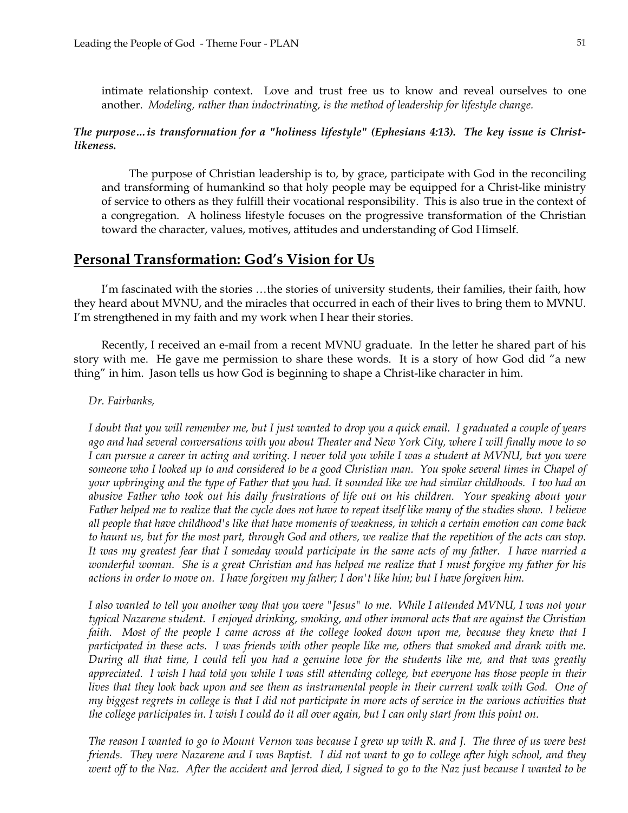intimate relationship context. Love and trust free us to know and reveal ourselves to one another. *Modeling, rather than indoctrinating, is the method of leadership for lifestyle change.*

#### *The purpose…is transformation for a "holiness lifestyle" (Ephesians 4:13). The key issue is Christlikeness.*

The purpose of Christian leadership is to, by grace, participate with God in the reconciling and transforming of humankind so that holy people may be equipped for a Christ-like ministry of service to others as they fulfill their vocational responsibility. This is also true in the context of a congregation. A holiness lifestyle focuses on the progressive transformation of the Christian toward the character, values, motives, attitudes and understanding of God Himself.

#### **Personal Transformation: God's Vision for Us**

I'm fascinated with the stories …the stories of university students, their families, their faith, how they heard about MVNU, and the miracles that occurred in each of their lives to bring them to MVNU. I'm strengthened in my faith and my work when I hear their stories.

Recently, I received an e-mail from a recent MVNU graduate. In the letter he shared part of his story with me. He gave me permission to share these words. It is a story of how God did "a new thing" in him. Jason tells us how God is beginning to shape a Christ-like character in him.

#### *Dr. Fairbanks,*

*I doubt that you will remember me, but I just wanted to drop you a quick email. I graduated a couple of years ago and had several conversations with you about Theater and New York City, where I will finally move to so I can pursue a career in acting and writing. I never told you while I was a student at MVNU, but you were someone who I looked up to and considered to be a good Christian man. You spoke several times in Chapel of your upbringing and the type of Father that you had. It sounded like we had similar childhoods. I too had an abusive Father who took out his daily frustrations of life out on his children. Your speaking about your Father helped me to realize that the cycle does not have to repeat itself like many of the studies show. I believe all people that have childhood's like that have moments of weakness, in which a certain emotion can come back to haunt us, but for the most part, through God and others, we realize that the repetition of the acts can stop. It was my greatest fear that I someday would participate in the same acts of my father. I have married a wonderful woman. She is a great Christian and has helped me realize that I must forgive my father for his actions in order to move on. I have forgiven my father; I don't like him; but I have forgiven him.* 

*I also wanted to tell you another way that you were "Jesus" to me. While I attended MVNU, I was not your typical Nazarene student. I enjoyed drinking, smoking, and other immoral acts that are against the Christian faith. Most of the people I came across at the college looked down upon me, because they knew that I participated in these acts. I was friends with other people like me, others that smoked and drank with me. During all that time, I could tell you had a genuine love for the students like me, and that was greatly appreciated. I wish I had told you while I was still attending college, but everyone has those people in their lives that they look back upon and see them as instrumental people in their current walk with God. One of my biggest regrets in college is that I did not participate in more acts of service in the various activities that the college participates in. I wish I could do it all over again, but I can only start from this point on.* 

*The reason I wanted to go to Mount Vernon was because I grew up with R. and J. The three of us were best friends. They were Nazarene and I was Baptist. I did not want to go to college after high school, and they went off to the Naz. After the accident and Jerrod died, I signed to go to the Naz just because I wanted to be*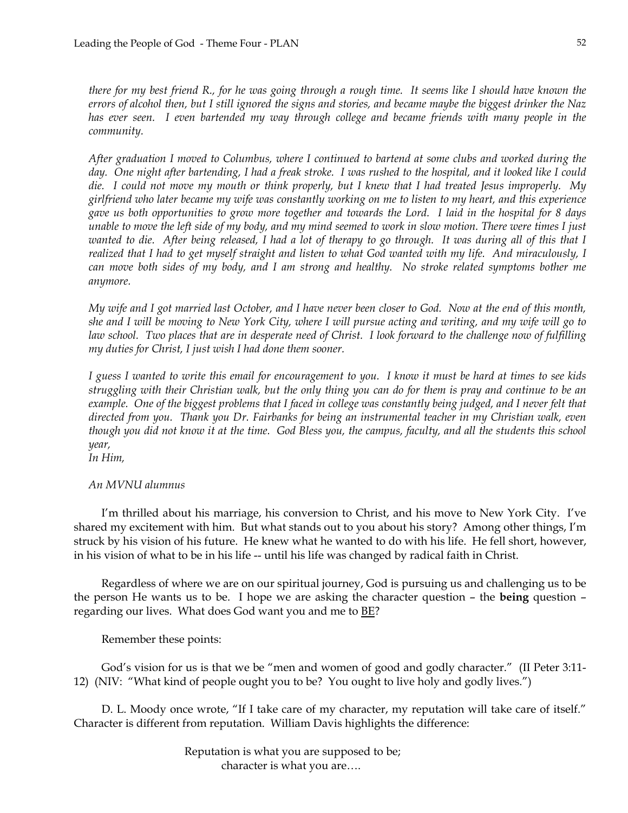*there for my best friend R., for he was going through a rough time. It seems like I should have known the errors of alcohol then, but I still ignored the signs and stories, and became maybe the biggest drinker the Naz*  has ever seen. I even bartended my way through college and became friends with many people in the *community.* 

*After graduation I moved to Columbus, where I continued to bartend at some clubs and worked during the day. One night after bartending, I had a freak stroke. I was rushed to the hospital, and it looked like I could die. I could not move my mouth or think properly, but I knew that I had treated Jesus improperly. My girlfriend who later became my wife was constantly working on me to listen to my heart, and this experience gave us both opportunities to grow more together and towards the Lord. I laid in the hospital for 8 days unable to move the left side of my body, and my mind seemed to work in slow motion. There were times I just wanted to die. After being released, I had a lot of therapy to go through. It was during all of this that I realized that I had to get myself straight and listen to what God wanted with my life. And miraculously, I can move both sides of my body, and I am strong and healthy. No stroke related symptoms bother me anymore.* 

*My wife and I got married last October, and I have never been closer to God. Now at the end of this month, she and I will be moving to New York City, where I will pursue acting and writing, and my wife will go to law school. Two places that are in desperate need of Christ. I look forward to the challenge now of fulfilling my duties for Christ, I just wish I had done them sooner.* 

*I guess I wanted to write this email for encouragement to you. I know it must be hard at times to see kids struggling with their Christian walk, but the only thing you can do for them is pray and continue to be an example. One of the biggest problems that I faced in college was constantly being judged, and I never felt that directed from you. Thank you Dr. Fairbanks for being an instrumental teacher in my Christian walk, even though you did not know it at the time. God Bless you, the campus, faculty, and all the students this school year,* 

*In Him,* 

#### *An MVNU alumnus*

I'm thrilled about his marriage, his conversion to Christ, and his move to New York City. I've shared my excitement with him. But what stands out to you about his story? Among other things, I'm struck by his vision of his future. He knew what he wanted to do with his life. He fell short, however, in his vision of what to be in his life -- until his life was changed by radical faith in Christ.

Regardless of where we are on our spiritual journey, God is pursuing us and challenging us to be the person He wants us to be. I hope we are asking the character question – the **being** question – regarding our lives. What does God want you and me to  $\underline{BE}$ ?

Remember these points:

God's vision for us is that we be "men and women of good and godly character." (II Peter 3:11- 12) (NIV: "What kind of people ought you to be? You ought to live holy and godly lives.")

D. L. Moody once wrote, "If I take care of my character, my reputation will take care of itself." Character is different from reputation. William Davis highlights the difference:

> Reputation is what you are supposed to be; character is what you are….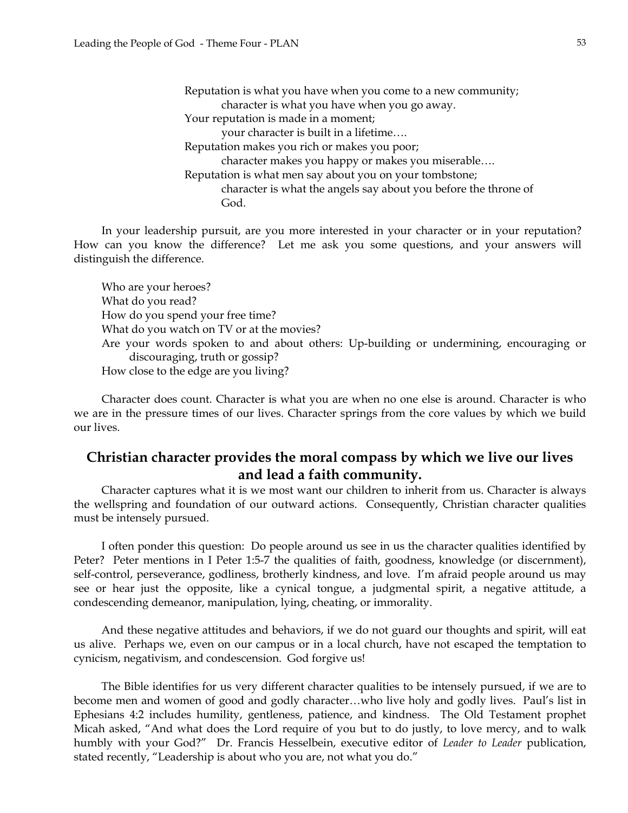Reputation is what you have when you come to a new community; character is what you have when you go away. Your reputation is made in a moment; your character is built in a lifetime…. Reputation makes you rich or makes you poor; character makes you happy or makes you miserable…. Reputation is what men say about you on your tombstone; character is what the angels say about you before the throne of God.

In your leadership pursuit, are you more interested in your character or in your reputation? How can you know the difference? Let me ask you some questions, and your answers will distinguish the difference.

Who are your heroes? What do you read? How do you spend your free time? What do you watch on TV or at the movies? Are your words spoken to and about others: Up-building or undermining, encouraging or discouraging, truth or gossip? How close to the edge are you living?

Character does count. Character is what you are when no one else is around. Character is who we are in the pressure times of our lives. Character springs from the core values by which we build our lives.

#### **Christian character provides the moral compass by which we live our lives and lead a faith community.**

Character captures what it is we most want our children to inherit from us. Character is always the wellspring and foundation of our outward actions. Consequently, Christian character qualities must be intensely pursued.

I often ponder this question: Do people around us see in us the character qualities identified by Peter? Peter mentions in I Peter 1:5-7 the qualities of faith, goodness, knowledge (or discernment), self-control, perseverance, godliness, brotherly kindness, and love. I'm afraid people around us may see or hear just the opposite, like a cynical tongue, a judgmental spirit, a negative attitude, a condescending demeanor, manipulation, lying, cheating, or immorality.

And these negative attitudes and behaviors, if we do not guard our thoughts and spirit, will eat us alive. Perhaps we, even on our campus or in a local church, have not escaped the temptation to cynicism, negativism, and condescension. God forgive us!

The Bible identifies for us very different character qualities to be intensely pursued, if we are to become men and women of good and godly character…who live holy and godly lives. Paul's list in Ephesians 4:2 includes humility, gentleness, patience, and kindness. The Old Testament prophet Micah asked, "And what does the Lord require of you but to do justly, to love mercy, and to walk humbly with your God?" Dr. Francis Hesselbein, executive editor of *Leader to Leader* publication, stated recently, "Leadership is about who you are, not what you do."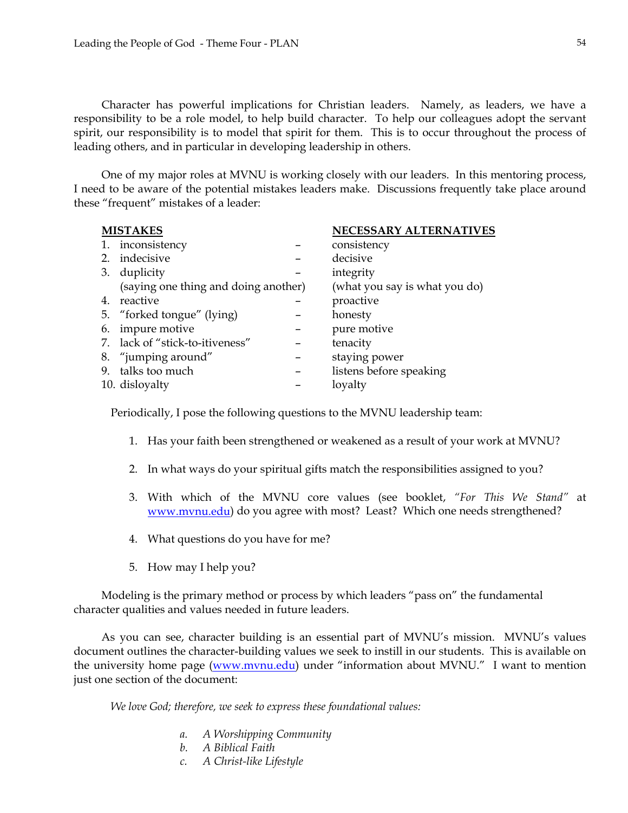Character has powerful implications for Christian leaders. Namely, as leaders, we have a responsibility to be a role model, to help build character. To help our colleagues adopt the servant spirit, our responsibility is to model that spirit for them. This is to occur throughout the process of leading others, and in particular in developing leadership in others.

One of my major roles at MVNU is working closely with our leaders. In this mentoring process, I need to be aware of the potential mistakes leaders make. Discussions frequently take place around these "frequent" mistakes of a leader:

#### **MISTAKES NECESSARY ALTERNATIVES**

| 1. inconsistency                |                               | consistency                          |  |
|---------------------------------|-------------------------------|--------------------------------------|--|
| 2. indecisive                   |                               | decisive                             |  |
| 3. duplicity                    |                               | integrity                            |  |
|                                 | (what you say is what you do) |                                      |  |
| 4. reactive                     |                               | proactive                            |  |
| 5. "forked tongue" (lying)      |                               | honesty                              |  |
| 6. impure motive                |                               | pure motive                          |  |
| 7. lack of "stick-to-itiveness" |                               | tenacity                             |  |
| 8. "jumping around"             |                               | staying power                        |  |
| 9. talks too much               |                               | listens before speaking              |  |
| 10. disloyalty                  |                               | loyalty                              |  |
|                                 |                               | (saying one thing and doing another) |  |

Periodically, I pose the following questions to the MVNU leadership team:

- 1. Has your faith been strengthened or weakened as a result of your work at MVNU?
- 2. In what ways do your spiritual gifts match the responsibilities assigned to you?
- 3. With which of the MVNU core values (see booklet, *"For This We Stand"* at [www.mvnu.edu\)](http://www.mvnu.edu/) do you agree with most? Least? Which one needs strengthened?
- 4. What questions do you have for me?
- 5. How may I help you?

Modeling is the primary method or process by which leaders "pass on" the fundamental character qualities and values needed in future leaders.

As you can see, character building is an essential part of MVNU's mission. MVNU's values document outlines the character-building values we seek to instill in our students. This is available on the university home page ([www.mvnu.edu](http://www.mvnu.edu/)) under "information about MVNU." I want to mention just one section of the document:

*We love God; therefore, we seek to express these foundational values:* 

- *a. A Worshipping Community*
- *b. A Biblical Faith*
- *c. A Christ-like Lifestyle*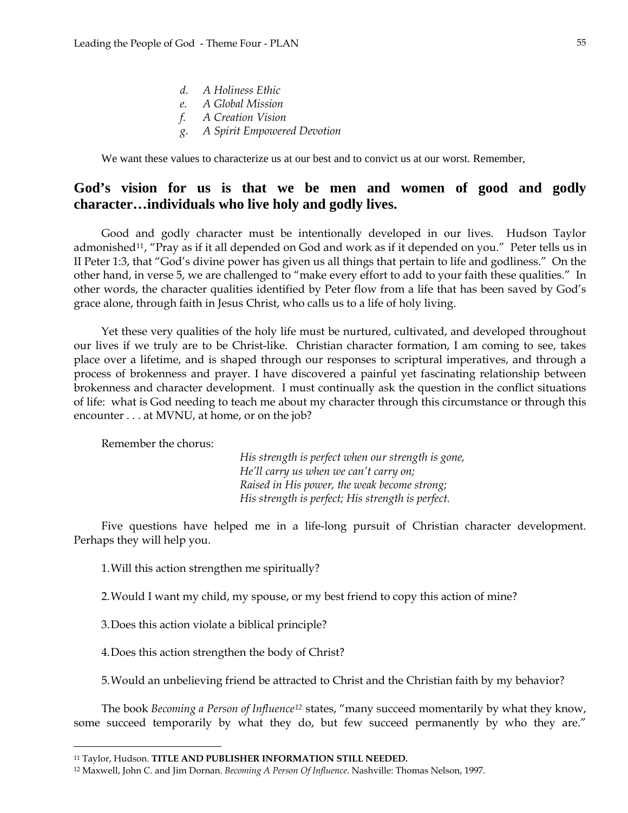- *d. A Holiness Ethic*
- *e. A Global Mission*
- *f. A Creation Vision*
- *g. A Spirit Empowered Devotion*

We want these values to characterize us at our best and to convict us at our worst. Remember,

#### **God's vision for us is that we be men and women of good and godly character…individuals who live holy and godly lives.**

Good and godly character must be intentionally developed in our lives. Hudson Taylor admonished[11](#page-54-0), "Pray as if it all depended on God and work as if it depended on you." Peter tells us in II Peter 1:3, that "God's divine power has given us all things that pertain to life and godliness." On the other hand, in verse 5, we are challenged to "make every effort to add to your faith these qualities." In other words, the character qualities identified by Peter flow from a life that has been saved by God's grace alone, through faith in Jesus Christ, who calls us to a life of holy living.

Yet these very qualities of the holy life must be nurtured, cultivated, and developed throughout our lives if we truly are to be Christ-like. Christian character formation, I am coming to see, takes place over a lifetime, and is shaped through our responses to scriptural imperatives, and through a process of brokenness and prayer. I have discovered a painful yet fascinating relationship between brokenness and character development. I must continually ask the question in the conflict situations of life: what is God needing to teach me about my character through this circumstance or through this encounter . . . at MVNU, at home, or on the job?

Remember the chorus:

 $\overline{a}$ 

*His strength is perfect when our strength is gone, He'll carry us when we can't carry on; Raised in His power, the weak become strong; His strength is perfect; His strength is perfect.* 

Five questions have helped me in a life-long pursuit of Christian character development. Perhaps they will help you.

1.Will this action strengthen me spiritually?

2.Would I want my child, my spouse, or my best friend to copy this action of mine?

3.Does this action violate a biblical principle?

4.Does this action strengthen the body of Christ?

5.Would an unbelieving friend be attracted to Christ and the Christian faith by my behavior?

The book *Becoming a Person of Influence[12](#page-54-1)* states, "many succeed momentarily by what they know, some succeed temporarily by what they do, but few succeed permanently by who they are."

<span id="page-54-0"></span><sup>11</sup> Taylor, Hudson. **TITLE AND PUBLISHER INFORMATION STILL NEEDED.**

<span id="page-54-1"></span><sup>12</sup> Maxwell, John C. and Jim Dornan. *Becoming A Person Of Influence*. Nashville: Thomas Nelson, 1997.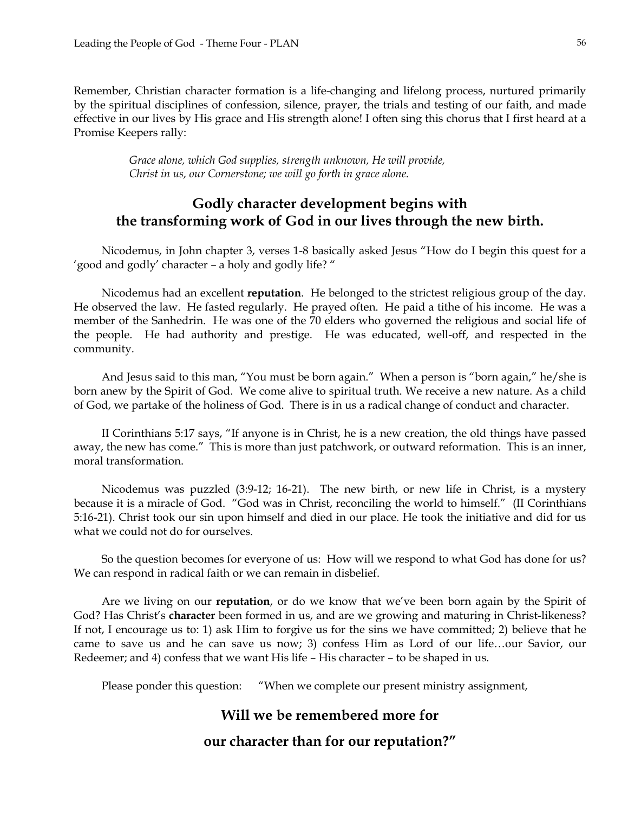Remember, Christian character formation is a life-changing and lifelong process, nurtured primarily by the spiritual disciplines of confession, silence, prayer, the trials and testing of our faith, and made effective in our lives by His grace and His strength alone! I often sing this chorus that I first heard at a Promise Keepers rally:

> *Grace alone, which God supplies, strength unknown, He will provide, Christ in us, our Cornerstone; we will go forth in grace alone.*

#### **Godly character development begins with the transforming work of God in our lives through the new birth.**

Nicodemus, in John chapter 3, verses 1-8 basically asked Jesus "How do I begin this quest for a 'good and godly' character – a holy and godly life? "

Nicodemus had an excellent **reputation**. He belonged to the strictest religious group of the day. He observed the law. He fasted regularly. He prayed often. He paid a tithe of his income. He was a member of the Sanhedrin. He was one of the 70 elders who governed the religious and social life of the people. He had authority and prestige. He was educated, well-off, and respected in the community.

And Jesus said to this man, "You must be born again." When a person is "born again," he/she is born anew by the Spirit of God. We come alive to spiritual truth. We receive a new nature. As a child of God, we partake of the holiness of God. There is in us a radical change of conduct and character.

II Corinthians 5:17 says, "If anyone is in Christ, he is a new creation, the old things have passed away, the new has come." This is more than just patchwork, or outward reformation. This is an inner, moral transformation.

Nicodemus was puzzled (3:9-12; 16-21). The new birth, or new life in Christ, is a mystery because it is a miracle of God. "God was in Christ, reconciling the world to himself." (II Corinthians 5:16-21). Christ took our sin upon himself and died in our place. He took the initiative and did for us what we could not do for ourselves.

So the question becomes for everyone of us: How will we respond to what God has done for us? We can respond in radical faith or we can remain in disbelief.

Are we living on our **reputation**, or do we know that we've been born again by the Spirit of God? Has Christ's **character** been formed in us, and are we growing and maturing in Christ-likeness? If not, I encourage us to: 1) ask Him to forgive us for the sins we have committed; 2) believe that he came to save us and he can save us now; 3) confess Him as Lord of our life…our Savior, our Redeemer; and 4) confess that we want His life – His character – to be shaped in us.

Please ponder this question: "When we complete our present ministry assignment,

#### **Will we be remembered more for**

#### **our character than for our reputation?"**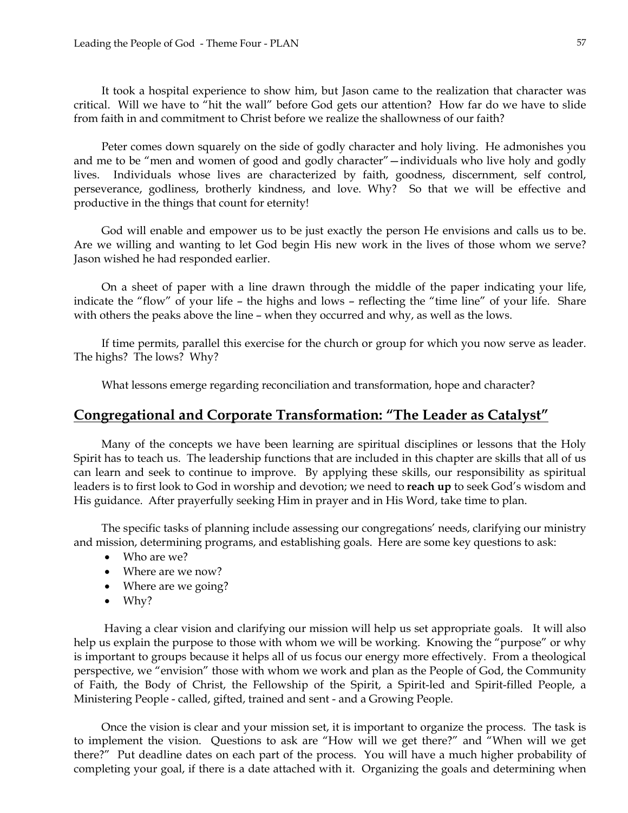It took a hospital experience to show him, but Jason came to the realization that character was critical. Will we have to "hit the wall" before God gets our attention? How far do we have to slide from faith in and commitment to Christ before we realize the shallowness of our faith?

Peter comes down squarely on the side of godly character and holy living. He admonishes you and me to be "men and women of good and godly character"—individuals who live holy and godly lives. Individuals whose lives are characterized by faith, goodness, discernment, self control, perseverance, godliness, brotherly kindness, and love. Why? So that we will be effective and productive in the things that count for eternity!

God will enable and empower us to be just exactly the person He envisions and calls us to be. Are we willing and wanting to let God begin His new work in the lives of those whom we serve? Jason wished he had responded earlier.

On a sheet of paper with a line drawn through the middle of the paper indicating your life, indicate the "flow" of your life – the highs and lows – reflecting the "time line" of your life. Share with others the peaks above the line – when they occurred and why, as well as the lows.

If time permits, parallel this exercise for the church or group for which you now serve as leader. The highs? The lows? Why?

What lessons emerge regarding reconciliation and transformation, hope and character?

#### **Congregational and Corporate Transformation: "The Leader as Catalyst"**

Many of the concepts we have been learning are spiritual disciplines or lessons that the Holy Spirit has to teach us. The leadership functions that are included in this chapter are skills that all of us can learn and seek to continue to improve. By applying these skills, our responsibility as spiritual leaders is to first look to God in worship and devotion; we need to **reach up** to seek God's wisdom and His guidance. After prayerfully seeking Him in prayer and in His Word, take time to plan.

The specific tasks of planning include assessing our congregations' needs, clarifying our ministry and mission, determining programs, and establishing goals. Here are some key questions to ask:

- Who are we?
- Where are we now?
- Where are we going?
- $\bullet$  Why?

 Having a clear vision and clarifying our mission will help us set appropriate goals. It will also help us explain the purpose to those with whom we will be working. Knowing the "purpose" or why is important to groups because it helps all of us focus our energy more effectively. From a theological perspective, we "envision" those with whom we work and plan as the People of God, the Community of Faith, the Body of Christ, the Fellowship of the Spirit, a Spirit-led and Spirit-filled People, a Ministering People - called, gifted, trained and sent - and a Growing People.

Once the vision is clear and your mission set, it is important to organize the process. The task is to implement the vision. Questions to ask are "How will we get there?" and "When will we get there?" Put deadline dates on each part of the process. You will have a much higher probability of completing your goal, if there is a date attached with it. Organizing the goals and determining when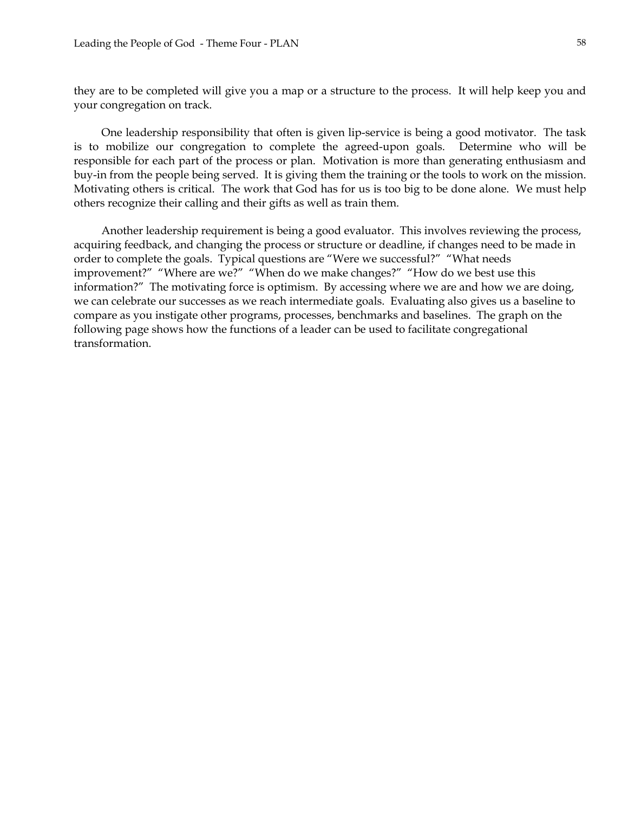they are to be completed will give you a map or a structure to the process. It will help keep you and your congregation on track.

One leadership responsibility that often is given lip-service is being a good motivator. The task is to mobilize our congregation to complete the agreed-upon goals. Determine who will be responsible for each part of the process or plan. Motivation is more than generating enthusiasm and buy-in from the people being served. It is giving them the training or the tools to work on the mission. Motivating others is critical. The work that God has for us is too big to be done alone. We must help others recognize their calling and their gifts as well as train them.

Another leadership requirement is being a good evaluator. This involves reviewing the process, acquiring feedback, and changing the process or structure or deadline, if changes need to be made in order to complete the goals. Typical questions are "Were we successful?" "What needs improvement?" "Where are we?" "When do we make changes?" "How do we best use this information?" The motivating force is optimism. By accessing where we are and how we are doing, we can celebrate our successes as we reach intermediate goals. Evaluating also gives us a baseline to compare as you instigate other programs, processes, benchmarks and baselines. The graph on the following page shows how the functions of a leader can be used to facilitate congregational transformation.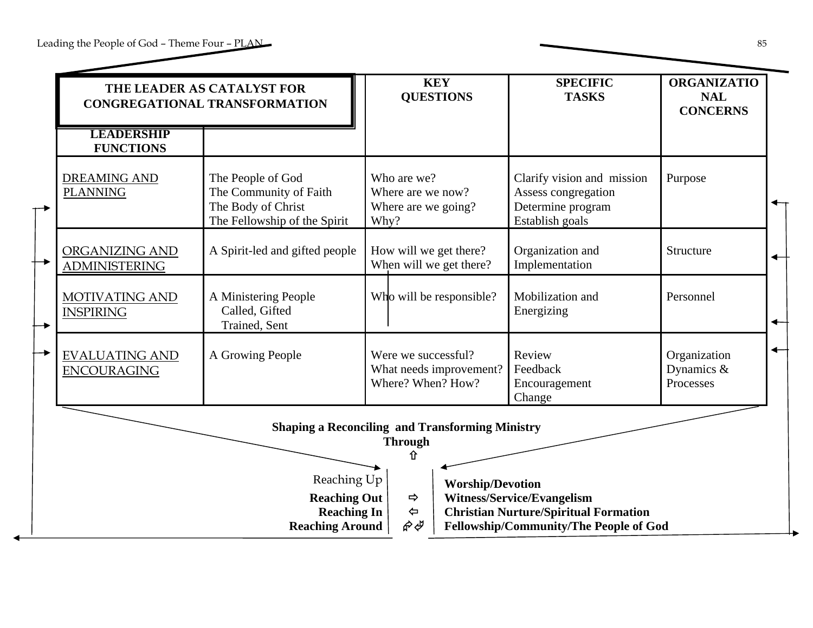Leading the People of God – Theme Four – PLAN 85

|                                                                                                                                                                                                                                                                                   | THE LEADER AS CATALYST FOR<br><b>CONGREGATIONAL TRANSFORMATION</b> |                                                                                                   |                                                                     | <b>KEY</b><br><b>QUESTIONS</b>                    | <b>SPECIFIC</b><br><b>TASKS</b>                                                           | <b>ORGANIZATIO</b><br><b>NAL</b><br><b>CONCERNS</b> |  |  |  |  |
|-----------------------------------------------------------------------------------------------------------------------------------------------------------------------------------------------------------------------------------------------------------------------------------|--------------------------------------------------------------------|---------------------------------------------------------------------------------------------------|---------------------------------------------------------------------|---------------------------------------------------|-------------------------------------------------------------------------------------------|-----------------------------------------------------|--|--|--|--|
|                                                                                                                                                                                                                                                                                   | <b>LEADERSHIP</b><br><b>FUNCTIONS</b>                              |                                                                                                   |                                                                     |                                                   |                                                                                           |                                                     |  |  |  |  |
|                                                                                                                                                                                                                                                                                   | <b>DREAMING AND</b><br><b>PLANNING</b>                             | The People of God<br>The Community of Faith<br>The Body of Christ<br>The Fellowship of the Spirit | Who are we?<br>Where are we now?<br>Where are we going?<br>Why?     |                                                   | Clarify vision and mission<br>Assess congregation<br>Determine program<br>Establish goals | Purpose                                             |  |  |  |  |
|                                                                                                                                                                                                                                                                                   | ORGANIZING AND<br><b>ADMINISTERING</b>                             | A Spirit-led and gifted people                                                                    |                                                                     | How will we get there?<br>When will we get there? | Organization and<br>Implementation                                                        | Structure                                           |  |  |  |  |
|                                                                                                                                                                                                                                                                                   | <b>MOTIVATING AND</b><br><b>INSPIRING</b>                          | A Ministering People<br>Called, Gifted<br>Trained, Sent                                           |                                                                     | Who will be responsible?                          | Mobilization and<br>Energizing                                                            | Personnel                                           |  |  |  |  |
|                                                                                                                                                                                                                                                                                   | <b>EVALUATING AND</b><br><b>ENCOURAGING</b>                        | A Growing People                                                                                  | Were we successful?<br>What needs improvement?<br>Where? When? How? |                                                   | Review<br>Feedback<br>Encouragement<br>Change                                             | Organization<br>Dynamics $\&$<br>Processes          |  |  |  |  |
| <b>Shaping a Reconciling and Transforming Ministry</b><br><b>Through</b><br>⇑                                                                                                                                                                                                     |                                                                    |                                                                                                   |                                                                     |                                                   |                                                                                           |                                                     |  |  |  |  |
| Reaching Up<br><b>Worship/Devotion</b><br>Witness/Service/Evangelism<br><b>Reaching Out</b><br>$\Rightarrow$<br><b>Christian Nurture/Spiritual Formation</b><br><b>Reaching In</b><br>$\Leftrightarrow$<br>ୁ¢<br>Fellowship/Community/The People of God<br><b>Reaching Around</b> |                                                                    |                                                                                                   |                                                                     |                                                   |                                                                                           |                                                     |  |  |  |  |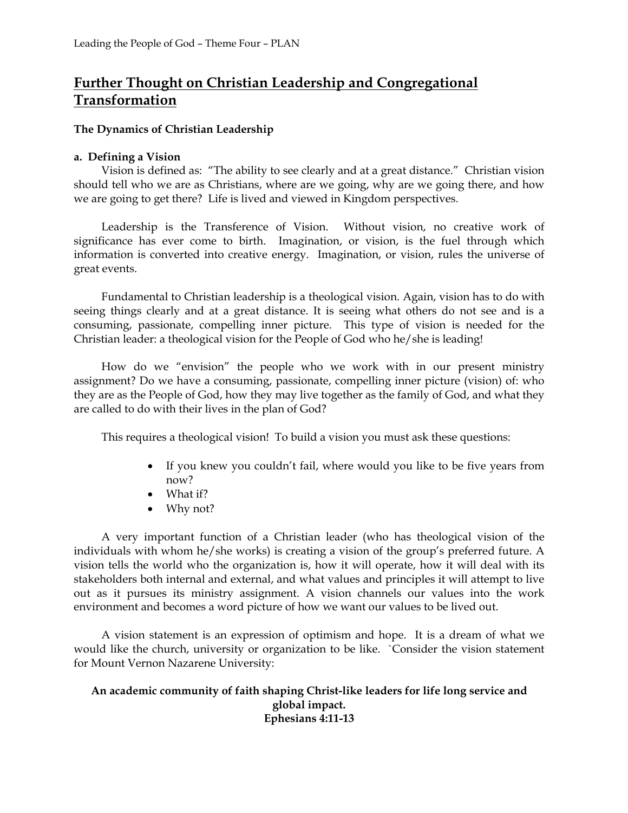#### **Further Thought on Christian Leadership and Congregational Transformation**

#### **The Dynamics of Christian Leadership**

#### **a. Defining a Vision**

Vision is defined as: "The ability to see clearly and at a great distance." Christian vision should tell who we are as Christians, where are we going, why are we going there, and how we are going to get there? Life is lived and viewed in Kingdom perspectives.

Leadership is the Transference of Vision. Without vision, no creative work of significance has ever come to birth. Imagination, or vision, is the fuel through which information is converted into creative energy. Imagination, or vision, rules the universe of great events.

Fundamental to Christian leadership is a theological vision. Again, vision has to do with seeing things clearly and at a great distance. It is seeing what others do not see and is a consuming, passionate, compelling inner picture. This type of vision is needed for the Christian leader: a theological vision for the People of God who he/she is leading!

How do we "envision" the people who we work with in our present ministry assignment? Do we have a consuming, passionate, compelling inner picture (vision) of: who they are as the People of God, how they may live together as the family of God, and what they are called to do with their lives in the plan of God?

This requires a theological vision! To build a vision you must ask these questions:

- If you knew you couldn't fail, where would you like to be five years from now?
- What if?
- Why not?

A very important function of a Christian leader (who has theological vision of the individuals with whom he/she works) is creating a vision of the group's preferred future. A vision tells the world who the organization is, how it will operate, how it will deal with its stakeholders both internal and external, and what values and principles it will attempt to live out as it pursues its ministry assignment. A vision channels our values into the work environment and becomes a word picture of how we want our values to be lived out.

A vision statement is an expression of optimism and hope. It is a dream of what we would like the church, university or organization to be like. `Consider the vision statement for Mount Vernon Nazarene University:

#### **An academic community of faith shaping Christ-like leaders for life long service and global impact. Ephesians 4:11-13**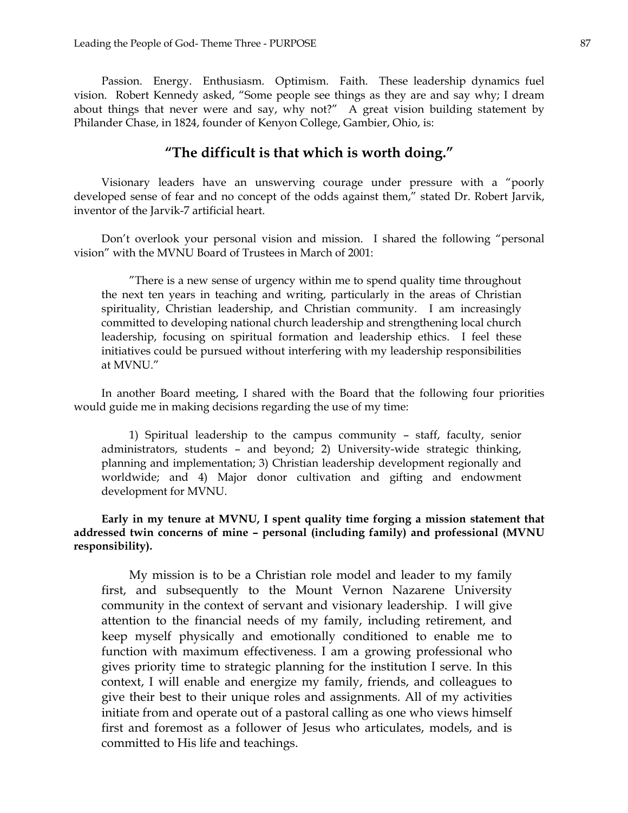Passion. Energy. Enthusiasm. Optimism. Faith. These leadership dynamics fuel vision. Robert Kennedy asked, "Some people see things as they are and say why; I dream about things that never were and say, why not?" A great vision building statement by Philander Chase, in 1824, founder of Kenyon College, Gambier, Ohio, is:

#### **"The difficult is that which is worth doing."**

Visionary leaders have an unswerving courage under pressure with a "poorly developed sense of fear and no concept of the odds against them," stated Dr. Robert Jarvik, inventor of the Jarvik-7 artificial heart.

Don't overlook your personal vision and mission. I shared the following "personal vision" with the MVNU Board of Trustees in March of 2001:

"There is a new sense of urgency within me to spend quality time throughout the next ten years in teaching and writing, particularly in the areas of Christian spirituality, Christian leadership, and Christian community. I am increasingly committed to developing national church leadership and strengthening local church leadership, focusing on spiritual formation and leadership ethics. I feel these initiatives could be pursued without interfering with my leadership responsibilities at MVNU."

In another Board meeting, I shared with the Board that the following four priorities would guide me in making decisions regarding the use of my time:

1) Spiritual leadership to the campus community – staff, faculty, senior administrators, students – and beyond; 2) University-wide strategic thinking, planning and implementation; 3) Christian leadership development regionally and worldwide; and 4) Major donor cultivation and gifting and endowment development for MVNU.

#### **Early in my tenure at MVNU, I spent quality time forging a mission statement that addressed twin concerns of mine – personal (including family) and professional (MVNU responsibility).**

My mission is to be a Christian role model and leader to my family first, and subsequently to the Mount Vernon Nazarene University community in the context of servant and visionary leadership. I will give attention to the financial needs of my family, including retirement, and keep myself physically and emotionally conditioned to enable me to function with maximum effectiveness. I am a growing professional who gives priority time to strategic planning for the institution I serve. In this context, I will enable and energize my family, friends, and colleagues to give their best to their unique roles and assignments. All of my activities initiate from and operate out of a pastoral calling as one who views himself first and foremost as a follower of Jesus who articulates, models, and is committed to His life and teachings.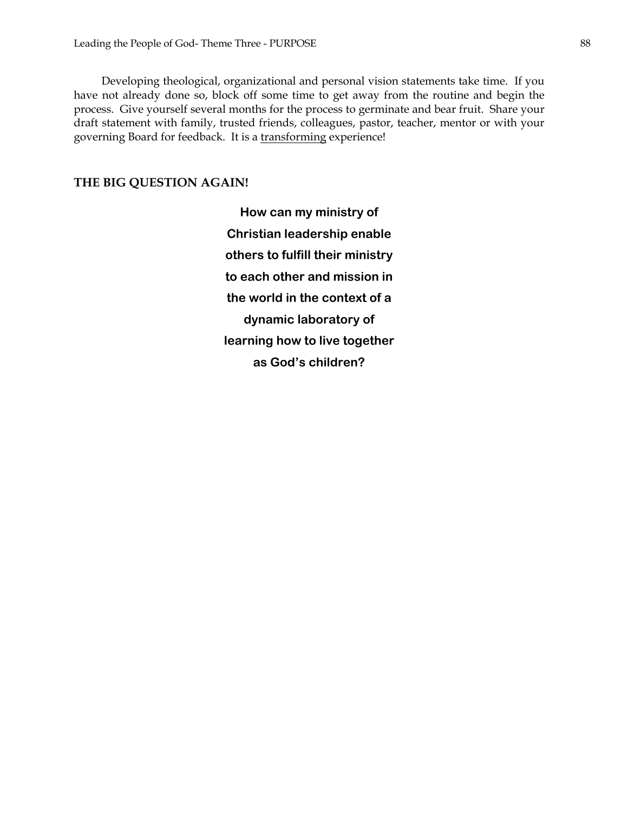Developing theological, organizational and personal vision statements take time. If you have not already done so, block off some time to get away from the routine and begin the process. Give yourself several months for the process to germinate and bear fruit. Share your draft statement with family, trusted friends, colleagues, pastor, teacher, mentor or with your governing Board for feedback. It is a transforming experience!

#### **THE BIG QUESTION AGAIN!**

**How can my ministry of Christian leadership enable others to fulfill their ministry to each other and mission in the world in the context of a dynamic laboratory of learning how to live together as God's children?**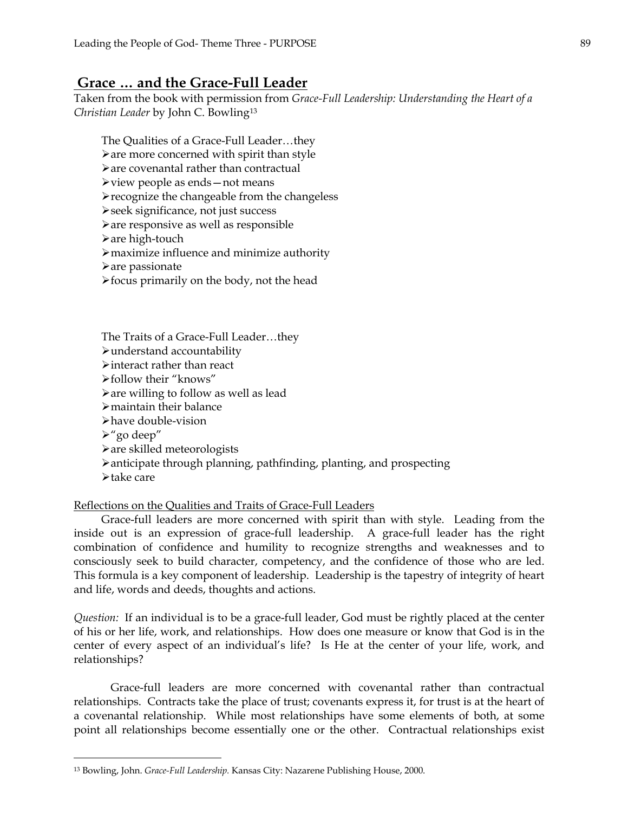#### **Grace … and the Grace-Full Leader**

Taken from the book with permission from *Grace-Full Leadership: Understanding the Heart of a Christian Leader* by John C. Bowling[13](#page-62-0)

The Qualities of a Grace-Full Leader…they

 $\triangleright$  are more concerned with spirit than style

 $\triangleright$  are covenantal rather than contractual

 $\triangleright$  view people as ends — not means

recognize the changeable from the changeless

seek significance, not just success

 $\triangleright$  are responsive as well as responsible

> are high-touch

maximize influence and minimize authority

**Pare passionate** 

 $\blacktriangleright$  focus primarily on the body, not the head

The Traits of a Grace-Full Leader…they understand accountability  $\triangleright$  interact rather than react follow their "knows"  $\triangleright$  are willing to follow as well as lead  $\triangleright$  maintain their balance have double-vision "go deep"  $\triangleright$  are skilled meteorologists anticipate through planning, pathfinding, planting, and prospecting

 $\overline{a}$ 

#### Reflections on the Qualities and Traits of Grace-Full Leaders

Grace-full leaders are more concerned with spirit than with style. Leading from the inside out is an expression of grace-full leadership. A grace-full leader has the right combination of confidence and humility to recognize strengths and weaknesses and to consciously seek to build character, competency, and the confidence of those who are led. This formula is a key component of leadership. Leadership is the tapestry of integrity of heart and life, words and deeds, thoughts and actions.

*Question:* If an individual is to be a grace-full leader, God must be rightly placed at the center of his or her life, work, and relationships. How does one measure or know that God is in the center of every aspect of an individual's life? Is He at the center of your life, work, and relationships?

Grace-full leaders are more concerned with covenantal rather than contractual relationships. Contracts take the place of trust; covenants express it, for trust is at the heart of a covenantal relationship. While most relationships have some elements of both, at some point all relationships become essentially one or the other. Contractual relationships exist

 $\blacktriangleright$ take care

<span id="page-62-0"></span><sup>13</sup> Bowling, John. *Grace-Full Leadership.* Kansas City: Nazarene Publishing House, 2000.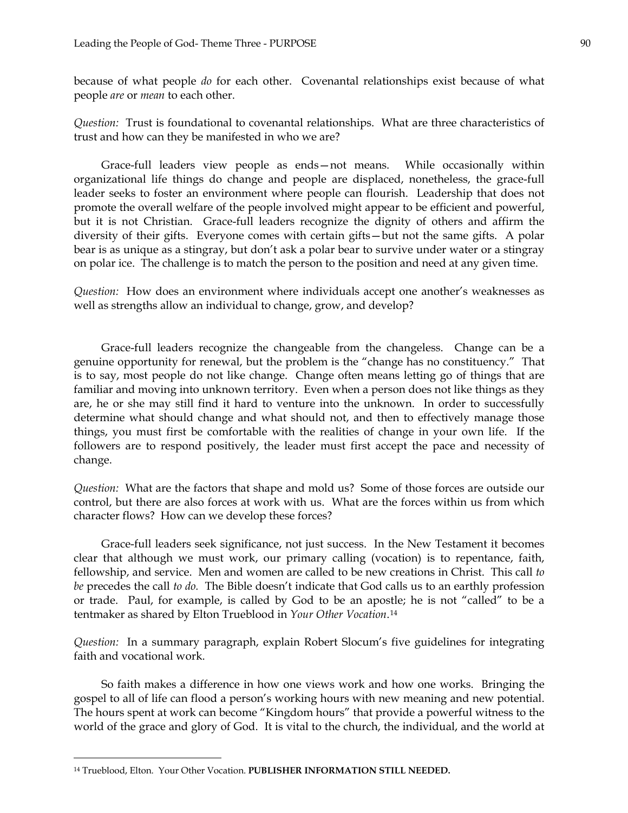because of what people *do* for each other. Covenantal relationships exist because of what people *are* or *mean* to each other.

*Question:* Trust is foundational to covenantal relationships. What are three characteristics of trust and how can they be manifested in who we are?

Grace-full leaders view people as ends—not means. While occasionally within organizational life things do change and people are displaced, nonetheless, the grace-full leader seeks to foster an environment where people can flourish. Leadership that does not promote the overall welfare of the people involved might appear to be efficient and powerful, but it is not Christian. Grace-full leaders recognize the dignity of others and affirm the diversity of their gifts. Everyone comes with certain gifts—but not the same gifts. A polar bear is as unique as a stingray, but don't ask a polar bear to survive under water or a stingray on polar ice. The challenge is to match the person to the position and need at any given time.

*Question:* How does an environment where individuals accept one another's weaknesses as well as strengths allow an individual to change, grow, and develop?

Grace-full leaders recognize the changeable from the changeless. Change can be a genuine opportunity for renewal, but the problem is the "change has no constituency." That is to say, most people do not like change. Change often means letting go of things that are familiar and moving into unknown territory. Even when a person does not like things as they are, he or she may still find it hard to venture into the unknown. In order to successfully determine what should change and what should not, and then to effectively manage those things, you must first be comfortable with the realities of change in your own life. If the followers are to respond positively, the leader must first accept the pace and necessity of change.

*Question:* What are the factors that shape and mold us? Some of those forces are outside our control, but there are also forces at work with us. What are the forces within us from which character flows? How can we develop these forces?

Grace-full leaders seek significance, not just success. In the New Testament it becomes clear that although we must work, our primary calling (vocation) is to repentance, faith, fellowship, and service. Men and women are called to be new creations in Christ. This call *to be* precedes the call *to do.* The Bible doesn't indicate that God calls us to an earthly profession or trade. Paul, for example, is called by God to be an apostle; he is not "called" to be a tentmaker as shared by Elton Trueblood in *Your Other Vocation*.[14](#page-63-0)

*Question:* In a summary paragraph, explain Robert Slocum's five guidelines for integrating faith and vocational work.

So faith makes a difference in how one views work and how one works. Bringing the gospel to all of life can flood a person's working hours with new meaning and new potential. The hours spent at work can become "Kingdom hours" that provide a powerful witness to the world of the grace and glory of God. It is vital to the church, the individual, and the world at

 $\overline{a}$ 

<span id="page-63-0"></span><sup>14</sup> Trueblood, Elton. Your Other Vocation. **PUBLISHER INFORMATION STILL NEEDED.**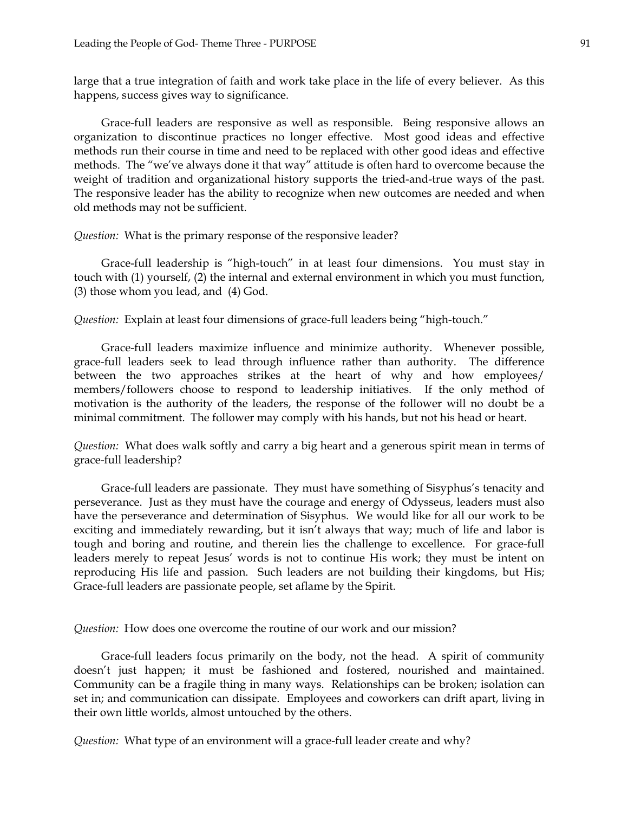large that a true integration of faith and work take place in the life of every believer. As this happens, success gives way to significance.

Grace-full leaders are responsive as well as responsible. Being responsive allows an organization to discontinue practices no longer effective. Most good ideas and effective methods run their course in time and need to be replaced with other good ideas and effective methods. The "we've always done it that way" attitude is often hard to overcome because the weight of tradition and organizational history supports the tried-and-true ways of the past. The responsive leader has the ability to recognize when new outcomes are needed and when old methods may not be sufficient.

*Question:* What is the primary response of the responsive leader?

Grace-full leadership is "high-touch" in at least four dimensions. You must stay in touch with (1) yourself, (2) the internal and external environment in which you must function, (3) those whom you lead, and (4) God.

*Question:* Explain at least four dimensions of grace-full leaders being "high-touch."

Grace-full leaders maximize influence and minimize authority. Whenever possible, grace-full leaders seek to lead through influence rather than authority. The difference between the two approaches strikes at the heart of why and how employees/ members/followers choose to respond to leadership initiatives. If the only method of motivation is the authority of the leaders, the response of the follower will no doubt be a minimal commitment. The follower may comply with his hands, but not his head or heart.

*Question:* What does walk softly and carry a big heart and a generous spirit mean in terms of grace-full leadership?

Grace-full leaders are passionate. They must have something of Sisyphus's tenacity and perseverance. Just as they must have the courage and energy of Odysseus, leaders must also have the perseverance and determination of Sisyphus. We would like for all our work to be exciting and immediately rewarding, but it isn't always that way; much of life and labor is tough and boring and routine, and therein lies the challenge to excellence. For grace-full leaders merely to repeat Jesus' words is not to continue His work; they must be intent on reproducing His life and passion. Such leaders are not building their kingdoms, but His; Grace-full leaders are passionate people, set aflame by the Spirit.

*Question:* How does one overcome the routine of our work and our mission?

Grace-full leaders focus primarily on the body, not the head. A spirit of community doesn't just happen; it must be fashioned and fostered, nourished and maintained. Community can be a fragile thing in many ways. Relationships can be broken; isolation can set in; and communication can dissipate. Employees and coworkers can drift apart, living in their own little worlds, almost untouched by the others.

*Question:* What type of an environment will a grace-full leader create and why?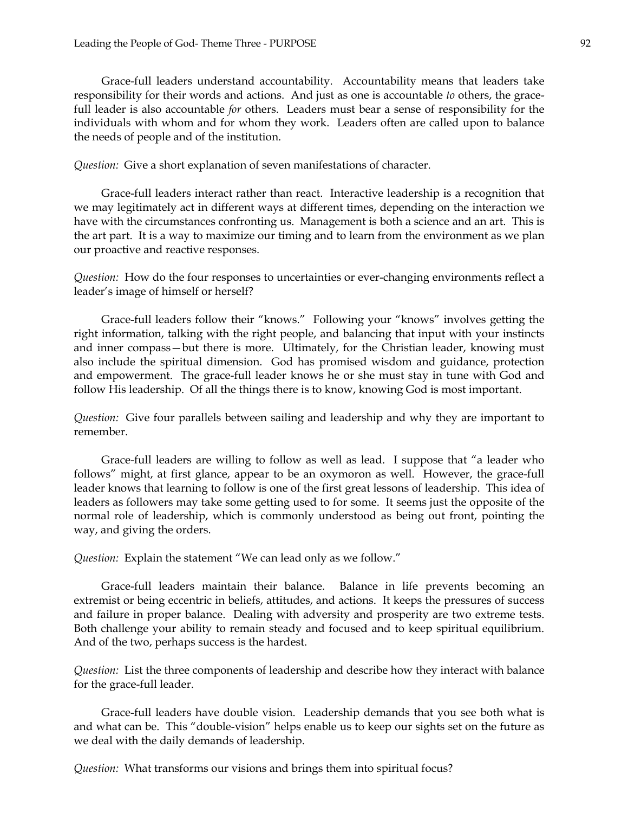Grace-full leaders understand accountability. Accountability means that leaders take responsibility for their words and actions. And just as one is accountable *to* others, the gracefull leader is also accountable *for* others. Leaders must bear a sense of responsibility for the individuals with whom and for whom they work. Leaders often are called upon to balance the needs of people and of the institution.

*Question:* Give a short explanation of seven manifestations of character.

Grace-full leaders interact rather than react. Interactive leadership is a recognition that we may legitimately act in different ways at different times, depending on the interaction we have with the circumstances confronting us. Management is both a science and an art. This is the art part. It is a way to maximize our timing and to learn from the environment as we plan our proactive and reactive responses.

*Question:* How do the four responses to uncertainties or ever-changing environments reflect a leader's image of himself or herself?

Grace-full leaders follow their "knows." Following your "knows" involves getting the right information, talking with the right people, and balancing that input with your instincts and inner compass—but there is more. Ultimately, for the Christian leader, knowing must also include the spiritual dimension. God has promised wisdom and guidance, protection and empowerment. The grace-full leader knows he or she must stay in tune with God and follow His leadership. Of all the things there is to know, knowing God is most important.

*Question:* Give four parallels between sailing and leadership and why they are important to remember.

Grace-full leaders are willing to follow as well as lead. I suppose that "a leader who follows" might, at first glance, appear to be an oxymoron as well. However, the grace-full leader knows that learning to follow is one of the first great lessons of leadership. This idea of leaders as followers may take some getting used to for some. It seems just the opposite of the normal role of leadership, which is commonly understood as being out front, pointing the way, and giving the orders.

*Question:* Explain the statement "We can lead only as we follow."

Grace-full leaders maintain their balance. Balance in life prevents becoming an extremist or being eccentric in beliefs, attitudes, and actions. It keeps the pressures of success and failure in proper balance. Dealing with adversity and prosperity are two extreme tests. Both challenge your ability to remain steady and focused and to keep spiritual equilibrium. And of the two, perhaps success is the hardest.

*Question:* List the three components of leadership and describe how they interact with balance for the grace-full leader.

Grace-full leaders have double vision. Leadership demands that you see both what is and what can be. This "double-vision" helps enable us to keep our sights set on the future as we deal with the daily demands of leadership.

*Question:* What transforms our visions and brings them into spiritual focus?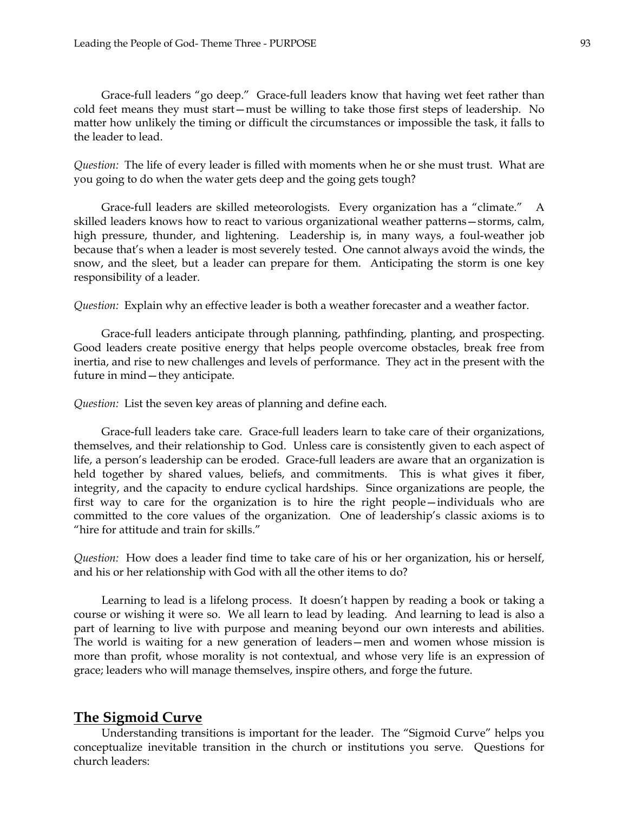Grace-full leaders "go deep." Grace-full leaders know that having wet feet rather than cold feet means they must start—must be willing to take those first steps of leadership. No matter how unlikely the timing or difficult the circumstances or impossible the task, it falls to the leader to lead.

*Question:* The life of every leader is filled with moments when he or she must trust. What are you going to do when the water gets deep and the going gets tough?

Grace-full leaders are skilled meteorologists. Every organization has a "climate." A skilled leaders knows how to react to various organizational weather patterns—storms, calm, high pressure, thunder, and lightening. Leadership is, in many ways, a foul-weather job because that's when a leader is most severely tested. One cannot always avoid the winds, the snow, and the sleet, but a leader can prepare for them. Anticipating the storm is one key responsibility of a leader.

*Question:* Explain why an effective leader is both a weather forecaster and a weather factor.

Grace-full leaders anticipate through planning, pathfinding, planting, and prospecting. Good leaders create positive energy that helps people overcome obstacles, break free from inertia, and rise to new challenges and levels of performance. They act in the present with the future in mind—they anticipate.

*Question:* List the seven key areas of planning and define each.

Grace-full leaders take care. Grace-full leaders learn to take care of their organizations, themselves, and their relationship to God. Unless care is consistently given to each aspect of life, a person's leadership can be eroded. Grace-full leaders are aware that an organization is held together by shared values, beliefs, and commitments. This is what gives it fiber, integrity, and the capacity to endure cyclical hardships. Since organizations are people, the first way to care for the organization is to hire the right people—individuals who are committed to the core values of the organization. One of leadership's classic axioms is to "hire for attitude and train for skills."

*Question:* How does a leader find time to take care of his or her organization, his or herself, and his or her relationship with God with all the other items to do?

Learning to lead is a lifelong process. It doesn't happen by reading a book or taking a course or wishing it were so. We all learn to lead by leading. And learning to lead is also a part of learning to live with purpose and meaning beyond our own interests and abilities. The world is waiting for a new generation of leaders—men and women whose mission is more than profit, whose morality is not contextual, and whose very life is an expression of grace; leaders who will manage themselves, inspire others, and forge the future.

#### **The Sigmoid Curve**

Understanding transitions is important for the leader. The "Sigmoid Curve" helps you conceptualize inevitable transition in the church or institutions you serve. Questions for church leaders: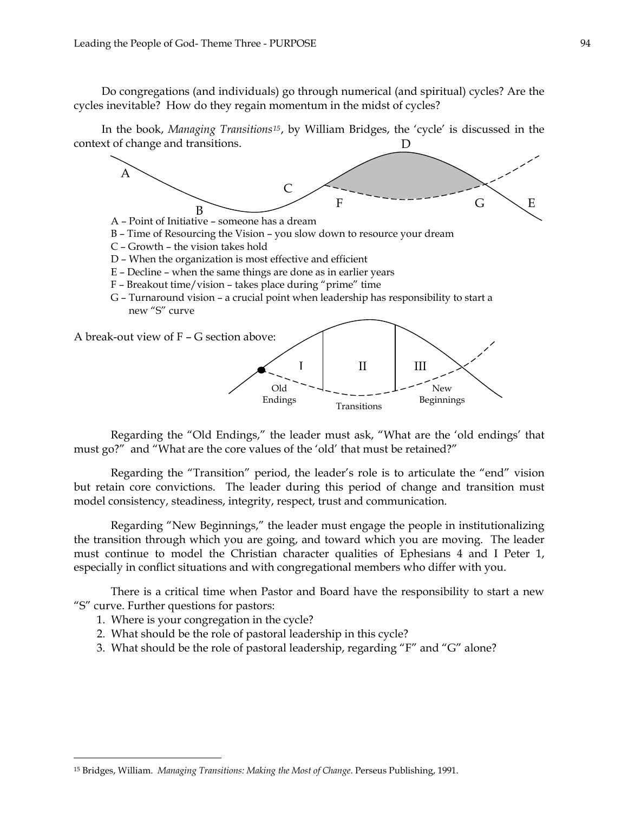Do congregations (and individuals) go through numerical (and spiritual) cycles? Are the cycles inevitable? How do they regain momentum in the midst of cycles?

In the book, *Managing Transitions[15](#page-67-0)*, by William Bridges, the 'cycle' is discussed in the context of change and transitions. D







Regarding the "Old Endings," the leader must ask, "What are the 'old endings' that must go?" and "What are the core values of the 'old' that must be retained?"

 Regarding the "Transition" period, the leader's role is to articulate the "end" vision but retain core convictions. The leader during this period of change and transition must model consistency, steadiness, integrity, respect, trust and communication.

 Regarding "New Beginnings," the leader must engage the people in institutionalizing the transition through which you are going, and toward which you are moving. The leader must continue to model the Christian character qualities of Ephesians 4 and I Peter 1, especially in conflict situations and with congregational members who differ with you.

There is a critical time when Pastor and Board have the responsibility to start a new "S" curve. Further questions for pastors:

1. Where is your congregation in the cycle?

 $\overline{a}$ 

- 2. What should be the role of pastoral leadership in this cycle?
- 3. What should be the role of pastoral leadership, regarding "F" and "G" alone?

<span id="page-67-0"></span><sup>15</sup> Bridges, William. *Managing Transitions: Making the Most of Change*. Perseus Publishing, 1991.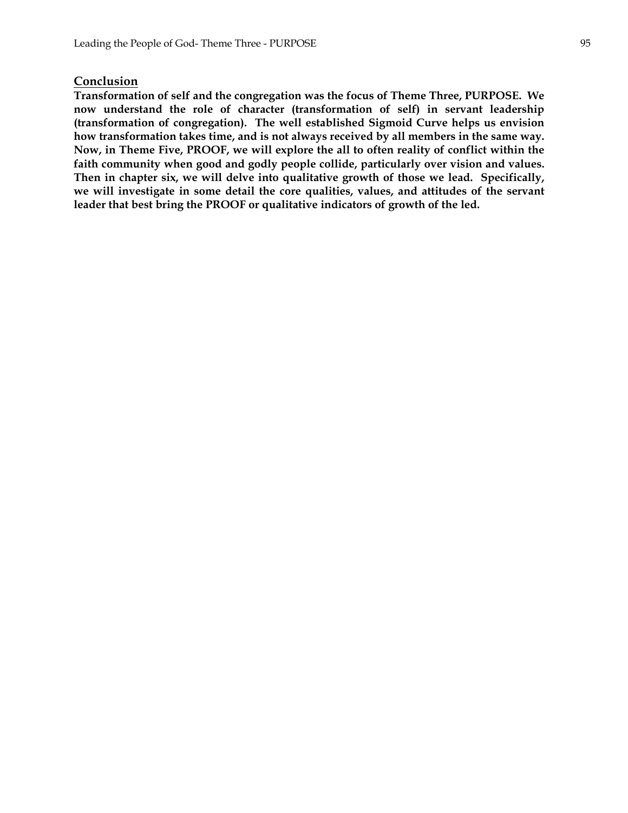#### **Conclusion**

**Transformation of self and the congregation was the focus of Theme Three, PURPOSE. We now understand the role of character (transformation of self) in servant leadership (transformation of congregation). The well established Sigmoid Curve helps us envision how transformation takes time, and is not always received by all members in the same way. Now, in Theme Five, PROOF, we will explore the all to often reality of conflict within the faith community when good and godly people collide, particularly over vision and values. Then in chapter six, we will delve into qualitative growth of those we lead. Specifically, we will investigate in some detail the core qualities, values, and attitudes of the servant leader that best bring the PROOF or qualitative indicators of growth of the led.**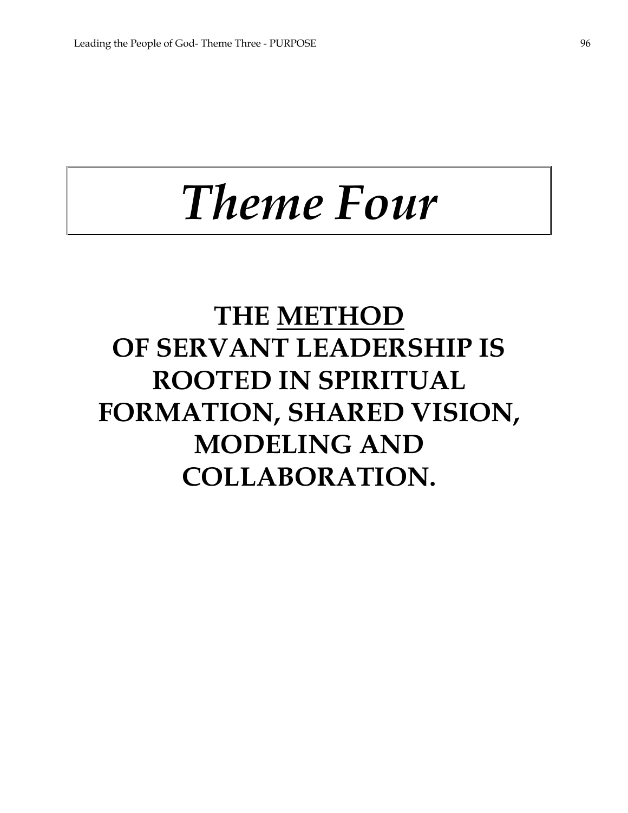# *Theme Four*

### **THE METHOD OF SERVANT LEADERSHIP IS ROOTED IN SPIRITUAL FORMATION, SHARED VISION, MODELING AND COLLABORATION.**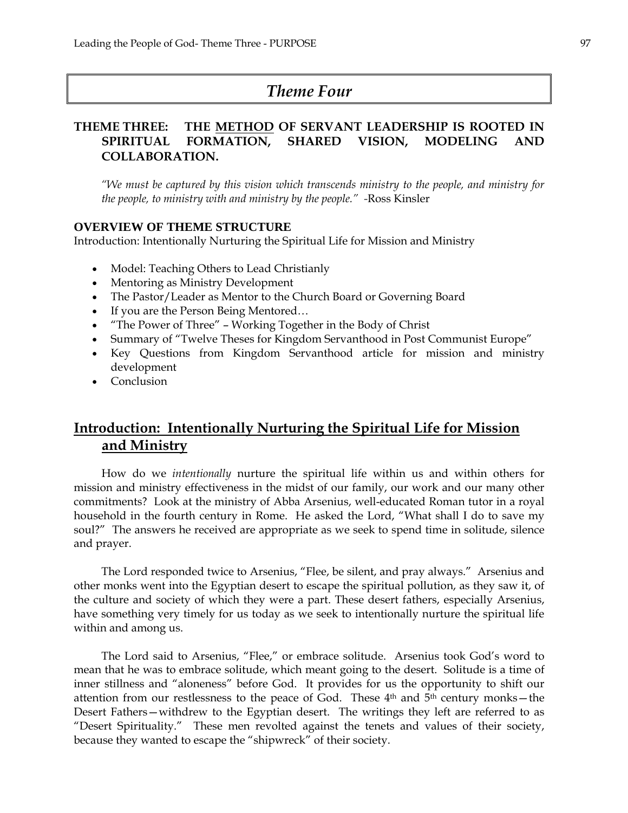#### *Theme Four*

#### **THEME THREE: THE METHOD OF SERVANT LEADERSHIP IS ROOTED IN SPIRITUAL FORMATION, SHARED VISION, MODELING AND COLLABORATION.**

*"We must be captured by this vision which transcends ministry to the people, and ministry for the people, to ministry with and ministry by the people." -*Ross Kinsler

#### **OVERVIEW OF THEME STRUCTURE**

Introduction: Intentionally Nurturing the Spiritual Life for Mission and Ministry

- Model: Teaching Others to Lead Christianly
- Mentoring as Ministry Development
- The Pastor/Leader as Mentor to the Church Board or Governing Board
- If you are the Person Being Mentored…
- "The Power of Three" Working Together in the Body of Christ
- Summary of "Twelve Theses for Kingdom Servanthood in Post Communist Europe"
- Key Questions from Kingdom Servanthood article for mission and ministry development
- Conclusion

#### **Introduction: Intentionally Nurturing the Spiritual Life for Mission and Ministry**

How do we *intentionally* nurture the spiritual life within us and within others for mission and ministry effectiveness in the midst of our family, our work and our many other commitments? Look at the ministry of Abba Arsenius, well-educated Roman tutor in a royal household in the fourth century in Rome. He asked the Lord, "What shall I do to save my soul?" The answers he received are appropriate as we seek to spend time in solitude, silence and prayer.

The Lord responded twice to Arsenius, "Flee, be silent, and pray always." Arsenius and other monks went into the Egyptian desert to escape the spiritual pollution, as they saw it, of the culture and society of which they were a part. These desert fathers, especially Arsenius, have something very timely for us today as we seek to intentionally nurture the spiritual life within and among us.

The Lord said to Arsenius, "Flee," or embrace solitude. Arsenius took God's word to mean that he was to embrace solitude, which meant going to the desert. Solitude is a time of inner stillness and "aloneness" before God. It provides for us the opportunity to shift our attention from our restlessness to the peace of God. These 4th and 5th century monks—the Desert Fathers—withdrew to the Egyptian desert. The writings they left are referred to as "Desert Spirituality." These men revolted against the tenets and values of their society, because they wanted to escape the "shipwreck" of their society.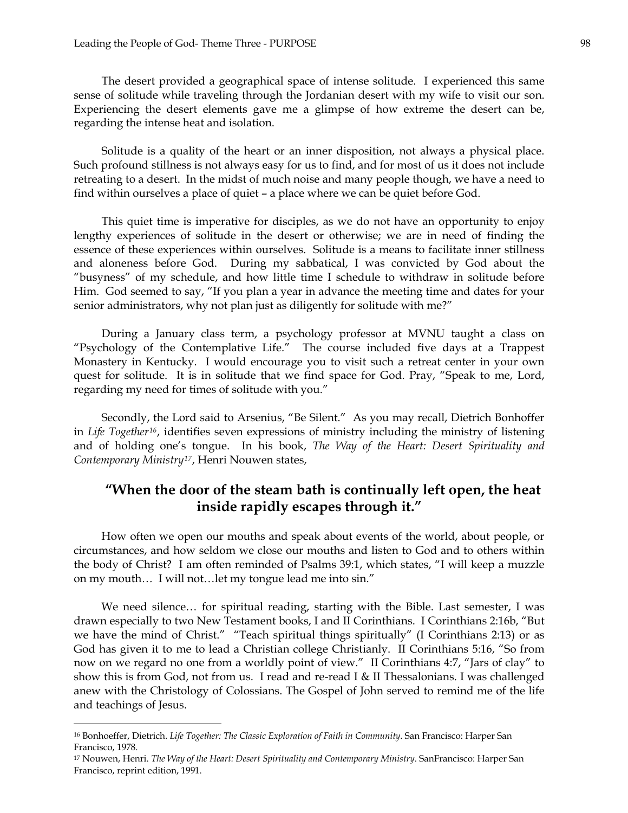The desert provided a geographical space of intense solitude. I experienced this same sense of solitude while traveling through the Jordanian desert with my wife to visit our son. Experiencing the desert elements gave me a glimpse of how extreme the desert can be, regarding the intense heat and isolation.

Solitude is a quality of the heart or an inner disposition, not always a physical place. Such profound stillness is not always easy for us to find, and for most of us it does not include retreating to a desert. In the midst of much noise and many people though, we have a need to find within ourselves a place of quiet – a place where we can be quiet before God.

This quiet time is imperative for disciples, as we do not have an opportunity to enjoy lengthy experiences of solitude in the desert or otherwise; we are in need of finding the essence of these experiences within ourselves. Solitude is a means to facilitate inner stillness and aloneness before God. During my sabbatical, I was convicted by God about the "busyness" of my schedule, and how little time I schedule to withdraw in solitude before Him. God seemed to say, "If you plan a year in advance the meeting time and dates for your senior administrators, why not plan just as diligently for solitude with me?"

During a January class term, a psychology professor at MVNU taught a class on "Psychology of the Contemplative Life." The course included five days at a Trappest Monastery in Kentucky. I would encourage you to visit such a retreat center in your own quest for solitude. It is in solitude that we find space for God. Pray, "Speak to me, Lord, regarding my need for times of solitude with you."

Secondly, the Lord said to Arsenius, "Be Silent." As you may recall, Dietrich Bonhoffer in *Life Together[16](#page-71-0)*, identifies seven expressions of ministry including the ministry of listening and of holding one's tongue. In his book, *The Way of the Heart: Desert Spirituality and Contemporary Ministry[17](#page-71-1)*, Henri Nouwen states,

#### **"When the door of the steam bath is continually left open, the heat inside rapidly escapes through it."**

How often we open our mouths and speak about events of the world, about people, or circumstances, and how seldom we close our mouths and listen to God and to others within the body of Christ? I am often reminded of Psalms 39:1, which states, "I will keep a muzzle on my mouth… I will not…let my tongue lead me into sin."

We need silence… for spiritual reading, starting with the Bible. Last semester, I was drawn especially to two New Testament books, I and II Corinthians. I Corinthians 2:16b, "But we have the mind of Christ." "Teach spiritual things spiritually" (I Corinthians 2:13) or as God has given it to me to lead a Christian college Christianly. II Corinthians 5:16, "So from now on we regard no one from a worldly point of view." II Corinthians 4:7, "Jars of clay" to show this is from God, not from us. I read and re-read I & II Thessalonians. I was challenged anew with the Christology of Colossians. The Gospel of John served to remind me of the life and teachings of Jesus.

 $\overline{a}$ 

<span id="page-71-0"></span><sup>16</sup> Bonhoeffer, Dietrich. *Life Together: The Classic Exploration of Faith in Community*. San Francisco: Harper San Francisco, 1978.

<span id="page-71-1"></span><sup>17</sup> Nouwen, Henri. *The Way of the Heart: Desert Spirituality and Contemporary Ministry*. SanFrancisco: Harper San Francisco, reprint edition, 1991.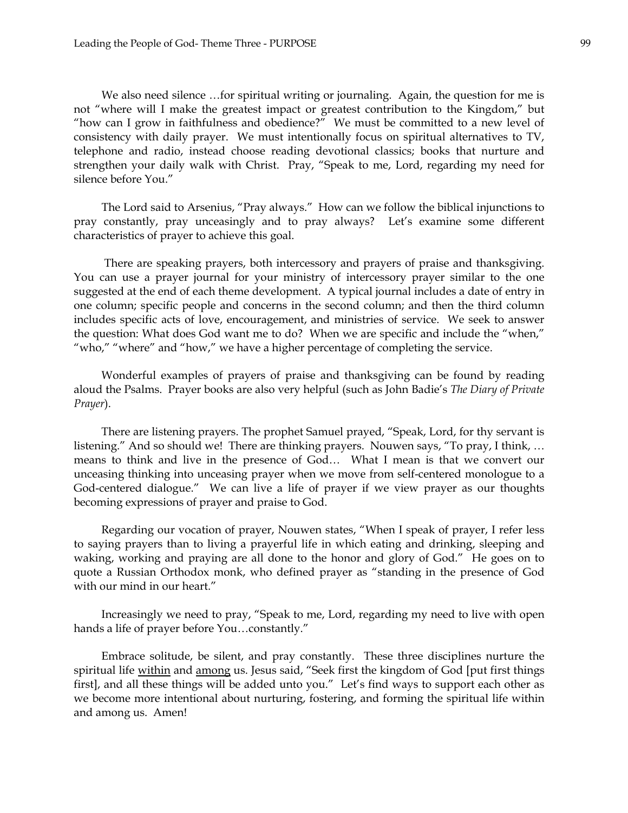We also need silence …for spiritual writing or journaling. Again, the question for me is not "where will I make the greatest impact or greatest contribution to the Kingdom," but "how can I grow in faithfulness and obedience?" We must be committed to a new level of consistency with daily prayer. We must intentionally focus on spiritual alternatives to TV, telephone and radio, instead choose reading devotional classics; books that nurture and strengthen your daily walk with Christ. Pray, "Speak to me, Lord, regarding my need for silence before You."

The Lord said to Arsenius, "Pray always." How can we follow the biblical injunctions to pray constantly, pray unceasingly and to pray always? Let's examine some different characteristics of prayer to achieve this goal.

 There are speaking prayers, both intercessory and prayers of praise and thanksgiving. You can use a prayer journal for your ministry of intercessory prayer similar to the one suggested at the end of each theme development. A typical journal includes a date of entry in one column; specific people and concerns in the second column; and then the third column includes specific acts of love, encouragement, and ministries of service. We seek to answer the question: What does God want me to do? When we are specific and include the "when," "who," "where" and "how," we have a higher percentage of completing the service.

Wonderful examples of prayers of praise and thanksgiving can be found by reading aloud the Psalms. Prayer books are also very helpful (such as John Badie's *The Diary of Private Prayer*).

There are listening prayers. The prophet Samuel prayed, "Speak, Lord, for thy servant is listening." And so should we! There are thinking prayers. Nouwen says, "To pray, I think, … means to think and live in the presence of God… What I mean is that we convert our unceasing thinking into unceasing prayer when we move from self-centered monologue to a God-centered dialogue." We can live a life of prayer if we view prayer as our thoughts becoming expressions of prayer and praise to God.

Regarding our vocation of prayer, Nouwen states, "When I speak of prayer, I refer less to saying prayers than to living a prayerful life in which eating and drinking, sleeping and waking, working and praying are all done to the honor and glory of God." He goes on to quote a Russian Orthodox monk, who defined prayer as "standing in the presence of God with our mind in our heart."

Increasingly we need to pray, "Speak to me, Lord, regarding my need to live with open hands a life of prayer before You…constantly."

Embrace solitude, be silent, and pray constantly. These three disciplines nurture the spiritual life within and among us. Jesus said, "Seek first the kingdom of God [put first things first], and all these things will be added unto you." Let's find ways to support each other as we become more intentional about nurturing, fostering, and forming the spiritual life within and among us. Amen!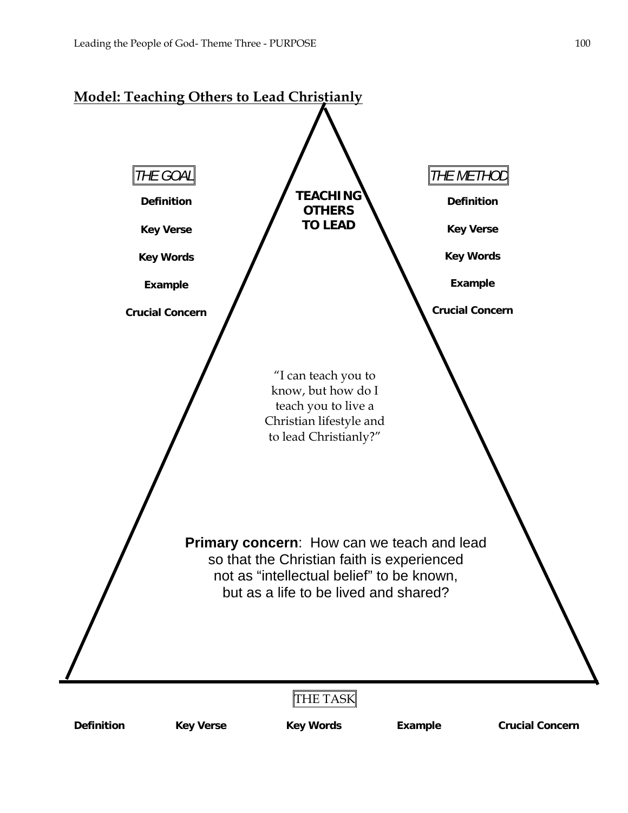*THE GOAL*

**Definition** 

**Key Verse** 

**Key Words** 

**Example** 





# not as "intellectual belief" to be known, but as a life to be lived and shared?

# THE TASK

Definition Key Verse Key Words Example Crucial Concern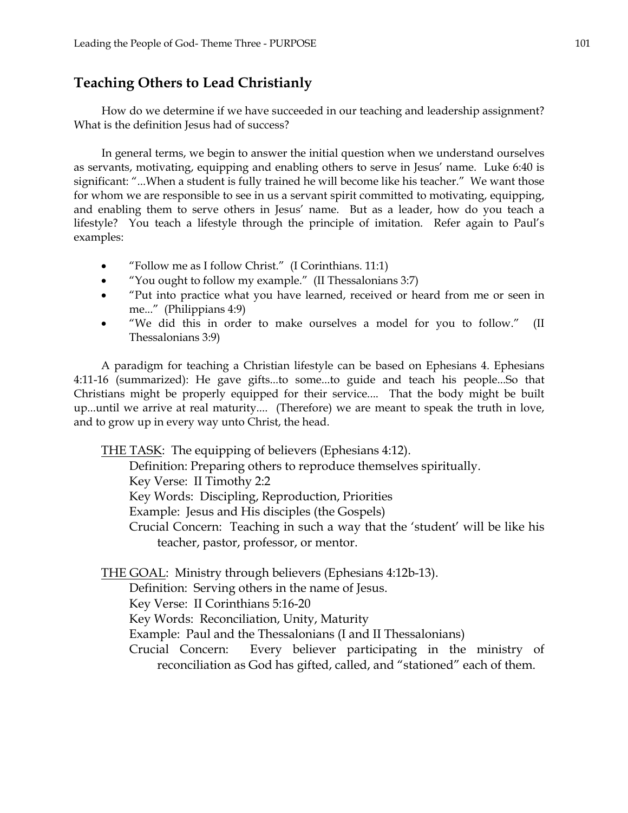#### **Teaching Others to Lead Christianly**

How do we determine if we have succeeded in our teaching and leadership assignment? What is the definition Jesus had of success?

In general terms, we begin to answer the initial question when we understand ourselves as servants, motivating, equipping and enabling others to serve in Jesus' name. Luke 6:40 is significant: "...When a student is fully trained he will become like his teacher." We want those for whom we are responsible to see in us a servant spirit committed to motivating, equipping, and enabling them to serve others in Jesus' name. But as a leader, how do you teach a lifestyle? You teach a lifestyle through the principle of imitation. Refer again to Paul's examples:

- "Follow me as I follow Christ." (I Corinthians. 11:1)
- "You ought to follow my example." (II Thessalonians 3:7)
- "Put into practice what you have learned, received or heard from me or seen in me..." (Philippians 4:9)
- "We did this in order to make ourselves a model for you to follow." (II Thessalonians 3:9)

A paradigm for teaching a Christian lifestyle can be based on Ephesians 4. Ephesians 4:11-16 (summarized): He gave gifts...to some...to guide and teach his people...So that Christians might be properly equipped for their service.... That the body might be built up...until we arrive at real maturity.... (Therefore) we are meant to speak the truth in love, and to grow up in every way unto Christ, the head.

THE TASK: The equipping of believers (Ephesians 4:12).

Definition: Preparing others to reproduce themselves spiritually.

Key Verse: II Timothy 2:2

Key Words: Discipling, Reproduction, Priorities

Example: Jesus and His disciples (the Gospels)

Crucial Concern: Teaching in such a way that the 'student' will be like his teacher, pastor, professor, or mentor.

THE GOAL: Ministry through believers (Ephesians 4:12b-13).

Definition: Serving others in the name of Jesus.

Key Verse: II Corinthians 5:16-20

Key Words: Reconciliation, Unity, Maturity

Example: Paul and the Thessalonians (I and II Thessalonians)

Crucial Concern: Every believer participating in the ministry of reconciliation as God has gifted, called, and "stationed" each of them.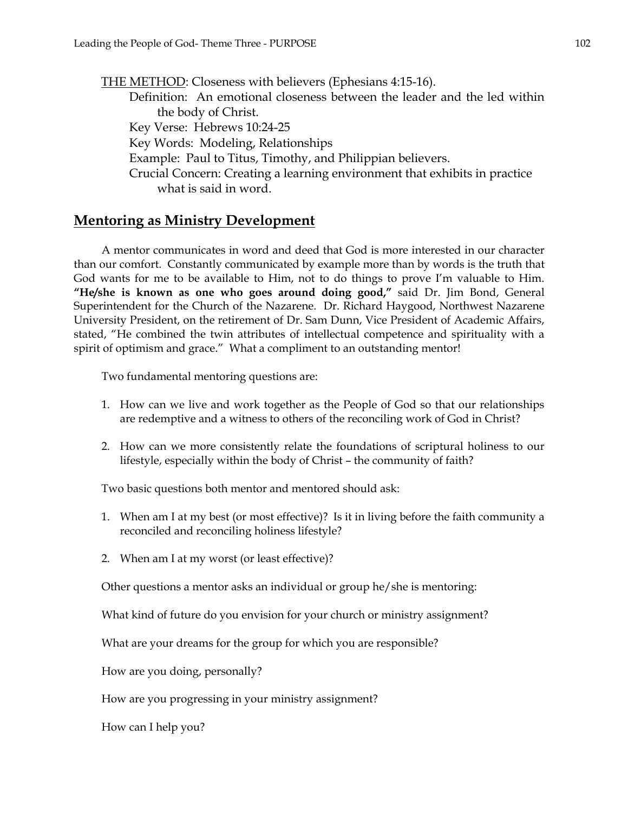THE METHOD: Closeness with believers (Ephesians 4:15-16). Definition: An emotional closeness between the leader and the led within the body of Christ. Key Verse: Hebrews 10:24-25 Key Words: Modeling, Relationships Example: Paul to Titus, Timothy, and Philippian believers. Crucial Concern: Creating a learning environment that exhibits in practice what is said in word.

#### **Mentoring as Ministry Development**

A mentor communicates in word and deed that God is more interested in our character than our comfort. Constantly communicated by example more than by words is the truth that God wants for me to be available to Him, not to do things to prove I'm valuable to Him. **"He/she is known as one who goes around doing good,"** said Dr. Jim Bond, General Superintendent for the Church of the Nazarene. Dr. Richard Haygood, Northwest Nazarene University President, on the retirement of Dr. Sam Dunn, Vice President of Academic Affairs, stated, "He combined the twin attributes of intellectual competence and spirituality with a spirit of optimism and grace." What a compliment to an outstanding mentor!

Two fundamental mentoring questions are:

- 1. How can we live and work together as the People of God so that our relationships are redemptive and a witness to others of the reconciling work of God in Christ?
- 2. How can we more consistently relate the foundations of scriptural holiness to our lifestyle, especially within the body of Christ – the community of faith?

Two basic questions both mentor and mentored should ask:

- 1. When am I at my best (or most effective)? Is it in living before the faith community a reconciled and reconciling holiness lifestyle?
- 2. When am I at my worst (or least effective)?

Other questions a mentor asks an individual or group he/she is mentoring:

What kind of future do you envision for your church or ministry assignment?

What are your dreams for the group for which you are responsible?

How are you doing, personally?

How are you progressing in your ministry assignment?

How can I help you?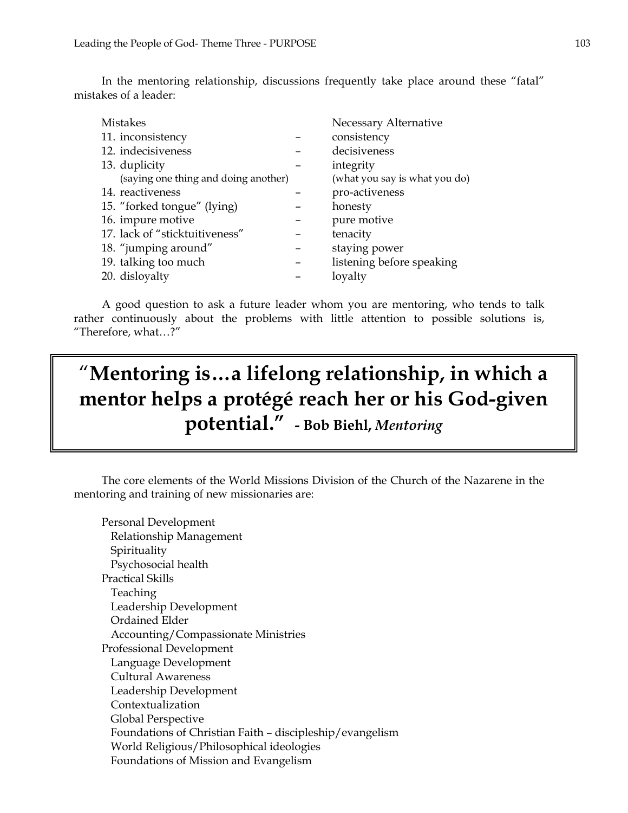In the mentoring relationship, discussions frequently take place around these "fatal" mistakes of a leader:

| <b>Mistakes</b>                      | Necessary Alternative         |
|--------------------------------------|-------------------------------|
| 11. inconsistency                    | consistency                   |
| 12. indecisiveness                   | decisiveness                  |
| 13. duplicity                        | integrity                     |
| (saying one thing and doing another) | (what you say is what you do) |
| 14. reactiveness                     | pro-activeness                |
| 15. "forked tongue" (lying)          | honesty                       |
| 16. impure motive                    | pure motive                   |
| 17. lack of "sticktuitiveness"       | tenacity                      |
| 18. "jumping around"                 | staying power                 |
| 19. talking too much                 | listening before speaking     |
| 20. disloyalty                       | loyalty                       |

A good question to ask a future leader whom you are mentoring, who tends to talk rather continuously about the problems with little attention to possible solutions is, "Therefore, what…?"

# "**Mentoring is…a lifelong relationship, in which a mentor helps a protégé reach her or his God-given potential." - Bob Biehl,** *Mentoring*

The core elements of the World Missions Division of the Church of the Nazarene in the mentoring and training of new missionaries are:

Personal Development Relationship Management Spirituality Psychosocial health Practical Skills Teaching Leadership Development Ordained Elder Accounting/Compassionate Ministries Professional Development Language Development Cultural Awareness Leadership Development Contextualization Global Perspective Foundations of Christian Faith – discipleship/evangelism World Religious/Philosophical ideologies Foundations of Mission and Evangelism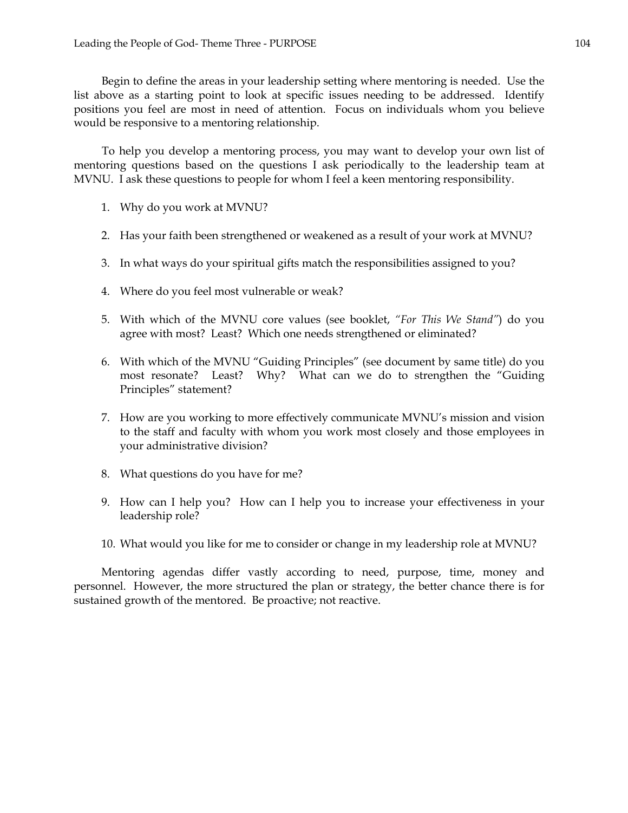Begin to define the areas in your leadership setting where mentoring is needed. Use the list above as a starting point to look at specific issues needing to be addressed. Identify positions you feel are most in need of attention. Focus on individuals whom you believe would be responsive to a mentoring relationship.

To help you develop a mentoring process, you may want to develop your own list of mentoring questions based on the questions I ask periodically to the leadership team at MVNU. I ask these questions to people for whom I feel a keen mentoring responsibility.

- 1. Why do you work at MVNU?
- 2. Has your faith been strengthened or weakened as a result of your work at MVNU?
- 3. In what ways do your spiritual gifts match the responsibilities assigned to you?
- 4. Where do you feel most vulnerable or weak?
- 5. With which of the MVNU core values (see booklet, *"For This We Stand"*) do you agree with most? Least? Which one needs strengthened or eliminated?
- 6. With which of the MVNU "Guiding Principles" (see document by same title) do you most resonate? Least? Why? What can we do to strengthen the "Guiding Principles" statement?
- 7. How are you working to more effectively communicate MVNU's mission and vision to the staff and faculty with whom you work most closely and those employees in your administrative division?
- 8. What questions do you have for me?
- 9. How can I help you? How can I help you to increase your effectiveness in your leadership role?
- 10. What would you like for me to consider or change in my leadership role at MVNU?

Mentoring agendas differ vastly according to need, purpose, time, money and personnel. However, the more structured the plan or strategy, the better chance there is for sustained growth of the mentored. Be proactive; not reactive.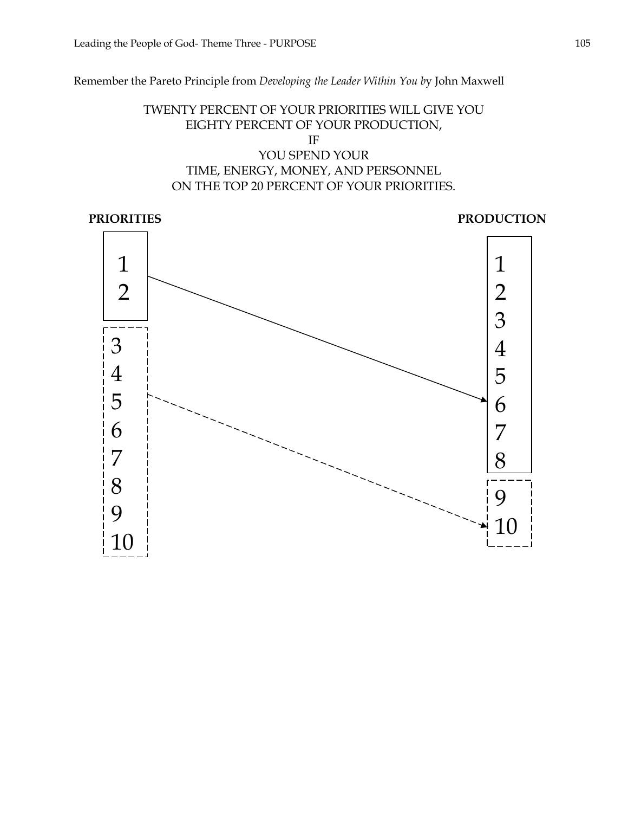Remember the Pareto Principle from *Developing the Leader Within You b*y John Maxwell

#### TWENTY PERCENT OF YOUR PRIORITIES WILL GIVE YOU EIGHTY PERCENT OF YOUR PRODUCTION, IF YOU SPEND YOUR TIME, ENERGY, MONEY, AND PERSONNEL ON THE TOP 20 PERCENT OF YOUR PRIORITIES.

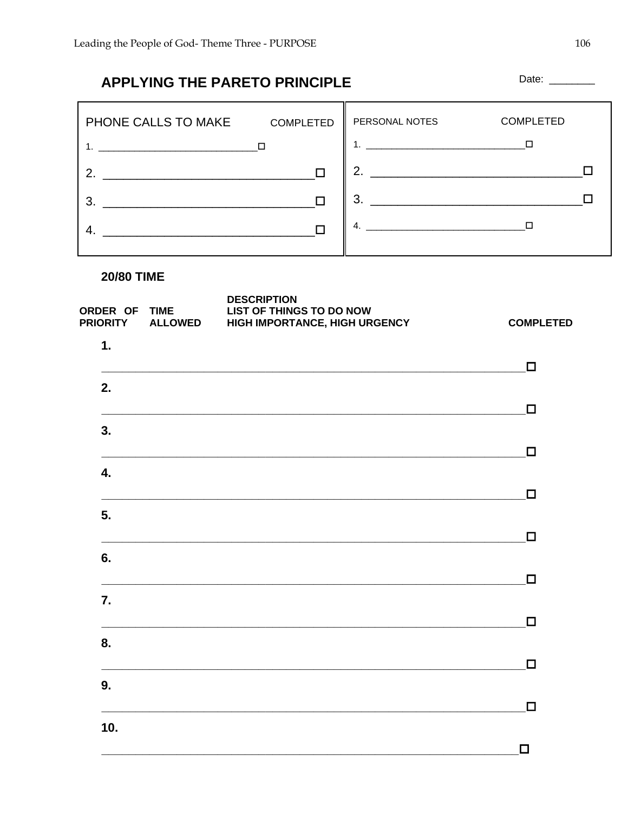# **APPLYING THE PARETO PRINCIPLE**

| PHONE CALLS TO MAKE | <b>COMPLETED</b> | PERSONAL NOTES     | <b>COMPLETED</b> |
|---------------------|------------------|--------------------|------------------|
|                     |                  |                    |                  |
|                     |                  | 2. $\qquad \qquad$ |                  |
|                     |                  |                    |                  |
|                     |                  | $\mathcal{A}$ .    |                  |
|                     |                  |                    |                  |

#### **20/80 TIME**

| ORDER OF<br><b>PRIORITY</b> | <b>TIME</b><br><b>ALLOWED</b> | <b>DESCRIPTION</b><br>LIST OF THINGS TO DO NOW<br>HIGH IMPORTANCE, HIGH URGENCY | <b>COMPLETED</b> |
|-----------------------------|-------------------------------|---------------------------------------------------------------------------------|------------------|
| 1.                          |                               |                                                                                 |                  |
| 2.                          |                               |                                                                                 | $\Box$           |
|                             |                               |                                                                                 | $\Box$           |
| 3.                          |                               |                                                                                 | $\Box$           |
| 4.                          |                               |                                                                                 | $\Box$           |
| 5.                          |                               |                                                                                 |                  |
| 6.                          |                               |                                                                                 | □                |
|                             |                               |                                                                                 | $\Box$           |
| 7.                          |                               |                                                                                 | $\Box$           |
| 8.                          |                               |                                                                                 |                  |
| 9.                          |                               |                                                                                 | $\Box$           |
|                             |                               |                                                                                 | $\Box$           |
| 10.                         |                               |                                                                                 | □                |

106

Date: \_\_\_\_\_\_\_\_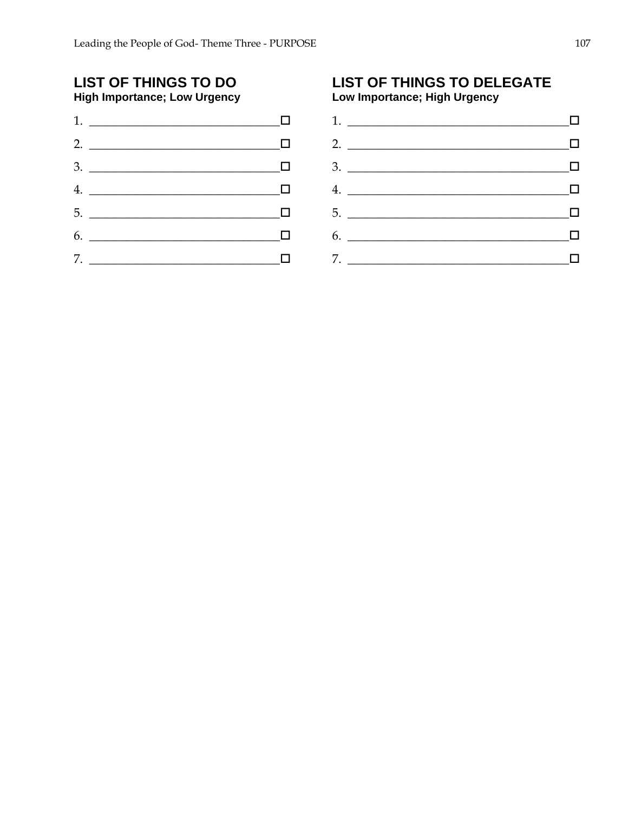#### **LIST OF THINGS TO DO High Importance; Low Urgency**



#### **LIST OF THINGS TO DELEGATE** Low Importance; High Urgency

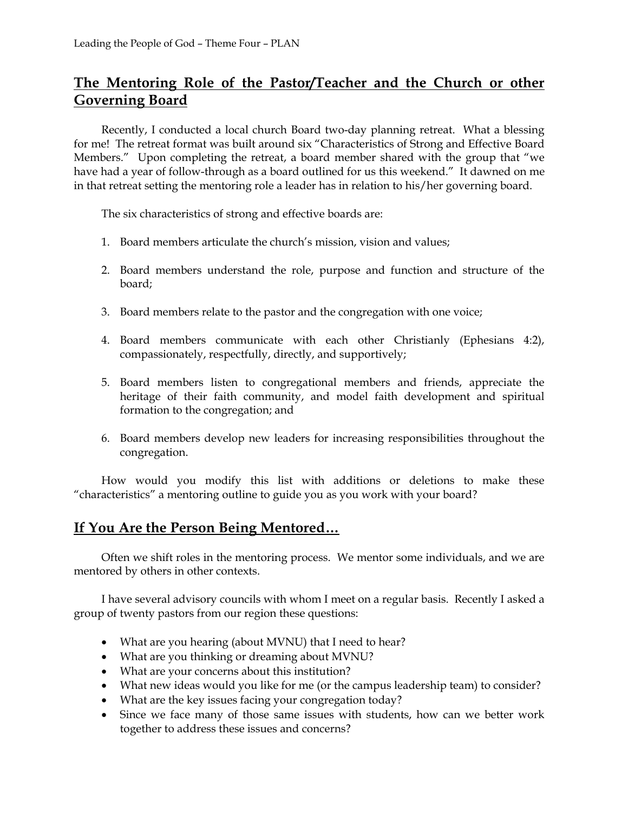# **The Mentoring Role of the Pastor/Teacher and the Church or other Governing Board**

Recently, I conducted a local church Board two-day planning retreat. What a blessing for me! The retreat format was built around six "Characteristics of Strong and Effective Board Members." Upon completing the retreat, a board member shared with the group that "we have had a year of follow-through as a board outlined for us this weekend." It dawned on me in that retreat setting the mentoring role a leader has in relation to his/her governing board.

The six characteristics of strong and effective boards are:

- 1. Board members articulate the church's mission, vision and values;
- 2. Board members understand the role, purpose and function and structure of the board;
- 3. Board members relate to the pastor and the congregation with one voice;
- 4. Board members communicate with each other Christianly (Ephesians 4:2), compassionately, respectfully, directly, and supportively;
- 5. Board members listen to congregational members and friends, appreciate the heritage of their faith community, and model faith development and spiritual formation to the congregation; and
- 6. Board members develop new leaders for increasing responsibilities throughout the congregation.

How would you modify this list with additions or deletions to make these "characteristics" a mentoring outline to guide you as you work with your board?

# **If You Are the Person Being Mentored…**

Often we shift roles in the mentoring process. We mentor some individuals, and we are mentored by others in other contexts.

I have several advisory councils with whom I meet on a regular basis. Recently I asked a group of twenty pastors from our region these questions:

- What are you hearing (about MVNU) that I need to hear?
- What are you thinking or dreaming about MVNU?
- What are your concerns about this institution?
- What new ideas would you like for me (or the campus leadership team) to consider?
- What are the key issues facing your congregation today?
- Since we face many of those same issues with students, how can we better work together to address these issues and concerns?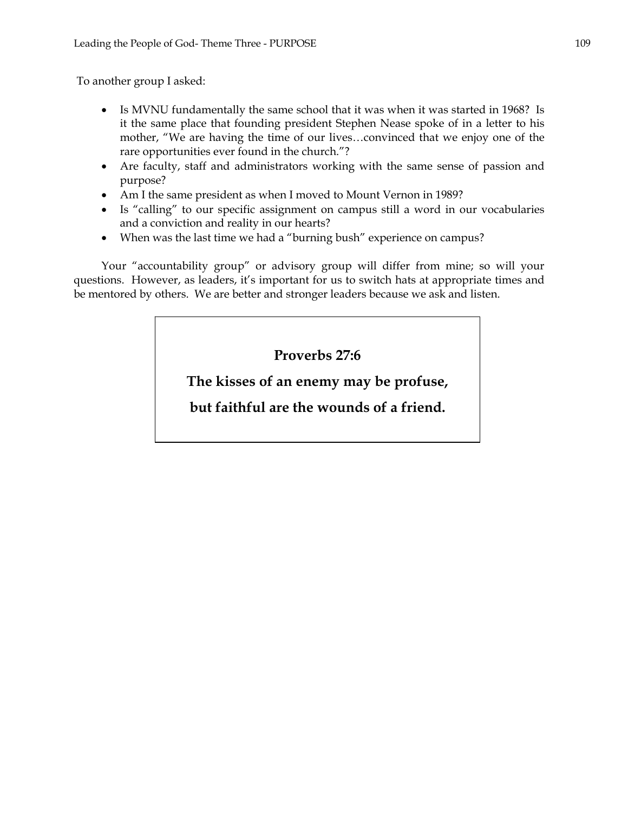To another group I asked:

- Is MVNU fundamentally the same school that it was when it was started in 1968? Is it the same place that founding president Stephen Nease spoke of in a letter to his mother, "We are having the time of our lives…convinced that we enjoy one of the rare opportunities ever found in the church."?
- Are faculty, staff and administrators working with the same sense of passion and purpose?
- Am I the same president as when I moved to Mount Vernon in 1989?
- Is "calling" to our specific assignment on campus still a word in our vocabularies and a conviction and reality in our hearts?
- When was the last time we had a "burning bush" experience on campus?

Your "accountability group" or advisory group will differ from mine; so will your questions. However, as leaders, it's important for us to switch hats at appropriate times and be mentored by others. We are better and stronger leaders because we ask and listen.

**Proverbs 27:6** 

**The kisses of an enemy may be profuse,** 

**but faithful are the wounds of a friend.**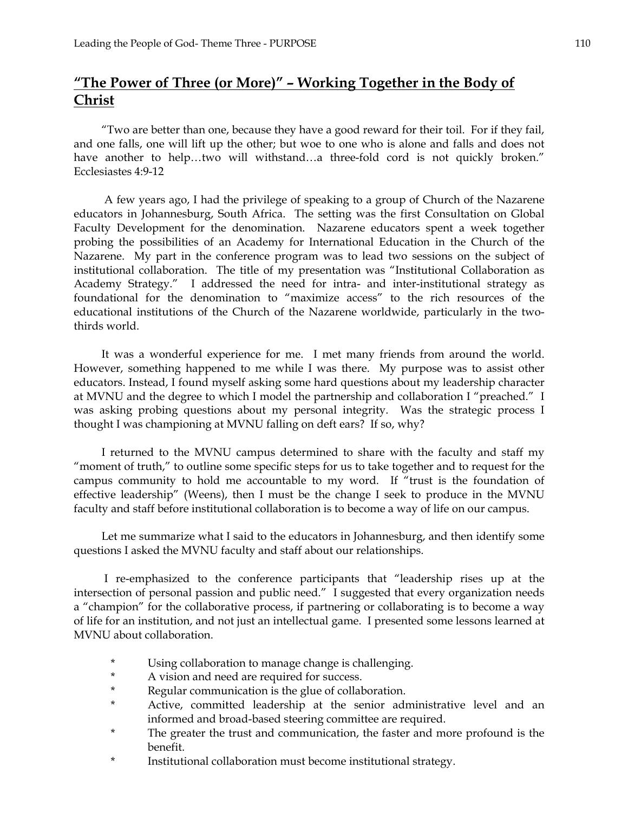## **"The Power of Three (or More)" – Working Together in the Body of Christ**

"Two are better than one, because they have a good reward for their toil. For if they fail, and one falls, one will lift up the other; but woe to one who is alone and falls and does not have another to help...two will withstand...a three-fold cord is not quickly broken." Ecclesiastes 4:9-12

 A few years ago, I had the privilege of speaking to a group of Church of the Nazarene educators in Johannesburg, South Africa. The setting was the first Consultation on Global Faculty Development for the denomination. Nazarene educators spent a week together probing the possibilities of an Academy for International Education in the Church of the Nazarene. My part in the conference program was to lead two sessions on the subject of institutional collaboration. The title of my presentation was "Institutional Collaboration as Academy Strategy." I addressed the need for intra- and inter-institutional strategy as foundational for the denomination to "maximize access" to the rich resources of the educational institutions of the Church of the Nazarene worldwide, particularly in the twothirds world.

It was a wonderful experience for me. I met many friends from around the world. However, something happened to me while I was there. My purpose was to assist other educators. Instead, I found myself asking some hard questions about my leadership character at MVNU and the degree to which I model the partnership and collaboration I "preached." I was asking probing questions about my personal integrity. Was the strategic process I thought I was championing at MVNU falling on deft ears? If so, why?

I returned to the MVNU campus determined to share with the faculty and staff my "moment of truth," to outline some specific steps for us to take together and to request for the campus community to hold me accountable to my word. If "trust is the foundation of effective leadership" (Weens), then I must be the change I seek to produce in the MVNU faculty and staff before institutional collaboration is to become a way of life on our campus.

Let me summarize what I said to the educators in Johannesburg, and then identify some questions I asked the MVNU faculty and staff about our relationships.

 I re-emphasized to the conference participants that "leadership rises up at the intersection of personal passion and public need." I suggested that every organization needs a "champion" for the collaborative process, if partnering or collaborating is to become a way of life for an institution, and not just an intellectual game. I presented some lessons learned at MVNU about collaboration.

- \* Using collaboration to manage change is challenging.
- \* A vision and need are required for success.
- \* Regular communication is the glue of collaboration.
- \* Active, committed leadership at the senior administrative level and an informed and broad-based steering committee are required.
- \* The greater the trust and communication, the faster and more profound is the benefit.
- Institutional collaboration must become institutional strategy.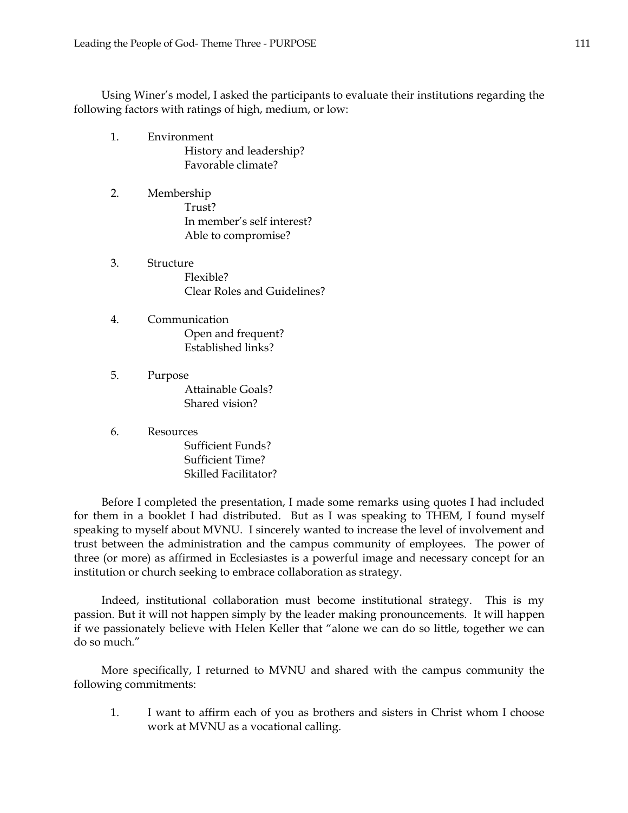Using Winer's model, I asked the participants to evaluate their institutions regarding the following factors with ratings of high, medium, or low:

- 1. Environment History and leadership? Favorable climate?
- 2. Membership Trust? In member's self interest? Able to compromise?
- 3. Structure Flexible? Clear Roles and Guidelines?
- 4. Communication Open and frequent? Established links?
- 5. Purpose Attainable Goals? Shared vision?
- 6. Resources
	- Sufficient Funds? Sufficient Time? Skilled Facilitator?

Before I completed the presentation, I made some remarks using quotes I had included for them in a booklet I had distributed. But as I was speaking to THEM, I found myself speaking to myself about MVNU. I sincerely wanted to increase the level of involvement and trust between the administration and the campus community of employees. The power of three (or more) as affirmed in Ecclesiastes is a powerful image and necessary concept for an institution or church seeking to embrace collaboration as strategy.

Indeed, institutional collaboration must become institutional strategy. This is my passion. But it will not happen simply by the leader making pronouncements. It will happen if we passionately believe with Helen Keller that "alone we can do so little, together we can do so much."

More specifically, I returned to MVNU and shared with the campus community the following commitments:

1. I want to affirm each of you as brothers and sisters in Christ whom I choose work at MVNU as a vocational calling.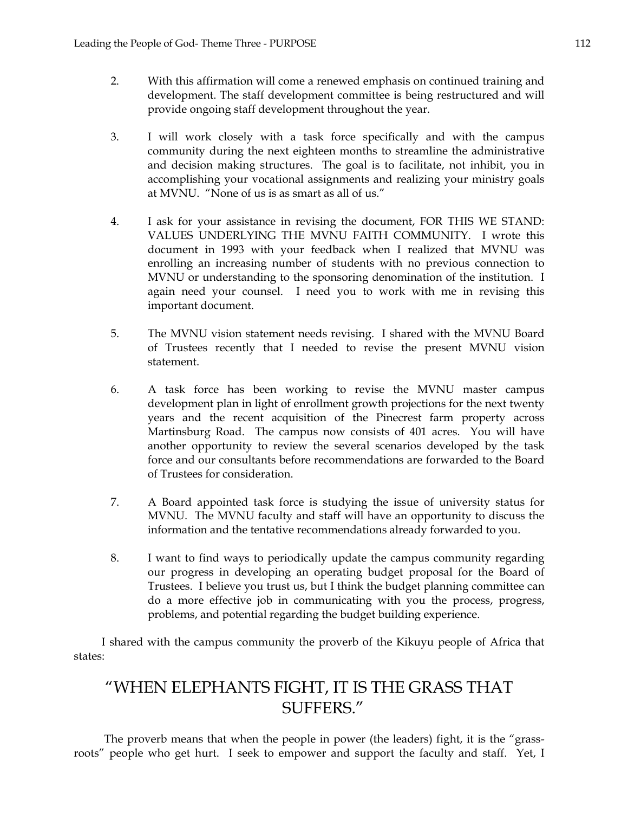- 2. With this affirmation will come a renewed emphasis on continued training and development. The staff development committee is being restructured and will provide ongoing staff development throughout the year.
- 3. I will work closely with a task force specifically and with the campus community during the next eighteen months to streamline the administrative and decision making structures. The goal is to facilitate, not inhibit, you in accomplishing your vocational assignments and realizing your ministry goals at MVNU. "None of us is as smart as all of us."
- 4. I ask for your assistance in revising the document, FOR THIS WE STAND: VALUES UNDERLYING THE MVNU FAITH COMMUNITY. I wrote this document in 1993 with your feedback when I realized that MVNU was enrolling an increasing number of students with no previous connection to MVNU or understanding to the sponsoring denomination of the institution. I again need your counsel. I need you to work with me in revising this important document.
- 5. The MVNU vision statement needs revising. I shared with the MVNU Board of Trustees recently that I needed to revise the present MVNU vision statement.
- 6. A task force has been working to revise the MVNU master campus development plan in light of enrollment growth projections for the next twenty years and the recent acquisition of the Pinecrest farm property across Martinsburg Road. The campus now consists of 401 acres. You will have another opportunity to review the several scenarios developed by the task force and our consultants before recommendations are forwarded to the Board of Trustees for consideration.
- 7. A Board appointed task force is studying the issue of university status for MVNU. The MVNU faculty and staff will have an opportunity to discuss the information and the tentative recommendations already forwarded to you.
- 8. I want to find ways to periodically update the campus community regarding our progress in developing an operating budget proposal for the Board of Trustees. I believe you trust us, but I think the budget planning committee can do a more effective job in communicating with you the process, progress, problems, and potential regarding the budget building experience.

I shared with the campus community the proverb of the Kikuyu people of Africa that states:

# "WHEN ELEPHANTS FIGHT, IT IS THE GRASS THAT SUFFERS."

 The proverb means that when the people in power (the leaders) fight, it is the "grassroots" people who get hurt. I seek to empower and support the faculty and staff. Yet, I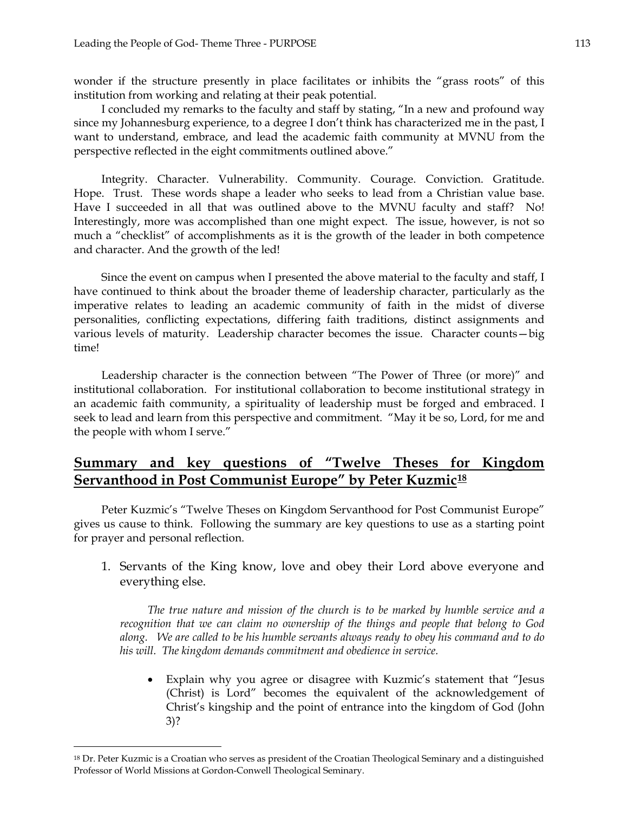wonder if the structure presently in place facilitates or inhibits the "grass roots" of this institution from working and relating at their peak potential.

I concluded my remarks to the faculty and staff by stating, "In a new and profound way since my Johannesburg experience, to a degree I don't think has characterized me in the past, I want to understand, embrace, and lead the academic faith community at MVNU from the perspective reflected in the eight commitments outlined above."

Integrity. Character. Vulnerability. Community. Courage. Conviction. Gratitude. Hope. Trust. These words shape a leader who seeks to lead from a Christian value base. Have I succeeded in all that was outlined above to the MVNU faculty and staff? No! Interestingly, more was accomplished than one might expect. The issue, however, is not so much a "checklist" of accomplishments as it is the growth of the leader in both competence and character. And the growth of the led!

Since the event on campus when I presented the above material to the faculty and staff, I have continued to think about the broader theme of leadership character, particularly as the imperative relates to leading an academic community of faith in the midst of diverse personalities, conflicting expectations, differing faith traditions, distinct assignments and various levels of maturity. Leadership character becomes the issue. Character counts—big time!

Leadership character is the connection between "The Power of Three (or more)" and institutional collaboration. For institutional collaboration to become institutional strategy in an academic faith community, a spirituality of leadership must be forged and embraced. I seek to lead and learn from this perspective and commitment. "May it be so, Lord, for me and the people with whom I serve."

# **Summary and key questions of "Twelve Theses for Kingdom Servanthood in Post Communist Europe" by Peter Kuzmic[18](#page-86-0)**

Peter Kuzmic's "Twelve Theses on Kingdom Servanthood for Post Communist Europe" gives us cause to think. Following the summary are key questions to use as a starting point for prayer and personal reflection.

1. Servants of the King know, love and obey their Lord above everyone and everything else.

*The true nature and mission of the church is to be marked by humble service and a recognition that we can claim no ownership of the things and people that belong to God along. We are called to be his humble servants always ready to obey his command and to do his will. The kingdom demands commitment and obedience in service.* 

 Explain why you agree or disagree with Kuzmic's statement that "Jesus (Christ) is Lord" becomes the equivalent of the acknowledgement of Christ's kingship and the point of entrance into the kingdom of God (John 3)?

 $\overline{a}$ 

<span id="page-86-0"></span><sup>18</sup> Dr. Peter Kuzmic is a Croatian who serves as president of the Croatian Theological Seminary and a distinguished Professor of World Missions at Gordon-Conwell Theological Seminary.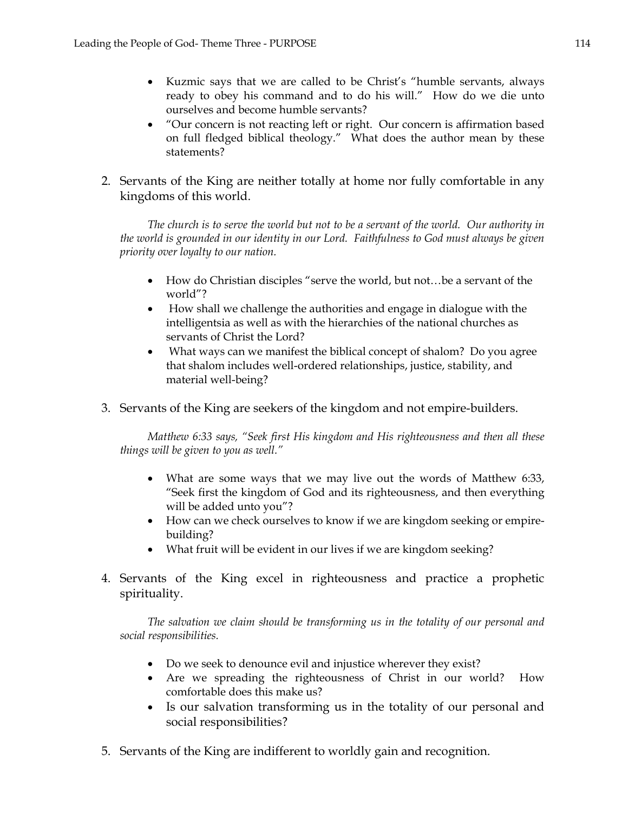- Kuzmic says that we are called to be Christ's "humble servants, always ready to obey his command and to do his will." How do we die unto ourselves and become humble servants?
- "Our concern is not reacting left or right. Our concern is affirmation based on full fledged biblical theology." What does the author mean by these statements?
- 2. Servants of the King are neither totally at home nor fully comfortable in any kingdoms of this world.

*The church is to serve the world but not to be a servant of the world. Our authority in the world is grounded in our identity in our Lord. Faithfulness to God must always be given priority over loyalty to our nation.* 

- How do Christian disciples "serve the world, but not…be a servant of the world"?
- How shall we challenge the authorities and engage in dialogue with the intelligentsia as well as with the hierarchies of the national churches as servants of Christ the Lord?
- What ways can we manifest the biblical concept of shalom? Do you agree that shalom includes well-ordered relationships, justice, stability, and material well-being?
- 3. Servants of the King are seekers of the kingdom and not empire-builders.

*Matthew 6:33 says, "Seek first His kingdom and His righteousness and then all these things will be given to you as well."* 

- What are some ways that we may live out the words of Matthew 6:33, "Seek first the kingdom of God and its righteousness, and then everything will be added unto you"?
- How can we check ourselves to know if we are kingdom seeking or empirebuilding?
- What fruit will be evident in our lives if we are kingdom seeking?
- 4. Servants of the King excel in righteousness and practice a prophetic spirituality.

*The salvation we claim should be transforming us in the totality of our personal and social responsibilities.* 

- Do we seek to denounce evil and injustice wherever they exist?
- Are we spreading the righteousness of Christ in our world? How comfortable does this make us?
- Is our salvation transforming us in the totality of our personal and social responsibilities?
- 5. Servants of the King are indifferent to worldly gain and recognition.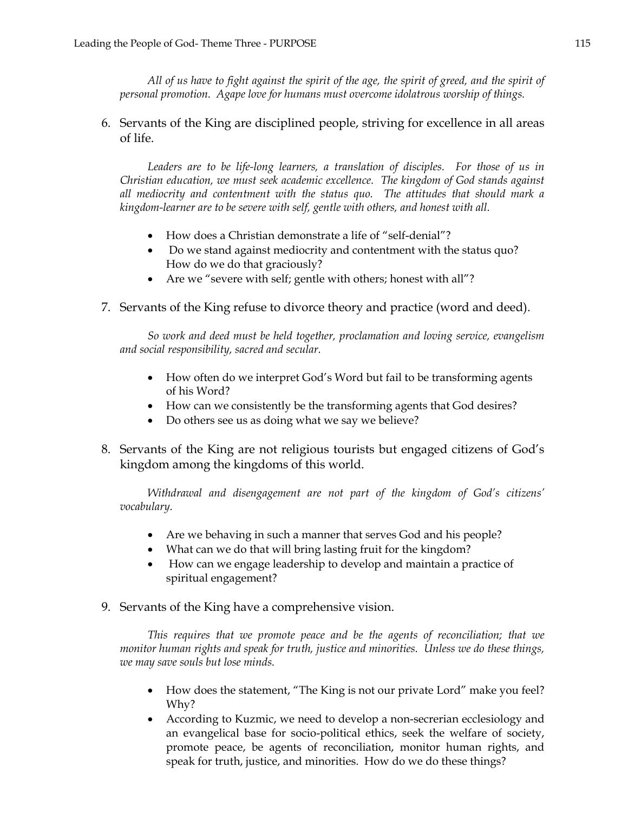*All of us have to fight against the spirit of the age, the spirit of greed, and the spirit of personal promotion. Agape love for humans must overcome idolatrous worship of things.* 

6. Servants of the King are disciplined people, striving for excellence in all areas of life.

Leaders are to be life-long learners, a translation of disciples. For those of us in *Christian education, we must seek academic excellence. The kingdom of God stands against all mediocrity and contentment with the status quo. The attitudes that should mark a kingdom-learner are to be severe with self, gentle with others, and honest with all.* 

- How does a Christian demonstrate a life of "self-denial"?
- Do we stand against mediocrity and contentment with the status quo? How do we do that graciously?
- Are we "severe with self; gentle with others; honest with all"?
- 7. Servants of the King refuse to divorce theory and practice (word and deed).

*So work and deed must be held together, proclamation and loving service, evangelism and social responsibility, sacred and secular.* 

- How often do we interpret God's Word but fail to be transforming agents of his Word?
- How can we consistently be the transforming agents that God desires?
- Do others see us as doing what we say we believe?
- 8. Servants of the King are not religious tourists but engaged citizens of God's kingdom among the kingdoms of this world.

*Withdrawal and disengagement are not part of the kingdom of God's citizens' vocabulary.* 

- Are we behaving in such a manner that serves God and his people?
- What can we do that will bring lasting fruit for the kingdom?
- How can we engage leadership to develop and maintain a practice of spiritual engagement?
- 9. Servants of the King have a comprehensive vision.

*This requires that we promote peace and be the agents of reconciliation; that we monitor human rights and speak for truth, justice and minorities. Unless we do these things, we may save souls but lose minds.* 

- How does the statement, "The King is not our private Lord" make you feel? Why?
- According to Kuzmic, we need to develop a non-secrerian ecclesiology and an evangelical base for socio-political ethics, seek the welfare of society, promote peace, be agents of reconciliation, monitor human rights, and speak for truth, justice, and minorities. How do we do these things?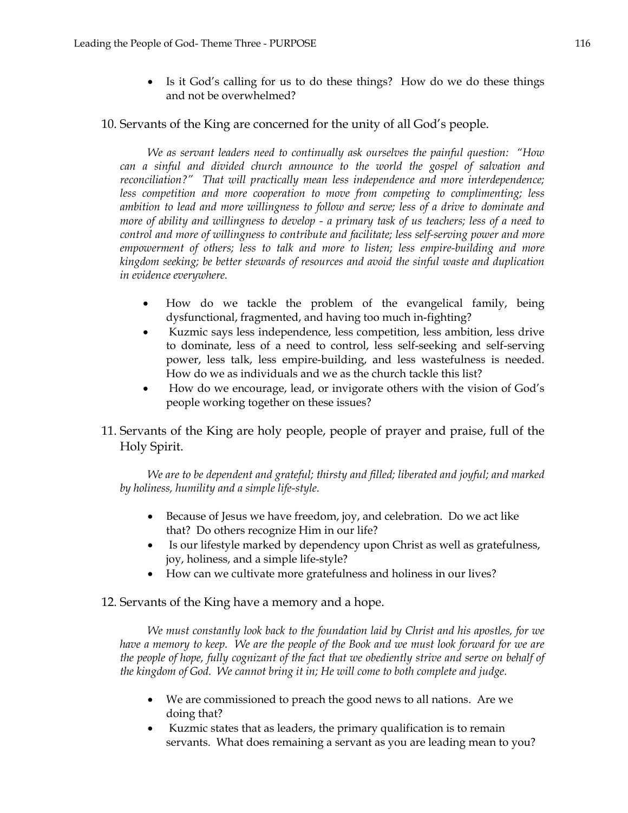- Is it God's calling for us to do these things? How do we do these things and not be overwhelmed?
- 10. Servants of the King are concerned for the unity of all God's people.

*We as servant leaders need to continually ask ourselves the painful question: "How can a sinful and divided church announce to the world the gospel of salvation and reconciliation?" That will practically mean less independence and more interdependence; less competition and more cooperation to move from competing to complimenting; less ambition to lead and more willingness to follow and serve; less of a drive to dominate and more of ability and willingness to develop - a primary task of us teachers; less of a need to control and more of willingness to contribute and facilitate; less self-serving power and more empowerment of others; less to talk and more to listen; less empire-building and more kingdom seeking; be better stewards of resources and avoid the sinful waste and duplication in evidence everywhere.* 

- How do we tackle the problem of the evangelical family, being dysfunctional, fragmented, and having too much in-fighting?
- Kuzmic says less independence, less competition, less ambition, less drive to dominate, less of a need to control, less self-seeking and self-serving power, less talk, less empire-building, and less wastefulness is needed. How do we as individuals and we as the church tackle this list?
- How do we encourage, lead, or invigorate others with the vision of God's people working together on these issues?
- 11. Servants of the King are holy people, people of prayer and praise, full of the Holy Spirit.

*We are to be dependent and grateful; thirsty and filled; liberated and joyful; and marked by holiness, humility and a simple life-style.* 

- Because of Jesus we have freedom, joy, and celebration. Do we act like that? Do others recognize Him in our life?
- Is our lifestyle marked by dependency upon Christ as well as gratefulness, joy, holiness, and a simple life-style?
- How can we cultivate more gratefulness and holiness in our lives?

#### 12. Servants of the King have a memory and a hope.

*We must constantly look back to the foundation laid by Christ and his apostles, for we have a memory to keep. We are the people of the Book and we must look forward for we are the people of hope, fully cognizant of the fact that we obediently strive and serve on behalf of the kingdom of God. We cannot bring it in; He will come to both complete and judge.* 

- We are commissioned to preach the good news to all nations. Are we doing that?
- Kuzmic states that as leaders, the primary qualification is to remain servants. What does remaining a servant as you are leading mean to you?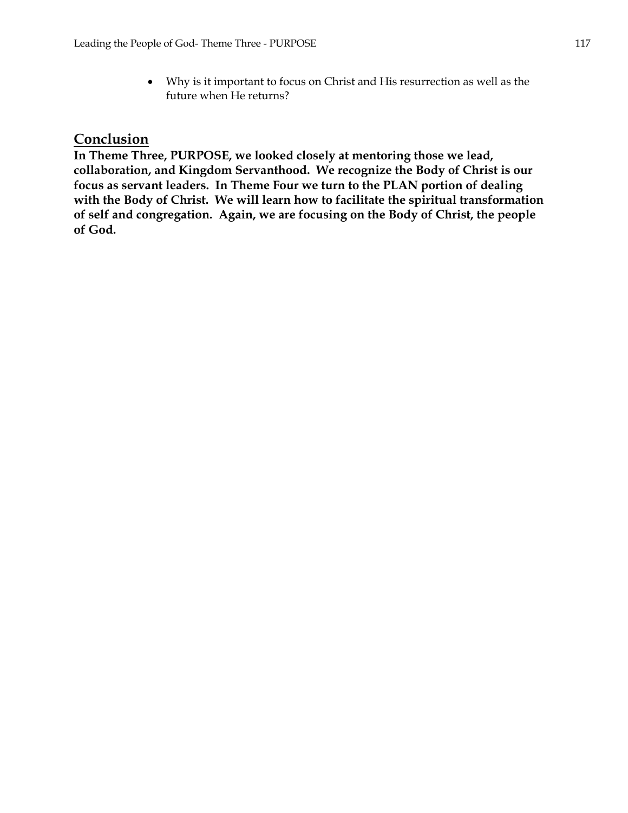Why is it important to focus on Christ and His resurrection as well as the future when He returns?

#### **Conclusion**

**In Theme Three, PURPOSE, we looked closely at mentoring those we lead, collaboration, and Kingdom Servanthood. We recognize the Body of Christ is our focus as servant leaders. In Theme Four we turn to the PLAN portion of dealing with the Body of Christ. We will learn how to facilitate the spiritual transformation of self and congregation. Again, we are focusing on the Body of Christ, the people of God.**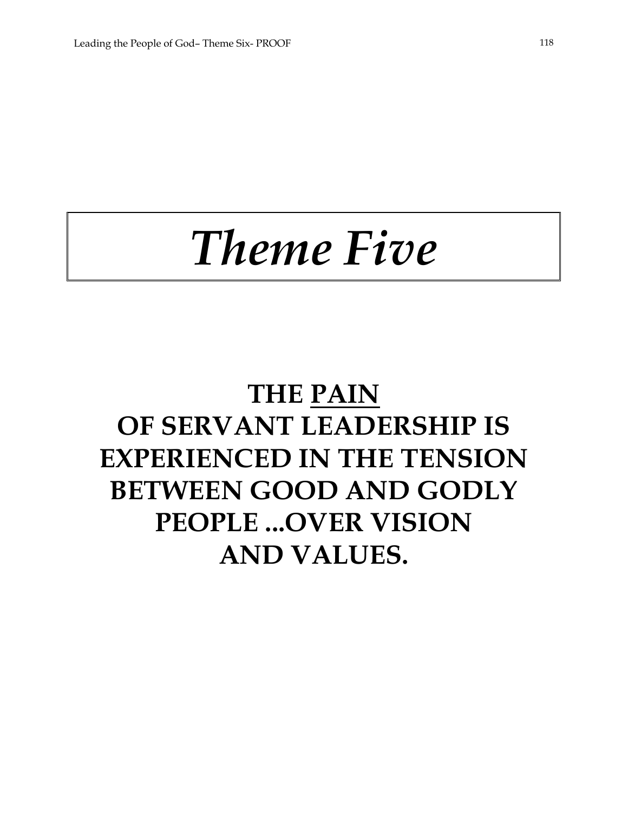# *Theme Five*

# **THE PAIN OF SERVANT LEADERSHIP IS EXPERIENCED IN THE TENSION BETWEEN GOOD AND GODLY PEOPLE ...OVER VISION AND VALUES.**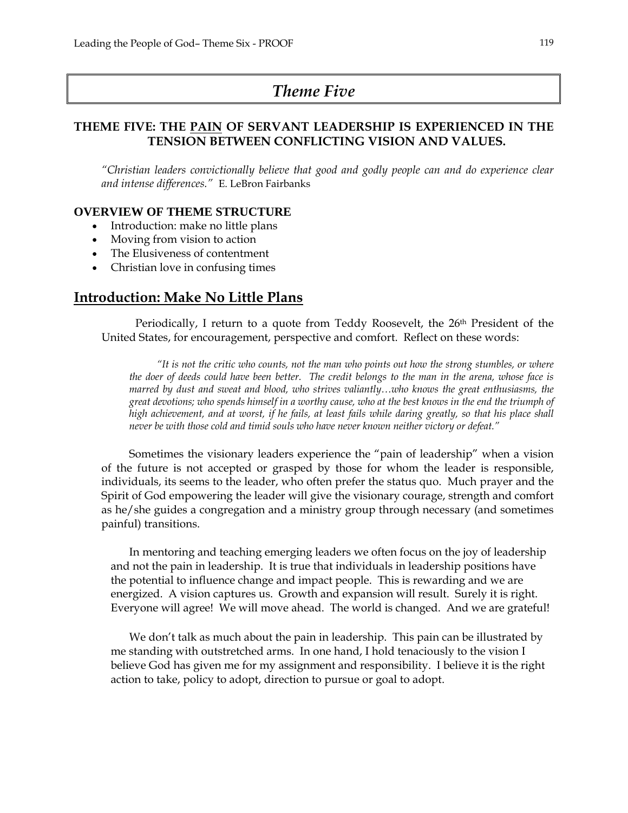## *Theme Five*

#### **THEME FIVE: THE PAIN OF SERVANT LEADERSHIP IS EXPERIENCED IN THE TENSION BETWEEN CONFLICTING VISION AND VALUES.**

*"Christian leaders convictionally believe that good and godly people can and do experience clear and intense differences."* E. LeBron Fairbanks

#### **OVERVIEW OF THEME STRUCTURE**

- Introduction: make no little plans
- Moving from vision to action
- The Elusiveness of contentment
- Christian love in confusing times

#### **Introduction: Make No Little Plans**

 Periodically, I return to a quote from Teddy Roosevelt, the 26th President of the United States, for encouragement, perspective and comfort. Reflect on these words:

*"It is not the critic who counts, not the man who points out how the strong stumbles, or where the doer of deeds could have been better. The credit belongs to the man in the arena, whose face is marred by dust and sweat and blood, who strives valiantly…who knows the great enthusiasms, the great devotions; who spends himself in a worthy cause, who at the best knows in the end the triumph of high achievement, and at worst, if he fails, at least fails while daring greatly, so that his place shall never be with those cold and timid souls who have never known neither victory or defeat."* 

Sometimes the visionary leaders experience the "pain of leadership" when a vision of the future is not accepted or grasped by those for whom the leader is responsible, individuals, its seems to the leader, who often prefer the status quo. Much prayer and the Spirit of God empowering the leader will give the visionary courage, strength and comfort as he/she guides a congregation and a ministry group through necessary (and sometimes painful) transitions.

In mentoring and teaching emerging leaders we often focus on the joy of leadership and not the pain in leadership. It is true that individuals in leadership positions have the potential to influence change and impact people. This is rewarding and we are energized. A vision captures us. Growth and expansion will result. Surely it is right. Everyone will agree! We will move ahead. The world is changed. And we are grateful!

We don't talk as much about the pain in leadership. This pain can be illustrated by me standing with outstretched arms. In one hand, I hold tenaciously to the vision I believe God has given me for my assignment and responsibility. I believe it is the right action to take, policy to adopt, direction to pursue or goal to adopt.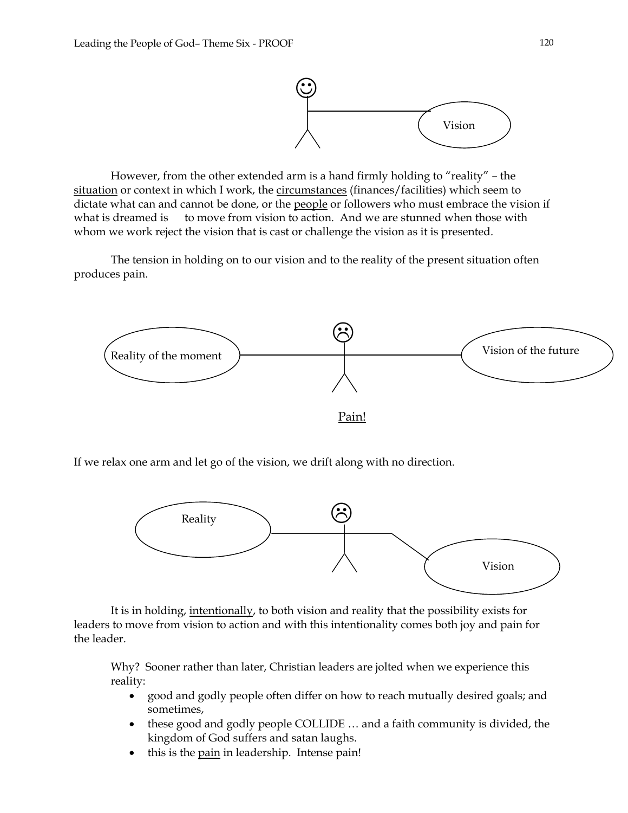

However, from the other extended arm is a hand firmly holding to "reality" – the situation or context in which I work, the circumstances (finances/facilities) which seem to dictate what can and cannot be done, or the people or followers who must embrace the vision if what is dreamed is to move from vision to action. And we are stunned when those with whom we work reject the vision that is cast or challenge the vision as it is presented.

 The tension in holding on to our vision and to the reality of the present situation often produces pain.



If we relax one arm and let go of the vision, we drift along with no direction.



It is in holding, intentionally, to both vision and reality that the possibility exists for leaders to move from vision to action and with this intentionality comes both joy and pain for the leader.

 Why? Sooner rather than later, Christian leaders are jolted when we experience this reality:

- good and godly people often differ on how to reach mutually desired goals; and sometimes,
- these good and godly people COLLIDE … and a faith community is divided, the kingdom of God suffers and satan laughs.
- this is the pain in leadership. Intense pain!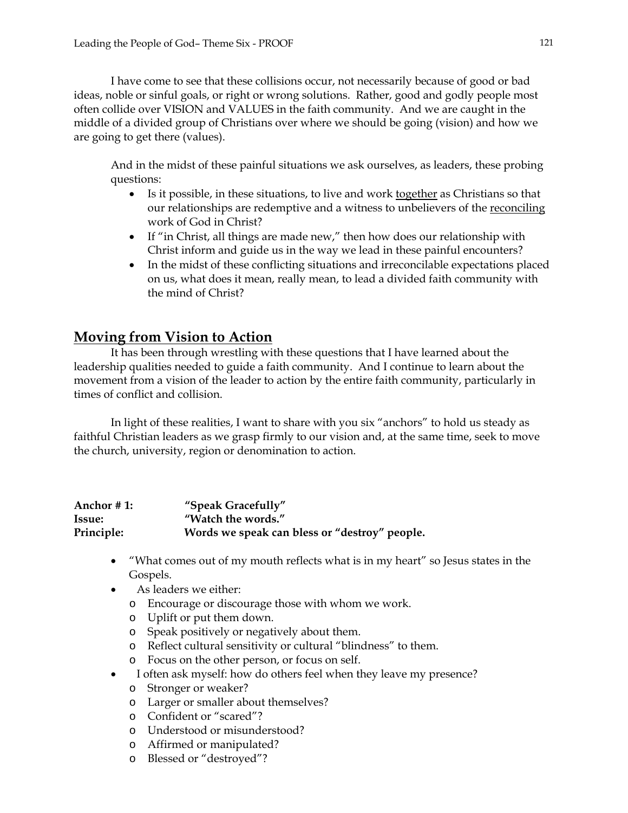I have come to see that these collisions occur, not necessarily because of good or bad ideas, noble or sinful goals, or right or wrong solutions. Rather, good and godly people most often collide over VISION and VALUES in the faith community. And we are caught in the middle of a divided group of Christians over where we should be going (vision) and how we are going to get there (values).

 And in the midst of these painful situations we ask ourselves, as leaders, these probing questions:

- Is it possible, in these situations, to live and work together as Christians so that our relationships are redemptive and a witness to unbelievers of the reconciling work of God in Christ?
- If "in Christ, all things are made new," then how does our relationship with Christ inform and guide us in the way we lead in these painful encounters?
- In the midst of these conflicting situations and irreconcilable expectations placed on us, what does it mean, really mean, to lead a divided faith community with the mind of Christ?

## **Moving from Vision to Action**

It has been through wrestling with these questions that I have learned about the leadership qualities needed to guide a faith community. And I continue to learn about the movement from a vision of the leader to action by the entire faith community, particularly in times of conflict and collision.

In light of these realities, I want to share with you six "anchors" to hold us steady as faithful Christian leaders as we grasp firmly to our vision and, at the same time, seek to move the church, university, region or denomination to action.

| Anchor $# 1$ : | "Speak Gracefully"                            |
|----------------|-----------------------------------------------|
| <b>Issue:</b>  | "Watch the words."                            |
| Principle:     | Words we speak can bless or "destroy" people. |

- "What comes out of my mouth reflects what is in my heart" so Jesus states in the Gospels.
- As leaders we either:
	- o Encourage or discourage those with whom we work.
	- o Uplift or put them down.
	- o Speak positively or negatively about them.
	- o Reflect cultural sensitivity or cultural "blindness" to them.
	- o Focus on the other person, or focus on self.
- I often ask myself: how do others feel when they leave my presence?
	- o Stronger or weaker?
	- o Larger or smaller about themselves?
	- o Confident or "scared"?
	- o Understood or misunderstood?
	- o Affirmed or manipulated?
	- o Blessed or "destroyed"?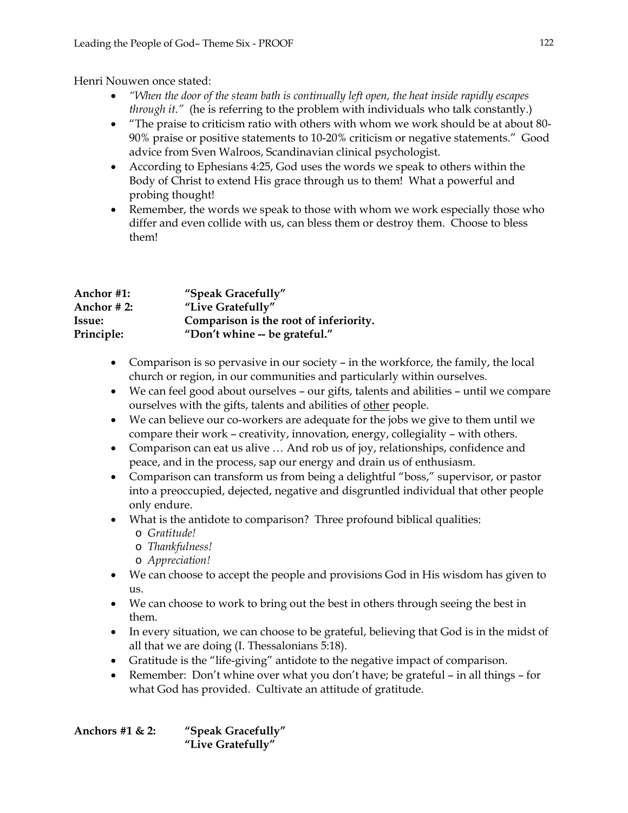#### Henri Nouwen once stated:

- *"When the door of the steam bath is continually left open, the heat inside rapidly escapes through it."* (he is referring to the problem with individuals who talk constantly.)
- "The praise to criticism ratio with others with whom we work should be at about 80- 90% praise or positive statements to 10-20% criticism or negative statements." Good advice from Sven Walroos, Scandinavian clinical psychologist.
- According to Ephesians 4:25, God uses the words we speak to others within the Body of Christ to extend His grace through us to them! What a powerful and probing thought!
- Remember, the words we speak to those with whom we work especially those who differ and even collide with us, can bless them or destroy them. Choose to bless them!

| Anchor #1:     | "Speak Gracefully"                     |
|----------------|----------------------------------------|
| Anchor $# 2$ : | "Live Gratefully"                      |
| <b>Issue:</b>  | Comparison is the root of inferiority. |
| Principle:     | "Don't whine -- be grateful."          |

- Comparison is so pervasive in our society in the workforce, the family, the local church or region, in our communities and particularly within ourselves.
- We can feel good about ourselves our gifts, talents and abilities until we compare ourselves with the gifts, talents and abilities of other people.
- We can believe our co-workers are adequate for the jobs we give to them until we compare their work – creativity, innovation, energy, collegiality – with others.
- Comparison can eat us alive … And rob us of joy, relationships, confidence and peace, and in the process, sap our energy and drain us of enthusiasm.
- Comparison can transform us from being a delightful "boss," supervisor, or pastor into a preoccupied, dejected, negative and disgruntled individual that other people only endure.
- What is the antidote to comparison? Three profound biblical qualities: o *Gratitude!* 
	- o *Thankfulness!*
	- o *Appreciation!*
- We can choose to accept the people and provisions God in His wisdom has given to us.
- We can choose to work to bring out the best in others through seeing the best in them.
- In every situation, we can choose to be grateful, believing that God is in the midst of all that we are doing (I. Thessalonians 5:18).
- Gratitude is the "life-giving" antidote to the negative impact of comparison.
- Remember: Don't whine over what you don't have; be grateful in all things for what God has provided. Cultivate an attitude of gratitude.

| Anchors #1 $\&$ 2: | "Speak Gracefully" |
|--------------------|--------------------|
|                    | "Live Gratefully"  |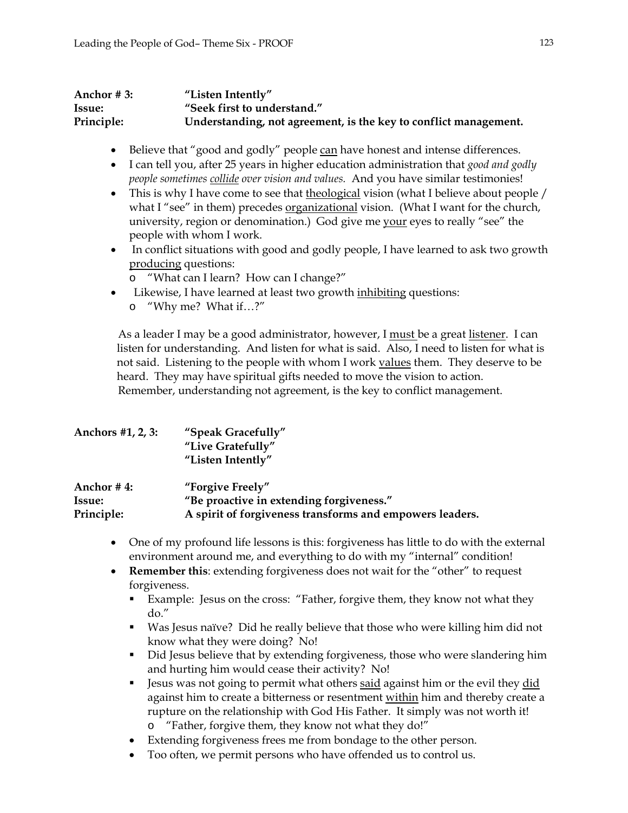#### **Anchor # 3: "Listen Intently" Issue: "Seek first to understand." Principle: Understanding, not agreement, is the key to conflict management.**

- Believe that "good and godly" people can have honest and intense differences.
- I can tell you, after 25 years in higher education administration that *good and godly people sometimes collide over vision and values.* And you have similar testimonies!
- This is why I have come to see that theological vision (what I believe about people / what I "see" in them) precedes organizational vision. (What I want for the church, university, region or denomination.) God give me your eyes to really "see" the people with whom I work.
- In conflict situations with good and godly people, I have learned to ask two growth producing questions:
	- o "What can I learn? How can I change?"
- Likewise, I have learned at least two growth *inhibiting* questions:
	- o "Why me? What if…?"

As a leader I may be a good administrator, however, I must be a great listener. I can listen for understanding. And listen for what is said. Also, I need to listen for what is not said. Listening to the people with whom I work values them. They deserve to be heard. They may have spiritual gifts needed to move the vision to action. Remember, understanding not agreement, is the key to conflict management.

| Anchors #1, 2, 3: | "Speak Gracefully" |  |
|-------------------|--------------------|--|
|                   | "Live Gratefully"  |  |
|                   | "Listen Intently"  |  |
| Anchor #4:        | "Forgive Freely"   |  |

| Issue:     | "Be proactive in extending forgiveness."                 |
|------------|----------------------------------------------------------|
| Principle: | A spirit of forgiveness transforms and empowers leaders. |

- One of my profound life lessons is this: forgiveness has little to do with the external environment around me, and everything to do with my "internal" condition!
- **Remember this**: extending forgiveness does not wait for the "other" to request forgiveness.
	- Example: Jesus on the cross: "Father, forgive them, they know not what they do."
	- Was Jesus naïve? Did he really believe that those who were killing him did not know what they were doing? No!
	- Did Jesus believe that by extending forgiveness, those who were slandering him and hurting him would cease their activity? No!
	- Jesus was not going to permit what others said against him or the evil they did against him to create a bitterness or resentment within him and thereby create a rupture on the relationship with God His Father. It simply was not worth it! o "Father, forgive them, they know not what they do!"
	- Extending forgiveness frees me from bondage to the other person.
	- Too often, we permit persons who have offended us to control us.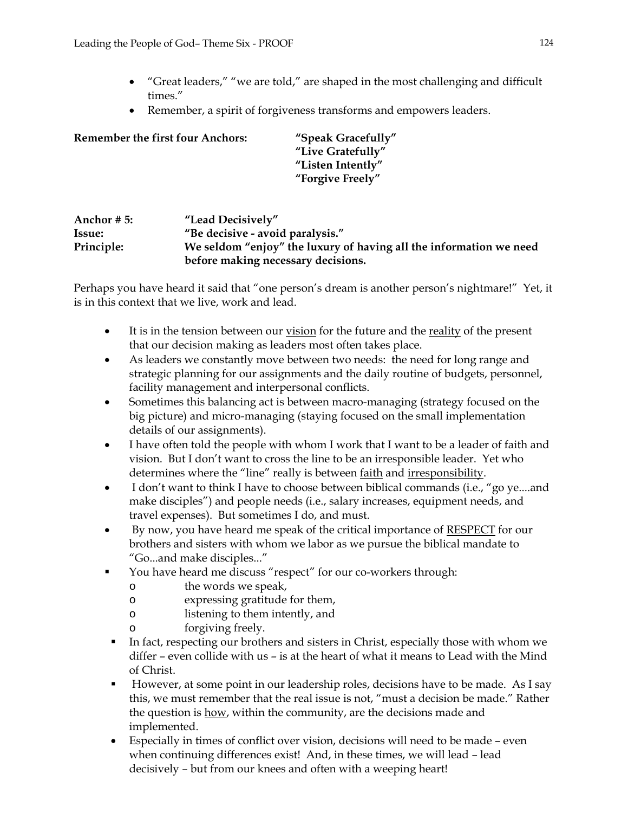- "Great leaders," "we are told," are shaped in the most challenging and difficult times."
- Remember, a spirit of forgiveness transforms and empowers leaders.

| <b>Remember the first four Anchors:</b> | "Speak Gracefully"                     |
|-----------------------------------------|----------------------------------------|
|                                         | "Live Gratefully"<br>"Listen Intently" |
|                                         | "Forgive Freely"                       |

| Anchor $# 5:$ | "Lead Decisively"                                                  |
|---------------|--------------------------------------------------------------------|
| Issue:        | "Be decisive - avoid paralysis."                                   |
| Principle:    | We seldom "enjoy" the luxury of having all the information we need |
|               | before making necessary decisions.                                 |

Perhaps you have heard it said that "one person's dream is another person's nightmare!" Yet, it is in this context that we live, work and lead.

- It is in the tension between our <u>vision</u> for the future and the <u>reality</u> of the present that our decision making as leaders most often takes place.
- As leaders we constantly move between two needs: the need for long range and strategic planning for our assignments and the daily routine of budgets, personnel, facility management and interpersonal conflicts.
- Sometimes this balancing act is between macro-managing (strategy focused on the big picture) and micro-managing (staying focused on the small implementation details of our assignments).
- I have often told the people with whom I work that I want to be a leader of faith and vision. But I don't want to cross the line to be an irresponsible leader. Yet who determines where the "line" really is between faith and irresponsibility.
- I don't want to think I have to choose between biblical commands (i.e., "go ye....and make disciples") and people needs (i.e., salary increases, equipment needs, and travel expenses). But sometimes I do, and must.
- By now, you have heard me speak of the critical importance of RESPECT for our brothers and sisters with whom we labor as we pursue the biblical mandate to "Go...and make disciples..."
- You have heard me discuss "respect" for our co-workers through:
	- o the words we speak,
	- o expressing gratitude for them,
	- o listening to them intently, and
	- o forgiving freely.
- In fact, respecting our brothers and sisters in Christ, especially those with whom we differ – even collide with us – is at the heart of what it means to Lead with the Mind of Christ.
- However, at some point in our leadership roles, decisions have to be made. As I say this, we must remember that the real issue is not, "must a decision be made." Rather the question is how, within the community, are the decisions made and implemented.
- Especially in times of conflict over vision, decisions will need to be made even when continuing differences exist! And, in these times, we will lead – lead decisively – but from our knees and often with a weeping heart!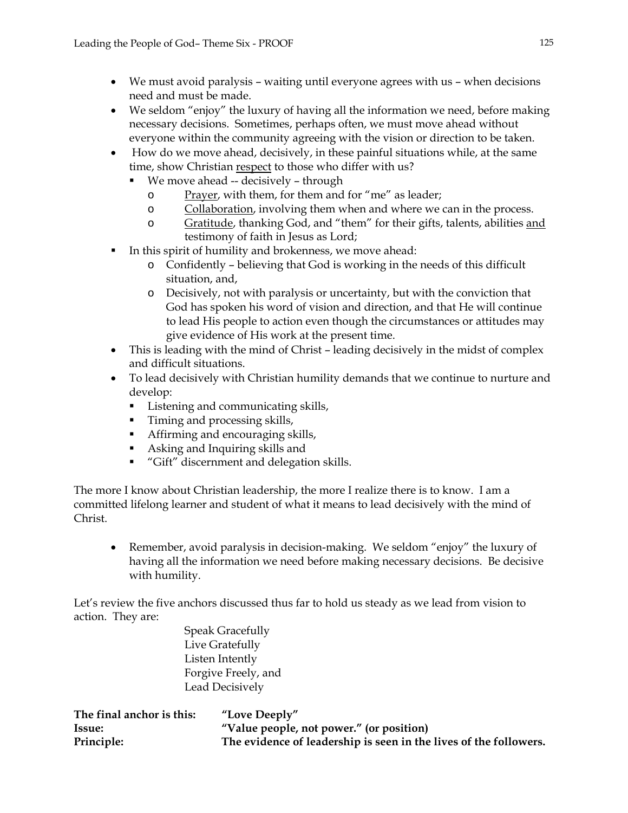- We must avoid paralysis waiting until everyone agrees with us when decisions need and must be made.
- We seldom "enjoy" the luxury of having all the information we need, before making necessary decisions. Sometimes, perhaps often, we must move ahead without everyone within the community agreeing with the vision or direction to be taken.
- How do we move ahead, decisively, in these painful situations while, at the same time, show Christian respect to those who differ with us?
	- We move ahead -- decisively through
		- o Prayer, with them, for them and for "me" as leader;
		- o Collaboration, involving them when and where we can in the process.
		- o Gratitude, thanking God, and "them" for their gifts, talents, abilities and testimony of faith in Jesus as Lord;
- In this spirit of humility and brokenness, we move ahead:
	- o Confidently believing that God is working in the needs of this difficult situation, and,
	- o Decisively, not with paralysis or uncertainty, but with the conviction that God has spoken his word of vision and direction, and that He will continue to lead His people to action even though the circumstances or attitudes may give evidence of His work at the present time.
- This is leading with the mind of Christ leading decisively in the midst of complex and difficult situations.
- To lead decisively with Christian humility demands that we continue to nurture and develop:
	- Listening and communicating skills,
	- Timing and processing skills,
	- Affirming and encouraging skills,
	- Asking and Inquiring skills and
	- **•** "Gift" discernment and delegation skills.

The more I know about Christian leadership, the more I realize there is to know. I am a committed lifelong learner and student of what it means to lead decisively with the mind of Christ.

• Remember, avoid paralysis in decision-making. We seldom "enjoy" the luxury of having all the information we need before making necessary decisions. Be decisive with humility.

Let's review the five anchors discussed thus far to hold us steady as we lead from vision to action. They are:

| Speak Gracefully    |
|---------------------|
| Live Gratefully     |
| Listen Intently     |
| Forgive Freely, and |
| Lead Decisively     |

| The final anchor is this: | "Love Deeply"                                                     |
|---------------------------|-------------------------------------------------------------------|
| Issue:                    | "Value people, not power." (or position)                          |
| Principle:                | The evidence of leadership is seen in the lives of the followers. |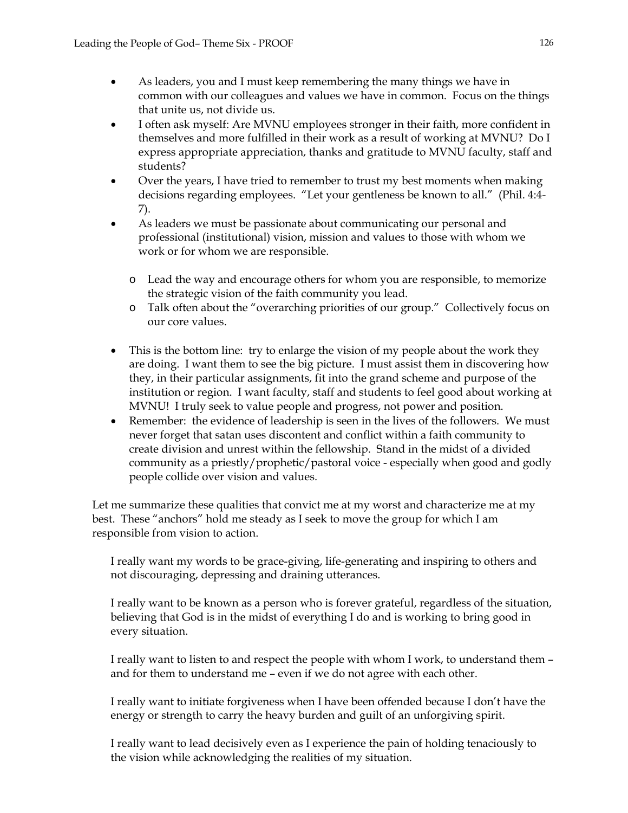- As leaders, you and I must keep remembering the many things we have in common with our colleagues and values we have in common. Focus on the things that unite us, not divide us.
- I often ask myself: Are MVNU employees stronger in their faith, more confident in themselves and more fulfilled in their work as a result of working at MVNU? Do I express appropriate appreciation, thanks and gratitude to MVNU faculty, staff and students?
- Over the years, I have tried to remember to trust my best moments when making decisions regarding employees. "Let your gentleness be known to all." (Phil. 4:4- 7).
- As leaders we must be passionate about communicating our personal and professional (institutional) vision, mission and values to those with whom we work or for whom we are responsible.
	- o Lead the way and encourage others for whom you are responsible, to memorize the strategic vision of the faith community you lead.
	- o Talk often about the "overarching priorities of our group." Collectively focus on our core values.
- This is the bottom line: try to enlarge the vision of my people about the work they are doing. I want them to see the big picture. I must assist them in discovering how they, in their particular assignments, fit into the grand scheme and purpose of the institution or region. I want faculty, staff and students to feel good about working at MVNU! I truly seek to value people and progress, not power and position.
- Remember: the evidence of leadership is seen in the lives of the followers. We must never forget that satan uses discontent and conflict within a faith community to create division and unrest within the fellowship. Stand in the midst of a divided community as a priestly/prophetic/pastoral voice - especially when good and godly people collide over vision and values.

Let me summarize these qualities that convict me at my worst and characterize me at my best. These "anchors" hold me steady as I seek to move the group for which I am responsible from vision to action.

I really want my words to be grace-giving, life-generating and inspiring to others and not discouraging, depressing and draining utterances.

I really want to be known as a person who is forever grateful, regardless of the situation, believing that God is in the midst of everything I do and is working to bring good in every situation.

I really want to listen to and respect the people with whom I work, to understand them – and for them to understand me – even if we do not agree with each other.

I really want to initiate forgiveness when I have been offended because I don't have the energy or strength to carry the heavy burden and guilt of an unforgiving spirit.

I really want to lead decisively even as I experience the pain of holding tenaciously to the vision while acknowledging the realities of my situation.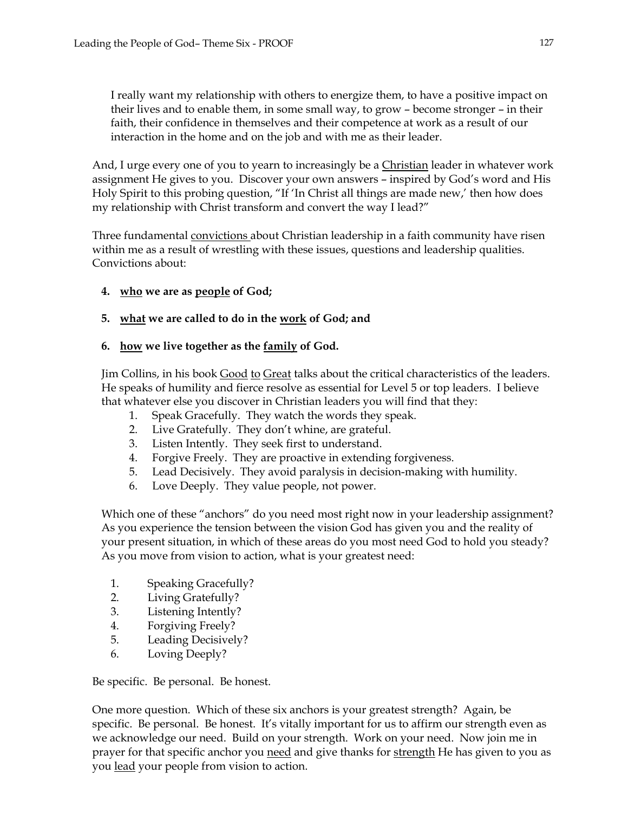I really want my relationship with others to energize them, to have a positive impact on their lives and to enable them, in some small way, to grow – become stronger – in their faith, their confidence in themselves and their competence at work as a result of our interaction in the home and on the job and with me as their leader.

And, I urge every one of you to yearn to increasingly be a Christian leader in whatever work assignment He gives to you. Discover your own answers – inspired by God's word and His Holy Spirit to this probing question, "If 'In Christ all things are made new,' then how does my relationship with Christ transform and convert the way I lead?"

Three fundamental convictions about Christian leadership in a faith community have risen within me as a result of wrestling with these issues, questions and leadership qualities. Convictions about:

#### **4. who we are as people of God;**

#### **5. what we are called to do in the work of God; and**

#### **6. how we live together as the family of God.**

Jim Collins, in his book Good to Great talks about the critical characteristics of the leaders. He speaks of humility and fierce resolve as essential for Level 5 or top leaders. I believe that whatever else you discover in Christian leaders you will find that they:

- 1. Speak Gracefully. They watch the words they speak.
- 2. Live Gratefully. They don't whine, are grateful.
- 3. Listen Intently. They seek first to understand.
- 4. Forgive Freely. They are proactive in extending forgiveness.
- 5. Lead Decisively. They avoid paralysis in decision-making with humility.
- 6. Love Deeply. They value people, not power.

Which one of these "anchors" do you need most right now in your leadership assignment? As you experience the tension between the vision God has given you and the reality of your present situation, in which of these areas do you most need God to hold you steady? As you move from vision to action, what is your greatest need:

- 1. Speaking Gracefully?
- 2. Living Gratefully?
- 3. Listening Intently?
- 4. Forgiving Freely?
- 5. Leading Decisively?
- 6. Loving Deeply?

Be specific. Be personal. Be honest.

One more question. Which of these six anchors is your greatest strength? Again, be specific. Be personal. Be honest. It's vitally important for us to affirm our strength even as we acknowledge our need. Build on your strength. Work on your need. Now join me in prayer for that specific anchor you need and give thanks for strength He has given to you as you lead your people from vision to action.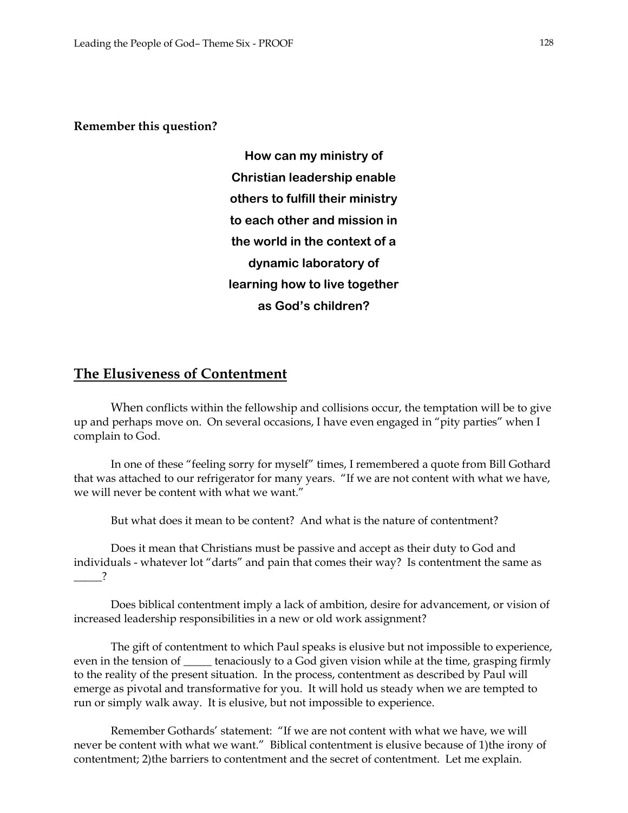#### **Remember this question?**

**How can my ministry of Christian leadership enable others to fulfill their ministry to each other and mission in the world in the context of a dynamic laboratory of learning how to live together as God's children?** 

#### **The Elusiveness of Contentment**

 When conflicts within the fellowship and collisions occur, the temptation will be to give up and perhaps move on. On several occasions, I have even engaged in "pity parties" when I complain to God.

 In one of these "feeling sorry for myself" times, I remembered a quote from Bill Gothard that was attached to our refrigerator for many years. "If we are not content with what we have, we will never be content with what we want."

But what does it mean to be content? And what is the nature of contentment?

 Does it mean that Christians must be passive and accept as their duty to God and individuals - whatever lot "darts" and pain that comes their way? Is contentment the same as  $\overline{\phantom{a}}$ 

 Does biblical contentment imply a lack of ambition, desire for advancement, or vision of increased leadership responsibilities in a new or old work assignment?

 The gift of contentment to which Paul speaks is elusive but not impossible to experience, even in the tension of <u>equal</u> tenaciously to a God given vision while at the time, grasping firmly to the reality of the present situation. In the process, contentment as described by Paul will emerge as pivotal and transformative for you. It will hold us steady when we are tempted to run or simply walk away. It is elusive, but not impossible to experience.

 Remember Gothards' statement: "If we are not content with what we have, we will never be content with what we want." Biblical contentment is elusive because of 1)the irony of contentment; 2)the barriers to contentment and the secret of contentment. Let me explain.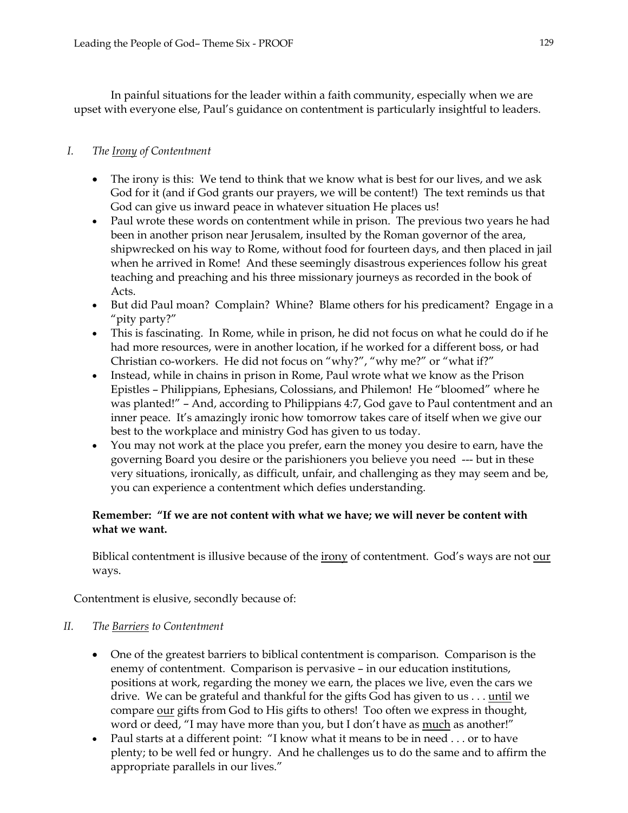In painful situations for the leader within a faith community, especially when we are upset with everyone else, Paul's guidance on contentment is particularly insightful to leaders.

#### *I. The Irony of Contentment*

- The irony is this: We tend to think that we know what is best for our lives, and we ask God for it (and if God grants our prayers, we will be content!)The text reminds us that God can give us inward peace in whatever situation He places us!
- Paul wrote these words on contentment while in prison.The previous two years he had been in another prison near Jerusalem, insulted by the Roman governor of the area, shipwrecked on his way to Rome, without food for fourteen days, and then placed in jail when he arrived in Rome!And these seemingly disastrous experiences follow his great teaching and preaching and his three missionary journeys as recorded in the book of Acts.
- But did Paul moan? Complain? Whine? Blame others for his predicament? Engage in a "pity party?"
- This is fascinating. In Rome, while in prison, he did not focus on what he could do if he had more resources, were in another location, if he worked for a different boss, or had Christian co-workers. He did not focus on "why?", "why me?" or "what if?"
- Instead, while in chains in prison in Rome, Paul wrote what we know as the Prison Epistles – Philippians, Ephesians, Colossians, and Philemon! He "bloomed" where he was planted!" – And, according to Philippians 4:7, God gave to Paul contentment and an inner peace. It's amazingly ironic how tomorrow takes care of itself when we give our best to the workplace and ministry God has given to us today.
- You may not work at the place you prefer, earn the money you desire to earn, have the governing Board you desire or the parishioners you believe you need --- but in these very situations, ironically, as difficult, unfair, and challenging as they may seem and be, you can experience a contentment which defies understanding.

#### **Remember: "If we are not content with what we have; we will never be content with what we want.**

Biblical contentment is illusive because of the <u>irony</u> of contentment. God's ways are not <u>our</u> ways.

Contentment is elusive, secondly because of:

#### *II. The Barriers to Contentment*

- One of the greatest barriers to biblical contentment is comparison. Comparison is the enemy of contentment. Comparison is pervasive – in our education institutions, positions at work, regarding the money we earn, the places we live, even the cars we drive. We can be grateful and thankful for the gifts God has given to us . . . until we compare our gifts from God to His gifts to others! Too often we express in thought, word or deed, "I may have more than you, but I don't have as much as another!"
- Paul starts at a different point: "I know what it means to be in need  $\dots$  or to have plenty; to be well fed or hungry. And he challenges us to do the same and to affirm the appropriate parallels in our lives."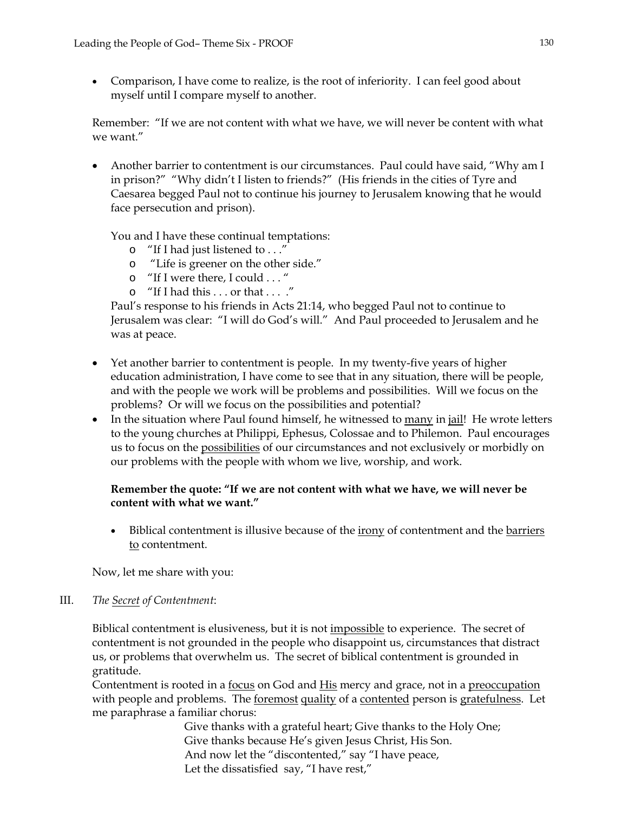Comparison, I have come to realize, is the root of inferiority. I can feel good about myself until I compare myself to another.

Remember: "If we are not content with what we have, we will never be content with what we want."

 Another barrier to contentment is our circumstances. Paul could have said, "Why am I in prison?" "Why didn't I listen to friends?" (His friends in the cities of Tyre and Caesarea begged Paul not to continue his journey to Jerusalem knowing that he would face persecution and prison).

You and I have these continual temptations:

- o "If I had just listened to . . ."
- o "Life is greener on the other side."
- o "If I were there, I could . . . "
- o "If I had this . . . or that . . . ."

Paul's response to his friends in Acts 21:14, who begged Paul not to continue to Jerusalem was clear: "I will do God's will." And Paul proceeded to Jerusalem and he was at peace.

- Yet another barrier to contentment is people. In my twenty-five years of higher education administration, I have come to see that in any situation, there will be people, and with the people we work will be problems and possibilities. Will we focus on the problems? Or will we focus on the possibilities and potential?
- In the situation where Paul found himself, he witnessed to many in jail! He wrote letters to the young churches at Philippi, Ephesus, Colossae and to Philemon. Paul encourages us to focus on the possibilities of our circumstances and not exclusively or morbidly on our problems with the people with whom we live, worship, and work.

#### **Remember the quote: "If we are not content with what we have, we will never be content with what we want."**

• Biblical contentment is illusive because of the <u>irony</u> of contentment and the **barriers** to contentment.

Now, let me share with you:

#### III. *The Secret of Contentment*:

Biblical contentment is elusiveness, but it is not impossible to experience. The secret of contentment is not grounded in the people who disappoint us, circumstances that distract us, or problems that overwhelm us. The secret of biblical contentment is grounded in gratitude.

Contentment is rooted in a focus on God and His mercy and grace, not in a preoccupation with people and problems. The foremost quality of a contented person is gratefulness. Let me paraphrase a familiar chorus:

> Give thanks with a grateful heart; Give thanks to the Holy One; Give thanks because He's given Jesus Christ, His Son. And now let the "discontented," say "I have peace, Let the dissatisfied say, "I have rest,"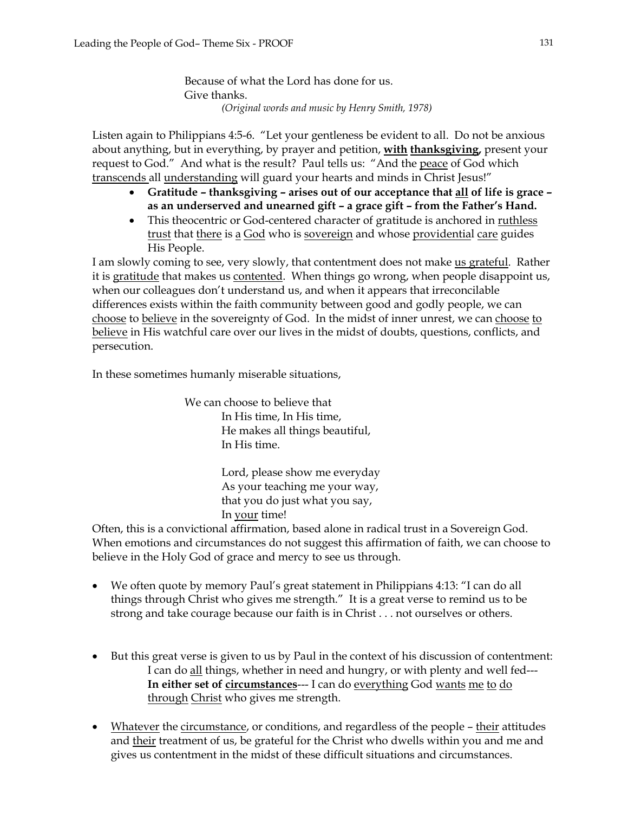Because of what the Lord has done for us. Give thanks. *(Original words and music by Henry Smith, 1978)* 

Listen again to Philippians 4:5-6. "Let your gentleness be evident to all. Do not be anxious about anything, but in everything, by prayer and petition, **with thanksgiving,** present your request to God." And what is the result? Paul tells us: "And the peace of God which transcends all understanding will guard your hearts and minds in Christ Jesus!"

- **Gratitude thanksgiving arises out of our acceptance that all of life is grace as an underserved and unearned gift – a grace gift – from the Father's Hand.**
- This theocentric or God-centered character of gratitude is anchored in ruthless trust that there is a God who is sovereign and whose providential care guides His People.

I am slowly coming to see, very slowly, that contentment does not make us grateful. Rather it is gratitude that makes us contented. When things go wrong, when people disappoint us, when our colleagues don't understand us, and when it appears that irreconcilable differences exists within the faith community between good and godly people, we can choose to believe in the sovereignty of God. In the midst of inner unrest, we can choose to believe in His watchful care over our lives in the midst of doubts, questions, conflicts, and persecution.

In these sometimes humanly miserable situations,

We can choose to believe that In His time, In His time, He makes all things beautiful, In His time.

> Lord, please show me everyday As your teaching me your way, that you do just what you say, In your time!

Often, this is a convictional affirmation, based alone in radical trust in a Sovereign God. When emotions and circumstances do not suggest this affirmation of faith, we can choose to believe in the Holy God of grace and mercy to see us through.

- We often quote by memory Paul's great statement in Philippians 4:13: "I can do all things through Christ who gives me strength." It is a great verse to remind us to be strong and take courage because our faith is in Christ . . . not ourselves or others.
- But this great verse is given to us by Paul in the context of his discussion of contentment: I can do all things, whether in need and hungry, or with plenty and well fed--- **In either set of circumstances**--- I can do everything God wants me to do through Christ who gives me strength.
- Whatever the circumstance, or conditions, and regardless of the people their attitudes and their treatment of us, be grateful for the Christ who dwells within you and me and gives us contentment in the midst of these difficult situations and circumstances.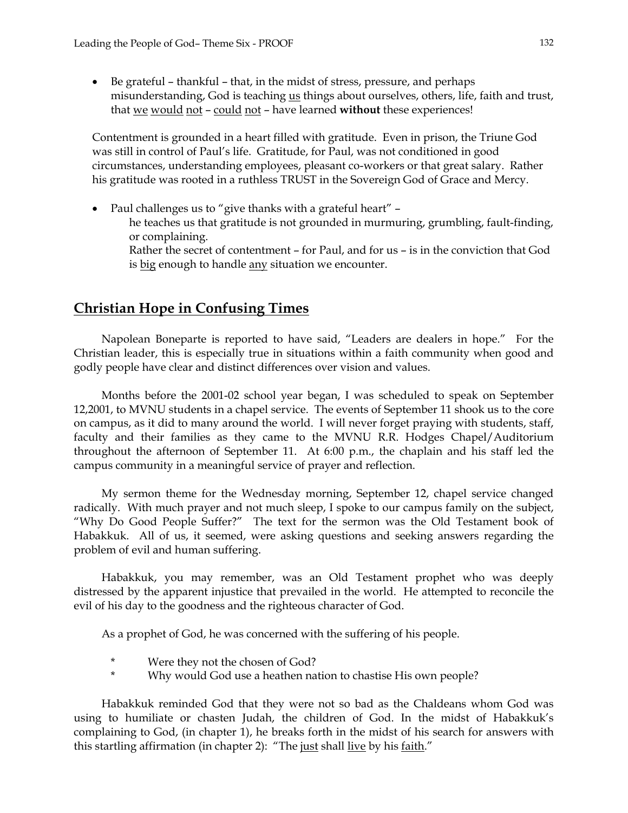Be grateful – thankful – that, in the midst of stress, pressure, and perhaps misunderstanding, God is teaching us things about ourselves, others, life, faith and trust, that we would not – could not – have learned **without** these experiences!

Contentment is grounded in a heart filled with gratitude. Even in prison, the Triune God was still in control of Paul's life. Gratitude, for Paul, was not conditioned in good circumstances, understanding employees, pleasant co-workers or that great salary. Rather his gratitude was rooted in a ruthless TRUST in the Sovereign God of Grace and Mercy.

• Paul challenges us to "give thanks with a grateful heart" he teaches us that gratitude is not grounded in murmuring, grumbling, fault-finding, or complaining. Rather the secret of contentment – for Paul, and for us – is in the conviction that God is big enough to handle any situation we encounter.

#### **Christian Hope in Confusing Times**

Napolean Boneparte is reported to have said, "Leaders are dealers in hope." For the Christian leader, this is especially true in situations within a faith community when good and godly people have clear and distinct differences over vision and values.

Months before the 2001-02 school year began, I was scheduled to speak on September 12,2001, to MVNU students in a chapel service. The events of September 11 shook us to the core on campus, as it did to many around the world. I will never forget praying with students, staff, faculty and their families as they came to the MVNU R.R. Hodges Chapel/Auditorium throughout the afternoon of September 11. At 6:00 p.m., the chaplain and his staff led the campus community in a meaningful service of prayer and reflection.

My sermon theme for the Wednesday morning, September 12, chapel service changed radically. With much prayer and not much sleep, I spoke to our campus family on the subject, "Why Do Good People Suffer?" The text for the sermon was the Old Testament book of Habakkuk. All of us, it seemed, were asking questions and seeking answers regarding the problem of evil and human suffering.

Habakkuk, you may remember, was an Old Testament prophet who was deeply distressed by the apparent injustice that prevailed in the world. He attempted to reconcile the evil of his day to the goodness and the righteous character of God.

As a prophet of God, he was concerned with the suffering of his people.

- \* Were they not the chosen of God?
- \* Why would God use a heathen nation to chastise His own people?

Habakkuk reminded God that they were not so bad as the Chaldeans whom God was using to humiliate or chasten Judah, the children of God. In the midst of Habakkuk's complaining to God, (in chapter 1), he breaks forth in the midst of his search for answers with this startling affirmation (in chapter 2): "The just shall live by his faith."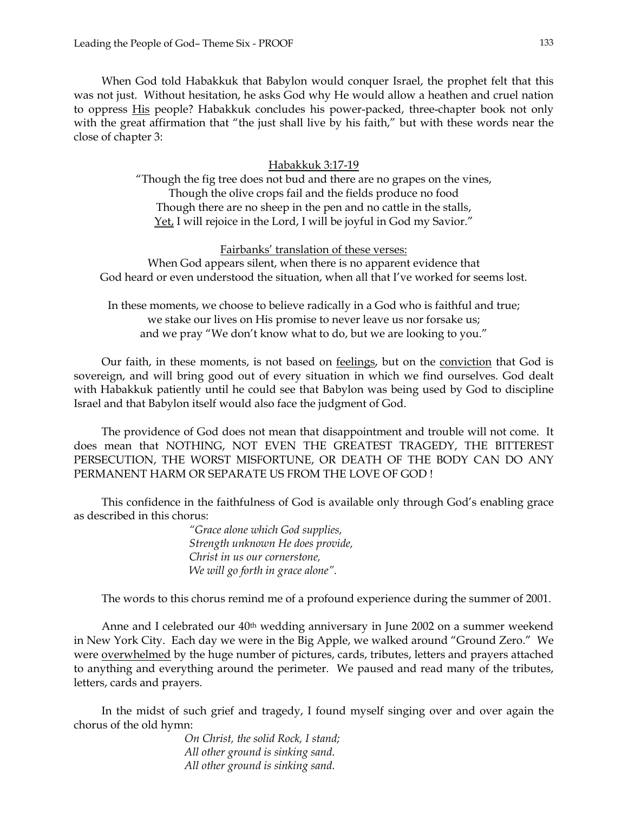When God told Habakkuk that Babylon would conquer Israel, the prophet felt that this was not just. Without hesitation, he asks God why He would allow a heathen and cruel nation to oppress His people? Habakkuk concludes his power-packed, three-chapter book not only with the great affirmation that "the just shall live by his faith," but with these words near the close of chapter 3:

#### Habakkuk 3:17-19

"Though the fig tree does not bud and there are no grapes on the vines, Though the olive crops fail and the fields produce no food Though there are no sheep in the pen and no cattle in the stalls, Yet, I will rejoice in the Lord, I will be joyful in God my Savior."

Fairbanks' translation of these verses:

When God appears silent, when there is no apparent evidence that God heard or even understood the situation, when all that I've worked for seems lost.

In these moments, we choose to believe radically in a God who is faithful and true; we stake our lives on His promise to never leave us nor forsake us; and we pray "We don't know what to do, but we are looking to you."

Our faith, in these moments, is not based on <u>feelings</u>, but on the <u>conviction</u> that God is sovereign, and will bring good out of every situation in which we find ourselves. God dealt with Habakkuk patiently until he could see that Babylon was being used by God to discipline Israel and that Babylon itself would also face the judgment of God.

The providence of God does not mean that disappointment and trouble will not come. It does mean that NOTHING, NOT EVEN THE GREATEST TRAGEDY, THE BITTEREST PERSECUTION, THE WORST MISFORTUNE, OR DEATH OF THE BODY CAN DO ANY PERMANENT HARM OR SEPARATE US FROM THE LOVE OF GOD !

This confidence in the faithfulness of God is available only through God's enabling grace as described in this chorus:

> *"Grace alone which God supplies, Strength unknown He does provide, Christ in us our cornerstone, We will go forth in grace alone".*

The words to this chorus remind me of a profound experience during the summer of 2001.

Anne and I celebrated our 40th wedding anniversary in June 2002 on a summer weekend in New York City. Each day we were in the Big Apple, we walked around "Ground Zero." We were overwhelmed by the huge number of pictures, cards, tributes, letters and prayers attached to anything and everything around the perimeter. We paused and read many of the tributes, letters, cards and prayers.

In the midst of such grief and tragedy, I found myself singing over and over again the chorus of the old hymn:

> *On Christ, the solid Rock, I stand; All other ground is sinking sand. All other ground is sinking sand.*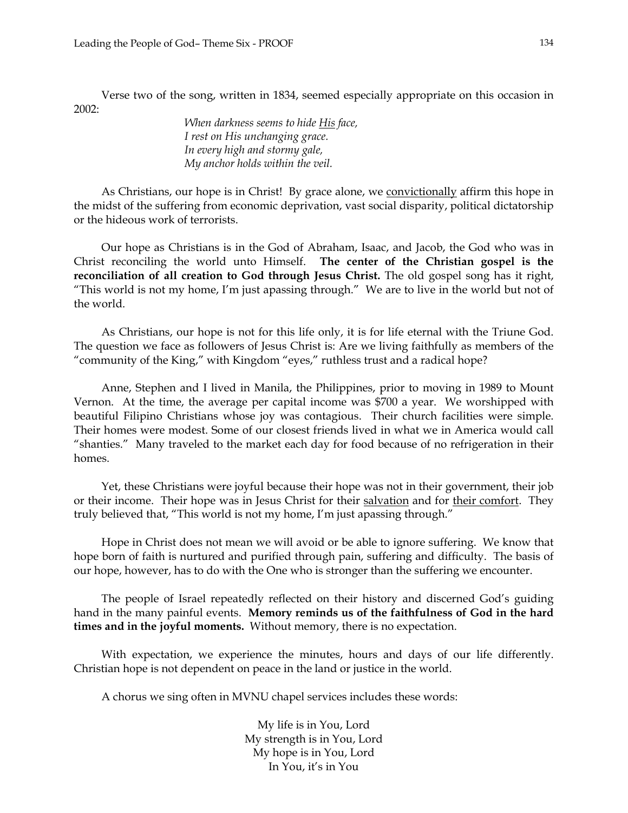Verse two of the song, written in 1834, seemed especially appropriate on this occasion in 2002:

> *When darkness seems to hide His face, I rest on His unchanging grace. In every high and stormy gale, My anchor holds within the veil.*

As Christians, our hope is in Christ! By grace alone, we convictionally affirm this hope in the midst of the suffering from economic deprivation, vast social disparity, political dictatorship or the hideous work of terrorists.

Our hope as Christians is in the God of Abraham, Isaac, and Jacob, the God who was in Christ reconciling the world unto Himself. **The center of the Christian gospel is the reconciliation of all creation to God through Jesus Christ.** The old gospel song has it right, "This world is not my home, I'm just apassing through." We are to live in the world but not of the world.

As Christians, our hope is not for this life only, it is for life eternal with the Triune God. The question we face as followers of Jesus Christ is: Are we living faithfully as members of the "community of the King," with Kingdom "eyes," ruthless trust and a radical hope?

Anne, Stephen and I lived in Manila, the Philippines, prior to moving in 1989 to Mount Vernon. At the time, the average per capital income was \$700 a year. We worshipped with beautiful Filipino Christians whose joy was contagious. Their church facilities were simple. Their homes were modest. Some of our closest friends lived in what we in America would call "shanties." Many traveled to the market each day for food because of no refrigeration in their homes.

Yet, these Christians were joyful because their hope was not in their government, their job or their income. Their hope was in Jesus Christ for their salvation and for their comfort. They truly believed that, "This world is not my home, I'm just apassing through."

Hope in Christ does not mean we will avoid or be able to ignore suffering. We know that hope born of faith is nurtured and purified through pain, suffering and difficulty. The basis of our hope, however, has to do with the One who is stronger than the suffering we encounter.

The people of Israel repeatedly reflected on their history and discerned God's guiding hand in the many painful events. **Memory reminds us of the faithfulness of God in the hard times and in the joyful moments.** Without memory, there is no expectation.

With expectation, we experience the minutes, hours and days of our life differently. Christian hope is not dependent on peace in the land or justice in the world.

A chorus we sing often in MVNU chapel services includes these words:

My life is in You, Lord My strength is in You, Lord My hope is in You, Lord In You, it's in You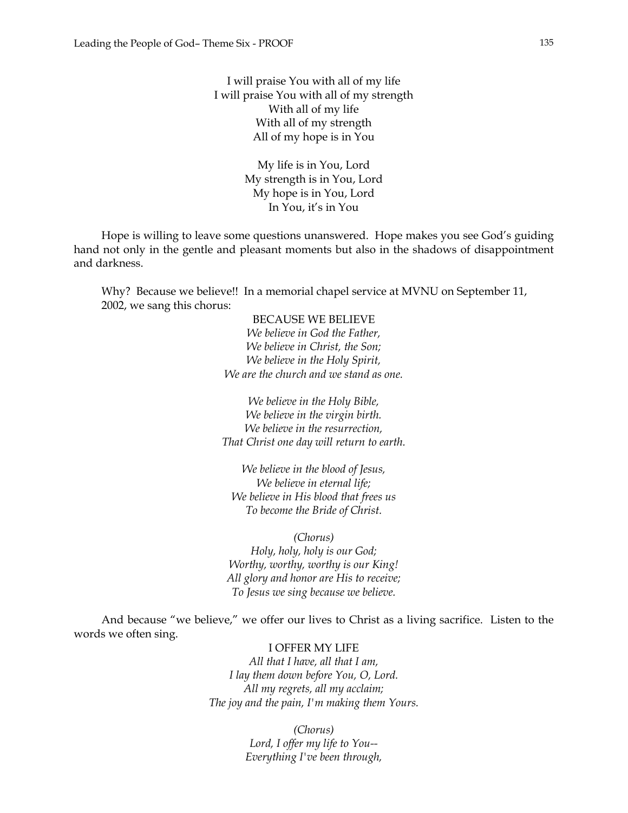I will praise You with all of my life I will praise You with all of my strength With all of my life With all of my strength All of my hope is in You

> My life is in You, Lord My strength is in You, Lord My hope is in You, Lord In You, it's in You

Hope is willing to leave some questions unanswered. Hope makes you see God's guiding hand not only in the gentle and pleasant moments but also in the shadows of disappointment and darkness.

Why? Because we believe!! In a memorial chapel service at MVNU on September 11, 2002, we sang this chorus:

> BECAUSE WE BELIEVE *We believe in God the Father, We believe in Christ, the Son; We believe in the Holy Spirit, We are the church and we stand as one.*

*We believe in the Holy Bible, We believe in the virgin birth. We believe in the resurrection, That Christ one day will return to earth.* 

*We believe in the blood of Jesus, We believe in eternal life; We believe in His blood that frees us To become the Bride of Christ.* 

*(Chorus) Holy, holy, holy is our God; Worthy, worthy, worthy is our King! All glory and honor are His to receive; To Jesus we sing because we believe.* 

And because "we believe," we offer our lives to Christ as a living sacrifice. Listen to the words we often sing.

#### I OFFER MY LIFE

*All that I have, all that I am, I lay them down before You, O, Lord. All my regrets, all my acclaim; The joy and the pain, I'm making them Yours.* 

> *(Chorus) Lord, I offer my life to You-- Everything I've been through,*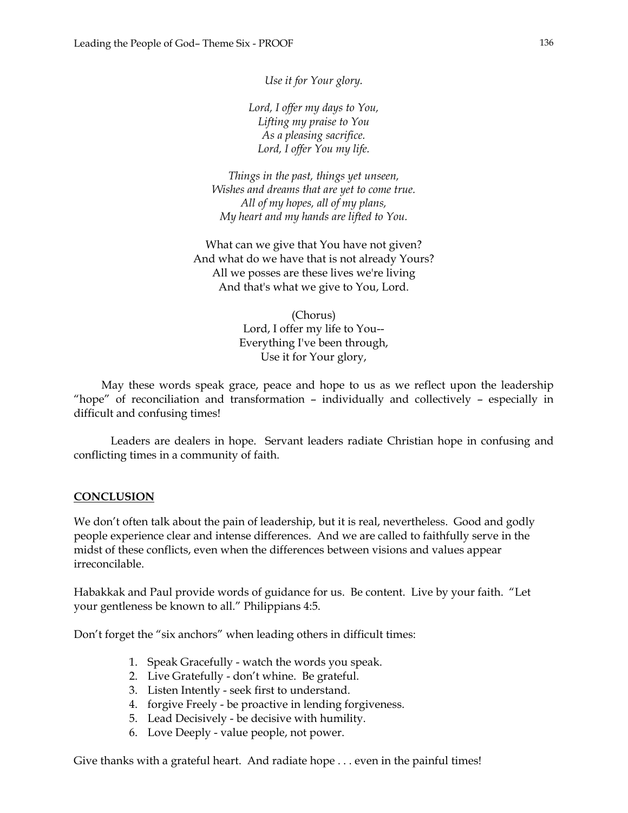*Use it for Your glory.* 

*Lord, I offer my days to You, Lifting my praise to You As a pleasing sacrifice. Lord, I offer You my life.* 

*Things in the past, things yet unseen, Wishes and dreams that are yet to come true. All of my hopes, all of my plans, My heart and my hands are lifted to You.* 

What can we give that You have not given? And what do we have that is not already Yours? All we posses are these lives we're living And that's what we give to You, Lord.

> (Chorus) Lord, I offer my life to You-- Everything I've been through, Use it for Your glory,

May these words speak grace, peace and hope to us as we reflect upon the leadership "hope" of reconciliation and transformation – individually and collectively – especially in difficult and confusing times!

Leaders are dealers in hope. Servant leaders radiate Christian hope in confusing and conflicting times in a community of faith.

#### **CONCLUSION**

We don't often talk about the pain of leadership, but it is real, nevertheless. Good and godly people experience clear and intense differences. And we are called to faithfully serve in the midst of these conflicts, even when the differences between visions and values appear irreconcilable.

Habakkak and Paul provide words of guidance for us. Be content. Live by your faith. "Let your gentleness be known to all." Philippians 4:5.

Don't forget the "six anchors" when leading others in difficult times:

- 1. Speak Gracefully watch the words you speak.
- 2. Live Gratefully don't whine. Be grateful.
- 3. Listen Intently seek first to understand.
- 4. forgive Freely be proactive in lending forgiveness.
- 5. Lead Decisively be decisive with humility.
- 6. Love Deeply value people, not power.

Give thanks with a grateful heart. And radiate hope . . . even in the painful times!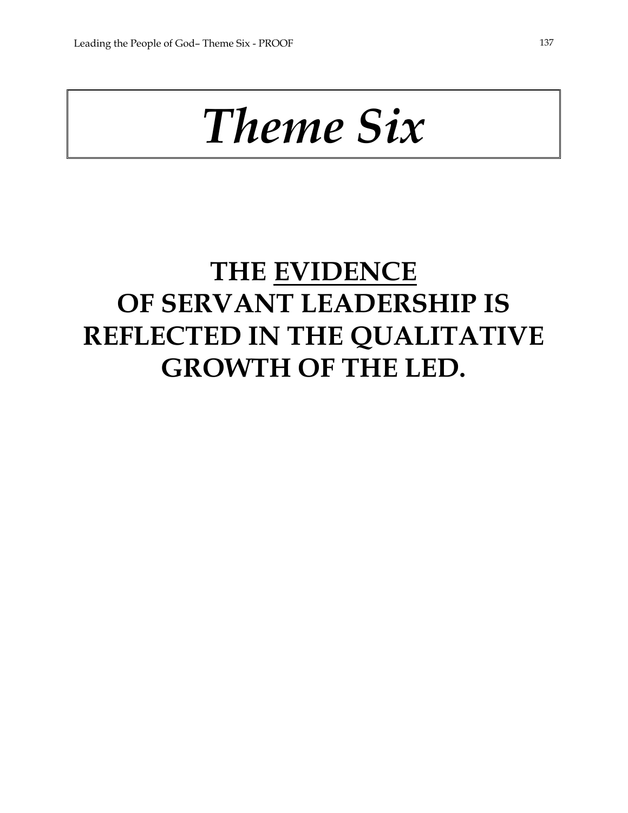# *Theme Six*

# **THE EVIDENCE OF SERVANT LEADERSHIP IS REFLECTED IN THE QUALITATIVE GROWTH OF THE LED.**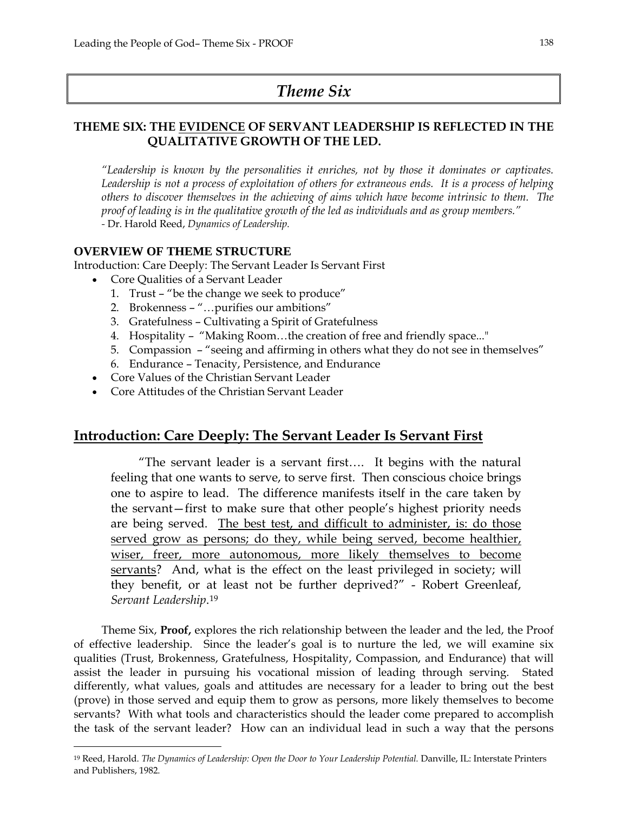# *Theme Six*

# **THEME SIX: THE EVIDENCE OF SERVANT LEADERSHIP IS REFLECTED IN THE QUALITATIVE GROWTH OF THE LED.**

*"Leadership is known by the personalities it enriches, not by those it dominates or captivates. Leadership is not a process of exploitation of others for extraneous ends. It is a process of helping others to discover themselves in the achieving of aims which have become intrinsic to them. The proof of leading is in the qualitative growth of the led as individuals and as group members." -* Dr. Harold Reed, *Dynamics of Leadership.*

## **OVERVIEW OF THEME STRUCTURE**

Introduction: Care Deeply: The Servant Leader Is Servant First

Core Qualities of a Servant Leader

 $\overline{a}$ 

- 1. Trust "be the change we seek to produce"
- 2. Brokenness "…purifies our ambitions"
- 3. Gratefulness Cultivating a Spirit of Gratefulness
- 4. Hospitality "Making Room…the creation of free and friendly space..."
- 5. Compassion "seeing and affirming in others what they do not see in themselves"
- 6. Endurance Tenacity, Persistence, and Endurance
- Core Values of the Christian Servant Leader
- Core Attitudes of the Christian Servant Leader

# **Introduction: Care Deeply: The Servant Leader Is Servant First**

"The servant leader is a servant first…. It begins with the natural feeling that one wants to serve, to serve first. Then conscious choice brings one to aspire to lead. The difference manifests itself in the care taken by the servant—first to make sure that other people's highest priority needs are being served. The best test, and difficult to administer, is: do those served grow as persons; do they, while being served, become healthier, wiser, freer, more autonomous, more likely themselves to become servants? And, what is the effect on the least privileged in society; will they benefit, or at least not be further deprived?" - Robert Greenleaf, *Servant Leadership*.[19](#page-111-0)

Theme Six, **Proof,** explores the rich relationship between the leader and the led, the Proof of effective leadership. Since the leader's goal is to nurture the led, we will examine six qualities (Trust, Brokenness, Gratefulness, Hospitality, Compassion, and Endurance) that will assist the leader in pursuing his vocational mission of leading through serving. Stated differently, what values, goals and attitudes are necessary for a leader to bring out the best (prove) in those served and equip them to grow as persons, more likely themselves to become servants? With what tools and characteristics should the leader come prepared to accomplish the task of the servant leader? How can an individual lead in such a way that the persons

<span id="page-111-0"></span><sup>19</sup> Reed, Harold. *The Dynamics of Leadership: Open the Door to Your Leadership Potential.* Danville, IL: Interstate Printers and Publishers, 1982.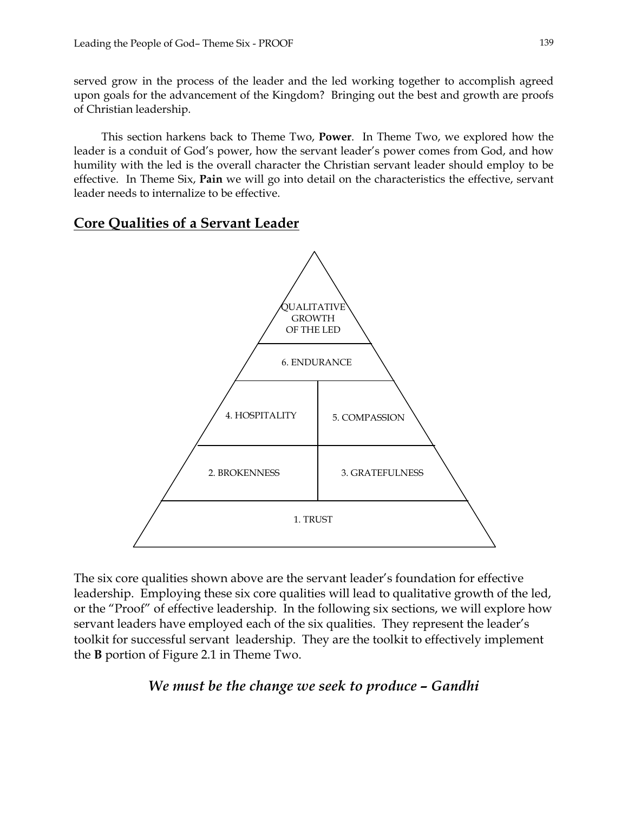served grow in the process of the leader and the led working together to accomplish agreed upon goals for the advancement of the Kingdom? Bringing out the best and growth are proofs of Christian leadership.

This section harkens back to Theme Two, **Power**. In Theme Two, we explored how the leader is a conduit of God's power, how the servant leader's power comes from God, and how humility with the led is the overall character the Christian servant leader should employ to be effective. In Theme Six, **Pain** we will go into detail on the characteristics the effective, servant leader needs to internalize to be effective.

#### **Core Qualities of a Servant Leader**



The six core qualities shown above are the servant leader's foundation for effective leadership. Employing these six core qualities will lead to qualitative growth of the led, or the "Proof" of effective leadership. In the following six sections, we will explore how servant leaders have employed each of the six qualities. They represent the leader's toolkit for successful servant leadership. They are the toolkit to effectively implement the **B** portion of Figure 2.1 in Theme Two.

# *We must be the change we seek to produce – Gandhi*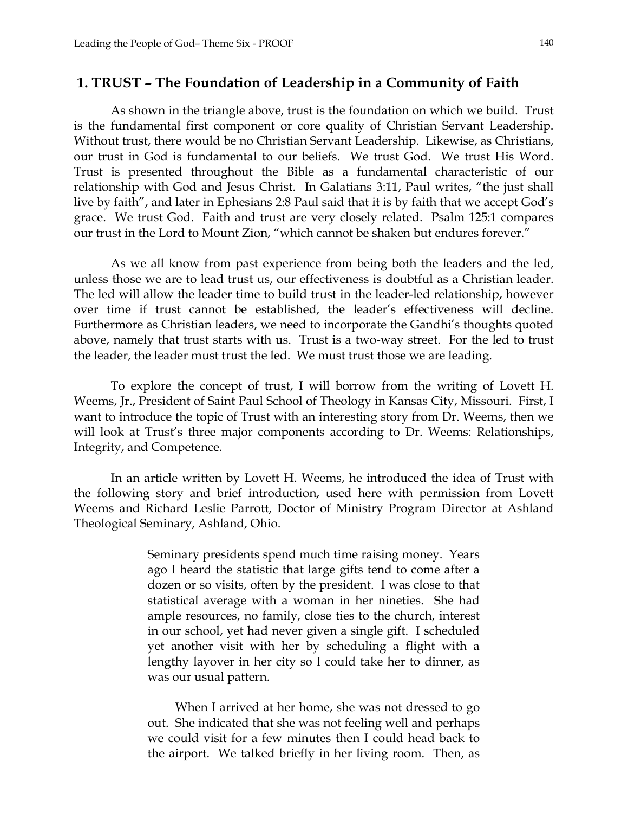#### **1. TRUST – The Foundation of Leadership in a Community of Faith**

As shown in the triangle above, trust is the foundation on which we build. Trust is the fundamental first component or core quality of Christian Servant Leadership. Without trust, there would be no Christian Servant Leadership. Likewise, as Christians, our trust in God is fundamental to our beliefs. We trust God. We trust His Word. Trust is presented throughout the Bible as a fundamental characteristic of our relationship with God and Jesus Christ. In Galatians 3:11, Paul writes, "the just shall live by faith", and later in Ephesians 2:8 Paul said that it is by faith that we accept God's grace. We trust God. Faith and trust are very closely related. Psalm 125:1 compares our trust in the Lord to Mount Zion, "which cannot be shaken but endures forever."

As we all know from past experience from being both the leaders and the led, unless those we are to lead trust us, our effectiveness is doubtful as a Christian leader. The led will allow the leader time to build trust in the leader-led relationship, however over time if trust cannot be established, the leader's effectiveness will decline. Furthermore as Christian leaders, we need to incorporate the Gandhi's thoughts quoted above, namely that trust starts with us. Trust is a two-way street. For the led to trust the leader, the leader must trust the led. We must trust those we are leading.

 To explore the concept of trust, I will borrow from the writing of Lovett H. Weems, Jr., President of Saint Paul School of Theology in Kansas City, Missouri. First, I want to introduce the topic of Trust with an interesting story from Dr. Weems, then we will look at Trust's three major components according to Dr. Weems: Relationships, Integrity, and Competence.

In an article written by Lovett H. Weems, he introduced the idea of Trust with the following story and brief introduction, used here with permission from Lovett Weems and Richard Leslie Parrott, Doctor of Ministry Program Director at Ashland Theological Seminary, Ashland, Ohio.

> Seminary presidents spend much time raising money. Years ago I heard the statistic that large gifts tend to come after a dozen or so visits, often by the president. I was close to that statistical average with a woman in her nineties. She had ample resources, no family, close ties to the church, interest in our school, yet had never given a single gift. I scheduled yet another visit with her by scheduling a flight with a lengthy layover in her city so I could take her to dinner, as was our usual pattern.

> When I arrived at her home, she was not dressed to go out. She indicated that she was not feeling well and perhaps we could visit for a few minutes then I could head back to the airport. We talked briefly in her living room. Then, as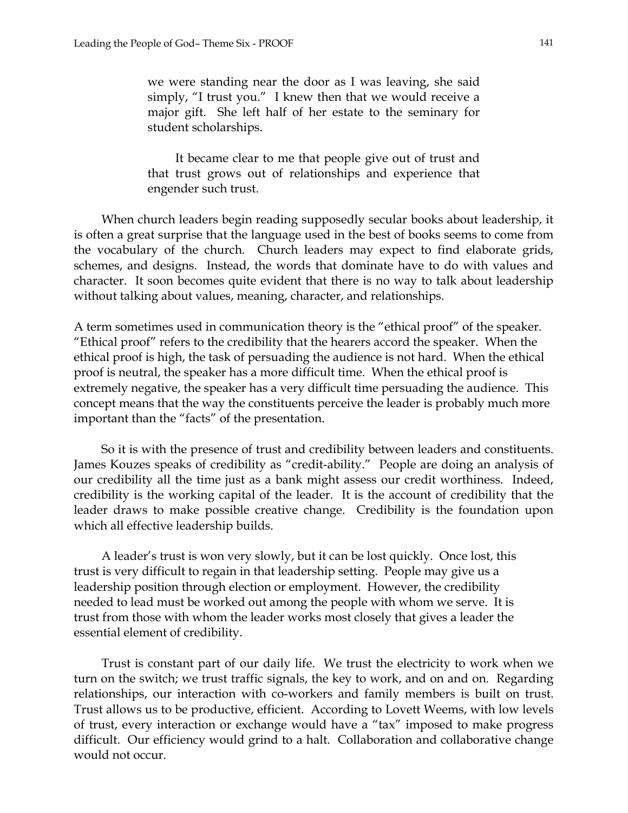we were standing near the door as I was leaving, she said simply, "I trust you." I knew then that we would receive a major gift. She left half of her estate to the seminary for student scholarships.

It became clear to me that people give out of trust and that trust grows out of relationships and experience that engender such trust.

When church leaders begin reading supposedly secular books about leadership, it is often a great surprise that the language used in the best of books seems to come from the vocabulary of the church. Church leaders may expect to find elaborate grids, schemes, and designs. Instead, the words that dominate have to do with values and character. It soon becomes quite evident that there is no way to talk about leadership without talking about values, meaning, character, and relationships.

A term sometimes used in communication theory is the "ethical proof" of the speaker. "Ethical proof" refers to the credibility that the hearers accord the speaker. When the ethical proof is high, the task of persuading the audience is not hard. When the ethical proof is neutral, the speaker has a more difficult time. When the ethical proof is extremely negative, the speaker has a very difficult time persuading the audience. This concept means that the way the constituents perceive the leader is probably much more important than the "facts" of the presentation.

So it is with the presence of trust and credibility between leaders and constituents. James Kouzes speaks of credibility as "credit-ability." People are doing an analysis of our credibility all the time just as a bank might assess our credit worthiness. Indeed, credibility is the working capital of the leader. It is the account of credibility that the leader draws to make possible creative change. Credibility is the foundation upon which all effective leadership builds.

A leader's trust is won very slowly, but it can be lost quickly. Once lost, this trust is very difficult to regain in that leadership setting. People may give us a leadership position through election or employment. However, the credibility needed to lead must be worked out among the people with whom we serve. It is trust from those with whom the leader works most closely that gives a leader the essential element of credibility.

Trust is constant part of our daily life. We trust the electricity to work when we turn on the switch; we trust traffic signals, the key to work, and on and on. Regarding relationships, our interaction with co-workers and family members is built on trust. Trust allows us to be productive, efficient. According to Lovett Weems, with low levels of trust, every interaction or exchange would have a "tax" imposed to make progress difficult. Our efficiency would grind to a halt. Collaboration and collaborative change would not occur.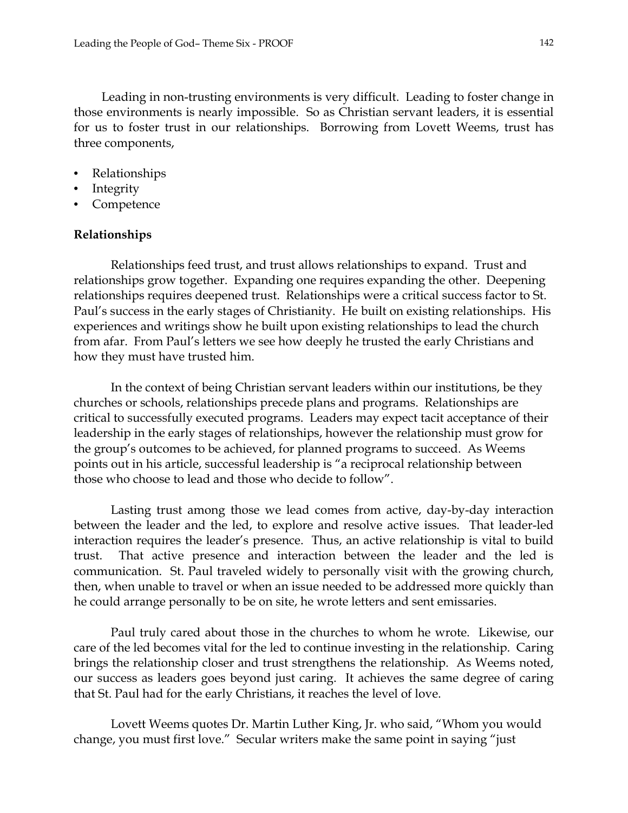Leading in non-trusting environments is very difficult. Leading to foster change in those environments is nearly impossible. So as Christian servant leaders, it is essential for us to foster trust in our relationships. Borrowing from Lovett Weems, trust has three components,

- Relationships
- **Integrity**
- Competence

#### **Relationships**

Relationships feed trust, and trust allows relationships to expand. Trust and relationships grow together. Expanding one requires expanding the other. Deepening relationships requires deepened trust. Relationships were a critical success factor to St. Paul's success in the early stages of Christianity. He built on existing relationships. His experiences and writings show he built upon existing relationships to lead the church from afar. From Paul's letters we see how deeply he trusted the early Christians and how they must have trusted him.

In the context of being Christian servant leaders within our institutions, be they churches or schools, relationships precede plans and programs. Relationships are critical to successfully executed programs. Leaders may expect tacit acceptance of their leadership in the early stages of relationships, however the relationship must grow for the group's outcomes to be achieved, for planned programs to succeed. As Weems points out in his article, successful leadership is "a reciprocal relationship between those who choose to lead and those who decide to follow".

 Lasting trust among those we lead comes from active, day-by-day interaction between the leader and the led, to explore and resolve active issues. That leader-led interaction requires the leader's presence. Thus, an active relationship is vital to build trust. That active presence and interaction between the leader and the led is communication. St. Paul traveled widely to personally visit with the growing church, then, when unable to travel or when an issue needed to be addressed more quickly than he could arrange personally to be on site, he wrote letters and sent emissaries.

Paul truly cared about those in the churches to whom he wrote. Likewise, our care of the led becomes vital for the led to continue investing in the relationship. Caring brings the relationship closer and trust strengthens the relationship. As Weems noted, our success as leaders goes beyond just caring. It achieves the same degree of caring that St. Paul had for the early Christians, it reaches the level of love.

Lovett Weems quotes Dr. Martin Luther King, Jr. who said, "Whom you would change, you must first love." Secular writers make the same point in saying "just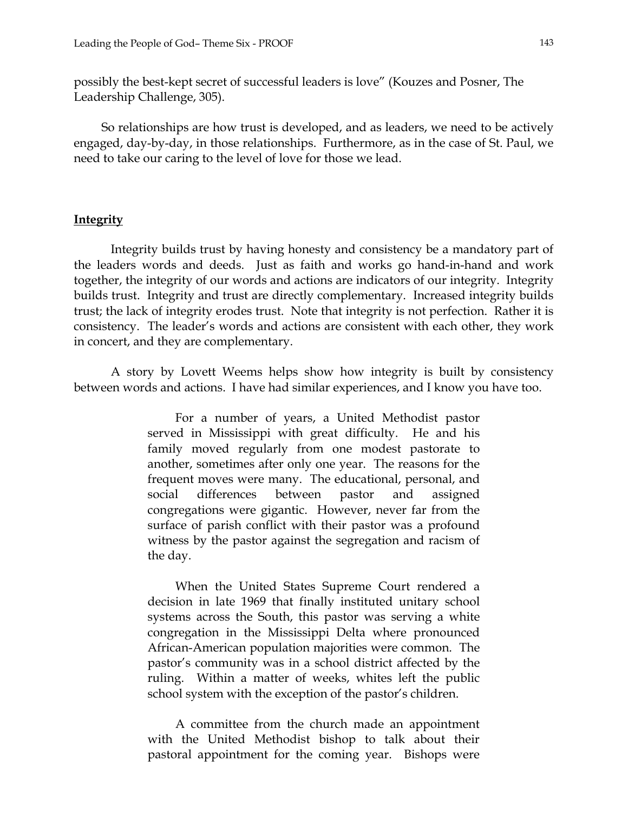possibly the best-kept secret of successful leaders is love" (Kouzes and Posner, The Leadership Challenge, 305).

So relationships are how trust is developed, and as leaders, we need to be actively engaged, day-by-day, in those relationships. Furthermore, as in the case of St. Paul, we need to take our caring to the level of love for those we lead.

#### **Integrity**

Integrity builds trust by having honesty and consistency be a mandatory part of the leaders words and deeds. Just as faith and works go hand-in-hand and work together, the integrity of our words and actions are indicators of our integrity. Integrity builds trust. Integrity and trust are directly complementary. Increased integrity builds trust; the lack of integrity erodes trust. Note that integrity is not perfection. Rather it is consistency. The leader's words and actions are consistent with each other, they work in concert, and they are complementary.

A story by Lovett Weems helps show how integrity is built by consistency between words and actions. I have had similar experiences, and I know you have too.

> For a number of years, a United Methodist pastor served in Mississippi with great difficulty. He and his family moved regularly from one modest pastorate to another, sometimes after only one year. The reasons for the frequent moves were many. The educational, personal, and social differences between pastor and assigned congregations were gigantic. However, never far from the surface of parish conflict with their pastor was a profound witness by the pastor against the segregation and racism of the day.

> When the United States Supreme Court rendered a decision in late 1969 that finally instituted unitary school systems across the South, this pastor was serving a white congregation in the Mississippi Delta where pronounced African-American population majorities were common. The pastor's community was in a school district affected by the ruling. Within a matter of weeks, whites left the public school system with the exception of the pastor's children.

> A committee from the church made an appointment with the United Methodist bishop to talk about their pastoral appointment for the coming year. Bishops were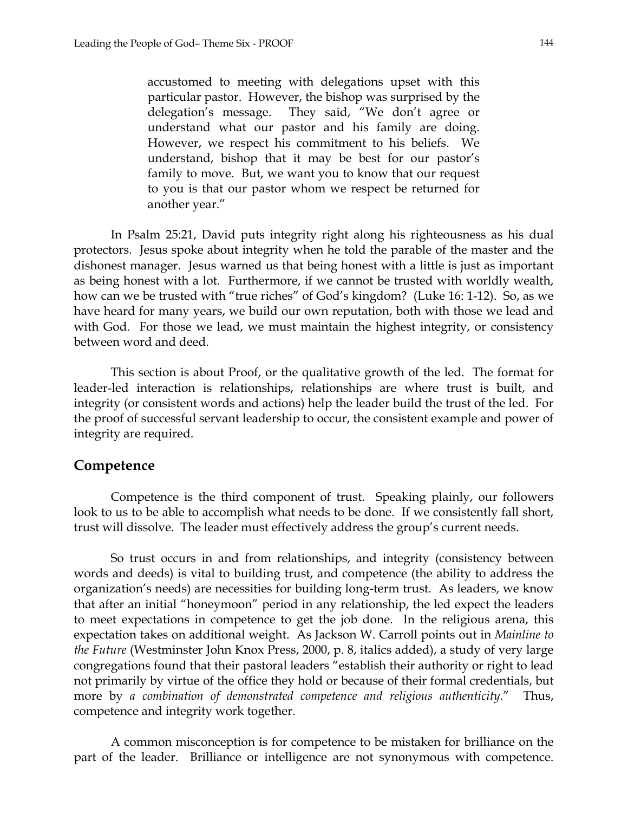accustomed to meeting with delegations upset with this particular pastor. However, the bishop was surprised by the delegation's message. They said, "We don't agree or understand what our pastor and his family are doing. However, we respect his commitment to his beliefs. We understand, bishop that it may be best for our pastor's family to move. But, we want you to know that our request to you is that our pastor whom we respect be returned for another year."

In Psalm 25:21, David puts integrity right along his righteousness as his dual protectors. Jesus spoke about integrity when he told the parable of the master and the dishonest manager. Jesus warned us that being honest with a little is just as important as being honest with a lot. Furthermore, if we cannot be trusted with worldly wealth, how can we be trusted with "true riches" of God's kingdom? (Luke 16: 1-12). So, as we have heard for many years, we build our own reputation, both with those we lead and with God. For those we lead, we must maintain the highest integrity, or consistency between word and deed.

This section is about Proof, or the qualitative growth of the led. The format for leader-led interaction is relationships, relationships are where trust is built, and integrity (or consistent words and actions) help the leader build the trust of the led. For the proof of successful servant leadership to occur, the consistent example and power of integrity are required.

#### **Competence**

Competence is the third component of trust. Speaking plainly, our followers look to us to be able to accomplish what needs to be done. If we consistently fall short, trust will dissolve. The leader must effectively address the group's current needs.

So trust occurs in and from relationships, and integrity (consistency between words and deeds) is vital to building trust, and competence (the ability to address the organization's needs) are necessities for building long-term trust. As leaders, we know that after an initial "honeymoon" period in any relationship, the led expect the leaders to meet expectations in competence to get the job done. In the religious arena, this expectation takes on additional weight. As Jackson W. Carroll points out in *Mainline to the Future* (Westminster John Knox Press, 2000, p. 8, italics added), a study of very large congregations found that their pastoral leaders "establish their authority or right to lead not primarily by virtue of the office they hold or because of their formal credentials, but more by *a combination of demonstrated competence and religious authenticity*." Thus, competence and integrity work together.

A common misconception is for competence to be mistaken for brilliance on the part of the leader. Brilliance or intelligence are not synonymous with competence.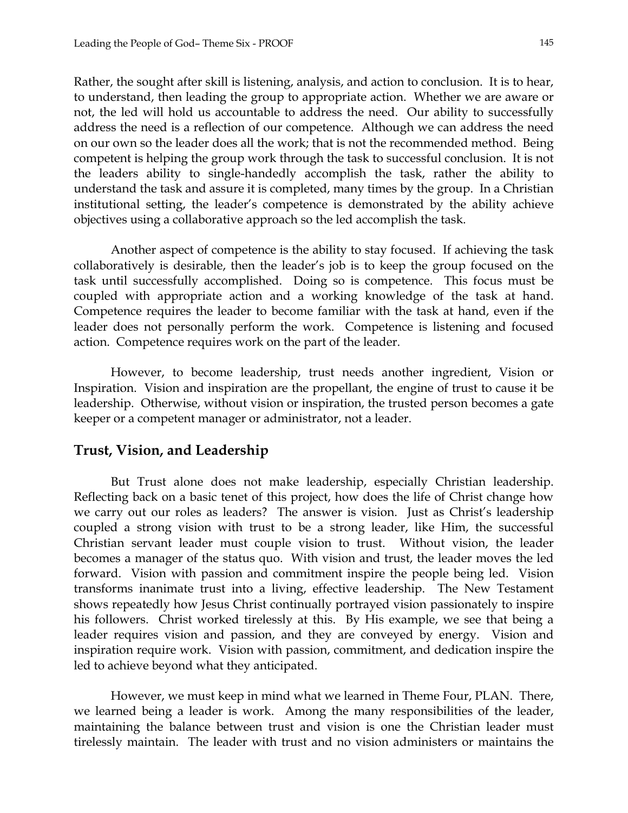Rather, the sought after skill is listening, analysis, and action to conclusion. It is to hear, to understand, then leading the group to appropriate action. Whether we are aware or not, the led will hold us accountable to address the need. Our ability to successfully address the need is a reflection of our competence. Although we can address the need on our own so the leader does all the work; that is not the recommended method. Being competent is helping the group work through the task to successful conclusion. It is not the leaders ability to single-handedly accomplish the task, rather the ability to understand the task and assure it is completed, many times by the group. In a Christian institutional setting, the leader's competence is demonstrated by the ability achieve objectives using a collaborative approach so the led accomplish the task.

Another aspect of competence is the ability to stay focused. If achieving the task collaboratively is desirable, then the leader's job is to keep the group focused on the task until successfully accomplished. Doing so is competence. This focus must be coupled with appropriate action and a working knowledge of the task at hand. Competence requires the leader to become familiar with the task at hand, even if the leader does not personally perform the work. Competence is listening and focused action. Competence requires work on the part of the leader.

However, to become leadership, trust needs another ingredient, Vision or Inspiration. Vision and inspiration are the propellant, the engine of trust to cause it be leadership. Otherwise, without vision or inspiration, the trusted person becomes a gate keeper or a competent manager or administrator, not a leader.

# **Trust, Vision, and Leadership**

But Trust alone does not make leadership, especially Christian leadership. Reflecting back on a basic tenet of this project, how does the life of Christ change how we carry out our roles as leaders? The answer is vision. Just as Christ's leadership coupled a strong vision with trust to be a strong leader, like Him, the successful Christian servant leader must couple vision to trust. Without vision, the leader becomes a manager of the status quo. With vision and trust, the leader moves the led forward. Vision with passion and commitment inspire the people being led. Vision transforms inanimate trust into a living, effective leadership. The New Testament shows repeatedly how Jesus Christ continually portrayed vision passionately to inspire his followers. Christ worked tirelessly at this. By His example, we see that being a leader requires vision and passion, and they are conveyed by energy. Vision and inspiration require work. Vision with passion, commitment, and dedication inspire the led to achieve beyond what they anticipated.

However, we must keep in mind what we learned in Theme Four, PLAN. There, we learned being a leader is work. Among the many responsibilities of the leader, maintaining the balance between trust and vision is one the Christian leader must tirelessly maintain. The leader with trust and no vision administers or maintains the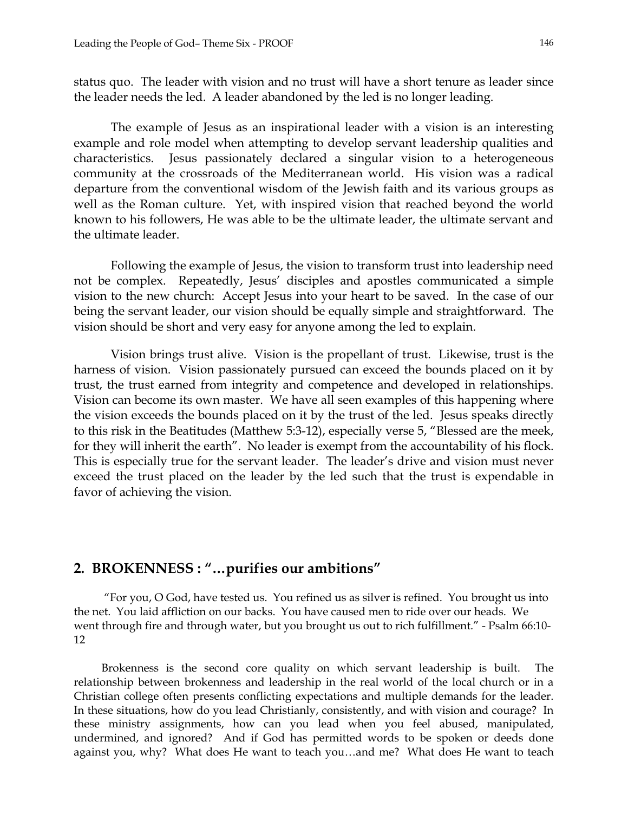status quo. The leader with vision and no trust will have a short tenure as leader since the leader needs the led. A leader abandoned by the led is no longer leading.

The example of Jesus as an inspirational leader with a vision is an interesting example and role model when attempting to develop servant leadership qualities and characteristics. Jesus passionately declared a singular vision to a heterogeneous community at the crossroads of the Mediterranean world. His vision was a radical departure from the conventional wisdom of the Jewish faith and its various groups as well as the Roman culture. Yet, with inspired vision that reached beyond the world known to his followers, He was able to be the ultimate leader, the ultimate servant and the ultimate leader.

Following the example of Jesus, the vision to transform trust into leadership need not be complex. Repeatedly, Jesus' disciples and apostles communicated a simple vision to the new church: Accept Jesus into your heart to be saved. In the case of our being the servant leader, our vision should be equally simple and straightforward. The vision should be short and very easy for anyone among the led to explain.

Vision brings trust alive. Vision is the propellant of trust. Likewise, trust is the harness of vision. Vision passionately pursued can exceed the bounds placed on it by trust, the trust earned from integrity and competence and developed in relationships. Vision can become its own master. We have all seen examples of this happening where the vision exceeds the bounds placed on it by the trust of the led. Jesus speaks directly to this risk in the Beatitudes (Matthew 5:3-12), especially verse 5, "Blessed are the meek, for they will inherit the earth". No leader is exempt from the accountability of his flock. This is especially true for the servant leader. The leader's drive and vision must never exceed the trust placed on the leader by the led such that the trust is expendable in favor of achieving the vision.

## **2. BROKENNESS : "…purifies our ambitions"**

 "For you, O God, have tested us. You refined us as silver is refined. You brought us into the net. You laid affliction on our backs. You have caused men to ride over our heads. We went through fire and through water, but you brought us out to rich fulfillment." - Psalm 66:10- 12

Brokenness is the second core quality on which servant leadership is built. The relationship between brokenness and leadership in the real world of the local church or in a Christian college often presents conflicting expectations and multiple demands for the leader. In these situations, how do you lead Christianly, consistently, and with vision and courage? In these ministry assignments, how can you lead when you feel abused, manipulated, undermined, and ignored? And if God has permitted words to be spoken or deeds done against you, why? What does He want to teach you…and me? What does He want to teach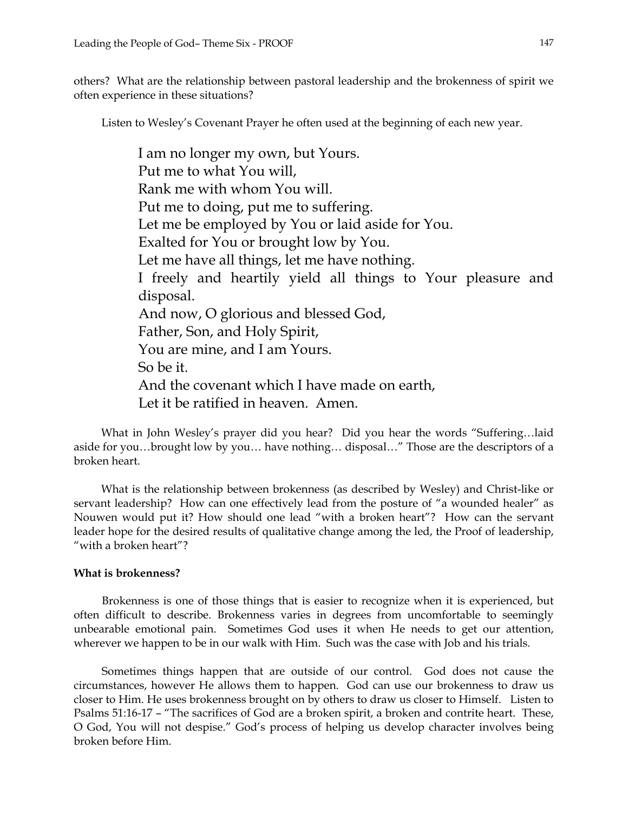others? What are the relationship between pastoral leadership and the brokenness of spirit we often experience in these situations?

Listen to Wesley's Covenant Prayer he often used at the beginning of each new year.

I am no longer my own, but Yours. Put me to what You will, Rank me with whom You will. Put me to doing, put me to suffering. Let me be employed by You or laid aside for You. Exalted for You or brought low by You. Let me have all things, let me have nothing. I freely and heartily yield all things to Your pleasure and disposal. And now, O glorious and blessed God, Father, Son, and Holy Spirit, You are mine, and I am Yours. So be it. And the covenant which I have made on earth, Let it be ratified in heaven. Amen.

What in John Wesley's prayer did you hear? Did you hear the words "Suffering…laid aside for you…brought low by you… have nothing… disposal…" Those are the descriptors of a broken heart.

What is the relationship between brokenness (as described by Wesley) and Christ-like or servant leadership? How can one effectively lead from the posture of "a wounded healer" as Nouwen would put it? How should one lead "with a broken heart"? How can the servant leader hope for the desired results of qualitative change among the led, the Proof of leadership, "with a broken heart"?

#### **What is brokenness?**

Brokenness is one of those things that is easier to recognize when it is experienced, but often difficult to describe. Brokenness varies in degrees from uncomfortable to seemingly unbearable emotional pain. Sometimes God uses it when He needs to get our attention, wherever we happen to be in our walk with Him. Such was the case with Job and his trials.

Sometimes things happen that are outside of our control. God does not cause the circumstances, however He allows them to happen. God can use our brokenness to draw us closer to Him. He uses brokenness brought on by others to draw us closer to Himself. Listen to Psalms 51:16-17 – "The sacrifices of God are a broken spirit, a broken and contrite heart. These, O God, You will not despise." God's process of helping us develop character involves being broken before Him.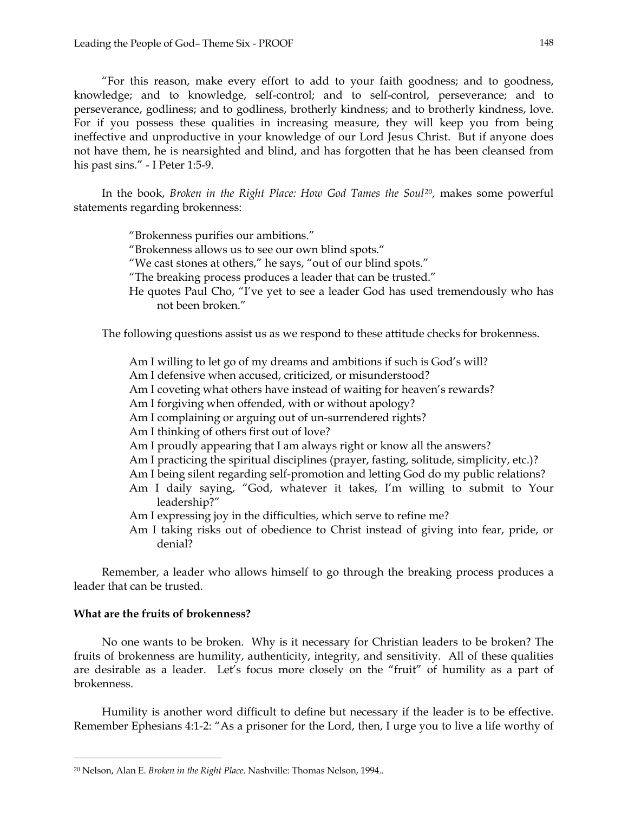"For this reason, make every effort to add to your faith goodness; and to goodness, knowledge; and to knowledge, self-control; and to self-control, perseverance; and to perseverance, godliness; and to godliness, brotherly kindness; and to brotherly kindness, love. For if you possess these qualities in increasing measure, they will keep you from being ineffective and unproductive in your knowledge of our Lord Jesus Christ. But if anyone does not have them, he is nearsighted and blind, and has forgotten that he has been cleansed from his past sins." - I Peter 1:5-9.

In the book, *Broken in the Right Place: How God Tames the Soul[20](#page-121-0),* makes some powerful statements regarding brokenness:

> "Brokenness purifies our ambitions." "Brokenness allows us to see our own blind spots." "We cast stones at others," he says, "out of our blind spots." "The breaking process produces a leader that can be trusted." He quotes Paul Cho, "I've yet to see a leader God has used tremendously who has not been broken."

The following questions assist us as we respond to these attitude checks for brokenness.

Am I willing to let go of my dreams and ambitions if such is God's will? Am I defensive when accused, criticized, or misunderstood?

Am I coveting what others have instead of waiting for heaven's rewards?

Am I forgiving when offended, with or without apology?

Am I complaining or arguing out of un-surrendered rights?

Am I thinking of others first out of love?

- Am I proudly appearing that I am always right or know all the answers?
- Am I practicing the spiritual disciplines (prayer, fasting, solitude, simplicity, etc.)?
- Am I being silent regarding self-promotion and letting God do my public relations?
- Am I daily saying, "God, whatever it takes, I'm willing to submit to Your leadership?"
- Am I expressing joy in the difficulties, which serve to refine me?
- Am I taking risks out of obedience to Christ instead of giving into fear, pride, or denial?

Remember, a leader who allows himself to go through the breaking process produces a leader that can be trusted.

#### **What are the fruits of brokenness?**

 $\overline{a}$ 

No one wants to be broken. Why is it necessary for Christian leaders to be broken? The fruits of brokenness are humility, authenticity, integrity, and sensitivity. All of these qualities are desirable as a leader. Let's focus more closely on the "fruit" of humility as a part of brokenness.

Humility is another word difficult to define but necessary if the leader is to be effective. Remember Ephesians 4:1-2: "As a prisoner for the Lord, then, I urge you to live a life worthy of

<span id="page-121-0"></span><sup>20</sup> Nelson, Alan E. *Broken in the Right Place*. Nashville: Thomas Nelson, 1994..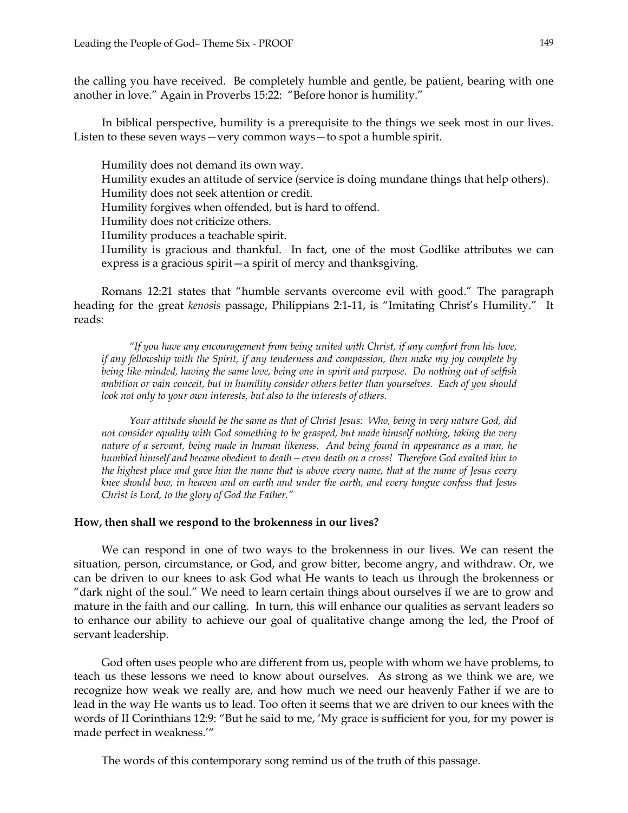the calling you have received. Be completely humble and gentle, be patient, bearing with one another in love." Again in Proverbs 15:22: "Before honor is humility."

In biblical perspective, humility is a prerequisite to the things we seek most in our lives. Listen to these seven ways—very common ways—to spot a humble spirit.

Humility does not demand its own way.

Humility exudes an attitude of service (service is doing mundane things that help others). Humility does not seek attention or credit.

Humility forgives when offended, but is hard to offend.

Humility does not criticize others.

Humility produces a teachable spirit.

Humility is gracious and thankful. In fact, one of the most Godlike attributes we can express is a gracious spirit—a spirit of mercy and thanksgiving.

Romans 12:21 states that "humble servants overcome evil with good." The paragraph heading for the great *kenosis* passage, Philippians 2:1-11, is "Imitating Christ's Humility." It reads:

*"If you have any encouragement from being united with Christ, if any comfort from his love, if any fellowship with the Spirit, if any tenderness and compassion, then make my joy complete by being like-minded, having the same love, being one in spirit and purpose. Do nothing out of selfish ambition or vain conceit, but in humility consider others better than yourselves. Each of you should look not only to your own interests, but also to the interests of others.* 

*Your attitude should be the same as that of Christ Jesus: Who, being in very nature God, did not consider equality with God something to be grasped, but made himself nothing, taking the very nature of a servant, being made in human likeness. And being found in appearance as a man, he humbled himself and became obedient to death—even death on a cross! Therefore God exalted him to the highest place and gave him the name that is above every name, that at the name of Jesus every knee should bow, in heaven and on earth and under the earth, and every tongue confess that Jesus Christ is Lord, to the glory of God the Father."* 

#### **How, then shall we respond to the brokenness in our lives?**

We can respond in one of two ways to the brokenness in our lives. We can resent the situation, person, circumstance, or God, and grow bitter, become angry, and withdraw. Or, we can be driven to our knees to ask God what He wants to teach us through the brokenness or "dark night of the soul." We need to learn certain things about ourselves if we are to grow and mature in the faith and our calling. In turn, this will enhance our qualities as servant leaders so to enhance our ability to achieve our goal of qualitative change among the led, the Proof of servant leadership.

God often uses people who are different from us, people with whom we have problems, to teach us these lessons we need to know about ourselves. As strong as we think we are, we recognize how weak we really are, and how much we need our heavenly Father if we are to lead in the way He wants us to lead. Too often it seems that we are driven to our knees with the words of II Corinthians 12:9: "But he said to me, 'My grace is sufficient for you, for my power is made perfect in weakness.'"

The words of this contemporary song remind us of the truth of this passage.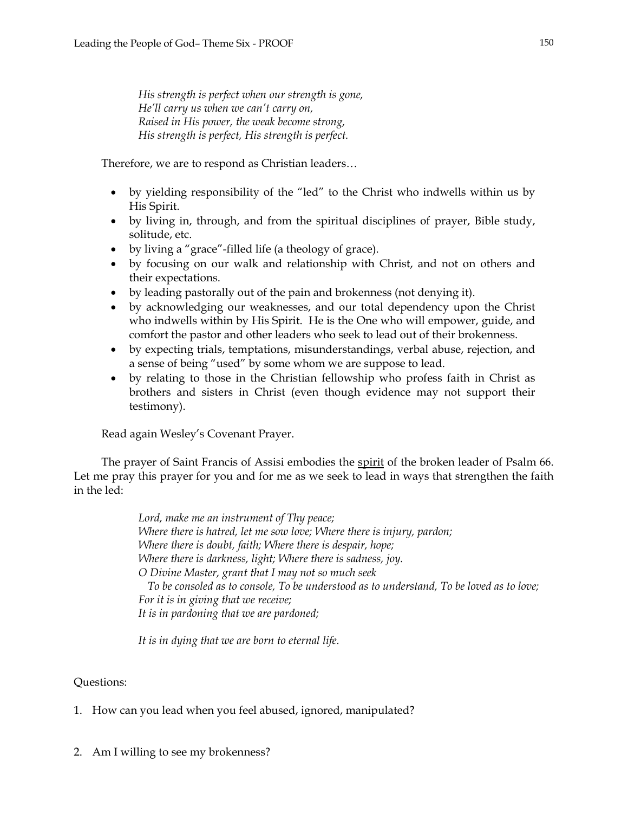*His strength is perfect when our strength is gone, He'll carry us when we can't carry on, Raised in His power, the weak become strong, His strength is perfect, His strength is perfect.* 

Therefore, we are to respond as Christian leaders…

- by yielding responsibility of the "led" to the Christ who indwells within us by His Spirit.
- by living in, through, and from the spiritual disciplines of prayer, Bible study, solitude, etc.
- by living a "grace"-filled life (a theology of grace).
- by focusing on our walk and relationship with Christ, and not on others and their expectations.
- by leading pastorally out of the pain and brokenness (not denying it).
- by acknowledging our weaknesses, and our total dependency upon the Christ who indwells within by His Spirit. He is the One who will empower, guide, and comfort the pastor and other leaders who seek to lead out of their brokenness.
- by expecting trials, temptations, misunderstandings, verbal abuse, rejection, and a sense of being "used" by some whom we are suppose to lead.
- by relating to those in the Christian fellowship who profess faith in Christ as brothers and sisters in Christ (even though evidence may not support their testimony).

Read again Wesley's Covenant Prayer.

The prayer of Saint Francis of Assisi embodies the spirit of the broken leader of Psalm 66. Let me pray this prayer for you and for me as we seek to lead in ways that strengthen the faith in the led:

> *Lord, make me an instrument of Thy peace; Where there is hatred, let me sow love; Where there is injury, pardon; Where there is doubt, faith; Where there is despair, hope; Where there is darkness, light; Where there is sadness, joy. O Divine Master, grant that I may not so much seek To be consoled as to console, To be understood as to understand, To be loved as to love; For it is in giving that we receive; It is in pardoning that we are pardoned;*

*It is in dying that we are born to eternal life.* 

#### Questions:

- 1. How can you lead when you feel abused, ignored, manipulated?
- 2. Am I willing to see my brokenness?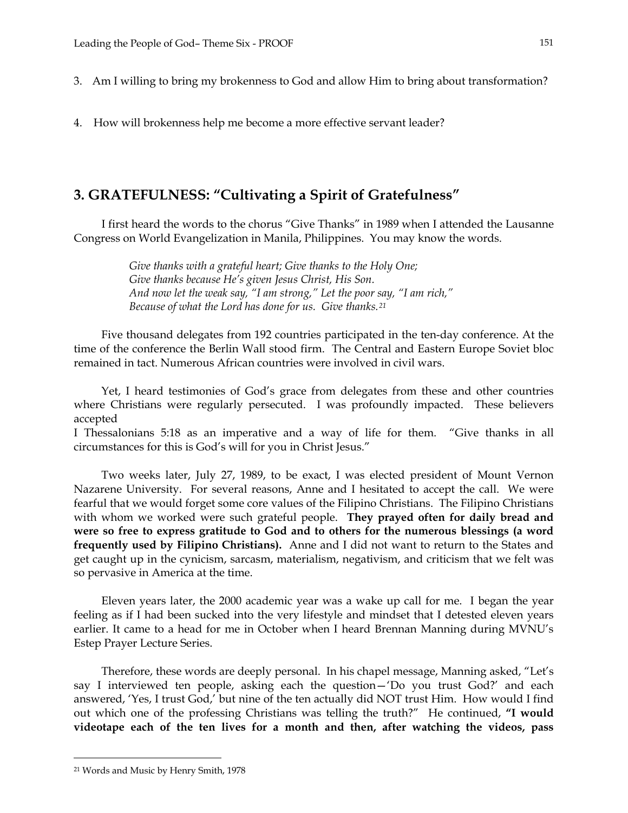3. Am I willing to bring my brokenness to God and allow Him to bring about transformation?

4. How will brokenness help me become a more effective servant leader?

# **3. GRATEFULNESS: "Cultivating a Spirit of Gratefulness"**

I first heard the words to the chorus "Give Thanks" in 1989 when I attended the Lausanne Congress on World Evangelization in Manila, Philippines. You may know the words.

> *Give thanks with a grateful heart; Give thanks to the Holy One; Give thanks because He's given Jesus Christ, His Son. And now let the weak say, "I am strong," Let the poor say, "I am rich," Because of what the Lord has done for us. Give thanks.[21](#page-124-0)*

Five thousand delegates from 192 countries participated in the ten-day conference. At the time of the conference the Berlin Wall stood firm. The Central and Eastern Europe Soviet bloc remained in tact. Numerous African countries were involved in civil wars.

Yet, I heard testimonies of God's grace from delegates from these and other countries where Christians were regularly persecuted. I was profoundly impacted. These believers accepted

I Thessalonians 5:18 as an imperative and a way of life for them. "Give thanks in all circumstances for this is God's will for you in Christ Jesus."

Two weeks later, July 27, 1989, to be exact, I was elected president of Mount Vernon Nazarene University. For several reasons, Anne and I hesitated to accept the call. We were fearful that we would forget some core values of the Filipino Christians. The Filipino Christians with whom we worked were such grateful people. **They prayed often for daily bread and were so free to express gratitude to God and to others for the numerous blessings (a word frequently used by Filipino Christians).** Anne and I did not want to return to the States and get caught up in the cynicism, sarcasm, materialism, negativism, and criticism that we felt was so pervasive in America at the time.

Eleven years later, the 2000 academic year was a wake up call for me. I began the year feeling as if I had been sucked into the very lifestyle and mindset that I detested eleven years earlier. It came to a head for me in October when I heard Brennan Manning during MVNU's Estep Prayer Lecture Series.

Therefore, these words are deeply personal. In his chapel message, Manning asked, "Let's say I interviewed ten people, asking each the question—'Do you trust God?' and each answered, 'Yes, I trust God,' but nine of the ten actually did NOT trust Him. How would I find out which one of the professing Christians was telling the truth?" He continued, **"I would videotape each of the ten lives for a month and then, after watching the videos, pass** 

 $\overline{a}$ 

<span id="page-124-0"></span><sup>21</sup> Words and Music by Henry Smith, 1978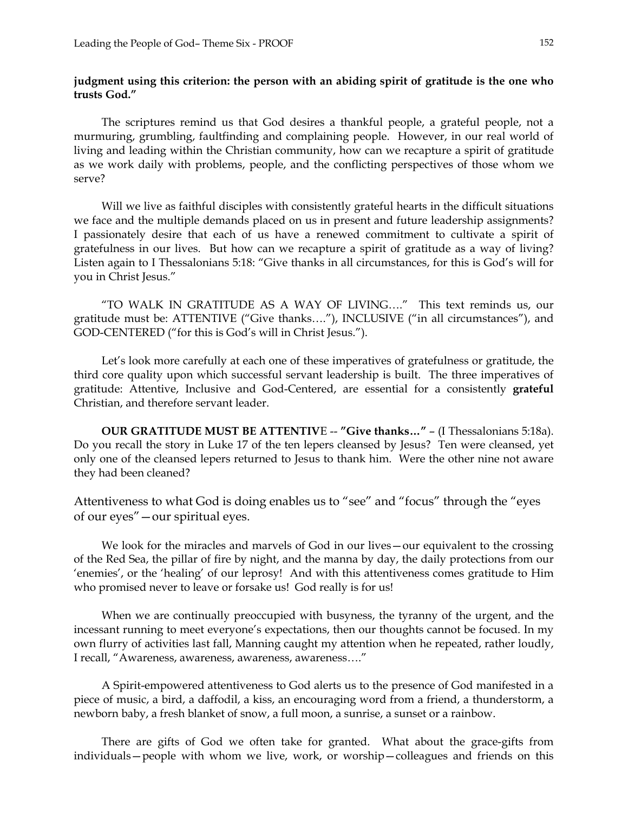#### **judgment using this criterion: the person with an abiding spirit of gratitude is the one who trusts God."**

The scriptures remind us that God desires a thankful people, a grateful people, not a murmuring, grumbling, faultfinding and complaining people. However, in our real world of living and leading within the Christian community, how can we recapture a spirit of gratitude as we work daily with problems, people, and the conflicting perspectives of those whom we serve?

Will we live as faithful disciples with consistently grateful hearts in the difficult situations we face and the multiple demands placed on us in present and future leadership assignments? I passionately desire that each of us have a renewed commitment to cultivate a spirit of gratefulness in our lives. But how can we recapture a spirit of gratitude as a way of living? Listen again to I Thessalonians 5:18: "Give thanks in all circumstances, for this is God's will for you in Christ Jesus."

"TO WALK IN GRATITUDE AS A WAY OF LIVING…." This text reminds us, our gratitude must be: ATTENTIVE ("Give thanks…."), INCLUSIVE ("in all circumstances"), and GOD-CENTERED ("for this is God's will in Christ Jesus.").

Let's look more carefully at each one of these imperatives of gratefulness or gratitude, the third core quality upon which successful servant leadership is built. The three imperatives of gratitude: Attentive, Inclusive and God-Centered, are essential for a consistently **grateful**  Christian, and therefore servant leader.

**OUR GRATITUDE MUST BE ATTENTIVE -- "Give thanks..." - (I Thessalonians 5:18a).** Do you recall the story in Luke 17 of the ten lepers cleansed by Jesus? Ten were cleansed, yet only one of the cleansed lepers returned to Jesus to thank him. Were the other nine not aware they had been cleaned?

Attentiveness to what God is doing enables us to "see" and "focus" through the "eyes of our eyes"—our spiritual eyes.

We look for the miracles and marvels of God in our lives—our equivalent to the crossing of the Red Sea, the pillar of fire by night, and the manna by day, the daily protections from our 'enemies', or the 'healing' of our leprosy! And with this attentiveness comes gratitude to Him who promised never to leave or forsake us! God really is for us!

When we are continually preoccupied with busyness, the tyranny of the urgent, and the incessant running to meet everyone's expectations, then our thoughts cannot be focused. In my own flurry of activities last fall, Manning caught my attention when he repeated, rather loudly, I recall, "Awareness, awareness, awareness, awareness…."

A Spirit-empowered attentiveness to God alerts us to the presence of God manifested in a piece of music, a bird, a daffodil, a kiss, an encouraging word from a friend, a thunderstorm, a newborn baby, a fresh blanket of snow, a full moon, a sunrise, a sunset or a rainbow.

There are gifts of God we often take for granted. What about the grace-gifts from individuals—people with whom we live, work, or worship—colleagues and friends on this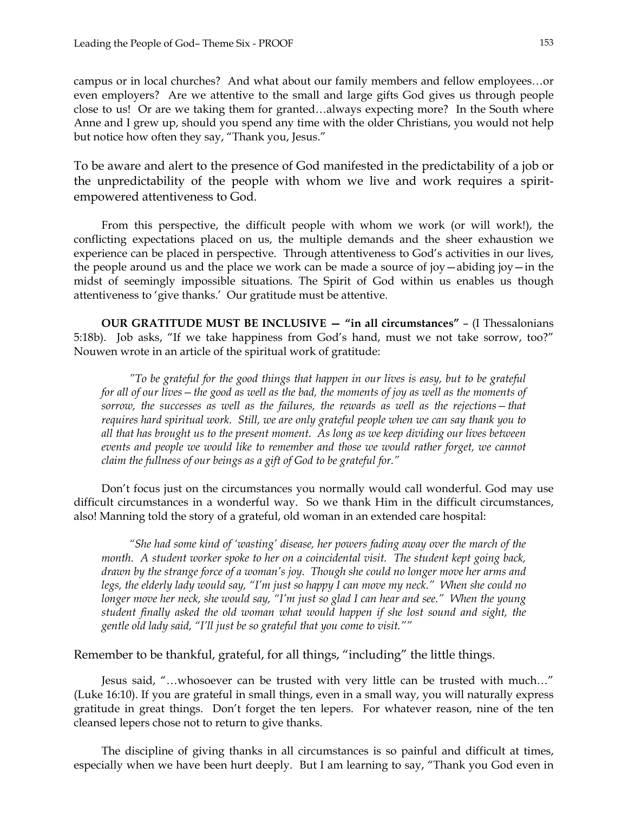campus or in local churches? And what about our family members and fellow employees…or even employers? Are we attentive to the small and large gifts God gives us through people close to us! Or are we taking them for granted…always expecting more? In the South where Anne and I grew up, should you spend any time with the older Christians, you would not help but notice how often they say, "Thank you, Jesus."

To be aware and alert to the presence of God manifested in the predictability of a job or the unpredictability of the people with whom we live and work requires a spiritempowered attentiveness to God.

From this perspective, the difficult people with whom we work (or will work!), the conflicting expectations placed on us, the multiple demands and the sheer exhaustion we experience can be placed in perspective. Through attentiveness to God's activities in our lives, the people around us and the place we work can be made a source of joy—abiding joy—in the midst of seemingly impossible situations. The Spirit of God within us enables us though attentiveness to 'give thanks.' Our gratitude must be attentive.

**OUR GRATITUDE MUST BE INCLUSIVE — "in all circumstances"** – (I Thessalonians 5:18b). Job asks, "If we take happiness from God's hand, must we not take sorrow, too?" Nouwen wrote in an article of the spiritual work of gratitude:

*"To be grateful for the good things that happen in our lives is easy, but to be grateful for all of our lives—the good as well as the bad, the moments of joy as well as the moments of sorrow, the successes as well as the failures, the rewards as well as the rejections—that requires hard spiritual work. Still, we are only grateful people when we can say thank you to all that has brought us to the present moment. As long as we keep dividing our lives between events and people we would like to remember and those we would rather forget, we cannot claim the fullness of our beings as a gift of God to be grateful for."* 

Don't focus just on the circumstances you normally would call wonderful. God may use difficult circumstances in a wonderful way. So we thank Him in the difficult circumstances, also! Manning told the story of a grateful, old woman in an extended care hospital:

*"She had some kind of 'wasting' disease, her powers fading away over the march of the month. A student worker spoke to her on a coincidental visit. The student kept going back, drawn by the strange force of a woman's joy. Though she could no longer move her arms and legs, the elderly lady would say, "I'm just so happy I can move my neck." When she could no longer move her neck, she would say, "I'm just so glad I can hear and see." When the young student finally asked the old woman what would happen if she lost sound and sight, the gentle old lady said, "I'll just be so grateful that you come to visit.""* 

Remember to be thankful, grateful, for all things, "including" the little things.

Jesus said, "…whosoever can be trusted with very little can be trusted with much…" (Luke 16:10). If you are grateful in small things, even in a small way, you will naturally express gratitude in great things. Don't forget the ten lepers. For whatever reason, nine of the ten cleansed lepers chose not to return to give thanks.

The discipline of giving thanks in all circumstances is so painful and difficult at times, especially when we have been hurt deeply. But I am learning to say, "Thank you God even in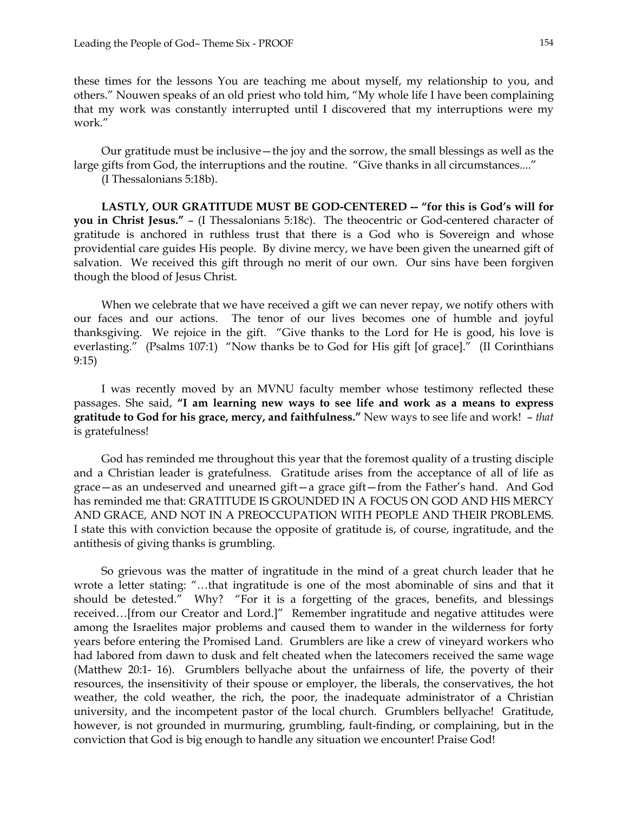these times for the lessons You are teaching me about myself, my relationship to you, and others." Nouwen speaks of an old priest who told him, "My whole life I have been complaining that my work was constantly interrupted until I discovered that my interruptions were my work."

Our gratitude must be inclusive—the joy and the sorrow, the small blessings as well as the large gifts from God, the interruptions and the routine. "Give thanks in all circumstances...."

(I Thessalonians 5:18b).

LASTLY, OUR GRATITUDE MUST BE GOD-CENTERED -- "for this is God's will for **you in Christ Jesus."** – (I Thessalonians 5:18c). The theocentric or God-centered character of gratitude is anchored in ruthless trust that there is a God who is Sovereign and whose providential care guides His people. By divine mercy, we have been given the unearned gift of salvation. We received this gift through no merit of our own. Our sins have been forgiven though the blood of Jesus Christ.

When we celebrate that we have received a gift we can never repay, we notify others with our faces and our actions. The tenor of our lives becomes one of humble and joyful thanksgiving. We rejoice in the gift. "Give thanks to the Lord for He is good, his love is everlasting." (Psalms 107:1) "Now thanks be to God for His gift [of grace]." (II Corinthians 9:15)

I was recently moved by an MVNU faculty member whose testimony reflected these passages. She said, **"I am learning new ways to see life and work as a means to express gratitude to God for his grace, mercy, and faithfulness."** New ways to see life and work! – *that* is gratefulness!

God has reminded me throughout this year that the foremost quality of a trusting disciple and a Christian leader is gratefulness. Gratitude arises from the acceptance of all of life as grace—as an undeserved and unearned gift—a grace gift—from the Father's hand. And God has reminded me that: GRATITUDE IS GROUNDED IN A FOCUS ON GOD AND HIS MERCY AND GRACE, AND NOT IN A PREOCCUPATION WITH PEOPLE AND THEIR PROBLEMS. I state this with conviction because the opposite of gratitude is, of course, ingratitude, and the antithesis of giving thanks is grumbling.

So grievous was the matter of ingratitude in the mind of a great church leader that he wrote a letter stating: "…that ingratitude is one of the most abominable of sins and that it should be detested." Why? "For it is a forgetting of the graces, benefits, and blessings received…[from our Creator and Lord.]" Remember ingratitude and negative attitudes were among the Israelites major problems and caused them to wander in the wilderness for forty years before entering the Promised Land. Grumblers are like a crew of vineyard workers who had labored from dawn to dusk and felt cheated when the latecomers received the same wage (Matthew 20:1- 16). Grumblers bellyache about the unfairness of life, the poverty of their resources, the insensitivity of their spouse or employer, the liberals, the conservatives, the hot weather, the cold weather, the rich, the poor, the inadequate administrator of a Christian university, and the incompetent pastor of the local church. Grumblers bellyache! Gratitude, however, is not grounded in murmuring, grumbling, fault-finding, or complaining, but in the conviction that God is big enough to handle any situation we encounter! Praise God!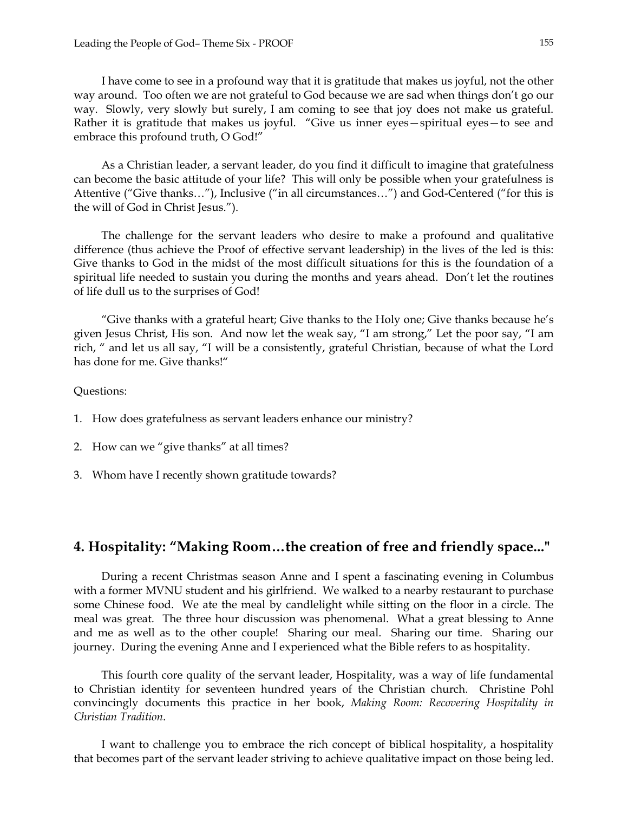I have come to see in a profound way that it is gratitude that makes us joyful, not the other way around. Too often we are not grateful to God because we are sad when things don't go our way. Slowly, very slowly but surely, I am coming to see that joy does not make us grateful. Rather it is gratitude that makes us joyful. "Give us inner eyes—spiritual eyes—to see and embrace this profound truth, O God!"

As a Christian leader, a servant leader, do you find it difficult to imagine that gratefulness can become the basic attitude of your life? This will only be possible when your gratefulness is Attentive ("Give thanks…"), Inclusive ("in all circumstances…") and God-Centered ("for this is the will of God in Christ Jesus.").

The challenge for the servant leaders who desire to make a profound and qualitative difference (thus achieve the Proof of effective servant leadership) in the lives of the led is this: Give thanks to God in the midst of the most difficult situations for this is the foundation of a spiritual life needed to sustain you during the months and years ahead. Don't let the routines of life dull us to the surprises of God!

"Give thanks with a grateful heart; Give thanks to the Holy one; Give thanks because he's given Jesus Christ, His son. And now let the weak say, "I am strong," Let the poor say, "I am rich, " and let us all say, "I will be a consistently, grateful Christian, because of what the Lord has done for me. Give thanks!"

#### Questions:

- 1. How does gratefulness as servant leaders enhance our ministry?
- 2. How can we "give thanks" at all times?
- 3. Whom have I recently shown gratitude towards?

#### **4. Hospitality: "Making Room…the creation of free and friendly space..."**

During a recent Christmas season Anne and I spent a fascinating evening in Columbus with a former MVNU student and his girlfriend. We walked to a nearby restaurant to purchase some Chinese food. We ate the meal by candlelight while sitting on the floor in a circle. The meal was great. The three hour discussion was phenomenal. What a great blessing to Anne and me as well as to the other couple! Sharing our meal. Sharing our time. Sharing our journey. During the evening Anne and I experienced what the Bible refers to as hospitality.

This fourth core quality of the servant leader, Hospitality, was a way of life fundamental to Christian identity for seventeen hundred years of the Christian church. Christine Pohl convincingly documents this practice in her book, *Making Room: Recovering Hospitality in Christian Tradition.*

I want to challenge you to embrace the rich concept of biblical hospitality, a hospitality that becomes part of the servant leader striving to achieve qualitative impact on those being led.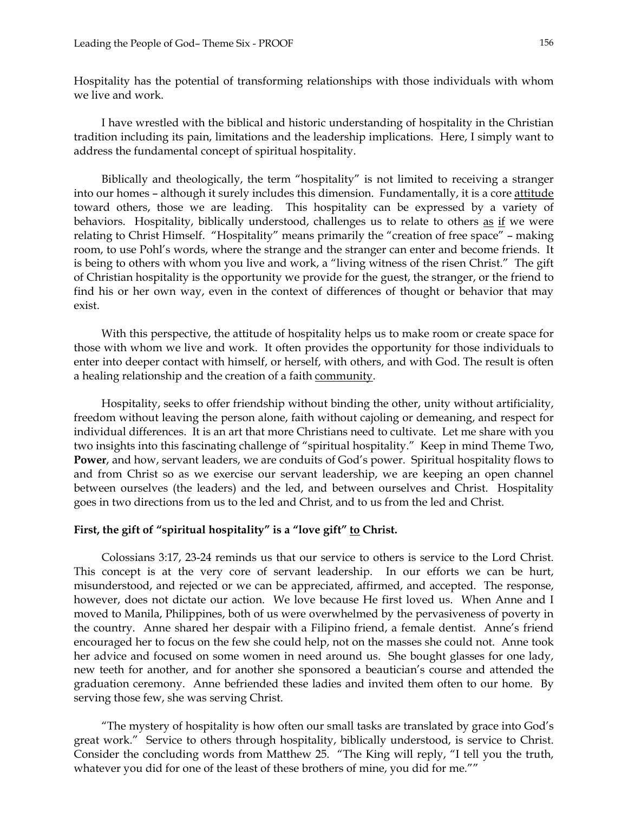Hospitality has the potential of transforming relationships with those individuals with whom we live and work.

I have wrestled with the biblical and historic understanding of hospitality in the Christian tradition including its pain, limitations and the leadership implications. Here, I simply want to address the fundamental concept of spiritual hospitality.

Biblically and theologically, the term "hospitality" is not limited to receiving a stranger into our homes – although it surely includes this dimension. Fundamentally, it is a core attitude toward others, those we are leading. This hospitality can be expressed by a variety of behaviors. Hospitality, biblically understood, challenges us to relate to others as if we were relating to Christ Himself. "Hospitality" means primarily the "creation of free space" – making room, to use Pohl's words, where the strange and the stranger can enter and become friends. It is being to others with whom you live and work, a "living witness of the risen Christ." The gift of Christian hospitality is the opportunity we provide for the guest, the stranger, or the friend to find his or her own way, even in the context of differences of thought or behavior that may exist.

With this perspective, the attitude of hospitality helps us to make room or create space for those with whom we live and work. It often provides the opportunity for those individuals to enter into deeper contact with himself, or herself, with others, and with God. The result is often a healing relationship and the creation of a faith community.

Hospitality, seeks to offer friendship without binding the other, unity without artificiality, freedom without leaving the person alone, faith without cajoling or demeaning, and respect for individual differences. It is an art that more Christians need to cultivate. Let me share with you two insights into this fascinating challenge of "spiritual hospitality." Keep in mind Theme Two, **Power**, and how, servant leaders, we are conduits of God's power. Spiritual hospitality flows to and from Christ so as we exercise our servant leadership, we are keeping an open channel between ourselves (the leaders) and the led, and between ourselves and Christ. Hospitality goes in two directions from us to the led and Christ, and to us from the led and Christ.

#### First, the gift of "spiritual hospitality" is a "love gift" to Christ.

Colossians 3:17, 23-24 reminds us that our service to others is service to the Lord Christ. This concept is at the very core of servant leadership. In our efforts we can be hurt, misunderstood, and rejected or we can be appreciated, affirmed, and accepted. The response, however, does not dictate our action. We love because He first loved us. When Anne and I moved to Manila, Philippines, both of us were overwhelmed by the pervasiveness of poverty in the country. Anne shared her despair with a Filipino friend, a female dentist. Anne's friend encouraged her to focus on the few she could help, not on the masses she could not. Anne took her advice and focused on some women in need around us. She bought glasses for one lady, new teeth for another, and for another she sponsored a beautician's course and attended the graduation ceremony. Anne befriended these ladies and invited them often to our home. By serving those few, she was serving Christ.

"The mystery of hospitality is how often our small tasks are translated by grace into God's great work." Service to others through hospitality, biblically understood, is service to Christ. Consider the concluding words from Matthew 25. "The King will reply, "I tell you the truth, whatever you did for one of the least of these brothers of mine, you did for me.""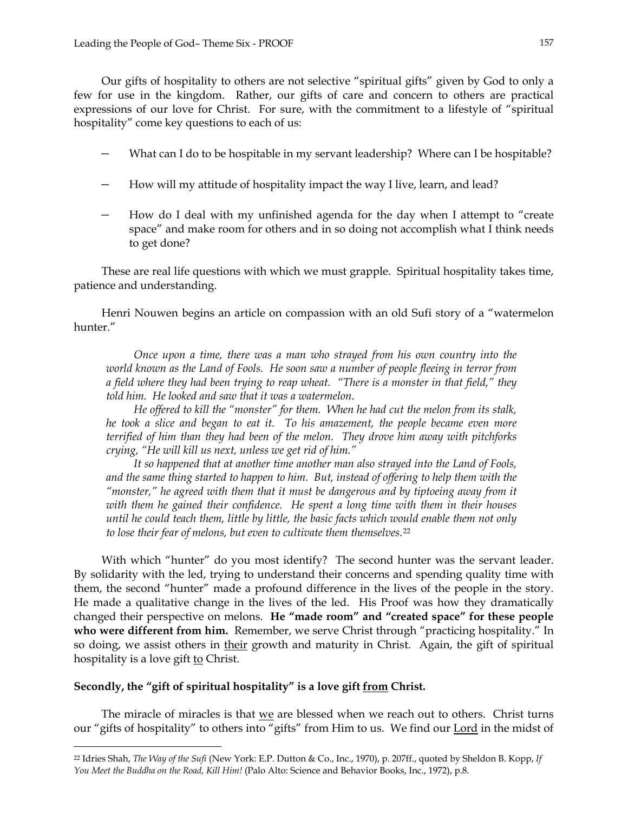Our gifts of hospitality to others are not selective "spiritual gifts" given by God to only a few for use in the kingdom. Rather, our gifts of care and concern to others are practical expressions of our love for Christ. For sure, with the commitment to a lifestyle of "spiritual hospitality" come key questions to each of us:

- What can I do to be hospitable in my servant leadership? Where can I be hospitable?
- How will my attitude of hospitality impact the way I live, learn, and lead?
- How do I deal with my unfinished agenda for the day when I attempt to "create space" and make room for others and in so doing not accomplish what I think needs to get done?

These are real life questions with which we must grapple. Spiritual hospitality takes time, patience and understanding.

Henri Nouwen begins an article on compassion with an old Sufi story of a "watermelon hunter."

*Once upon a time, there was a man who strayed from his own country into the world known as the Land of Fools. He soon saw a number of people fleeing in terror from a field where they had been trying to reap wheat. "There is a monster in that field," they told him. He looked and saw that it was a watermelon.* 

*He offered to kill the "monster" for them. When he had cut the melon from its stalk, he took a slice and began to eat it. To his amazement, the people became even more terrified of him than they had been of the melon. They drove him away with pitchforks crying, "He will kill us next, unless we get rid of him."* 

*It so happened that at another time another man also strayed into the Land of Fools, and the same thing started to happen to him. But, instead of offering to help them with the "monster," he agreed with them that it must be dangerous and by tiptoeing away from it with them he gained their confidence. He spent a long time with them in their houses until he could teach them, little by little, the basic facts which would enable them not only to lose their fear of melons, but even to cultivate them themselves.*[22](#page-130-0)

With which "hunter" do you most identify? The second hunter was the servant leader. By solidarity with the led, trying to understand their concerns and spending quality time with them, the second "hunter" made a profound difference in the lives of the people in the story. He made a qualitative change in the lives of the led. His Proof was how they dramatically changed their perspective on melons. **He "made room" and "created space" for these people who were different from him.** Remember, we serve Christ through "practicing hospitality." In so doing, we assist others in their growth and maturity in Christ. Again, the gift of spiritual hospitality is a love gift to Christ.

#### **Secondly, the "gift of spiritual hospitality" is a love gift from Christ.**

 $\overline{a}$ 

The miracle of miracles is that  $w$ e are blessed when we reach out to others. Christ turns our "gifts of hospitality" to others into "gifts" from Him to us. We find our Lord in the midst of

<span id="page-130-0"></span><sup>22</sup> Idries Shah, *The Way of the Sufi* (New York: E.P. Dutton & Co., Inc., 1970), p. 207ff., quoted by Sheldon B. Kopp, *If You Meet the Buddha on the Road, Kill Him!* (Palo Alto: Science and Behavior Books, Inc., 1972), p.8.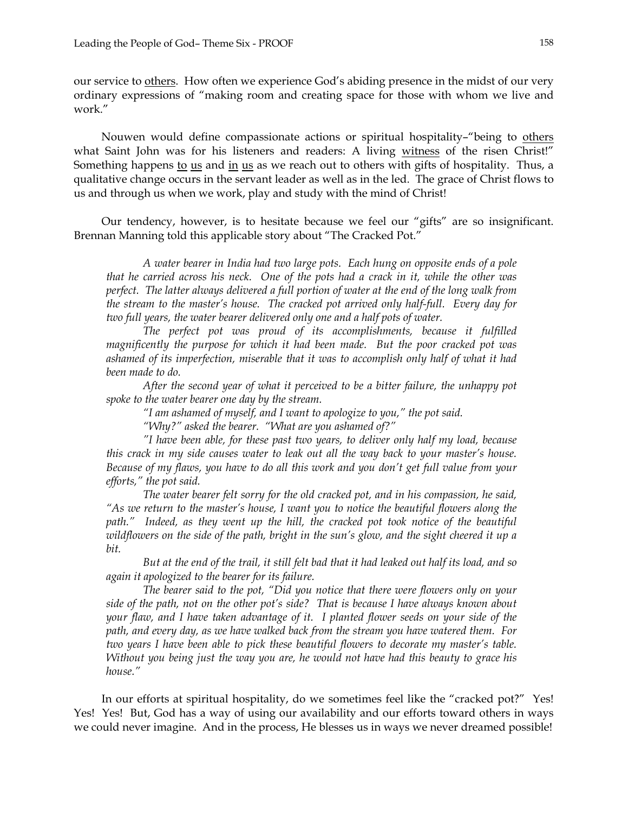our service to others. How often we experience God's abiding presence in the midst of our very ordinary expressions of "making room and creating space for those with whom we live and work."

Nouwen would define compassionate actions or spiritual hospitality–"being to others what Saint John was for his listeners and readers: A living witness of the risen Christ!" Something happens to us and in us as we reach out to others with gifts of hospitality. Thus, a qualitative change occurs in the servant leader as well as in the led. The grace of Christ flows to us and through us when we work, play and study with the mind of Christ!

Our tendency, however, is to hesitate because we feel our "gifts" are so insignificant. Brennan Manning told this applicable story about "The Cracked Pot."

*A water bearer in India had two large pots. Each hung on opposite ends of a pole that he carried across his neck. One of the pots had a crack in it, while the other was perfect. The latter always delivered a full portion of water at the end of the long walk from the stream to the master's house. The cracked pot arrived only half-full. Every day for two full years, the water bearer delivered only one and a half pots of water.* 

*The perfect pot was proud of its accomplishments, because it fulfilled magnificently the purpose for which it had been made. But the poor cracked pot was ashamed of its imperfection, miserable that it was to accomplish only half of what it had been made to do.* 

*After the second year of what it perceived to be a bitter failure, the unhappy pot spoke to the water bearer one day by the stream.* 

*"I am ashamed of myself, and I want to apologize to you," the pot said.* 

*"Why?" asked the bearer. "What are you ashamed of?"* 

*"I have been able, for these past two years, to deliver only half my load, because this crack in my side causes water to leak out all the way back to your master's house. Because of my flaws, you have to do all this work and you don't get full value from your efforts," the pot said.* 

*The water bearer felt sorry for the old cracked pot, and in his compassion, he said, "As we return to the master's house, I want you to notice the beautiful flowers along the path.*" Indeed, as they went up the hill, the cracked pot took notice of the beautiful *wildflowers on the side of the path, bright in the sun's glow, and the sight cheered it up a bit.* 

*But at the end of the trail, it still felt bad that it had leaked out half its load, and so again it apologized to the bearer for its failure.* 

*The bearer said to the pot, "Did you notice that there were flowers only on your side of the path, not on the other pot's side? That is because I have always known about your flaw, and I have taken advantage of it. I planted flower seeds on your side of the path, and every day, as we have walked back from the stream you have watered them. For two years I have been able to pick these beautiful flowers to decorate my master's table. Without you being just the way you are, he would not have had this beauty to grace his house."* 

In our efforts at spiritual hospitality, do we sometimes feel like the "cracked pot?" Yes! Yes! Yes! But, God has a way of using our availability and our efforts toward others in ways we could never imagine. And in the process, He blesses us in ways we never dreamed possible!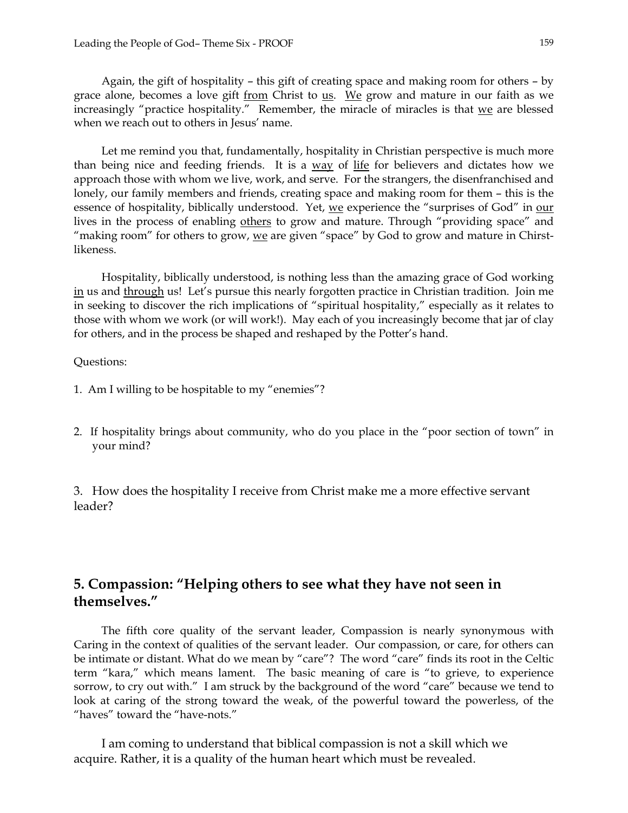Again, the gift of hospitality – this gift of creating space and making room for others – by grace alone, becomes a love gift from Christ to us. We grow and mature in our faith as we increasingly "practice hospitality." Remember, the miracle of miracles is that  $we$  are blessed</u> when we reach out to others in Jesus' name.

Let me remind you that, fundamentally, hospitality in Christian perspective is much more than being nice and feeding friends. It is a <u>way</u> of life for believers and dictates how we approach those with whom we live, work, and serve. For the strangers, the disenfranchised and lonely, our family members and friends, creating space and making room for them – this is the essence of hospitality, biblically understood. Yet, we experience the "surprises of God" in our lives in the process of enabling others to grow and mature. Through "providing space" and "making room" for others to grow, we are given "space" by God to grow and mature in Chirstlikeness.

Hospitality, biblically understood, is nothing less than the amazing grace of God working in us and through us! Let's pursue this nearly forgotten practice in Christian tradition. Join me in seeking to discover the rich implications of "spiritual hospitality," especially as it relates to those with whom we work (or will work!). May each of you increasingly become that jar of clay for others, and in the process be shaped and reshaped by the Potter's hand.

#### Questions:

- 1. Am I willing to be hospitable to my "enemies"?
- 2. If hospitality brings about community, who do you place in the "poor section of town" in your mind?

3. How does the hospitality I receive from Christ make me a more effective servant leader?

# **5. Compassion: "Helping others to see what they have not seen in themselves."**

The fifth core quality of the servant leader, Compassion is nearly synonymous with Caring in the context of qualities of the servant leader. Our compassion, or care, for others can be intimate or distant. What do we mean by "care"? The word "care" finds its root in the Celtic term "kara," which means lament. The basic meaning of care is "to grieve, to experience sorrow, to cry out with." I am struck by the background of the word "care" because we tend to look at caring of the strong toward the weak, of the powerful toward the powerless, of the "haves" toward the "have-nots."

I am coming to understand that biblical compassion is not a skill which we acquire. Rather, it is a quality of the human heart which must be revealed.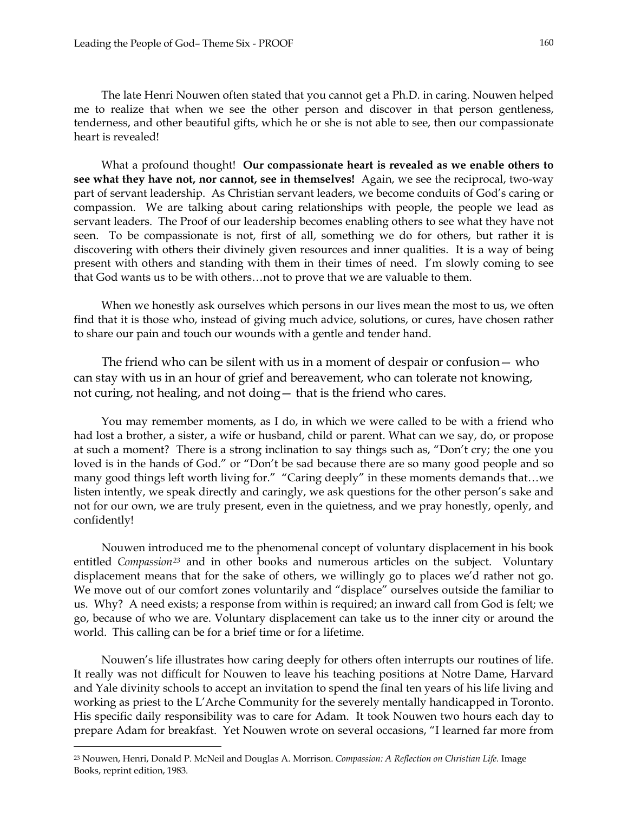The late Henri Nouwen often stated that you cannot get a Ph.D. in caring. Nouwen helped me to realize that when we see the other person and discover in that person gentleness, tenderness, and other beautiful gifts, which he or she is not able to see, then our compassionate heart is revealed!

What a profound thought! **Our compassionate heart is revealed as we enable others to see what they have not, nor cannot, see in themselves!** Again, we see the reciprocal, two-way part of servant leadership. As Christian servant leaders, we become conduits of God's caring or compassion. We are talking about caring relationships with people, the people we lead as servant leaders. The Proof of our leadership becomes enabling others to see what they have not seen. To be compassionate is not, first of all, something we do for others, but rather it is discovering with others their divinely given resources and inner qualities. It is a way of being present with others and standing with them in their times of need. I'm slowly coming to see that God wants us to be with others…not to prove that we are valuable to them.

When we honestly ask ourselves which persons in our lives mean the most to us, we often find that it is those who, instead of giving much advice, solutions, or cures, have chosen rather to share our pain and touch our wounds with a gentle and tender hand.

The friend who can be silent with us in a moment of despair or confusion— who can stay with us in an hour of grief and bereavement, who can tolerate not knowing, not curing, not healing, and not doing— that is the friend who cares.

You may remember moments, as I do, in which we were called to be with a friend who had lost a brother, a sister, a wife or husband, child or parent. What can we say, do, or propose at such a moment? There is a strong inclination to say things such as, "Don't cry; the one you loved is in the hands of God." or "Don't be sad because there are so many good people and so many good things left worth living for." "Caring deeply" in these moments demands that…we listen intently, we speak directly and caringly, we ask questions for the other person's sake and not for our own, we are truly present, even in the quietness, and we pray honestly, openly, and confidently!

Nouwen introduced me to the phenomenal concept of voluntary displacement in his book entitled *Compassion[23](#page-133-0)* and in other books and numerous articles on the subject. Voluntary displacement means that for the sake of others, we willingly go to places we'd rather not go. We move out of our comfort zones voluntarily and "displace" ourselves outside the familiar to us. Why? A need exists; a response from within is required; an inward call from God is felt; we go, because of who we are. Voluntary displacement can take us to the inner city or around the world. This calling can be for a brief time or for a lifetime.

Nouwen's life illustrates how caring deeply for others often interrupts our routines of life. It really was not difficult for Nouwen to leave his teaching positions at Notre Dame, Harvard and Yale divinity schools to accept an invitation to spend the final ten years of his life living and working as priest to the L'Arche Community for the severely mentally handicapped in Toronto. His specific daily responsibility was to care for Adam. It took Nouwen two hours each day to prepare Adam for breakfast. Yet Nouwen wrote on several occasions, "I learned far more from

 $\overline{a}$ 

<span id="page-133-0"></span><sup>23</sup> Nouwen, Henri, Donald P. McNeil and Douglas A. Morrison. *Compassion: A Reflection on Christian Life.* Image Books, reprint edition, 1983.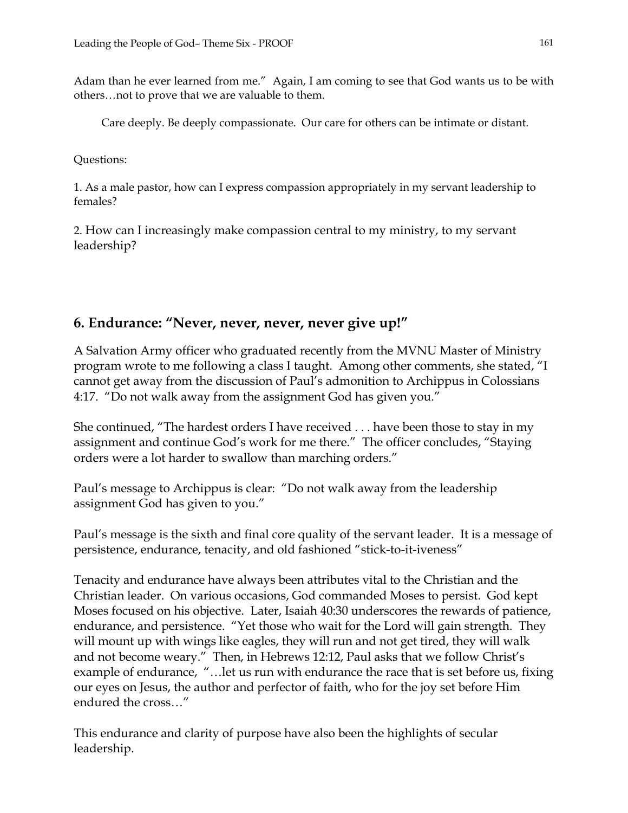Adam than he ever learned from me." Again, I am coming to see that God wants us to be with others…not to prove that we are valuable to them.

Care deeply. Be deeply compassionate. Our care for others can be intimate or distant.

Questions:

1. As a male pastor, how can I express compassion appropriately in my servant leadership to females?

2. How can I increasingly make compassion central to my ministry, to my servant leadership?

# **6. Endurance: "Never, never, never, never give up!"**

A Salvation Army officer who graduated recently from the MVNU Master of Ministry program wrote to me following a class I taught. Among other comments, she stated, "I cannot get away from the discussion of Paul's admonition to Archippus in Colossians 4:17. "Do not walk away from the assignment God has given you."

She continued, "The hardest orders I have received . . . have been those to stay in my assignment and continue God's work for me there." The officer concludes, "Staying orders were a lot harder to swallow than marching orders."

Paul's message to Archippus is clear: "Do not walk away from the leadership assignment God has given to you."

Paul's message is the sixth and final core quality of the servant leader. It is a message of persistence, endurance, tenacity, and old fashioned "stick-to-it-iveness"

Tenacity and endurance have always been attributes vital to the Christian and the Christian leader. On various occasions, God commanded Moses to persist. God kept Moses focused on his objective. Later, Isaiah 40:30 underscores the rewards of patience, endurance, and persistence. "Yet those who wait for the Lord will gain strength. They will mount up with wings like eagles, they will run and not get tired, they will walk and not become weary." Then, in Hebrews 12:12, Paul asks that we follow Christ's example of endurance, "…let us run with endurance the race that is set before us, fixing our eyes on Jesus, the author and perfector of faith, who for the joy set before Him endured the cross…"

This endurance and clarity of purpose have also been the highlights of secular leadership.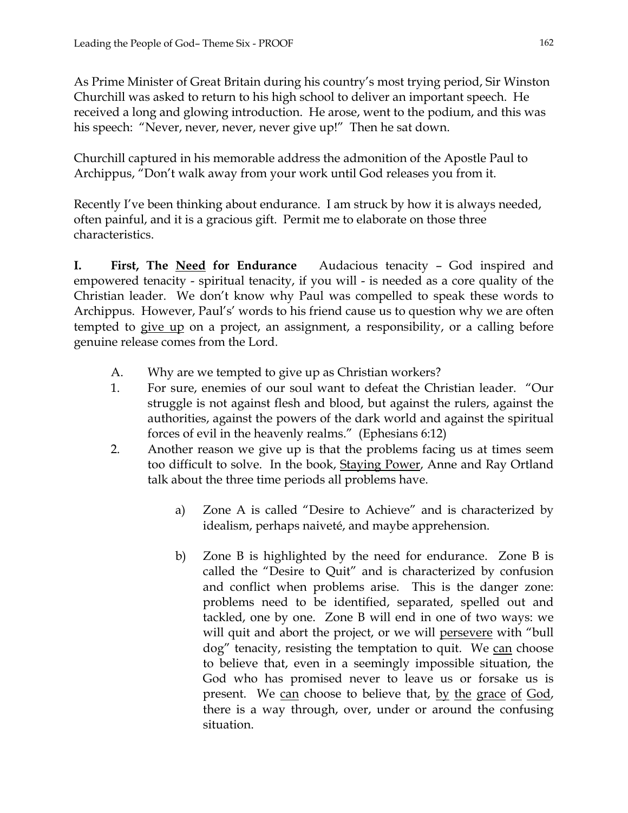As Prime Minister of Great Britain during his country's most trying period, Sir Winston Churchill was asked to return to his high school to deliver an important speech. He received a long and glowing introduction. He arose, went to the podium, and this was his speech: "Never, never, never, never give up!" Then he sat down.

Churchill captured in his memorable address the admonition of the Apostle Paul to Archippus, "Don't walk away from your work until God releases you from it.

Recently I've been thinking about endurance. I am struck by how it is always needed, often painful, and it is a gracious gift. Permit me to elaborate on those three characteristics.

**I. First, The Need for Endurance** Audacious tenacity – God inspired and empowered tenacity - spiritual tenacity, if you will - is needed as a core quality of the Christian leader. We don't know why Paul was compelled to speak these words to Archippus. However, Paul's' words to his friend cause us to question why we are often tempted to give up on a project, an assignment, a responsibility, or a calling before genuine release comes from the Lord.

- A. Why are we tempted to give up as Christian workers?
- 1. For sure, enemies of our soul want to defeat the Christian leader. "Our struggle is not against flesh and blood, but against the rulers, against the authorities, against the powers of the dark world and against the spiritual forces of evil in the heavenly realms." (Ephesians 6:12)
- 2. Another reason we give up is that the problems facing us at times seem too difficult to solve. In the book, Staying Power, Anne and Ray Ortland talk about the three time periods all problems have.
	- a) Zone A is called "Desire to Achieve" and is characterized by idealism, perhaps naiveté, and maybe apprehension.
	- b) Zone B is highlighted by the need for endurance. Zone B is called the "Desire to Quit" and is characterized by confusion and conflict when problems arise. This is the danger zone: problems need to be identified, separated, spelled out and tackled, one by one. Zone B will end in one of two ways: we will quit and abort the project, or we will persevere with "bull dog" tenacity, resisting the temptation to quit. We can choose to believe that, even in a seemingly impossible situation, the God who has promised never to leave us or forsake us is present. We can choose to believe that, by the grace of God, there is a way through, over, under or around the confusing situation.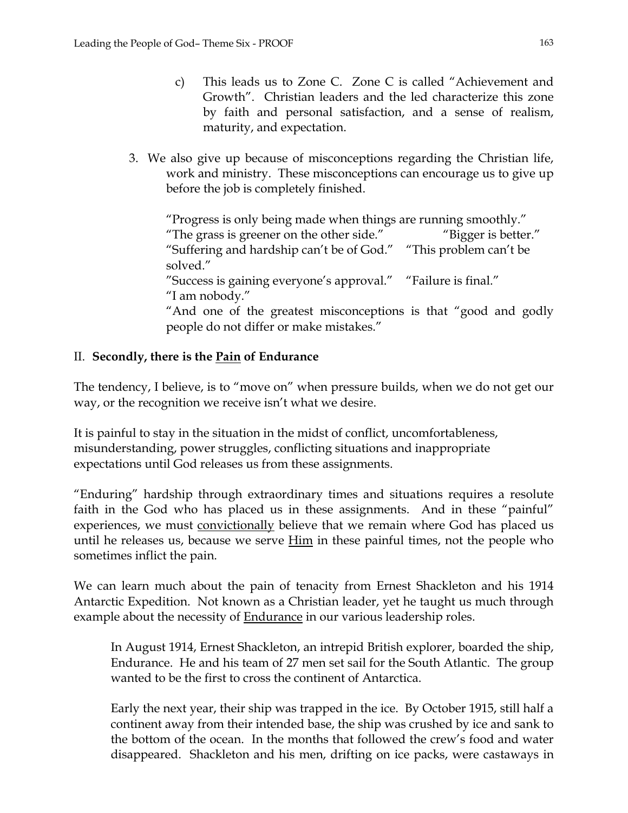- c) This leads us to Zone C. Zone C is called "Achievement and Growth". Christian leaders and the led characterize this zone by faith and personal satisfaction, and a sense of realism, maturity, and expectation.
- 3. We also give up because of misconceptions regarding the Christian life, work and ministry. These misconceptions can encourage us to give up before the job is completely finished.

"Progress is only being made when things are running smoothly." "The grass is greener on the other side." "Bigger is better." "Suffering and hardship can't be of God." "This problem can't be solved." "Success is gaining everyone's approval." "Failure is final." "I am nobody." "And one of the greatest misconceptions is that "good and godly people do not differ or make mistakes."

# II. **Secondly, there is the Pain of Endurance**

The tendency, I believe, is to "move on" when pressure builds, when we do not get our way, or the recognition we receive isn't what we desire.

It is painful to stay in the situation in the midst of conflict, uncomfortableness, misunderstanding, power struggles, conflicting situations and inappropriate expectations until God releases us from these assignments.

"Enduring" hardship through extraordinary times and situations requires a resolute faith in the God who has placed us in these assignments. And in these "painful" experiences, we must convictionally believe that we remain where God has placed us until he releases us, because we serve  $\overline{\text{Him}}$  in these painful times, not the people who sometimes inflict the pain.

We can learn much about the pain of tenacity from Ernest Shackleton and his 1914 Antarctic Expedition. Not known as a Christian leader, yet he taught us much through example about the necessity of **Endurance** in our various leadership roles.

In August 1914, Ernest Shackleton, an intrepid British explorer, boarded the ship, Endurance. He and his team of 27 men set sail for the South Atlantic. The group wanted to be the first to cross the continent of Antarctica.

Early the next year, their ship was trapped in the ice. By October 1915, still half a continent away from their intended base, the ship was crushed by ice and sank to the bottom of the ocean. In the months that followed the crew's food and water disappeared. Shackleton and his men, drifting on ice packs, were castaways in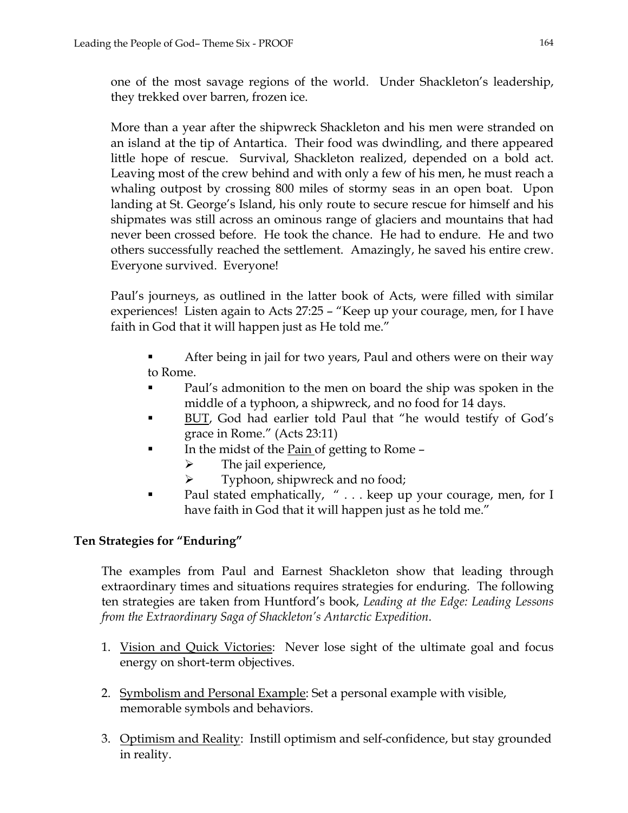one of the most savage regions of the world. Under Shackleton's leadership, they trekked over barren, frozen ice.

More than a year after the shipwreck Shackleton and his men were stranded on an island at the tip of Antartica. Their food was dwindling, and there appeared little hope of rescue. Survival, Shackleton realized, depended on a bold act. Leaving most of the crew behind and with only a few of his men, he must reach a whaling outpost by crossing 800 miles of stormy seas in an open boat. Upon landing at St. George's Island, his only route to secure rescue for himself and his shipmates was still across an ominous range of glaciers and mountains that had never been crossed before. He took the chance. He had to endure. He and two others successfully reached the settlement. Amazingly, he saved his entire crew. Everyone survived. Everyone!

Paul's journeys, as outlined in the latter book of Acts, were filled with similar experiences! Listen again to Acts 27:25 – "Keep up your courage, men, for I have faith in God that it will happen just as He told me."

- After being in jail for two years, Paul and others were on their way to Rome.
- **Paul's admonition to the men on board the ship was spoken in the** middle of a typhoon, a shipwreck, and no food for 14 days.
- BUT, God had earlier told Paul that "he would testify of God's grace in Rome." (Acts 23:11)
- In the midst of the Pain of getting to Rome
	- $\triangleright$  The jail experience,
	- $\triangleright$  Typhoon, shipwreck and no food;
- Paul stated emphatically, " . . . keep up your courage, men, for I have faith in God that it will happen just as he told me."

# **Ten Strategies for "Enduring"**

The examples from Paul and Earnest Shackleton show that leading through extraordinary times and situations requires strategies for enduring. The following ten strategies are taken from Huntford's book, *Leading at the Edge: Leading Lessons from the Extraordinary Saga of Shackleton's Antarctic Expedition*.

- 1. Vision and Quick Victories: Never lose sight of the ultimate goal and focus energy on short-term objectives.
- 2. Symbolism and Personal Example: Set a personal example with visible, memorable symbols and behaviors.
- 3. Optimism and Reality: Instill optimism and self-confidence, but stay grounded in reality.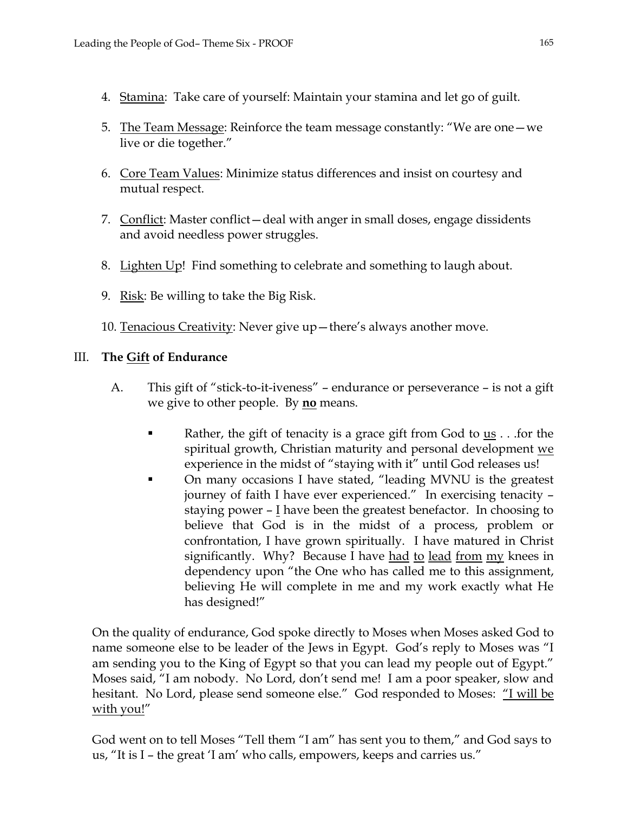- 4. Stamina: Take care of yourself: Maintain your stamina and let go of guilt.
- 5. The Team Message: Reinforce the team message constantly: "We are one—we live or die together."
- 6. Core Team Values: Minimize status differences and insist on courtesy and mutual respect.
- 7. Conflict: Master conflict—deal with anger in small doses, engage dissidents and avoid needless power struggles.
- 8. Lighten Up! Find something to celebrate and something to laugh about.
- 9. <u>Risk</u>: Be willing to take the Big Risk.
- 10. Tenacious Creativity: Never give up—there's always another move.

# III. **The Gift of Endurance**

- A. This gift of "stick-to-it-iveness" endurance or perseverance is not a gift we give to other people. By **no** means.
	- Rather, the gift of tenacity is a grace gift from God to  $us$ . . .for the</u> spiritual growth, Christian maturity and personal development we experience in the midst of "staying with it" until God releases us!
	- On many occasions I have stated, "leading MVNU is the greatest journey of faith I have ever experienced." In exercising tenacity – staying power – I have been the greatest benefactor. In choosing to believe that God is in the midst of a process, problem or confrontation, I have grown spiritually. I have matured in Christ significantly. Why? Because I have had to lead from my knees in dependency upon "the One who has called me to this assignment, believing He will complete in me and my work exactly what He has designed!"

 On the quality of endurance, God spoke directly to Moses when Moses asked God to name someone else to be leader of the Jews in Egypt. God's reply to Moses was "I am sending you to the King of Egypt so that you can lead my people out of Egypt." Moses said, "I am nobody. No Lord, don't send me! I am a poor speaker, slow and hesitant. No Lord, please send someone else." God responded to Moses: "I will be with you!"

God went on to tell Moses "Tell them "I am" has sent you to them," and God says to us, "It is I – the great 'I am' who calls, empowers, keeps and carries us."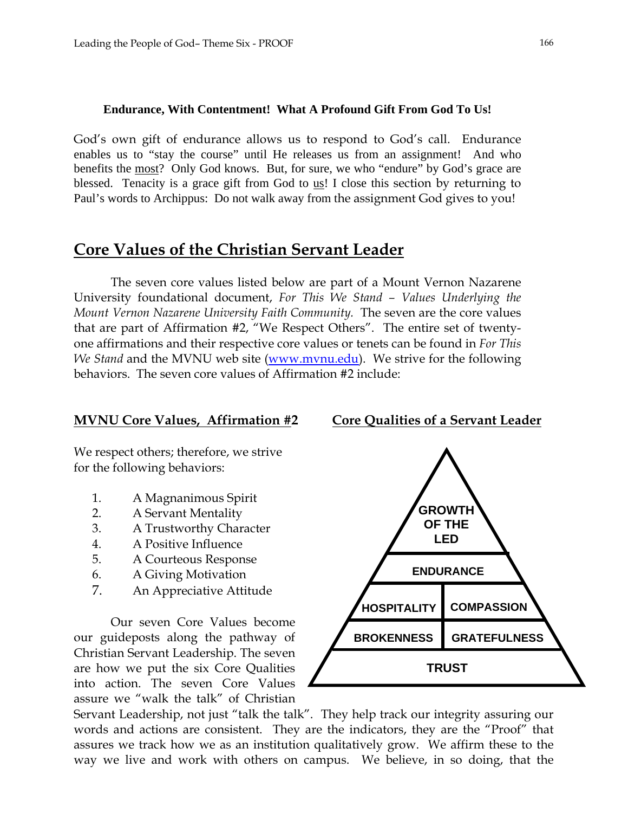#### **Endurance, With Contentment! What A Profound Gift From God To Us!**

God's own gift of endurance allows us to respond to God's call. Endurance enables us to "stay the course" until He releases us from an assignment! And who benefits the most? Only God knows. But, for sure, we who "endure" by God's grace are blessed. Tenacity is a grace gift from God to us! I close this section by returning to Paul's words to Archippus: Do not walk away from the assignment God gives to you!

# **Core Values of the Christian Servant Leader**

The seven core values listed below are part of a Mount Vernon Nazarene University foundational document, *For This We Stand – Values Underlying the Mount Vernon Nazarene University Faith Community.* The seven are the core values that are part of Affirmation #2, "We Respect Others". The entire set of twentyone affirmations and their respective core values or tenets can be found in *For This We Stand* and the MVNU web site ([www.mvnu.edu\)](http://www.mvnu.edu/). We strive for the following behaviors. The seven core values of Affirmation #2 include:

#### **MVNU Core Values, Affirmation #2 Core Qualities of a Servant Leader**

We respect others; therefore, we strive for the following behaviors:

- 1. A Magnanimous Spirit
- 2. A Servant Mentality
- 3. A Trustworthy Character
- 4. A Positive Influence
- 5. A Courteous Response
- 6. A Giving Motivation
- 7. An Appreciative Attitude

Our seven Core Values become our guideposts along the pathway of Christian Servant Leadership. The seven are how we put the six Core Qualities into action. The seven Core Values assure we "walk the talk" of Christian

Servant Leadership, not just "talk the talk". They help track our integrity assuring our words and actions are consistent. They are the indicators, they are the "Proof" that assures we track how we as an institution qualitatively grow. We affirm these to the way we live and work with others on campus. We believe, in so doing, that the

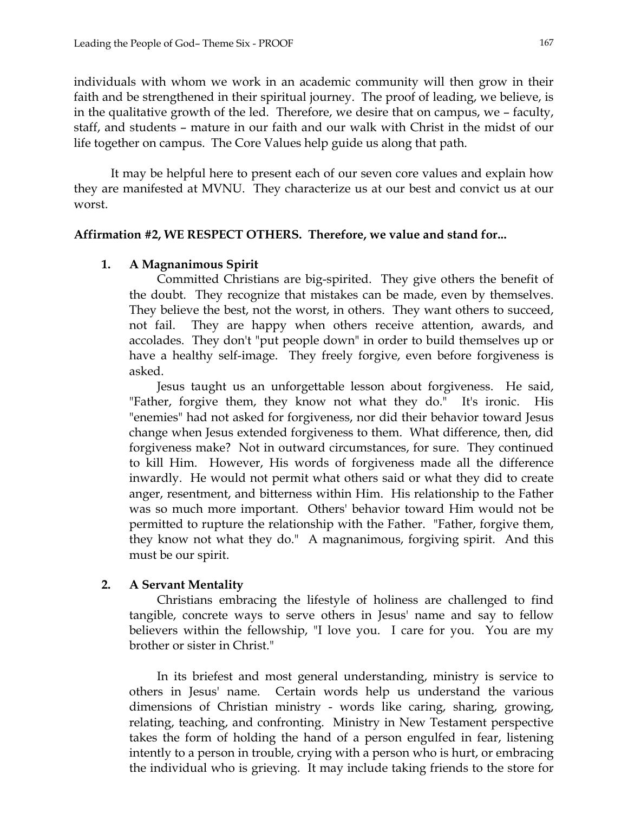individuals with whom we work in an academic community will then grow in their faith and be strengthened in their spiritual journey. The proof of leading, we believe, is in the qualitative growth of the led. Therefore, we desire that on campus, we – faculty, staff, and students – mature in our faith and our walk with Christ in the midst of our life together on campus. The Core Values help guide us along that path.

It may be helpful here to present each of our seven core values and explain how they are manifested at MVNU. They characterize us at our best and convict us at our worst.

#### **Affirmation #2, WE RESPECT OTHERS. Therefore, we value and stand for...**

#### **1. A Magnanimous Spirit**

 Committed Christians are big-spirited. They give others the benefit of the doubt. They recognize that mistakes can be made, even by themselves. They believe the best, not the worst, in others. They want others to succeed, not fail. They are happy when others receive attention, awards, and accolades. They don't "put people down" in order to build themselves up or have a healthy self-image. They freely forgive, even before forgiveness is asked.

 Jesus taught us an unforgettable lesson about forgiveness. He said, "Father, forgive them, they know not what they do." It's ironic. His "enemies" had not asked for forgiveness, nor did their behavior toward Jesus change when Jesus extended forgiveness to them. What difference, then, did forgiveness make? Not in outward circumstances, for sure. They continued to kill Him. However, His words of forgiveness made all the difference inwardly. He would not permit what others said or what they did to create anger, resentment, and bitterness within Him. His relationship to the Father was so much more important. Others' behavior toward Him would not be permitted to rupture the relationship with the Father. "Father, forgive them, they know not what they do." A magnanimous, forgiving spirit. And this must be our spirit.

#### **2. A Servant Mentality**

 Christians embracing the lifestyle of holiness are challenged to find tangible, concrete ways to serve others in Jesus' name and say to fellow believers within the fellowship, "I love you. I care for you. You are my brother or sister in Christ."

 In its briefest and most general understanding, ministry is service to others in Jesus' name. Certain words help us understand the various dimensions of Christian ministry - words like caring, sharing, growing, relating, teaching, and confronting. Ministry in New Testament perspective takes the form of holding the hand of a person engulfed in fear, listening intently to a person in trouble, crying with a person who is hurt, or embracing the individual who is grieving. It may include taking friends to the store for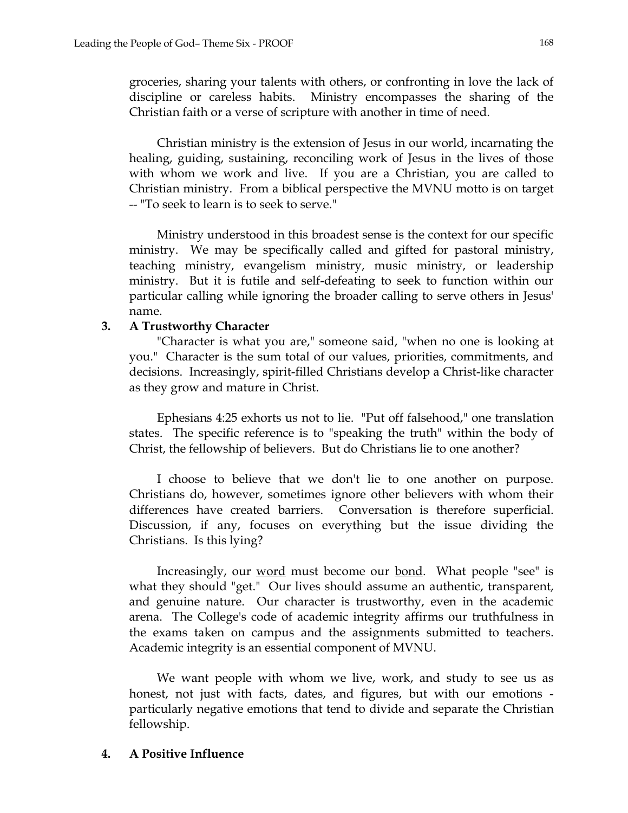groceries, sharing your talents with others, or confronting in love the lack of discipline or careless habits. Ministry encompasses the sharing of the Christian faith or a verse of scripture with another in time of need.

 Christian ministry is the extension of Jesus in our world, incarnating the healing, guiding, sustaining, reconciling work of Jesus in the lives of those with whom we work and live. If you are a Christian, you are called to Christian ministry. From a biblical perspective the MVNU motto is on target -- "To seek to learn is to seek to serve."

 Ministry understood in this broadest sense is the context for our specific ministry. We may be specifically called and gifted for pastoral ministry, teaching ministry, evangelism ministry, music ministry, or leadership ministry. But it is futile and self-defeating to seek to function within our particular calling while ignoring the broader calling to serve others in Jesus' name.

#### **3. A Trustworthy Character**

 "Character is what you are," someone said, "when no one is looking at you." Character is the sum total of our values, priorities, commitments, and decisions. Increasingly, spirit-filled Christians develop a Christ-like character as they grow and mature in Christ.

 Ephesians 4:25 exhorts us not to lie. "Put off falsehood," one translation states. The specific reference is to "speaking the truth" within the body of Christ, the fellowship of believers. But do Christians lie to one another?

 I choose to believe that we don't lie to one another on purpose. Christians do, however, sometimes ignore other believers with whom their differences have created barriers. Conversation is therefore superficial. Discussion, if any, focuses on everything but the issue dividing the Christians. Is this lying?

Increasingly, our <u>word</u> must become our <u>bond</u>. What people "see" is what they should "get." Our lives should assume an authentic, transparent, and genuine nature. Our character is trustworthy, even in the academic arena. The College's code of academic integrity affirms our truthfulness in the exams taken on campus and the assignments submitted to teachers. Academic integrity is an essential component of MVNU.

 We want people with whom we live, work, and study to see us as honest, not just with facts, dates, and figures, but with our emotions particularly negative emotions that tend to divide and separate the Christian fellowship.

#### **4. A Positive Influence**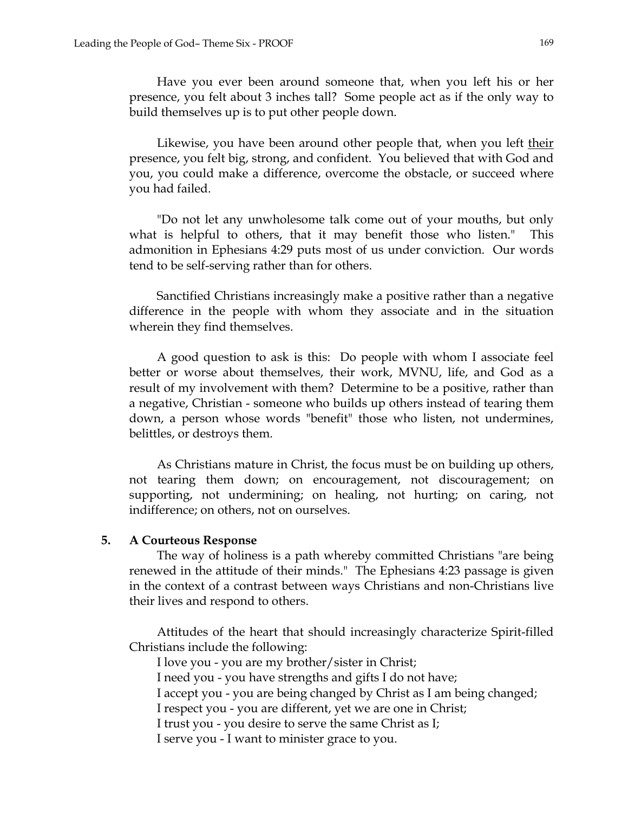Have you ever been around someone that, when you left his or her presence, you felt about 3 inches tall? Some people act as if the only way to build themselves up is to put other people down.

 Likewise, you have been around other people that, when you left their presence, you felt big, strong, and confident. You believed that with God and you, you could make a difference, overcome the obstacle, or succeed where you had failed.

 "Do not let any unwholesome talk come out of your mouths, but only what is helpful to others, that it may benefit those who listen." This admonition in Ephesians 4:29 puts most of us under conviction. Our words tend to be self-serving rather than for others.

 Sanctified Christians increasingly make a positive rather than a negative difference in the people with whom they associate and in the situation wherein they find themselves.

 A good question to ask is this: Do people with whom I associate feel better or worse about themselves, their work, MVNU, life, and God as a result of my involvement with them? Determine to be a positive, rather than a negative, Christian - someone who builds up others instead of tearing them down, a person whose words "benefit" those who listen, not undermines, belittles, or destroys them.

 As Christians mature in Christ, the focus must be on building up others, not tearing them down; on encouragement, not discouragement; on supporting, not undermining; on healing, not hurting; on caring, not indifference; on others, not on ourselves.

#### **5. A Courteous Response**

 The way of holiness is a path whereby committed Christians "are being renewed in the attitude of their minds." The Ephesians 4:23 passage is given in the context of a contrast between ways Christians and non-Christians live their lives and respond to others.

 Attitudes of the heart that should increasingly characterize Spirit-filled Christians include the following:

 I love you - you are my brother/sister in Christ; I need you - you have strengths and gifts I do not have; I accept you - you are being changed by Christ as I am being changed; I respect you - you are different, yet we are one in Christ; I trust you - you desire to serve the same Christ as I; I serve you - I want to minister grace to you.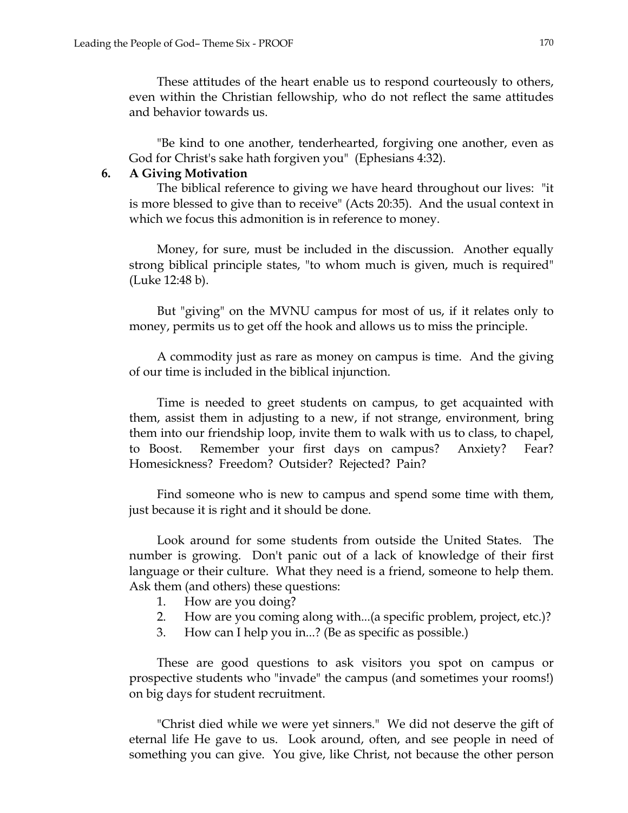These attitudes of the heart enable us to respond courteously to others, even within the Christian fellowship, who do not reflect the same attitudes and behavior towards us.

 "Be kind to one another, tenderhearted, forgiving one another, even as God for Christ's sake hath forgiven you" (Ephesians 4:32).

#### **6. A Giving Motivation**

 The biblical reference to giving we have heard throughout our lives: "it is more blessed to give than to receive" (Acts 20:35). And the usual context in which we focus this admonition is in reference to money.

 Money, for sure, must be included in the discussion. Another equally strong biblical principle states, "to whom much is given, much is required" (Luke 12:48 b).

 But "giving" on the MVNU campus for most of us, if it relates only to money, permits us to get off the hook and allows us to miss the principle.

 A commodity just as rare as money on campus is time. And the giving of our time is included in the biblical injunction.

 Time is needed to greet students on campus, to get acquainted with them, assist them in adjusting to a new, if not strange, environment, bring them into our friendship loop, invite them to walk with us to class, to chapel, to Boost. Remember your first days on campus? Anxiety? Fear? Homesickness? Freedom? Outsider? Rejected? Pain?

 Find someone who is new to campus and spend some time with them, just because it is right and it should be done.

 Look around for some students from outside the United States. The number is growing. Don't panic out of a lack of knowledge of their first language or their culture. What they need is a friend, someone to help them. Ask them (and others) these questions:

- 1. How are you doing?
- 2. How are you coming along with...(a specific problem, project, etc.)?
- 3. How can I help you in...? (Be as specific as possible.)

 These are good questions to ask visitors you spot on campus or prospective students who "invade" the campus (and sometimes your rooms!) on big days for student recruitment.

 "Christ died while we were yet sinners." We did not deserve the gift of eternal life He gave to us. Look around, often, and see people in need of something you can give. You give, like Christ, not because the other person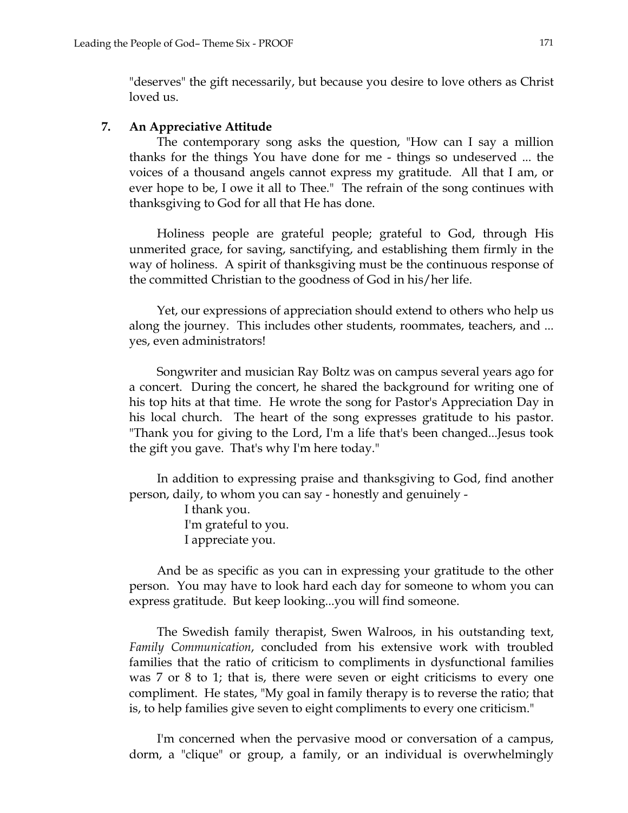"deserves" the gift necessarily, but because you desire to love others as Christ loved us.

#### **7. An Appreciative Attitude**

 The contemporary song asks the question, "How can I say a million thanks for the things You have done for me - things so undeserved ... the voices of a thousand angels cannot express my gratitude. All that I am, or ever hope to be, I owe it all to Thee." The refrain of the song continues with thanksgiving to God for all that He has done.

 Holiness people are grateful people; grateful to God, through His unmerited grace, for saving, sanctifying, and establishing them firmly in the way of holiness. A spirit of thanksgiving must be the continuous response of the committed Christian to the goodness of God in his/her life.

 Yet, our expressions of appreciation should extend to others who help us along the journey. This includes other students, roommates, teachers, and ... yes, even administrators!

 Songwriter and musician Ray Boltz was on campus several years ago for a concert. During the concert, he shared the background for writing one of his top hits at that time. He wrote the song for Pastor's Appreciation Day in his local church. The heart of the song expresses gratitude to his pastor. "Thank you for giving to the Lord, I'm a life that's been changed...Jesus took the gift you gave. That's why I'm here today."

 In addition to expressing praise and thanksgiving to God, find another person, daily, to whom you can say - honestly and genuinely -

> I thank you. I'm grateful to you. I appreciate you.

 And be as specific as you can in expressing your gratitude to the other person. You may have to look hard each day for someone to whom you can express gratitude. But keep looking...you will find someone.

 The Swedish family therapist, Swen Walroos, in his outstanding text, *Family Communication*, concluded from his extensive work with troubled families that the ratio of criticism to compliments in dysfunctional families was 7 or 8 to 1; that is, there were seven or eight criticisms to every one compliment. He states, "My goal in family therapy is to reverse the ratio; that is, to help families give seven to eight compliments to every one criticism."

 I'm concerned when the pervasive mood or conversation of a campus, dorm, a "clique" or group, a family, or an individual is overwhelmingly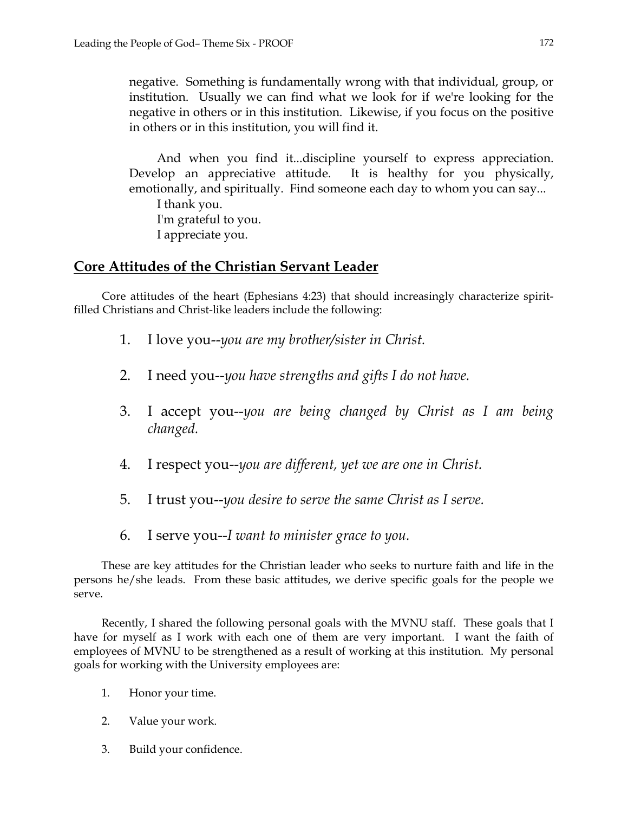negative. Something is fundamentally wrong with that individual, group, or institution. Usually we can find what we look for if we're looking for the negative in others or in this institution. Likewise, if you focus on the positive in others or in this institution, you will find it.

 And when you find it...discipline yourself to express appreciation. Develop an appreciative attitude. It is healthy for you physically, emotionally, and spiritually. Find someone each day to whom you can say... I thank you. I'm grateful to you. I appreciate you.

# **Core Attitudes of the Christian Servant Leader**

Core attitudes of the heart (Ephesians 4:23) that should increasingly characterize spiritfilled Christians and Christ-like leaders include the following:

- 1. I love you--*you are my brother/sister in Christ.*
- 2. I need you--*you have strengths and gifts I do not have.*
- 3. I accept you--*you are being changed by Christ as I am being changed.*
- 4. I respect you--*you are different, yet we are one in Christ.*
- 5. I trust you--*you desire to serve the same Christ as I serve.*
- 6. I serve you--*I want to minister grace to you.*

These are key attitudes for the Christian leader who seeks to nurture faith and life in the persons he/she leads. From these basic attitudes, we derive specific goals for the people we serve.

Recently, I shared the following personal goals with the MVNU staff. These goals that I have for myself as I work with each one of them are very important. I want the faith of employees of MVNU to be strengthened as a result of working at this institution. My personal goals for working with the University employees are:

- 1. Honor your time.
- 2. Value your work.
- 3. Build your confidence.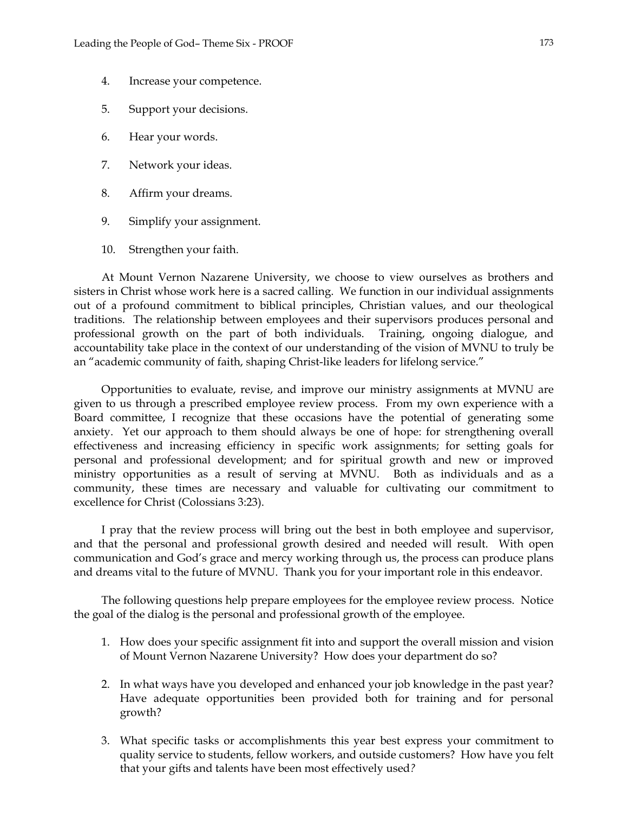- 4. Increase your competence.
- 5. Support your decisions.
- 6. Hear your words.
- 7. Network your ideas.
- 8. Affirm your dreams.
- 9. Simplify your assignment.
- 10. Strengthen your faith.

At Mount Vernon Nazarene University, we choose to view ourselves as brothers and sisters in Christ whose work here is a sacred calling. We function in our individual assignments out of a profound commitment to biblical principles, Christian values, and our theological traditions. The relationship between employees and their supervisors produces personal and professional growth on the part of both individuals. Training, ongoing dialogue, and accountability take place in the context of our understanding of the vision of MVNU to truly be an "academic community of faith, shaping Christ-like leaders for lifelong service."

Opportunities to evaluate, revise, and improve our ministry assignments at MVNU are given to us through a prescribed employee review process. From my own experience with a Board committee, I recognize that these occasions have the potential of generating some anxiety. Yet our approach to them should always be one of hope: for strengthening overall effectiveness and increasing efficiency in specific work assignments; for setting goals for personal and professional development; and for spiritual growth and new or improved ministry opportunities as a result of serving at MVNU. Both as individuals and as a community, these times are necessary and valuable for cultivating our commitment to excellence for Christ (Colossians 3:23).

I pray that the review process will bring out the best in both employee and supervisor, and that the personal and professional growth desired and needed will result. With open communication and God's grace and mercy working through us, the process can produce plans and dreams vital to the future of MVNU. Thank you for your important role in this endeavor.

The following questions help prepare employees for the employee review process. Notice the goal of the dialog is the personal and professional growth of the employee.

- 1. How does your specific assignment fit into and support the overall mission and vision of Mount Vernon Nazarene University? How does your department do so?
- 2. In what ways have you developed and enhanced your job knowledge in the past year? Have adequate opportunities been provided both for training and for personal growth?
- 3. What specific tasks or accomplishments this year best express your commitment to quality service to students, fellow workers, and outside customers? How have you felt that your gifts and talents have been most effectively used*?*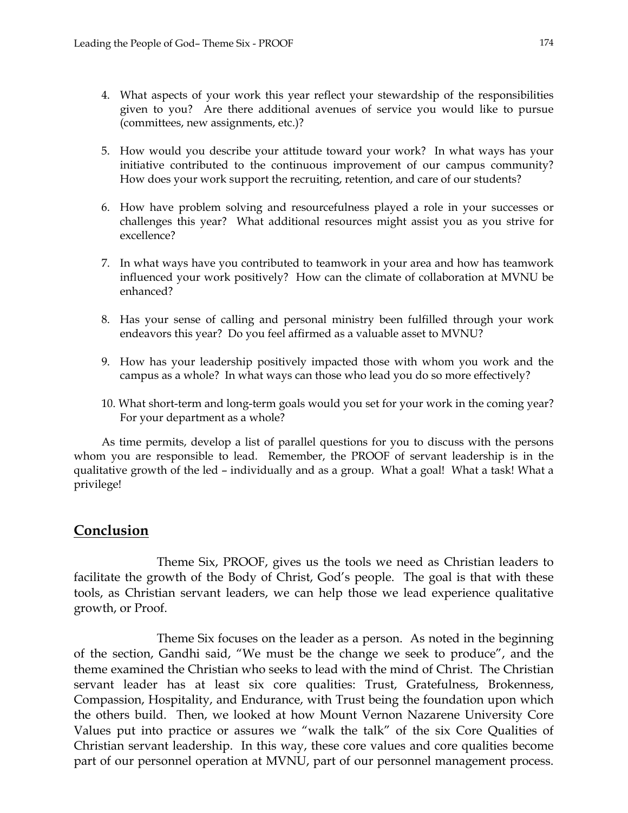- 4. What aspects of your work this year reflect your stewardship of the responsibilities given to you? Are there additional avenues of service you would like to pursue (committees, new assignments, etc.)?
- 5. How would you describe your attitude toward your work? In what ways has your initiative contributed to the continuous improvement of our campus community? How does your work support the recruiting, retention, and care of our students?
- 6. How have problem solving and resourcefulness played a role in your successes or challenges this year? What additional resources might assist you as you strive for excellence?
- 7. In what ways have you contributed to teamwork in your area and how has teamwork influenced your work positively? How can the climate of collaboration at MVNU be enhanced?
- 8. Has your sense of calling and personal ministry been fulfilled through your work endeavors this year? Do you feel affirmed as a valuable asset to MVNU?
- 9. How has your leadership positively impacted those with whom you work and the campus as a whole? In what ways can those who lead you do so more effectively?
- 10. What short-term and long-term goals would you set for your work in the coming year? For your department as a whole?

As time permits, develop a list of parallel questions for you to discuss with the persons whom you are responsible to lead. Remember, the PROOF of servant leadership is in the qualitative growth of the led – individually and as a group. What a goal! What a task! What a privilege!

# **Conclusion**

 Theme Six, PROOF, gives us the tools we need as Christian leaders to facilitate the growth of the Body of Christ, God's people. The goal is that with these tools, as Christian servant leaders, we can help those we lead experience qualitative growth, or Proof.

 Theme Six focuses on the leader as a person. As noted in the beginning of the section, Gandhi said, "We must be the change we seek to produce", and the theme examined the Christian who seeks to lead with the mind of Christ. The Christian servant leader has at least six core qualities: Trust, Gratefulness, Brokenness, Compassion, Hospitality, and Endurance, with Trust being the foundation upon which the others build. Then, we looked at how Mount Vernon Nazarene University Core Values put into practice or assures we "walk the talk" of the six Core Qualities of Christian servant leadership. In this way, these core values and core qualities become part of our personnel operation at MVNU, part of our personnel management process.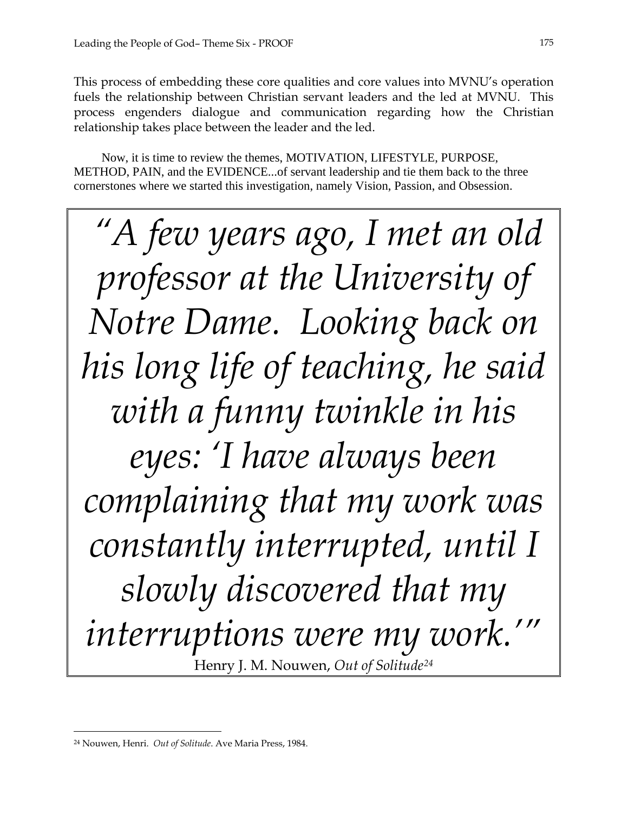This process of embedding these core qualities and core values into MVNU's operation fuels the relationship between Christian servant leaders and the led at MVNU. This process engenders dialogue and communication regarding how the Christian relationship takes place between the leader and the led.

 Now, it is time to review the themes, MOTIVATION, LIFESTYLE, PURPOSE, METHOD, PAIN, and the EVIDENCE...of servant leadership and tie them back to the three cornerstones where we started this investigation, namely Vision, Passion, and Obsession.

 *"A few years ago, I met an old professor at the University of Notre Dame. Looking back on his long life of teaching, he said with a funny twinkle in his eyes: 'I have always been complaining that my work was constantly interrupted, until I slowly discovered that my interruptions were my [w](#page-148-0)ork.'"* Henry J. M. Nouwen, *Out of Solitude[24](#page-148-0)*

 $\overline{a}$ 

<span id="page-148-0"></span><sup>24</sup> Nouwen, Henri. *Out of Solitude*. Ave Maria Press, 1984.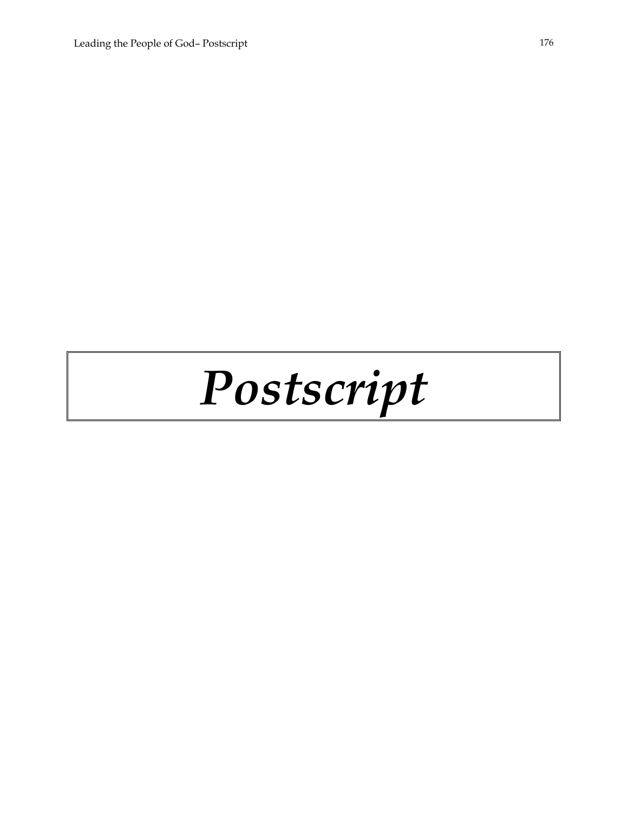# *Postscript*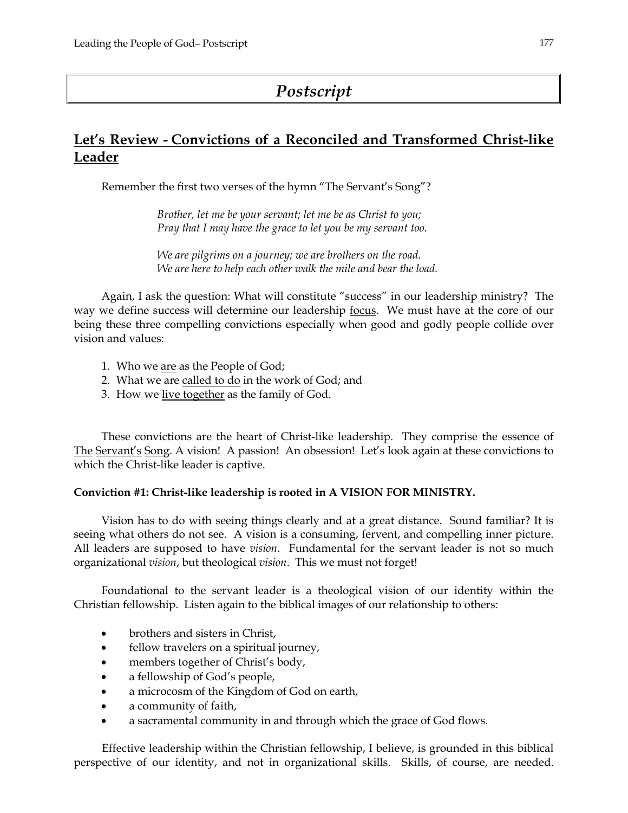# *Postscript*

# **Let's Review - Convictions of a Reconciled and Transformed Christ-like Leader**

Remember the first two verses of the hymn "The Servant's Song"?

*Brother, let me be your servant; let me be as Christ to you; Pray that I may have the grace to let you be my servant too.* 

*We are pilgrims on a journey; we are brothers on the road. We are here to help each other walk the mile and bear the load.* 

Again, I ask the question: What will constitute "success" in our leadership ministry? The way we define success will determine our leadership focus. We must have at the core of our being these three compelling convictions especially when good and godly people collide over vision and values:

- 1. Who we are as the People of God;
- 2. What we are called to do in the work of God; and
- 3. How we live together as the family of God.

These convictions are the heart of Christ-like leadership. They comprise the essence of The Servant's Song. A vision! A passion! An obsession! Let's look again at these convictions to which the Christ-like leader is captive.

## **Conviction #1: Christ-like leadership is rooted in A VISION FOR MINISTRY.**

Vision has to do with seeing things clearly and at a great distance. Sound familiar? It is seeing what others do not see. A vision is a consuming, fervent, and compelling inner picture. All leaders are supposed to have *vision*. Fundamental for the servant leader is not so much organizational *vision*, but theological *vision*. This we must not forget!

Foundational to the servant leader is a theological vision of our identity within the Christian fellowship. Listen again to the biblical images of our relationship to others:

- brothers and sisters in Christ,
- fellow travelers on a spiritual journey,
- members together of Christ's body,
- a fellowship of God's people,
- a microcosm of the Kingdom of God on earth,
- a community of faith,
- a sacramental community in and through which the grace of God flows.

Effective leadership within the Christian fellowship, I believe, is grounded in this biblical perspective of our identity, and not in organizational skills. Skills, of course, are needed.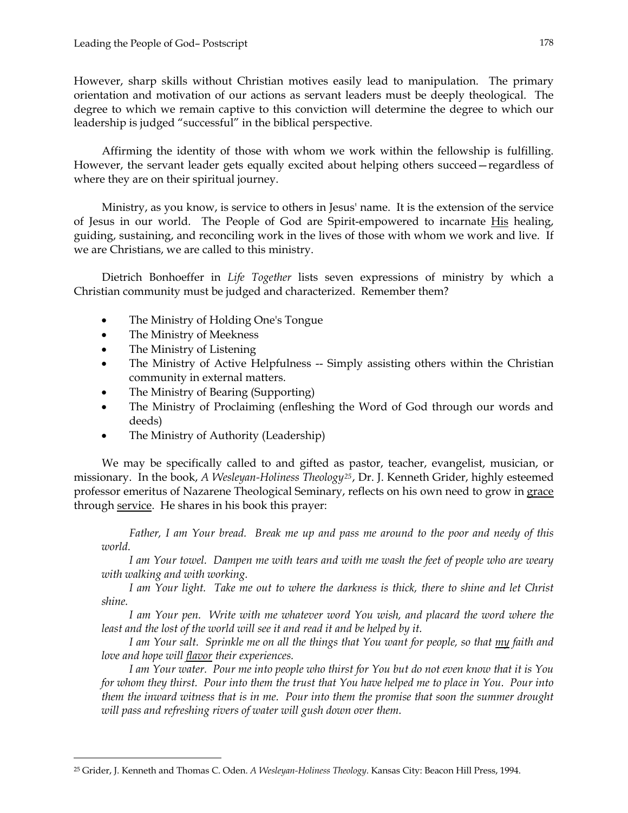However, sharp skills without Christian motives easily lead to manipulation. The primary orientation and motivation of our actions as servant leaders must be deeply theological. The degree to which we remain captive to this conviction will determine the degree to which our leadership is judged "successful" in the biblical perspective.

Affirming the identity of those with whom we work within the fellowship is fulfilling. However, the servant leader gets equally excited about helping others succeed—regardless of where they are on their spiritual journey.

Ministry, as you know, is service to others in Jesus' name. It is the extension of the service of Jesus in our world. The People of God are Spirit-empowered to incarnate His healing, guiding, sustaining, and reconciling work in the lives of those with whom we work and live. If we are Christians, we are called to this ministry.

Dietrich Bonhoeffer in *Life Together* lists seven expressions of ministry by which a Christian community must be judged and characterized. Remember them?

- The Ministry of Holding One's Tongue
- The Ministry of Meekness
- The Ministry of Listening

<span id="page-151-0"></span> $\overline{a}$ 

- The Ministry of Active Helpfulness -- Simply assisting others within the Christian community in external matters.
- The Ministry of Bearing (Supporting)
- The Ministry of Proclaiming (enfleshing the Word of God through our words and deeds)
- The Ministry of Authority (Leadership)

We may be specifically called to and gifted as pastor, teacher, evangelist, musician, or missionary. In the book, *A Wesleyan-Holiness Theology[25](#page-151-0)*, Dr. J. Kenneth Grider, highly esteemed professor emeritus of Nazarene Theological Seminary, reflects on his own need to grow in grace through service. He shares in his book this prayer:

*Father, I am Your bread. Break me up and pass me around to the poor and needy of this world.* 

*I am Your towel. Dampen me with tears and with me wash the feet of people who are weary with walking and with working.* 

*I am Your light. Take me out to where the darkness is thick, there to shine and let Christ shine.* 

*I am Your pen. Write with me whatever word You wish, and placard the word where the*  least and the lost of the world will see it and read it and be helped by it.

*I am Your salt. Sprinkle me on all the things that You want for people, so that my faith and love and hope will flavor their experiences.* 

*I am Your water. Pour me into people who thirst for You but do not even know that it is You for whom they thirst. Pour into them the trust that You have helped me to place in You. Pour into them the inward witness that is in me. Pour into them the promise that soon the summer drought will pass and refreshing rivers of water will gush down over them.*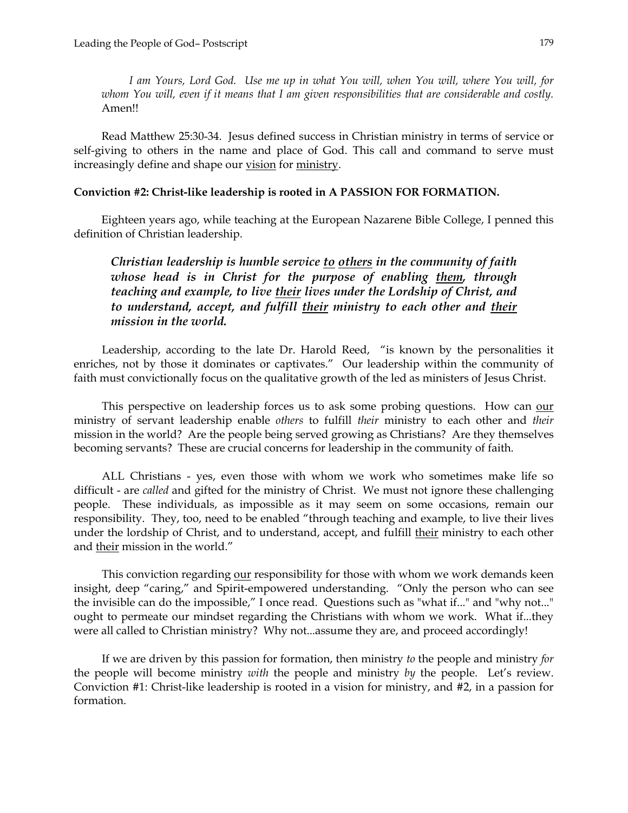*I am Yours, Lord God. Use me up in what You will, when You will, where You will, for whom You will, even if it means that I am given responsibilities that are considerable and costly.*  Amen!!

Read Matthew 25:30-34. Jesus defined success in Christian ministry in terms of service or self-giving to others in the name and place of God. This call and command to serve must increasingly define and shape our vision for ministry.

#### **Conviction #2: Christ-like leadership is rooted in A PASSION FOR FORMATION.**

Eighteen years ago, while teaching at the European Nazarene Bible College, I penned this definition of Christian leadership.

*Christian leadership is humble service to others in the community of faith whose head is in Christ for the purpose of enabling them, through teaching and example, to live their lives under the Lordship of Christ, and to understand, accept, and fulfill their ministry to each other and their mission in the world.* 

Leadership, according to the late Dr. Harold Reed, "is known by the personalities it enriches, not by those it dominates or captivates." Our leadership within the community of faith must convictionally focus on the qualitative growth of the led as ministers of Jesus Christ.

This perspective on leadership forces us to ask some probing questions. How can our ministry of servant leadership enable *others* to fulfill *their* ministry to each other and *their* mission in the world? Are the people being served growing as Christians? Are they themselves becoming servants? These are crucial concerns for leadership in the community of faith.

ALL Christians - yes, even those with whom we work who sometimes make life so difficult - are *called* and gifted for the ministry of Christ. We must not ignore these challenging people. These individuals, as impossible as it may seem on some occasions, remain our responsibility. They, too, need to be enabled "through teaching and example, to live their lives under the lordship of Christ, and to understand, accept, and fulfill their ministry to each other and their mission in the world."

This conviction regarding our responsibility for those with whom we work demands keen insight, deep "caring," and Spirit-empowered understanding. "Only the person who can see the invisible can do the impossible," I once read. Questions such as "what if..." and "why not..." ought to permeate our mindset regarding the Christians with whom we work. What if...they were all called to Christian ministry? Why not...assume they are, and proceed accordingly!

If we are driven by this passion for formation, then ministry *to* the people and ministry *for* the people will become ministry *with* the people and ministry *by* the people. Let's review. Conviction #1: Christ-like leadership is rooted in a vision for ministry, and #2, in a passion for formation.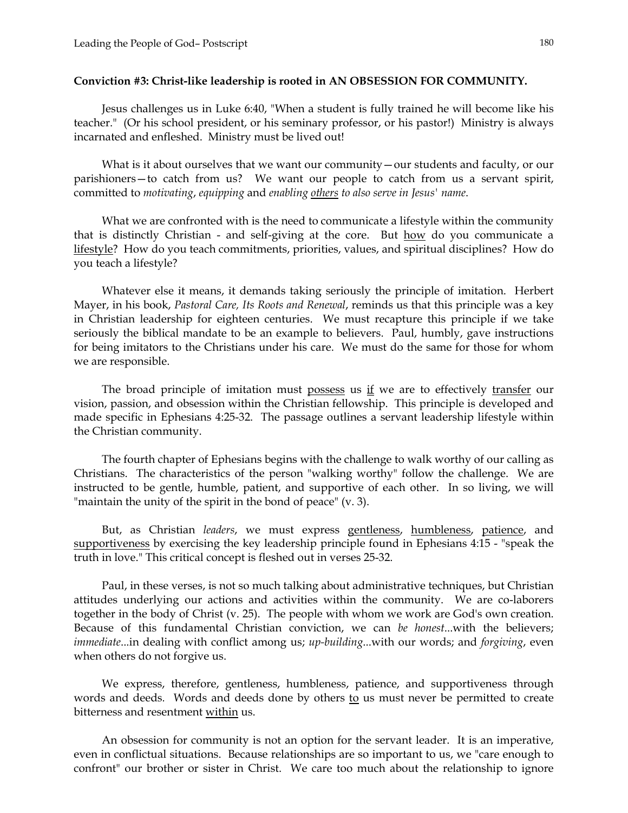#### **Conviction #3: Christ-like leadership is rooted in AN OBSESSION FOR COMMUNITY.**

Jesus challenges us in Luke 6:40, "When a student is fully trained he will become like his teacher." (Or his school president, or his seminary professor, or his pastor!) Ministry is always incarnated and enfleshed. Ministry must be lived out!

What is it about ourselves that we want our community — our students and faculty, or our parishioners—to catch from us? We want our people to catch from us a servant spirit, committed to *motivating*, *equipping* and *enabling others to also serve in Jesus' name*.

What we are confronted with is the need to communicate a lifestyle within the community that is distinctly Christian - and self-giving at the core. But how do you communicate a lifestyle? How do you teach commitments, priorities, values, and spiritual disciplines? How do you teach a lifestyle?

Whatever else it means, it demands taking seriously the principle of imitation. Herbert Mayer, in his book, *Pastoral Care, Its Roots and Renewal*, reminds us that this principle was a key in Christian leadership for eighteen centuries. We must recapture this principle if we take seriously the biblical mandate to be an example to believers. Paul, humbly, gave instructions for being imitators to the Christians under his care. We must do the same for those for whom we are responsible.

The broad principle of imitation must possess us if we are to effectively transfer our vision, passion, and obsession within the Christian fellowship. This principle is developed and made specific in Ephesians 4:25-32. The passage outlines a servant leadership lifestyle within the Christian community.

The fourth chapter of Ephesians begins with the challenge to walk worthy of our calling as Christians. The characteristics of the person "walking worthy" follow the challenge. We are instructed to be gentle, humble, patient, and supportive of each other. In so living, we will "maintain the unity of the spirit in the bond of peace" (v. 3).

But, as Christian *leaders*, we must express gentleness, humbleness, patience, and supportiveness by exercising the key leadership principle found in Ephesians 4:15 - "speak the truth in love." This critical concept is fleshed out in verses 25-32.

Paul, in these verses, is not so much talking about administrative techniques, but Christian attitudes underlying our actions and activities within the community. We are co-laborers together in the body of Christ (v. 25). The people with whom we work are God's own creation. Because of this fundamental Christian conviction, we can *be honest*...with the believers; *immediate*...in dealing with conflict among us; *up-building*...with our words; and *forgiving*, even when others do not forgive us.

We express, therefore, gentleness, humbleness, patience, and supportiveness through words and deeds*.* Words and deeds done by others to us must never be permitted to create bitterness and resentment within us.

An obsession for community is not an option for the servant leader. It is an imperative, even in conflictual situations. Because relationships are so important to us, we "care enough to confront" our brother or sister in Christ. We care too much about the relationship to ignore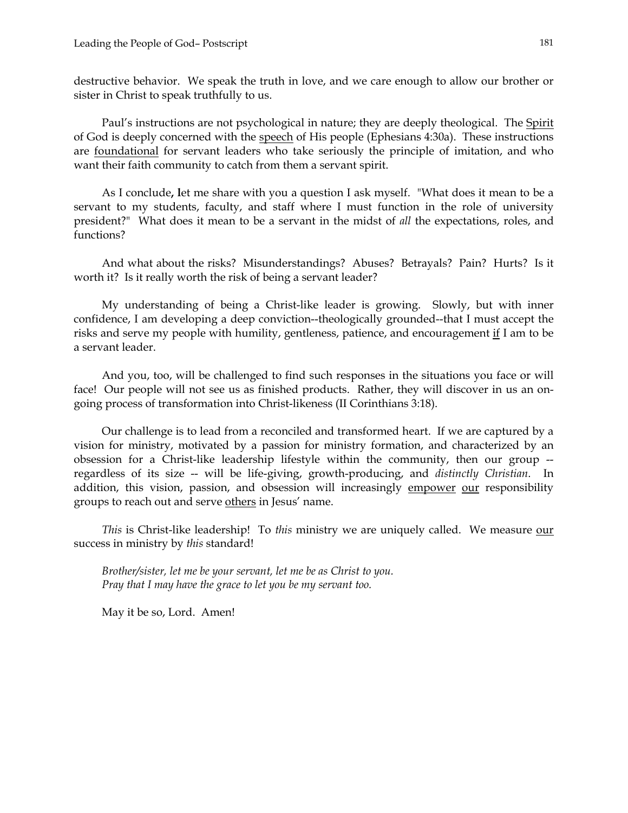destructive behavior. We speak the truth in love, and we care enough to allow our brother or sister in Christ to speak truthfully to us.

Paul's instructions are not psychological in nature; they are deeply theological. The Spirit of God is deeply concerned with the speech of His people (Ephesians 4:30a). These instructions are foundational for servant leaders who take seriously the principle of imitation, and who want their faith community to catch from them a servant spirit.

As I conclude**, l**et me share with you a question I ask myself. "What does it mean to be a servant to my students, faculty, and staff where I must function in the role of university president?" What does it mean to be a servant in the midst of *all* the expectations, roles, and functions?

And what about the risks? Misunderstandings? Abuses? Betrayals? Pain? Hurts? Is it worth it? Is it really worth the risk of being a servant leader?

My understanding of being a Christ-like leader is growing. Slowly, but with inner confidence, I am developing a deep conviction--theologically grounded--that I must accept the risks and serve my people with humility, gentleness, patience, and encouragement if I am to be a servant leader.

And you, too, will be challenged to find such responses in the situations you face or will face! Our people will not see us as finished products. Rather, they will discover in us an ongoing process of transformation into Christ-likeness (II Corinthians 3:18).

Our challenge is to lead from a reconciled and transformed heart. If we are captured by a vision for ministry, motivated by a passion for ministry formation, and characterized by an obsession for a Christ-like leadership lifestyle within the community, then our group - regardless of its size -- will be life-giving, growth-producing, and *distinctly Christian*. In addition, this vision, passion, and obsession will increasingly empower our responsibility groups to reach out and serve others in Jesus' name.

*This* is Christ-like leadership! To *this* ministry we are uniquely called. We measure our success in ministry by *this* standard!

*Brother/sister, let me be your servant, let me be as Christ to you. Pray that I may have the grace to let you be my servant too.* 

May it be so, Lord. Amen!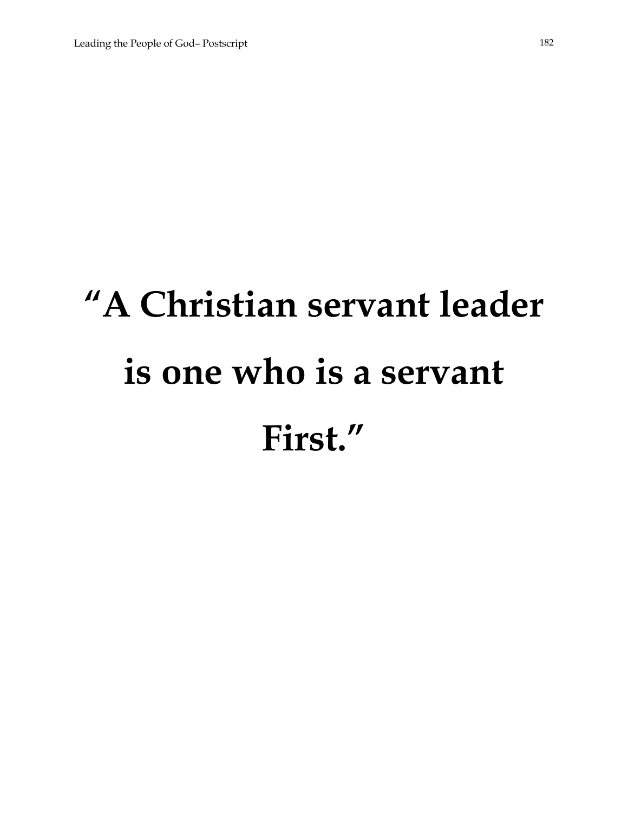# **"A Christian servant leader is one who is a servant First."**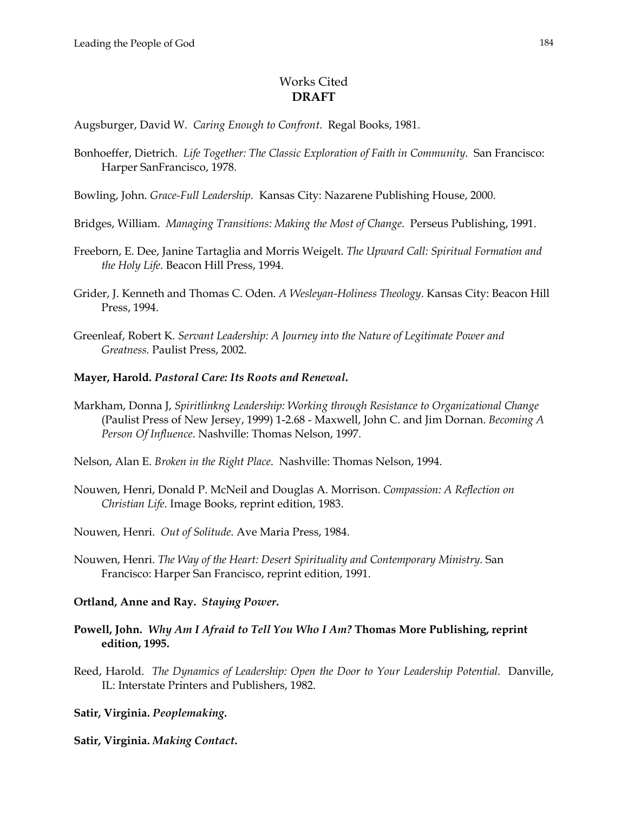## Works Cited **DRAFT**

Augsburger, David W. *Caring Enough to Confront*. Regal Books, 1981.

- Bonhoeffer, Dietrich. *Life Together: The Classic Exploration of Faith in Community*. San Francisco: Harper SanFrancisco, 1978.
- Bowling, John. *Grace-Full Leadership.* Kansas City: Nazarene Publishing House, 2000.
- Bridges, William. *Managing Transitions: Making the Most of Change*. Perseus Publishing, 1991.
- Freeborn, E. Dee, Janine Tartaglia and Morris Weigelt*. The Upward Call: Spiritual Formation and the Holy Life*. Beacon Hill Press, 1994.
- Grider, J. Kenneth and Thomas C. Oden. *A Wesleyan-Holiness Theology*. Kansas City: Beacon Hill Press, 1994.
- Greenleaf, Robert K. *Servant Leadership: A Journey into the Nature of Legitimate Power and Greatness.* Paulist Press, 2002.

## **Mayer, Harold.** *Pastoral Care: Its Roots and Renewal***.**

- Markham, Donna J, *Spiritlinkng Leadership: Working through Resistance to Organizational Change* (Paulist Press of New Jersey, 1999) 1-2.68 - Maxwell, John C. and Jim Dornan. *Becoming A Person Of Influence*. Nashville: Thomas Nelson, 1997.
- Nelson, Alan E. *Broken in the Right Place*. Nashville: Thomas Nelson, 1994.
- Nouwen, Henri, Donald P. McNeil and Douglas A. Morrison. *Compassion: A Reflection on Christian Life.* Image Books, reprint edition, 1983.

Nouwen, Henri. *Out of Solitude*. Ave Maria Press, 1984.

Nouwen, Henri. *The Way of the Heart: Desert Spirituality and Contemporary Ministry*. San Francisco: Harper San Francisco, reprint edition, 1991.

## **Ortland, Anne and Ray.** *Staying Power***.**

- **Powell, John.** *Why Am I Afraid to Tell You Who I Am?* **Thomas More Publishing, reprint edition, 1995.**
- Reed, Harold. *The Dynamics of Leadership: Open the Door to Your Leadership Potential.* Danville, IL: Interstate Printers and Publishers, 1982.
- **Satir, Virginia.** *Peoplemaking***.**

**Satir, Virginia.** *Making Contact***.**